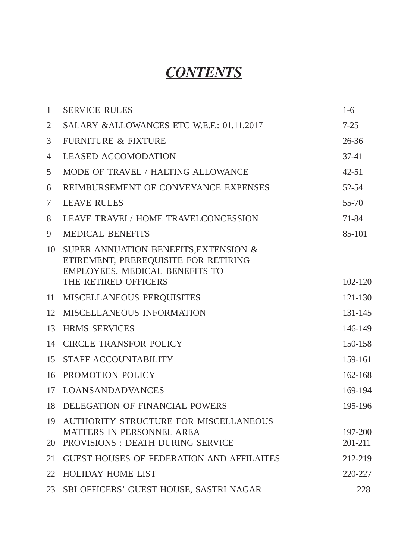# *CONTENTS*

| $\mathbf{1}$   | <b>SERVICE RULES</b>                                                                                                                    | $1-6$              |
|----------------|-----------------------------------------------------------------------------------------------------------------------------------------|--------------------|
| $\overline{2}$ | SALARY & ALLOWANCES ETC W.E.F.: 01.11.2017                                                                                              | $7 - 25$           |
| 3              | <b>FURNITURE &amp; FIXTURE</b>                                                                                                          | 26-36              |
| 4              | <b>LEASED ACCOMODATION</b>                                                                                                              | $37-41$            |
| 5              | MODE OF TRAVEL / HALTING ALLOWANCE                                                                                                      | $42 - 51$          |
| 6              | REIMBURSEMENT OF CONVEYANCE EXPENSES                                                                                                    | 52-54              |
| 7              | <b>LEAVE RULES</b>                                                                                                                      | 55-70              |
| 8              | <b>LEAVE TRAVEL/ HOME TRAVELCONCESSION</b>                                                                                              | 71-84              |
| 9              | <b>MEDICAL BENEFITS</b>                                                                                                                 | 85-101             |
| 10             | SUPER ANNUATION BENEFITS, EXTENSION &<br>ETIREMENT, PREREQUISITE FOR RETIRING<br>EMPLOYEES, MEDICAL BENEFITS TO<br>THE RETIRED OFFICERS | 102-120            |
| 11             | MISCELLANEOUS PERQUISITES                                                                                                               | 121-130            |
| 12             | MISCELLANEOUS INFORMATION                                                                                                               | 131-145            |
| 13             | <b>HRMS SERVICES</b>                                                                                                                    | 146-149            |
| 14             | <b>CIRCLE TRANSFOR POLICY</b>                                                                                                           | 150-158            |
| 15             | STAFF ACCOUNTABILITY                                                                                                                    | 159-161            |
| 16             | PROMOTION POLICY                                                                                                                        | 162-168            |
| 17             | <b>LOANSANDADVANCES</b>                                                                                                                 | 169-194            |
| 18             | DELEGATION OF FINANCIAL POWERS                                                                                                          | 195-196            |
| 19<br>20       | AUTHORITY STRUCTURE FOR MISCELLANEOUS<br>MATTERS IN PERSONNEL AREA<br>PROVISIONS: DEATH DURING SERVICE                                  | 197-200<br>201-211 |
| 21             | <b>GUEST HOUSES OF FEDERATION AND AFFILAITES</b>                                                                                        | 212-219            |
| 22             | <b>HOLIDAY HOME LIST</b>                                                                                                                | 220-227            |
| 23             | SBI OFFICERS' GUEST HOUSE, SASTRI NAGAR                                                                                                 | 228                |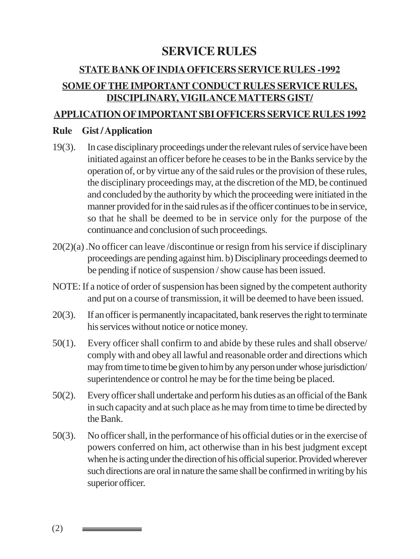# **SERVICE RULES**

# **STATE BANK OF INDIA OFFICERS SERVICE RULES -1992 SOME OFTHE IMPORTANT CONDUCT RULES SERVICE RULES, DISCIPLINARY, VIGILANCE MATTERS GIST/**

#### **APPLICATION OF IMPORTANT SBI OFFICERS SERVICE RULES 1992**

#### **Rule Gist / Application**

- 19(3). In case disciplinary proceedings under the relevant rules of service have been initiated against an officer before he ceases to be in the Banks service by the operation of, or by virtue any of the said rules or the provision of these rules, the disciplinary proceedings may, at the discretion of the MD, be continued and concluded by the authority by which the proceeding were initiated in the manner provided for in the said rules as if the officer continues to be in service, so that he shall be deemed to be in service only for the purpose of the continuance and conclusion of such proceedings.
- 20(2)(a) .No officer can leave /discontinue or resign from his service if disciplinary proceedings are pending against him. b) Disciplinary proceedings deemed to be pending if notice of suspension / show cause has been issued.
- NOTE: If a notice of order of suspension has been signed by the competent authority and put on a course of transmission, it will be deemed to have been issued.
- 20(3). If an officer is permanently incapacitated, bank reserves the right to terminate his services without notice or notice money.
- 50(1). Every officer shall confirm to and abide by these rules and shall observe/ comply with and obey all lawful and reasonable order and directions which may from time to time be given to him by any person under whose jurisdiction/ superintendence or control he may be for the time being be placed.
- 50(2). Every officer shall undertake and perform his duties as an official of the Bank in such capacity and at such place as he may from time to time be directed by the Bank.
- 50(3). No officer shall, in the performance of his official duties or in the exercise of powers conferred on him, act otherwise than in his best judgment except when he is acting under the direction of his official superior. Provided wherever such directions are oral in nature the same shall be confirmed in writing by his superior officer.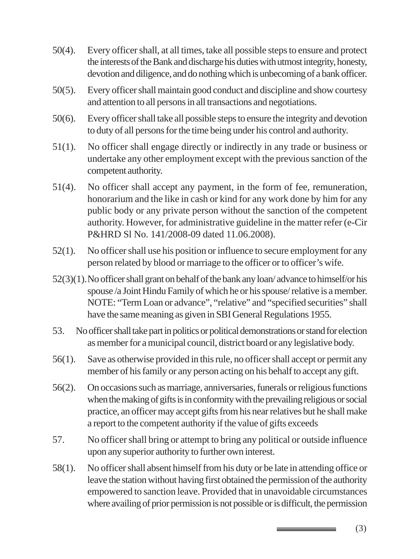- 50(4). Every officer shall, at all times, take all possible steps to ensure and protect the interests of the Bank and discharge his duties with utmost integrity, honesty, devotion and diligence, and do nothing which is unbecoming of a bank officer.
- 50(5). Every officer shall maintain good conduct and discipline and show courtesy and attention to all persons in all transactions and negotiations.
- 50(6). Every officer shall take all possible steps to ensure the integrity and devotion to duty of all persons for the time being under his control and authority.
- 51(1). No officer shall engage directly or indirectly in any trade or business or undertake any other employment except with the previous sanction of the competent authority.
- 51(4). No officer shall accept any payment, in the form of fee, remuneration, honorarium and the like in cash or kind for any work done by him for any public body or any private person without the sanction of the competent authority. However, for administrative guideline in the matter refer (e-Cir P&HRD Sl No. 141/2008-09 dated 11.06.2008).
- 52(1). No officer shall use his position or influence to secure employment for any person related by blood or marriage to the officer or to officer's wife.
- 52(3)(1).No officer shall grant on behalf of the bank any loan/ advance to himself/or his spouse /a Joint Hindu Family of which he or his spouse/ relative is a member. NOTE: "Term Loan or advance", "relative" and "specified securities" shall have the same meaning as given in SBI General Regulations 1955.
- 53. No officer shall take part in politics or political demonstrations or stand for election as member for a municipal council, district board or any legislative body.
- 56(1). Save as otherwise provided in this rule, no officer shall accept or permit any member of his family or any person acting on his behalf to accept any gift.
- 56(2). On occasions such as marriage, anniversaries, funerals or religious functions when the making of gifts is in conformity with the prevailing religious or social practice, an officer may accept gifts from his near relatives but he shall make a report to the competent authority if the value of gifts exceeds
- 57. No officer shall bring or attempt to bring any political or outside influence upon any superior authority to further own interest.
- 58(1). No officer shall absent himself from his duty or be late in attending office or leave the station without having first obtained the permission of the authority empowered to sanction leave. Provided that in unavoidable circumstances where availing of prior permission is not possible or is difficult, the permission

(3)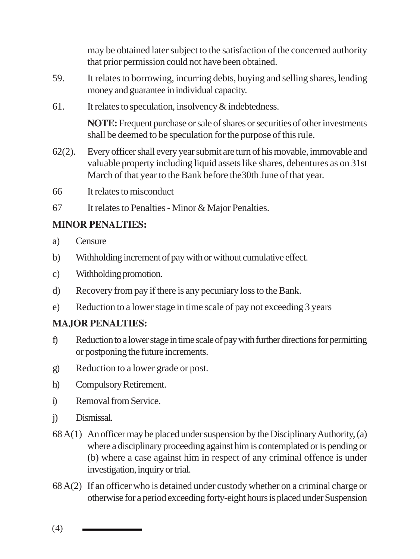may be obtained later subject to the satisfaction of the concerned authority that prior permission could not have been obtained.

- 59. It relates to borrowing, incurring debts, buying and selling shares, lending money and guarantee in individual capacity.
- 61. It relates to speculation, insolvency & indebtedness.

**NOTE:** Frequent purchase or sale of shares or securities of other investments shall be deemed to be speculation for the purpose of this rule.

- 62(2). Every officer shall every year submit are turn of his movable, immovable and valuable property including liquid assets like shares, debentures as on 31st March of that year to the Bank before the30th June of that year.
- 66 It relates to misconduct
- 67 It relates to Penalties Minor & Major Penalties.

#### **MINOR PENALTIES:**

- a) Censure
- b) Withholding increment of pay with or without cumulative effect.
- c) Withholding promotion.
- d) Recovery from pay if there is any pecuniary loss to the Bank.
- e) Reduction to a lower stage in time scale of pay not exceeding 3 years

#### **MAJOR PENALTIES:**

- f) Reduction to a lower stage in time scale of pay with further directions for permitting or postponing the future increments.
- g) Reduction to a lower grade or post.
- h) Compulsory Retirement.
- i) Removal from Service.
- j) Dismissal.
- 68 A(1) An officer may be placed under suspension by the Disciplinary Authority, (a) where a disciplinary proceeding against him is contemplated or is pending or (b) where a case against him in respect of any criminal offence is under investigation, inquiry or trial.
- 68 A(2) If an officer who is detained under custody whether on a criminal charge or otherwise for a period exceeding forty-eight hours is placed under Suspension

(4)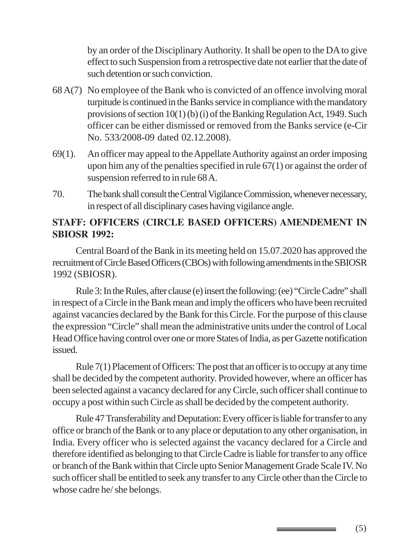by an order of the Disciplinary Authority. It shall be open to the DA to give effect to such Suspension from a retrospective date not earlier that the date of such detention or such conviction.

- 68 A(7) No employee of the Bank who is convicted of an offence involving moral turpitude is continued in the Banks service in compliance with the mandatory provisions of section 10(1) (b) (i) of the Banking Regulation Act, 1949. Such officer can be either dismissed or removed from the Banks service (e-Cir No. 533/2008-09 dated 02.12.2008).
- 69(1). An officer may appeal to the Appellate Authority against an order imposing upon him any of the penalties specified in rule 67(1) or against the order of suspension referred to in rule 68 A.
- 70. The bank shall consult the Central Vigilance Commission, whenever necessary, in respect of all disciplinary cases having vigilance angle.

#### **STAFF: OFFICERS (CIRCLE BASED OFFICERS) AMENDEMENT IN SBIOSR 1992:**

Central Board of the Bank in its meeting held on 15.07.2020 has approved the recruitment of Circle Based Officers (CBOs) with following amendments in the SBIOSR 1992 (SBIOSR).

Rule 3: In the Rules, after clause (e) insert the following: (ee) "Circle Cadre" shall in respect of a Circle in the Bank mean and imply the officers who have been recruited against vacancies declared by the Bank for this Circle. For the purpose of this clause the expression "Circle" shall mean the administrative units under the control of Local Head Office having control over one or more States of India, as per Gazette notification issued.

Rule 7(1) Placement of Officers: The post that an officer is to occupy at any time shall be decided by the competent authority. Provided however, where an officer has been selected against a vacancy declared for any Circle, such officer shall continue to occupy a post within such Circle as shall be decided by the competent authority.

Rule 47 Transferability and Deputation: Every officer is liable for transfer to any office or branch of the Bank or to any place or deputation to any other organisation, in India. Every officer who is selected against the vacancy declared for a Circle and therefore identified as belonging to that Circle Cadre is liable for transfer to any office or branch of the Bank within that Circle upto Senior Management Grade Scale IV. No such officer shall be entitled to seek any transfer to any Circle other than the Circle to whose cadre he/ she belongs.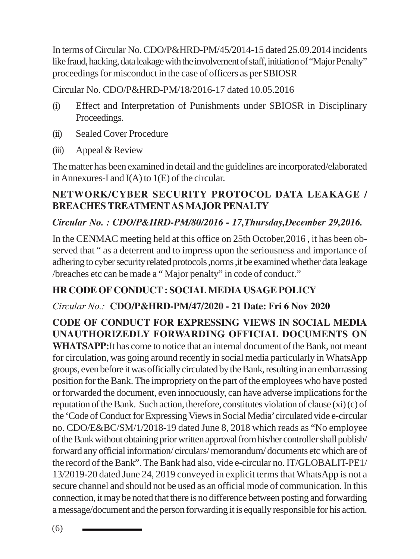In terms of Circular No. CDO/P&HRD-PM/45/2014-15 dated 25.09.2014 incidents like fraud, hacking, data leakage with the involvement of staff, initiation of "Major Penalty" proceedings for misconduct in the case of officers as per SBIOSR

Circular No. CDO/P&HRD-PM/18/2016-17 dated 10.05.2016

- (i) Effect and Interpretation of Punishments under SBIOSR in Disciplinary Proceedings.
- (ii) Sealed Cover Procedure
- (iii) Appeal & Review

The matter has been examined in detail and the guidelines are incorporated/elaborated in Annexures-I and I(A) to 1(E) of the circular.

# **NETWORK/CYBER SECURITY PROTOCOL DATA LEAKAGE / BREACHES TREATMENT AS MAJOR PENALTY**

# *Circular No. : CDO/P&HRD-PM/80/2016 - 17,Thursday,December 29,2016.*

In the CENMAC meeting held at this office on 25th October,2016 , it has been observed that " as a deterrent and to impress upon the seriousness and importance of adhering to cyber security related protocols ,norms ,it be examined whether data leakage /breaches etc can be made a " Major penalty" in code of conduct."

# **HR CODE OF CONDUCT : SOCIAL MEDIA USAGE POLICY**

### *Circular No.:* **CDO/P&HRD-PM/47/2020 - 21 Date: Fri 6 Nov 2020**

**CODE OF CONDUCT FOR EXPRESSING VIEWS IN SOCIAL MEDIA UNAUTHORIZEDLY FORWARDING OFFICIAL DOCUMENTS ON WHATSAPP:**It has come to notice that an internal document of the Bank, not meant for circulation, was going around recently in social media particularly in WhatsApp groups, even before it was officially circulated by the Bank, resulting in an embarrassing position for the Bank. The impropriety on the part of the employees who have posted or forwarded the document, even innocuously, can have adverse implications for the reputation of the Bank. Such action, therefore, constitutes violation of clause (xi) (c) of the 'Code of Conduct for Expressing Views in Social Media' circulated vide e-circular no. CDO/E&BC/SM/1/2018-19 dated June 8, 2018 which reads as "No employee of the Bank without obtaining prior written approval from his/her controller shall publish/ forward any official information/ circulars/ memorandum/ documents etc which are of the record of the Bank". The Bank had also, vide e-circular no. IT/GLOBALIT-PE1/ 13/2019-20 dated June 24, 2019 conveyed in explicit terms that WhatsApp is not a secure channel and should not be used as an official mode of communication. In this connection, it may be noted that there is no difference between posting and forwarding a message/document and the person forwarding it is equally responsible for his action.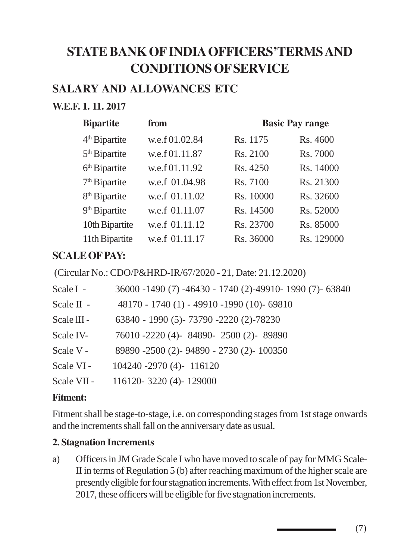# **STATE BANK OF INDIA OFFICERS'TERMS AND CONDITIONS OF SERVICE**

# **SALARY AND ALLOWANCES ETC**

## **W.E.F. 1. 11. 2017**

| <b>Bipartite</b>          | from           | <b>Basic Pay range</b> |            |
|---------------------------|----------------|------------------------|------------|
| 4 <sup>th</sup> Bipartite | w.e.f 01.02.84 | Rs. 1175               | Rs. 4600   |
| 5 <sup>th</sup> Bipartite | w.e.f 01.11.87 | Rs. 2100               | Rs. 7000   |
| 6 <sup>th</sup> Bipartite | w.e.f 01.11.92 | Rs. 4250               | Rs. 14000  |
| 7 <sup>th</sup> Bipartite | w.e.f 01.04.98 | Rs. 7100               | Rs. 21300  |
| 8 <sup>th</sup> Bipartite | w.e.f 01.11.02 | Rs. 10000              | Rs. 32600  |
| 9 <sup>th</sup> Bipartite | w.e.f 01.11.07 | Rs. 14500              | Rs. 52000  |
| 10th Bipartite            | w.e.f 01.11.12 | Rs. 23700              | Rs. 85000  |
| 11th Bipartite            | w.e.f 01.11.17 | Rs. 36000              | Rs. 129000 |

# **SCALE OF PAY:**

(Circular No.: CDO/P&HRD-IR/67/2020 - 21, Date: 21.12.2020)

| Scale I -   | 36000 -1490 (7) -46430 - 1740 (2)-49910- 1990 (7)- 63840 |
|-------------|----------------------------------------------------------|
| Scale II -  | 48170 - 1740 (1) - 49910 -1990 (10)- 69810               |
| Scale III - | 63840 - 1990 (5) - 73790 - 2220 (2) - 78230              |
| Scale IV-   | 76010 -2220 (4)-84890-2500 (2)-89890                     |
| Scale V -   | 89890 -2500 (2)- 94890 - 2730 (2)- 100350                |
| Scale VI-   | 104240 -2970 (4)- 116120                                 |
| Scale VII - | 116120-3220 (4)-129000                                   |

#### **Fitment:**

Fitment shall be stage-to-stage, i.e. on corresponding stages from 1st stage onwards and the increments shall fall on the anniversary date as usual.

#### **2. Stagnation Increments**

a) Officers in JM Grade Scale I who have moved to scale of pay for MMG Scale-II in terms of Regulation 5 (b) after reaching maximum of the higher scale are presently eligible for four stagnation increments. With effect from 1st November, 2017, these officers will be eligible for five stagnation increments.

(7)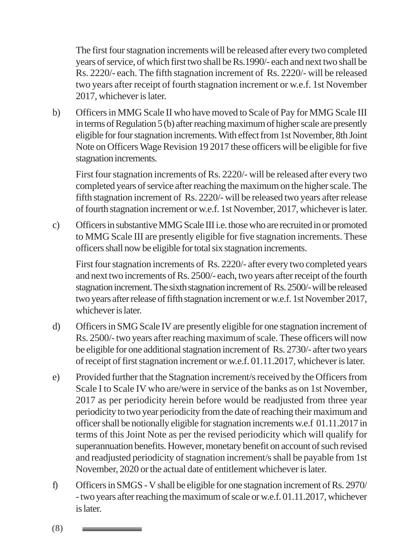The first four stagnation increments will be released after every two completed years of service, of which first two shall be Rs.1990/- each and next two shall be Rs. 2220/- each. The fifth stagnation increment of Rs. 2220/- will be released two years after receipt of fourth stagnation increment or w.e.f. 1st November 2017, whichever is later.

b) Officers in MMG Scale II who have moved to Scale of Pay for MMG Scale III in terms of Regulation 5 (b) after reaching maximum of higher scale are presently eligible for four stagnation increments. With effect from 1st November, 8th Joint Note on Officers Wage Revision 19 2017 these officers will be eligible for five stagnation increments.

First four stagnation increments of Rs. 2220/- will be released after every two completed years of service after reaching the maximum on the higher scale. The fifth stagnation increment of Rs. 2220/- will be released two years after release of fourth stagnation increment or w.e.f. 1st November, 2017, whichever is later.

c) Officers in substantive MMG Scale III i.e. those who are recruited in or promoted to MMG Scale III are presently eligible for five stagnation increments. These officers shall now be eligible for total six stagnation increments.

First four stagnation increments of Rs. 2220/- after every two completed years and next two increments of Rs. 2500/- each, two years after receipt of the fourth stagnation increment. The sixth stagnation increment of Rs. 2500/- will be released two years after release of fifth stagnation increment or w.e.f. 1st November 2017, whichever is later.

- d) Officers in SMG Scale IV are presently eligible for one stagnation increment of Rs. 2500/- two years after reaching maximum of scale. These officers will now be eligible for one additional stagnation increment of Rs. 2730/- after two years of receipt of first stagnation increment or w.e.f. 01.11.2017, whichever is later.
- e) Provided further that the Stagnation increment/s received by the Officers from Scale I to Scale IV who are/were in service of the banks as on 1st November, 2017 as per periodicity herein before would be readjusted from three year periodicity to two year periodicity from the date of reaching their maximum and officer shall be notionally eligible for stagnation increments w.e.f 01.11.2017 in terms of this Joint Note as per the revised periodicity which will qualify for superannuation benefits. However, monetary benefit on account of such revised and readjusted periodicity of stagnation increment/s shall be payable from 1st November, 2020 or the actual date of entitlement whichever is later.
- f) Officers in SMGS V shall be eligible for one stagnation increment of Rs. 2970/ - two years after reaching the maximum of scale or w.e.f. 01.11.2017, whichever is later.

(8)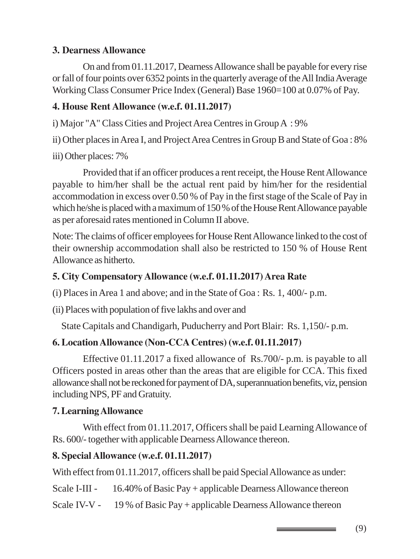#### **3. Dearness Allowance**

On and from 01.11.2017, Dearness Allowance shall be payable for every rise or fall of four points over 6352 points in the quarterly average of the All India Average Working Class Consumer Price Index (General) Base 1960=100 at 0.07% of Pay.

# **4. House Rent Allowance (w.e.f. 01.11.2017)**

i) Major "A" Class Cities and Project Area Centres in Group A : 9%

ii) Other places in Area I, and Project Area Centres in Group B and State of Goa : 8%

iii) Other places: 7%

Provided that if an officer produces a rent receipt, the House Rent Allowance payable to him/her shall be the actual rent paid by him/her for the residential accommodation in excess over 0.50 % of Pay in the first stage of the Scale of Pay in which he/she is placed with a maximum of 150 % of the House Rent Allowance payable as per aforesaid rates mentioned in Column II above.

Note: The claims of officer employees for House Rent Allowance linked to the cost of their ownership accommodation shall also be restricted to 150 % of House Rent Allowance as hitherto.

# **5. City Compensatory Allowance (w.e.f. 01.11.2017) Area Rate**

(i) Places in Area 1 and above; and in the State of Goa : Rs. 1, 400/- p.m.

(ii) Places with population of five lakhs and over and

State Capitals and Chandigarh, Puducherry and Port Blair: Rs. 1,150/- p.m.

# **6. Location Allowance (Non-CCA Centres) (w.e.f. 01.11.2017)**

Effective 01.11.2017 a fixed allowance of Rs.700/- p.m. is payable to all Officers posted in areas other than the areas that are eligible for CCA. This fixed allowance shall not be reckoned for payment of DA, superannuation benefits, viz, pension including NPS, PF and Gratuity.

# **7. Learning Allowance**

With effect from 01.11.2017, Officers shall be paid Learning Allowance of Rs. 600/- together with applicable Dearness Allowance thereon.

# **8. Special Allowance (w.e.f. 01.11.2017)**

With effect from 01.11.2017, officers shall be paid Special Allowance as under:

Scale I-III - 16.40% of Basic Pay + applicable Dearness Allowance thereon

Scale IV-V - 19 % of Basic Pay + applicable Dearness Allowance thereon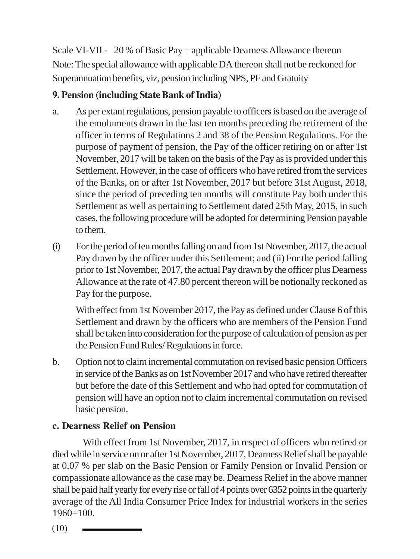Scale VI-VII - 20 % of Basic Pay + applicable Dearness Allowance thereon Note: The special allowance with applicable DA thereon shall not be reckoned for Superannuation benefits, viz, pension including NPS, PF and Gratuity

# **9. Pension (including State Bank of India)**

- a. As per extant regulations, pension payable to officers is based on the average of the emoluments drawn in the last ten months preceding the retirement of the officer in terms of Regulations 2 and 38 of the Pension Regulations. For the purpose of payment of pension, the Pay of the officer retiring on or after 1st November, 2017 will be taken on the basis of the Pay as is provided under this Settlement. However, in the case of officers who have retired from the services of the Banks, on or after 1st November, 2017 but before 31st August, 2018, since the period of preceding ten months will constitute Pay both under this Settlement as well as pertaining to Settlement dated 25th May, 2015, in such cases, the following procedure will be adopted for determining Pension payable to them.
- (i) For the period of ten months falling on and from 1st November, 2017, the actual Pay drawn by the officer under this Settlement; and (ii) For the period falling prior to 1st November, 2017, the actual Pay drawn by the officer plus Dearness Allowance at the rate of 47.80 percent thereon will be notionally reckoned as Pay for the purpose.

With effect from 1st November 2017, the Pay as defined under Clause 6 of this Settlement and drawn by the officers who are members of the Pension Fund shall be taken into consideration for the purpose of calculation of pension as per the Pension Fund Rules/ Regulations in force.

b. Option not to claim incremental commutation on revised basic pension Officers in service of the Banks as on 1st November 2017 and who have retired thereafter but before the date of this Settlement and who had opted for commutation of pension will have an option not to claim incremental commutation on revised basic pension.

# **c. Dearness Relief on Pension**

With effect from 1st November, 2017, in respect of officers who retired or died while in service on or after 1st November, 2017, Dearness Relief shall be payable at 0.07 % per slab on the Basic Pension or Family Pension or Invalid Pension or compassionate allowance as the case may be. Dearness Relief in the above manner shall be paid half yearly for every rise or fall of 4 points over 6352 points in the quarterly average of the All India Consumer Price Index for industrial workers in the series 1960=100.

(10)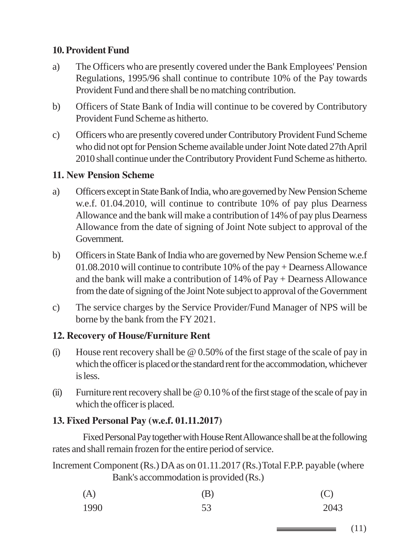### **10. Provident Fund**

- a) The Officers who are presently covered under the Bank Employees' Pension Regulations, 1995/96 shall continue to contribute 10% of the Pay towards Provident Fund and there shall be no matching contribution.
- b) Officers of State Bank of India will continue to be covered by Contributory Provident Fund Scheme as hitherto.
- c) Officers who are presently covered under Contributory Provident Fund Scheme who did not opt for Pension Scheme available under Joint Note dated 27th April 2010 shall continue under the Contributory Provident Fund Scheme as hitherto.

#### **11. New Pension Scheme**

- a) Officers except in State Bank of India, who are governed by New Pension Scheme w.e.f. 01.04.2010, will continue to contribute 10% of pay plus Dearness Allowance and the bank will make a contribution of 14% of pay plus Dearness Allowance from the date of signing of Joint Note subject to approval of the Government.
- b) Officers in State Bank of India who are governed by New Pension Scheme w.e.f 01.08.2010 will continue to contribute 10% of the pay + Dearness Allowance and the bank will make a contribution of 14% of Pay + Dearness Allowance from the date of signing of the Joint Note subject to approval of the Government
- c) The service charges by the Service Provider/Fund Manager of NPS will be borne by the bank from the FY 2021.

### **12. Recovery of House/Furniture Rent**

- (i) House rent recovery shall be @ 0.50% of the first stage of the scale of pay in which the officer is placed or the standard rent for the accommodation, whichever is less.
- (ii) Furniture rent recovery shall be @ 0.10 % of the first stage of the scale of pay in which the officer is placed.

#### **13. Fixed Personal Pay (w.e.f. 01.11.2017)**

Fixed Personal Pay together with House Rent Allowance shall be at the following rates and shall remain frozen for the entire period of service.

Increment Component (Rs.) DA as on 01.11.2017 (Rs.) Total F.P.P. payable (where Bank's accommodation is provided (Rs.)

| (A)  | (B) | (C)  |
|------|-----|------|
| 1990 | 53  | 2043 |

(11)

\_\_\_\_\_\_\_\_\_\_\_\_\_\_\_\_\_\_\_\_\_\_\_\_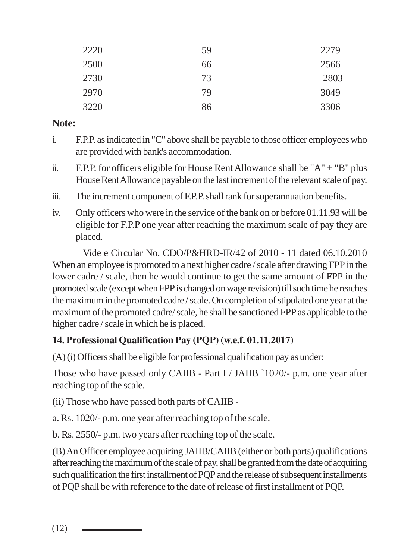| 2220 | 59 | 2279 |
|------|----|------|
| 2500 | 66 | 2566 |
| 2730 | 73 | 2803 |
| 2970 | 79 | 3049 |
| 3220 | 86 | 3306 |

#### **Note:**

- i. F.P.P. as indicated in "C" above shall be payable to those officer employees who are provided with bank's accommodation.
- ii. F.P.P. for officers eligible for House Rent Allowance shall be " $A$ " + "B" plus House Rent Allowance payable on the last increment of the relevant scale of pay.
- iii. The increment component of F.P.P. shall rank for superannuation benefits.
- iv. Only officers who were in the service of the bank on or before 01.11.93 will be eligible for F.P.P one year after reaching the maximum scale of pay they are placed.

Vide e Circular No. CDO/P&HRD-IR/42 of 2010 - 11 dated 06.10.2010 When an employee is promoted to a next higher cadre / scale after drawing FPP in the lower cadre / scale, then he would continue to get the same amount of FPP in the promoted scale (except when FPP is changed on wage revision) till such time he reaches the maximum in the promoted cadre / scale. On completion of stipulated one year at the maximum of the promoted cadre/ scale, he shall be sanctioned FPP as applicable to the higher cadre / scale in which he is placed.

# **14. Professional Qualification Pay (PQP) (w.e.f. 01.11.2017)**

(A) (i) Officers shall be eligible for professional qualification pay as under:

Those who have passed only CAIIB - Part I / JAIIB `1020/- p.m. one year after reaching top of the scale.

(ii) Those who have passed both parts of CAIIB -

a. Rs. 1020/- p.m. one year after reaching top of the scale.

b. Rs. 2550/- p.m. two years after reaching top of the scale.

(B) An Officer employee acquiring JAIIB/CAIIB (either or both parts) qualifications after reaching the maximum of the scale of pay, shall be granted from the date of acquiring such qualification the first installment of PQP and the release of subsequent installments of PQP shall be with reference to the date of release of first installment of PQP.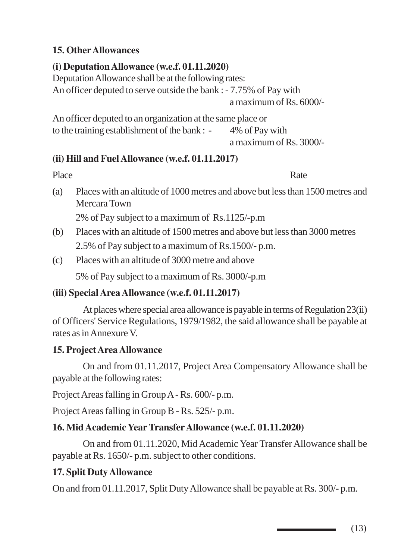#### **15. Other Allowances**

## **(i) Deputation Allowance (w.e.f. 01.11.2020)**

Deputation Allowance shall be at the following rates:

An officer deputed to serve outside the bank : - 7.75% of Pay with

a maximum of Rs. 6000/-

An officer deputed to an organization at the same place or to the training establishment of the bank : - 4% of Pay with a maximum of Rs. 3000/-

### **(ii) Hill and Fuel Allowance (w.e.f. 01.11.2017)**

#### Place Rate

(a) Places with an altitude of 1000 metres and above but less than 1500 metres and Mercara Town

2% of Pay subject to a maximum of Rs.1125/-p.m

- (b) Places with an altitude of 1500 metres and above but less than 3000 metres 2.5% of Pay subject to a maximum of Rs.1500/- p.m.
- (c) Places with an altitude of 3000 metre and above

5% of Pay subject to a maximum of Rs. 3000/-p.m

### **(iii) Special Area Allowance (w.e.f. 01.11.2017)**

At places where special area allowance is payable in terms of Regulation 23(ii) of Officers' Service Regulations, 1979/1982, the said allowance shall be payable at rates as in Annexure V.

### **15. Project Area Allowance**

On and from 01.11.2017, Project Area Compensatory Allowance shall be payable at the following rates:

Project Areas falling in Group A - Rs. 600/- p.m.

Project Areas falling in Group B - Rs. 525/- p.m.

### **16. Mid Academic Year Transfer Allowance (w.e.f. 01.11.2020)**

On and from 01.11.2020, Mid Academic Year Transfer Allowance shall be payable at Rs. 1650/- p.m. subject to other conditions.

### **17. Split Duty Allowance**

On and from 01.11.2017, Split Duty Allowance shall be payable at Rs. 300/- p.m.

(13)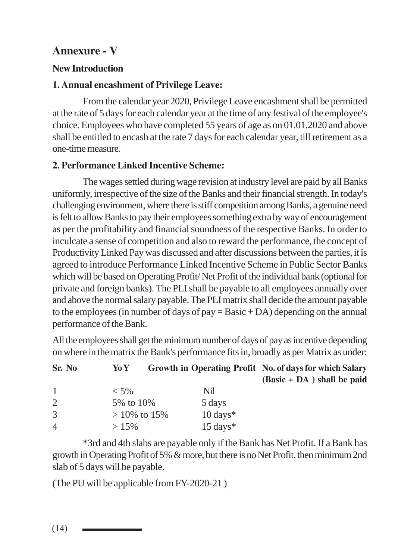# **Annexure - V**

#### **New Introduction**

### **1. Annual encashment of Privilege Leave:**

From the calendar year 2020, Privilege Leave encashment shall be permitted at the rate of 5 days for each calendar year at the time of any festival of the employee's choice. Employees who have completed 55 years of age as on 01.01.2020 and above shall be entitled to encash at the rate 7 days for each calendar year, till retirement as a one-time measure.

### **2. Performance Linked Incentive Scheme:**

The wages settled during wage revision at industry level are paid by all Banks uniformly, irrespective of the size of the Banks and their financial strength. In today's challenging environment, where there is stiff competition among Banks, a genuine need is felt to allow Banks to pay their employees something extra by way of encouragement as per the profitability and financial soundness of the respective Banks. In order to inculcate a sense of competition and also to reward the performance, the concept of Productivity Linked Pay was discussed and after discussions between the parties, it is agreed to introduce Performance Linked Incentive Scheme in Public Sector Banks which will be based on Operating Profit/ Net Profit of the individual bank (optional for private and foreign banks). The PLI shall be payable to all employees annually over and above the normal salary payable. The PLI matrix shall decide the amount payable to the employees (in number of days of pay  $=$  Basic  $+$  DA) depending on the annual performance of the Bank.

All the employees shall get the minimum number of days of pay as incentive depending on where in the matrix the Bank's performance fits in, broadly as per Matrix as under:

| Sr. No | Yo Y           |                     | Growth in Operating Profit No. of days for which Salary |
|--------|----------------|---------------------|---------------------------------------------------------|
|        |                |                     | $(Basic + DA)$ shall be paid                            |
| 1      | $<$ 5%         | Nil                 |                                                         |
| 2      | 5% to 10%      | 5 days              |                                                         |
| 3      | $>10\%$ to 15% | $10 \text{ days}$ * |                                                         |
| 4      | $>15\%$        | $15 \text{ days}^*$ |                                                         |
|        |                |                     |                                                         |

\*3rd and 4th slabs are payable only if the Bank has Net Profit. If a Bank has growth in Operating Profit of 5% & more, but there is no Net Profit, then minimum 2nd slab of 5 days will be payable.

(The PU will be applicable from FY-2020-21 )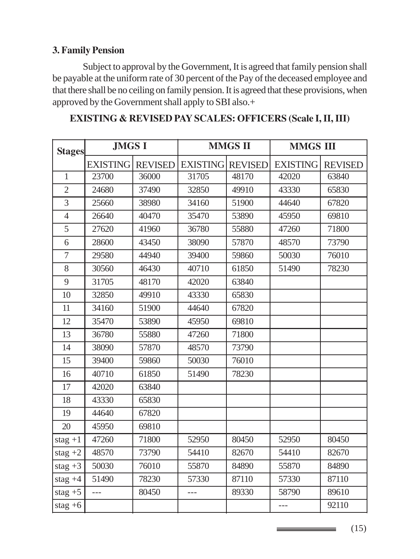#### **3. Family Pension**

Subject to approval by the Government, It is agreed that family pension shall be payable at the uniform rate of 30 percent of the Pay of the deceased employee and that there shall be no ceiling on family pension. It is agreed that these provisions, when approved by the Government shall apply to SBI also.+

| <b>Stages</b>  | <b>JMGS I</b>   |                |                         | <b>MMGS II</b> | <b>MMGS III</b> |                |  |  |  |
|----------------|-----------------|----------------|-------------------------|----------------|-----------------|----------------|--|--|--|
|                | <b>EXISTING</b> | <b>REVISED</b> | <b>EXISTING REVISED</b> |                | <b>EXISTING</b> | <b>REVISED</b> |  |  |  |
| $\mathbf{1}$   | 23700           | 36000          | 31705                   | 48170          | 42020           | 63840          |  |  |  |
| $\overline{2}$ | 24680           | 37490          | 32850                   | 49910          | 43330           | 65830          |  |  |  |
| $\overline{3}$ | 25660           | 38980          | 34160                   | 51900          | 44640           | 67820          |  |  |  |
| $\overline{4}$ | 26640           | 40470          | 35470                   | 53890          | 45950           | 69810          |  |  |  |
| 5              | 27620           | 41960          | 36780                   | 55880          | 47260           | 71800          |  |  |  |
| 6              | 28600           | 43450          | 38090                   | 57870          | 48570           | 73790          |  |  |  |
| $\overline{7}$ | 29580           | 44940          | 39400                   | 59860          | 50030           | 76010          |  |  |  |
| 8              | 30560           | 46430          | 40710                   | 61850          | 51490           | 78230          |  |  |  |
| 9              | 31705           | 48170          | 42020                   | 63840          |                 |                |  |  |  |
| 10             | 32850           | 49910          | 43330                   | 65830          |                 |                |  |  |  |
| 11             | 34160           | 51900          | 44640                   | 67820          |                 |                |  |  |  |
| 12             | 35470           | 53890          | 45950                   | 69810          |                 |                |  |  |  |
| 13             | 36780           | 55880          | 47260                   | 71800          |                 |                |  |  |  |
| 14             | 38090           | 57870          | 48570                   | 73790          |                 |                |  |  |  |
| 15             | 39400           | 59860          | 50030                   | 76010          |                 |                |  |  |  |
| 16             | 40710           | 61850          | 51490                   | 78230          |                 |                |  |  |  |
| 17             | 42020           | 63840          |                         |                |                 |                |  |  |  |
| 18             | 43330           | 65830          |                         |                |                 |                |  |  |  |
| 19             | 44640           | 67820          |                         |                |                 |                |  |  |  |
| 20             | 45950           | 69810          |                         |                |                 |                |  |  |  |
| $stag + 1$     | 47260           | 71800          | 52950                   | 80450          | 52950           | 80450          |  |  |  |
| stag $+2$      | 48570           | 73790          | 54410                   | 82670          | 54410           | 82670          |  |  |  |
| stag $+3$      | 50030           | 76010          | 55870                   | 84890          | 55870           | 84890          |  |  |  |
| stag $+4$      | 51490           | 78230          | 57330                   | 87110          | 57330           | 87110          |  |  |  |
| stag $+5$      | $\overline{a}$  | 80450          |                         | 89330          | 58790           | 89610          |  |  |  |
| stag $+6$      |                 |                |                         |                | $---$           | 92110          |  |  |  |

#### **EXISTING & REVISED PAY SCALES: OFFICERS (Scale I, II, III)**

(15)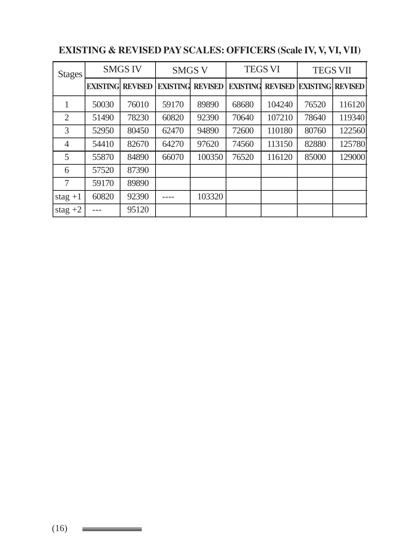| <b>Stages</b>  |                 | <b>SMGS IV</b> | <b>SMGS V</b>   |                |                 | <b>TEGS VI</b> | <b>TEGS VII</b>         |        |  |  |
|----------------|-----------------|----------------|-----------------|----------------|-----------------|----------------|-------------------------|--------|--|--|
|                | <b>EXISTING</b> | <b>REVISED</b> | <b>EXISTING</b> | <b>REVISED</b> | <b>EXISTING</b> | <b>REVISED</b> | <b>EXISTING REVISED</b> |        |  |  |
| 1              | 50030           | 76010          | 59170           | 89890          | 68680           | 104240         | 76520                   | 116120 |  |  |
| $\overline{2}$ | 51490           | 78230          | 60820           | 92390          | 70640           | 107210         | 78640                   | 119340 |  |  |
| 3              | 52950           | 80450          | 62470           | 94890          | 72600           | 110180         | 80760                   | 122560 |  |  |
| 4              | 54410           | 82670          | 64270           | 97620          | 74560           | 113150         | 82880                   | 125780 |  |  |
| 5              | 55870           | 84890          | 66070           | 100350         | 76520           | 116120         | 85000                   | 129000 |  |  |
| 6              | 57520           | 87390          |                 |                |                 |                |                         |        |  |  |
| 7              | 59170           | 89890          |                 |                |                 |                |                         |        |  |  |
| stag $+1$      | 60820           | 92390          |                 | 103320         |                 |                |                         |        |  |  |
| stag $+2$      |                 | 95120          |                 |                |                 |                |                         |        |  |  |

# **EXISTING & REVISED PAY SCALES: OFFICERS (Scale IV, V, VI, VII)**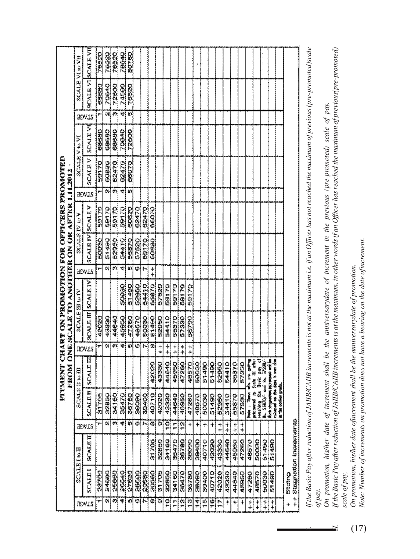|                                                                                           |                        |                          | 76520 | 76520        | 76520          | 78640 | 50760  |       |              |            |            |              |        |                         |              |        |       |       |                               |       |            |            |       |       |            |       |          |                       |  |
|-------------------------------------------------------------------------------------------|------------------------|--------------------------|-------|--------------|----------------|-------|--------|-------|--------------|------------|------------|--------------|--------|-------------------------|--------------|--------|-------|-------|-------------------------------|-------|------------|------------|-------|-------|------------|-------|----------|-----------------------|--|
|                                                                                           | SCALE VI m VII         | <b>SCALE VISCALE VIE</b> | 68660 | 70640        | 72600          | 74560 | 76520  |       |              |            |            |              |        |                         |              |        |       |       |                               |       |            |            |       |       |            |       |          |                       |  |
|                                                                                           |                        |                          |       | tni∤         | (*):           | ۳     | Ö      |       |              |            |            |              |        |                         |              |        |       |       |                               |       |            |            |       |       |            |       |          |                       |  |
|                                                                                           |                        | HOVIS                    |       |              |                |       |        |       |              |            |            |              |        |                         |              |        |       |       |                               |       |            |            |       |       |            |       |          |                       |  |
|                                                                                           |                        | <b>SCALEVE</b>           | 68660 | 68680        | 68660          | 70640 | 72600  |       |              |            |            |              |        |                         |              |        |       |       |                               |       |            |            |       |       |            |       |          |                       |  |
|                                                                                           | <b>SCALE V to V</b>    | <b>SCALEY</b>            | 59170 | 60820        | 62470          | 62470 | 66070  |       |              |            |            |              |        |                         |              |        |       |       |                               |       |            |            |       |       |            |       |          |                       |  |
| 1.11.2012                                                                                 |                        | HOVIS                    |       | έv,          | $\mathbf{v}_i$ | 학     | 椴      |       |              |            |            |              |        |                         |              |        |       |       |                               |       |            |            |       |       |            |       |          |                       |  |
|                                                                                           |                        |                          | 98170 | <b>02.69</b> | 59170          | 22128 | 50000  | 62470 | 62470        | 66070      |            |              |        |                         |              |        |       |       |                               |       |            |            |       |       |            |       |          |                       |  |
|                                                                                           | SCALE IV to V          | <b>SCALE IVISCALE V</b>  | 50030 | 261490       | 52950          | 54410 | 55870  | 57520 | 69170        | 60820      |            |              |        |                         |              |        |       |       |                               |       |            |            |       |       |            |       |          |                       |  |
|                                                                                           |                        | hdvik                    |       | Ωł,          | $\mathbf{w}_i$ | কা    | Ю      |       | tal M        | $\ddot{*}$ |            |              |        |                         |              |        |       |       |                               |       |            |            |       |       |            |       |          |                       |  |
|                                                                                           |                        |                          |       |              |                | 50000 | 51490  | 52950 | 54410        | 55870      | 57520      | 041589       | 59170  | <b>SS1183</b>           | 59170        |        |       |       |                               |       |            |            |       |       |            |       |          |                       |  |
|                                                                                           | SCALE III to IV        | SCALE III SCALE IV       | 42020 | 43889        | 44640          | 45950 | 47260  | 48570 | 50030        | 51450      | 52950      | 54410        | 55870  | 57330                   | <b>REASE</b> |        |       |       |                               |       |            |            |       |       |            |       |          |                       |  |
|                                                                                           |                        | advas                    |       | Ωł           | Ø)             | 4     | ij,    | w]r   |              | œ          | $\ddot{+}$ | ┿<br>+       | +<br>┿ | $\ddot{*}$              | $\ddot{*}$   |        |       |       |                               |       |            |            |       |       |            |       |          |                       |  |
| FUNDNY CHART ON PROMOTION FOR OFFICERS PROMOTIED<br>FROM ONE SCALE TO ANOTHER ON OR AFTER |                        | SCALE                    |       |              |                |       |        |       |              | 42020      | 43330      | 44640        | 45950  | 47260                   | 48570        | \$0038 | 51490 | 51490 | 52950                         | 54410 | 55370      | 57330      |       |       |            |       |          |                       |  |
|                                                                                           | <b>SCALE II to III</b> | <b>SCALE II</b>          | 81705 | 32860        | <b>34160</b>   | 35470 | 367.88 | 36090 | <b>SCHOO</b> | 40710      | 42020      | 43330        | 44540  | 45950                   | 47280        | 48570  | 50030 | 51490 | 52950                         | 54410 | 22820      | 57330      |       |       |            |       |          |                       |  |
|                                                                                           |                        | AOVIS                    | ٣     | Oil          | m,             | *     | 10     |       | 如同           | 63         | Ü.         | ë            | ۳      | ä                       | ┿            | ÷      | ÷     | ┿     | $\ddot{*}$                    | 卡卡    | $\ddagger$ | $\ddot{*}$ |       |       |            |       |          |                       |  |
|                                                                                           |                        | SCALET                   |       |              |                |       |        |       |              | 31705      | 32890      | <b>S4160</b> | 35470  | 36780                   | 38090        | 39400  | 40710 | 42020 | 43330                         | 44540 | 45950      | 47280      | 48570 | 50030 | 61490      | 51490 |          | Stagnation increments |  |
|                                                                                           | SCALEINE               | SCALEI                   | 28700 | 24680        | 25060          | 20040 | 27620  | 28600 | 23580        | 30560      | 31705      | 32850        | 34160  | 35470                   | 36780        | 38090  | 39400 | 40710 | 42020                         | 43330 | 44640      | 45950      | 47260 | 48570 | 560030     | 51450 | Sticting |                       |  |
|                                                                                           |                        | HOVIS                    |       | 21           | ø,             | 4     | V)     |       | 여서           | Ø          | $\omega$   | 잌            | ŗ      | $\frac{\Omega}{\Gamma}$ | B            | ŧ¢     | 船     | £     | $\ddot{\ddot{\phantom{a}}}\,$ |       | +          | ł          | 拿     | 卡平    | $\ddot{*}$ | 幸     | t        | $\ddagger$            |  |

If the Basic Pay after reduction of JAIIBICAIIB increments is not at the maximum i.e. if an Officer has not reached the maximum of previous (pre-promoted) scale *um of previous (pre-promoted)scale I. If the Basic Pay after reduction of JAIIB/CAIIB increments is not at the maximum i.e. if an Officer has not reached the maxim of pay.*

On promotion, his/her date of increment shall be the amiversarydate of increment in the previous (pre-promoted) scale of pay. *On promotion, his/her date of increment shall be the anniversarydate of increment in the previous (pre-promoted) scale of pay.*

If the Basic Pay after reduction of JAIIB/CAIIB increments is at the maximum, in other words if an Officer has reached the maximum of previous (pre-promoted) *II. If the Basic Pay after reduction of JAIIB/CAIIB increments is at the maximum, in other words if an Officer has reached the maximum of previous(pre-promoted)* scale of pay, *scale of pay,*

On promotion, his/her date of ncrement shall be the anniversarydate of promotion. *On promotion, his/her date ofincrement shall be the anniversarydate of promotion.*

Note: Number of increments on promotion does not have a bearing on the date ofincrement. *Note: Number of increments on promotion does not have a bearing on the date ofincrement.*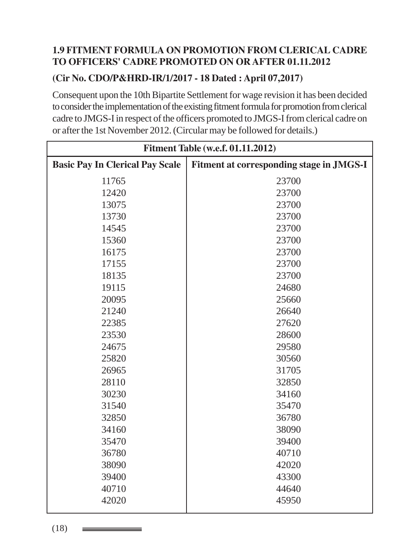### **1.9 FITMENT FORMULA ON PROMOTION FROM CLERICAL CADRE TO OFFICERS' CADRE PROMOTED ON OR AFTER 01.11.2012**

### **(Cir No. CDO/P&HRD-IR/1/2017 - 18 Dated : April 07,2017)**

Consequent upon the 10th Bipartite Settlement for wage revision it has been decided to consider the implementation of the existing fitment formula for promotion from clerical cadre to JMGS-I in respect of the officers promoted to JMGS-I from clerical cadre on or after the 1st November 2012. (Circular may be followed for details.)

| <b>Fitment Table (w.e.f. 01.11.2012)</b> |                                          |  |  |  |  |  |  |  |  |  |
|------------------------------------------|------------------------------------------|--|--|--|--|--|--|--|--|--|
| <b>Basic Pay In Clerical Pay Scale</b>   | Fitment at corresponding stage in JMGS-I |  |  |  |  |  |  |  |  |  |
| 11765                                    | 23700                                    |  |  |  |  |  |  |  |  |  |
| 12420                                    | 23700                                    |  |  |  |  |  |  |  |  |  |
| 13075                                    | 23700                                    |  |  |  |  |  |  |  |  |  |
| 13730                                    | 23700                                    |  |  |  |  |  |  |  |  |  |
| 14545                                    | 23700                                    |  |  |  |  |  |  |  |  |  |
| 15360                                    | 23700                                    |  |  |  |  |  |  |  |  |  |
| 16175                                    | 23700                                    |  |  |  |  |  |  |  |  |  |
| 17155                                    | 23700                                    |  |  |  |  |  |  |  |  |  |
| 18135                                    | 23700                                    |  |  |  |  |  |  |  |  |  |
| 19115                                    | 24680                                    |  |  |  |  |  |  |  |  |  |
| 20095                                    | 25660                                    |  |  |  |  |  |  |  |  |  |
| 21240                                    | 26640                                    |  |  |  |  |  |  |  |  |  |
| 22385                                    | 27620                                    |  |  |  |  |  |  |  |  |  |
| 23530                                    | 28600                                    |  |  |  |  |  |  |  |  |  |
| 24675                                    | 29580                                    |  |  |  |  |  |  |  |  |  |
| 25820                                    | 30560                                    |  |  |  |  |  |  |  |  |  |
| 26965                                    | 31705                                    |  |  |  |  |  |  |  |  |  |
| 28110                                    | 32850                                    |  |  |  |  |  |  |  |  |  |
| 30230                                    | 34160                                    |  |  |  |  |  |  |  |  |  |
| 31540                                    | 35470                                    |  |  |  |  |  |  |  |  |  |
| 32850                                    | 36780                                    |  |  |  |  |  |  |  |  |  |
| 34160                                    | 38090                                    |  |  |  |  |  |  |  |  |  |
| 35470                                    | 39400                                    |  |  |  |  |  |  |  |  |  |
| 36780                                    | 40710                                    |  |  |  |  |  |  |  |  |  |
| 38090                                    | 42020                                    |  |  |  |  |  |  |  |  |  |
| 39400                                    | 43300                                    |  |  |  |  |  |  |  |  |  |
| 40710                                    | 44640                                    |  |  |  |  |  |  |  |  |  |
| 42020                                    | 45950                                    |  |  |  |  |  |  |  |  |  |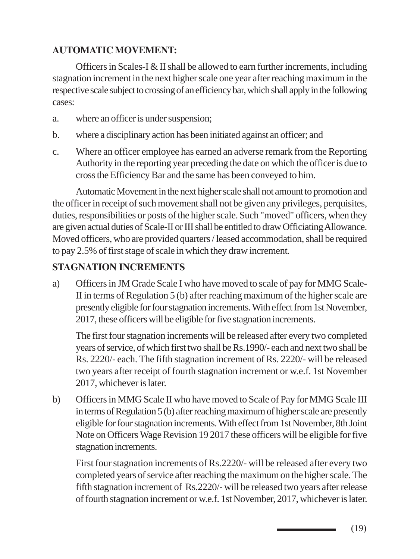# **AUTOMATIC MOVEMENT:**

Officers in Scales-I & II shall be allowed to earn further increments, including stagnation increment in the next higher scale one year after reaching maximum in the respective scale subject to crossing of an efficiency bar, which shall apply in the following cases:

- a. where an officer is under suspension;
- b. where a disciplinary action has been initiated against an officer; and
- c. Where an officer employee has earned an adverse remark from the Reporting Authority in the reporting year preceding the date on which the officer is due to cross the Efficiency Bar and the same has been conveyed to him.

Automatic Movement in the next higher scale shall not amount to promotion and the officer in receipt of such movement shall not be given any privileges, perquisites, duties, responsibilities or posts of the higher scale. Such "moved" officers, when they are given actual duties of Scale-II or III shall be entitled to draw Officiating Allowance. Moved officers, who are provided quarters / leased accommodation, shall be required to pay 2.5% of first stage of scale in which they draw increment.

# **STAGNATION INCREMENTS**

a) Officers in JM Grade Scale I who have moved to scale of pay for MMG Scale-II in terms of Regulation 5 (b) after reaching maximum of the higher scale are presently eligible for four stagnation increments. With effect from 1st November, 2017, these officers will be eligible for five stagnation increments.

The first four stagnation increments will be released after every two completed years of service, of which first two shall be Rs.1990/- each and next two shall be Rs. 2220/- each. The fifth stagnation increment of Rs. 2220/- will be released two years after receipt of fourth stagnation increment or w.e.f. 1st November 2017, whichever is later.

b) Officers in MMG Scale II who have moved to Scale of Pay for MMG Scale III in terms of Regulation 5 (b) after reaching maximum of higher scale are presently eligible for four stagnation increments. With effect from 1st November, 8th Joint Note on Officers Wage Revision 19 2017 these officers will be eligible for five stagnation increments.

First four stagnation increments of Rs.2220/- will be released after every two completed years of service after reaching the maximum on the higher scale. The fifth stagnation increment of Rs.2220/- will be released two years after release of fourth stagnation increment or w.e.f. 1st November, 2017, whichever is later.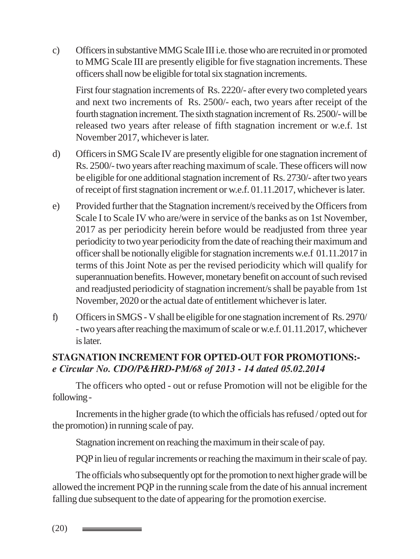c) Officers in substantive MMG Scale III i.e. those who are recruited in or promoted to MMG Scale III are presently eligible for five stagnation increments. These officers shall now be eligible for total six stagnation increments.

First four stagnation increments of Rs. 2220/- after every two completed years and next two increments of Rs. 2500/- each, two years after receipt of the fourth stagnation increment. The sixth stagnation increment of Rs. 2500/- will be released two years after release of fifth stagnation increment or w.e.f. 1st November 2017, whichever is later.

- d) Officers in SMG Scale IV are presently eligible for one stagnation increment of Rs. 2500/- two years after reaching maximum of scale. These officers will now be eligible for one additional stagnation increment of Rs. 2730/- after two years of receipt of first stagnation increment or w.e.f. 01.11.2017, whichever is later.
- e) Provided further that the Stagnation increment/s received by the Officers from Scale I to Scale IV who are/were in service of the banks as on 1st November, 2017 as per periodicity herein before would be readjusted from three year periodicity to two year periodicity from the date of reaching their maximum and officer shall be notionally eligible for stagnation increments w.e.f 01.11.2017 in terms of this Joint Note as per the revised periodicity which will qualify for superannuation benefits. However, monetary benefit on account of such revised and readjusted periodicity of stagnation increment/s shall be payable from 1st November, 2020 or the actual date of entitlement whichever is later.
- f) Officers in SMGS V shall be eligible for one stagnation increment of Rs. 2970/ - two years after reaching the maximum of scale or w.e.f. 01.11.2017, whichever is later.

# **STAGNATION INCREMENT FOR OPTED-OUT FOR PROMOTIONS:** *e Circular No. CDO/P&HRD-PM/68 of 2013 - 14 dated 05.02.2014*

The officers who opted - out or refuse Promotion will not be eligible for the following -

Increments in the higher grade (to which the officials has refused / opted out for the promotion) in running scale of pay.

Stagnation increment on reaching the maximum in their scale of pay.

PQP in lieu of regular increments or reaching the maximum in their scale of pay.

The officials who subsequently opt for the promotion to next higher grade will be allowed the increment PQP in the running scale from the date of his annual increment falling due subsequent to the date of appearing for the promotion exercise.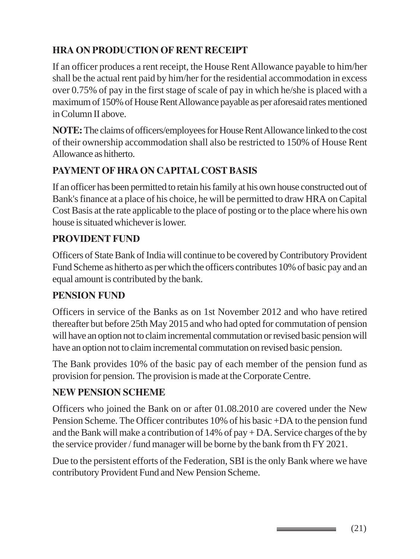# **HRA ON PRODUCTION OF RENT RECEIPT**

If an officer produces a rent receipt, the House Rent Allowance payable to him/her shall be the actual rent paid by him/her for the residential accommodation in excess over 0.75% of pay in the first stage of scale of pay in which he/she is placed with a maximum of 150% of House Rent Allowance payable as per aforesaid rates mentioned in Column II above.

**NOTE:** The claims of officers/employees for House Rent Allowance linked to the cost of their ownership accommodation shall also be restricted to 150% of House Rent Allowance as hitherto.

# **PAYMENT OF HRA ON CAPITAL COST BASIS**

If an officer has been permitted to retain his family at his own house constructed out of Bank's finance at a place of his choice, he will be permitted to draw HRA on Capital Cost Basis at the rate applicable to the place of posting or to the place where his own house is situated whichever is lower.

# **PROVIDENT FUND**

Officers of State Bank of India will continue to be covered by Contributory Provident Fund Scheme as hitherto as per which the officers contributes 10% of basic pay and an equal amount is contributed by the bank.

### **PENSION FUND**

Officers in service of the Banks as on 1st November 2012 and who have retired thereafter but before 25th May 2015 and who had opted for commutation of pension will have an option not to claim incremental commutation or revised basic pension will have an option not to claim incremental commutation on revised basic pension.

The Bank provides 10% of the basic pay of each member of the pension fund as provision for pension. The provision is made at the Corporate Centre.

### **NEW PENSION SCHEME**

Officers who joined the Bank on or after 01.08.2010 are covered under the New Pension Scheme. The Officer contributes 10% of his basic +DA to the pension fund and the Bank will make a contribution of 14% of pay + DA. Service charges of the by the service provider / fund manager will be borne by the bank from th FY 2021.

Due to the persistent efforts of the Federation, SBI is the only Bank where we have contributory Provident Fund and New Pension Scheme.

\_\_\_\_\_\_\_\_\_\_\_\_\_\_\_\_\_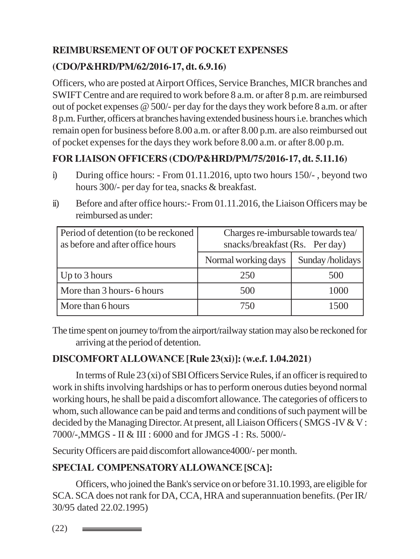# **REIMBURSEMENT OF OUT OF POCKET EXPENSES**

## **(CDO/P&HRD/PM/62/2016-17, dt. 6.9.16)**

Officers, who are posted at Airport Offices, Service Branches, MICR branches and SWIFT Centre and are required to work before 8 a.m. or after 8 p.m. are reimbursed out of pocket expenses @ 500/- per day for the days they work before 8 a.m. or after 8 p.m. Further, officers at branches having extended business hours i.e. branches which remain open for business before 8.00 a.m. or after 8.00 p.m. are also reimbursed out of pocket expenses for the days they work before 8.00 a.m. or after 8.00 p.m.

# **FOR LIAISON OFFICERS (CDO/P&HRD/PM/75/2016-17, dt. 5.11.16)**

- i) During office hours: From 01.11.2016, upto two hours 150/- , beyond two hours 300/- per day for tea, snacks & breakfast.
- ii) Before and after office hours:- From 01.11.2016, the Liaison Officers may be reimbursed as under:

| Period of detention (to be reckoned | Charges re-imbursable towards tea/ |                 |  |  |  |  |
|-------------------------------------|------------------------------------|-----------------|--|--|--|--|
| as before and after office hours    | snacks/breakfast (Rs. Per day)     |                 |  |  |  |  |
|                                     | Normal working days                | Sunday/holidays |  |  |  |  |
| $\vert$ Up to 3 hours               | 250                                | 500             |  |  |  |  |
| More than 3 hours- 6 hours          | 500                                | 1000            |  |  |  |  |
| More than 6 hours                   | 750                                | 1500            |  |  |  |  |

The time spent on journey to/from the airport/railway station may also be reckoned for arriving at the period of detention.

### **DISCOMFORT ALLOWANCE [Rule 23(xi)]: (w.e.f. 1.04.2021)**

In terms of Rule 23 (xi) of SBI Officers Service Rules, if an officer is required to work in shifts involving hardships or has to perform onerous duties beyond normal working hours, he shall be paid a discomfort allowance. The categories of officers to whom, such allowance can be paid and terms and conditions of such payment will be decided by the Managing Director. At present, all Liaison Officers ( SMGS -IV & V : 7000/-,MMGS - II & III : 6000 and for JMGS -I : Rs. 5000/-

Security Officers are paid discomfort allowance4000/- per month.

### **SPECIAL COMPENSATORY ALLOWANCE [SCA]:**

Officers, who joined the Bank's service on or before 31.10.1993, are eligible for SCA. SCA does not rank for DA, CCA, HRA and superannuation benefits. (Per IR/ 30/95 dated 22.02.1995)

(22)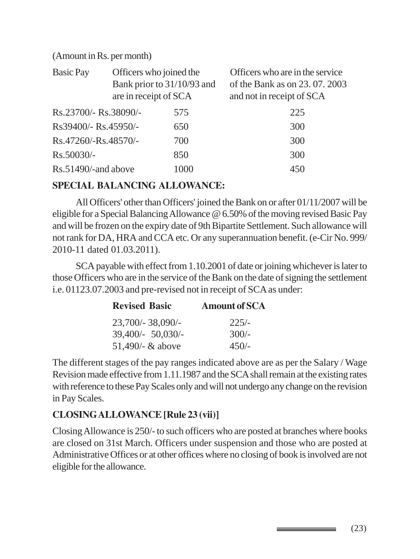#### (Amount in Rs. per month)

| <b>Basic Pay</b>      | Officers who joined the<br>Bank prior to 31/10/93 and<br>are in receipt of SCA |      | Officers who are in the service<br>of the Bank as on 23, 07, 2003<br>and not in receipt of SCA |
|-----------------------|--------------------------------------------------------------------------------|------|------------------------------------------------------------------------------------------------|
| Rs.23700/- Rs.38090/- |                                                                                | 575  | 225                                                                                            |
| Rs39400/- Rs.45950/-  |                                                                                | 650  | 300                                                                                            |
| Rs.47260/-Rs.48570/-  |                                                                                | 700  | 300                                                                                            |
| Rs.50030/-            |                                                                                | 850  | 300                                                                                            |
| Rs.51490/-and above   |                                                                                | 1000 | 450                                                                                            |

#### **SPECIAL BALANCING ALLOWANCE:**

All Officers' other than Officers' joined the Bank on or after 01/11/2007 will be eligible for a Special Balancing Allowance @ 6.50% of the moving revised Basic Pay and will be frozen on the expiry date of 9th Bipartite Settlement. Such allowance will not rank for DA, HRA and CCA etc. Or any superannuation benefit. (e-Cir No. 999/ 2010-11 dated 01.03.2011).

SCA payable with effect from 1.10.2001 of date or joining whichever is later to those Officers who are in the service of the Bank on the date of signing the settlement i.e. 01123.07.2003 and pre-revised not in receipt of SCA as under:

| <b>Revised Basic</b> | <b>Amount of SCA</b> |
|----------------------|----------------------|
| 23,700/-38,090/-     | $225/-$              |
| 39,400/- 50,030/-    | $300/-$              |
| 51,490/- & above     | $450/-$              |

The different stages of the pay ranges indicated above are as per the Salary / Wage Revision made effective from 1.11.1987 and the SCA shall remain at the existing rates with reference to these Pay Scales only and will not undergo any change on the revision in Pay Scales.

### **CLOSING ALLOWANCE [Rule 23 (vii)]**

Closing Allowance is 250/- to such officers who are posted at branches where books are closed on 31st March. Officers under suspension and those who are posted at Administrative Offices or at other offices where no closing of book is involved are not eligible for the allowance.

(23)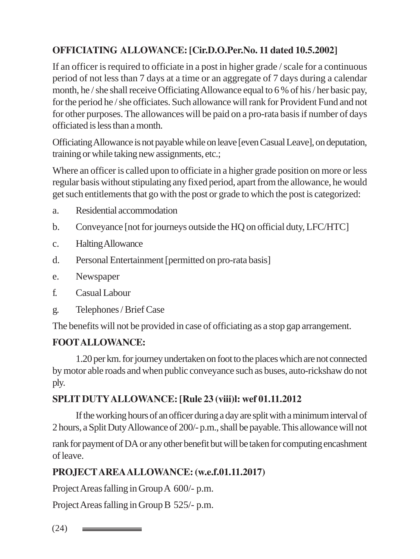# **OFFICIATING ALLOWANCE: [Cir.D.O.Per.No. 11 dated 10.5.2002]**

If an officer is required to officiate in a post in higher grade / scale for a continuous period of not less than 7 days at a time or an aggregate of 7 days during a calendar month, he / she shall receive Officiating Allowance equal to 6 % of his / her basic pay, for the period he / she officiates. Such allowance will rank for Provident Fund and not for other purposes. The allowances will be paid on a pro-rata basis if number of days officiated is less than a month.

Officiating Allowance is not payable while on leave [even Casual Leave], on deputation, training or while taking new assignments, etc.;

Where an officer is called upon to officiate in a higher grade position on more or less regular basis without stipulating any fixed period, apart from the allowance, he would get such entitlements that go with the post or grade to which the post is categorized:

- a. Residential accommodation
- b. Conveyance [not for journeys outside the HQ on official duty, LFC/HTC]
- c. Halting Allowance
- d. Personal Entertainment [permitted on pro-rata basis]
- e. Newspaper
- f. Casual Labour
- g. Telephones / Brief Case

The benefits will not be provided in case of officiating as a stop gap arrangement.

# **FOOT ALLOWANCE:**

1.20 per km. for journey undertaken on foot to the places which are not connected by motor able roads and when public conveyance such as buses, auto-rickshaw do not ply.

### **SPLIT DUTY ALLOWANCE: [Rule 23 (viii)l: wef 01.11.2012**

If the working hours of an officer during a day are split with a minimum interval of 2 hours, a Split Duty Allowance of 200/- p.m., shall be payable. This allowance will not

rank for payment of DA or any other benefit but will be taken for computing encashment of leave.

# **PROJECT AREA ALLOWANCE: (w.e.f.01.11.2017)**

Project Areas falling in Group A 600/- p.m.

Project Areas falling in Group B 525/- p.m.

(24)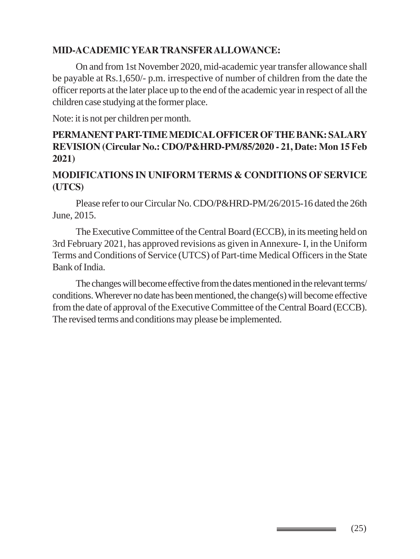#### **MID-ACADEMIC YEAR TRANSFER ALLOWANCE:**

On and from 1st November 2020, mid-academic year transfer allowance shall be payable at Rs.1,650/- p.m. irrespective of number of children from the date the officer reports at the later place up to the end of the academic year in respect of all the children case studying at the former place.

Note: it is not per children per month.

## **PERMANENT PART-TIME MEDICAL OFFICER OF THE BANK: SALARY REVISION (Circular No.: CDO/P&HRD-PM/85/2020 - 21, Date: Mon 15 Feb 2021)**

#### **MODIFICATIONS IN UNIFORM TERMS & CONDITIONS OF SERVICE (UTCS)**

Please refer to our Circular No. CDO/P&HRD-PM/26/2015-16 dated the 26th June, 2015.

The Executive Committee of the Central Board (ECCB), in its meeting held on 3rd February 2021, has approved revisions as given in Annexure- I, in the Uniform Terms and Conditions of Service (UTCS) of Part-time Medical Officers in the State Bank of India.

The changes will become effective from the dates mentioned in the relevant terms/ conditions. Wherever no date has been mentioned, the change(s) will become effective from the date of approval of the Executive Committee of the Central Board (ECCB). The revised terms and conditions may please be implemented.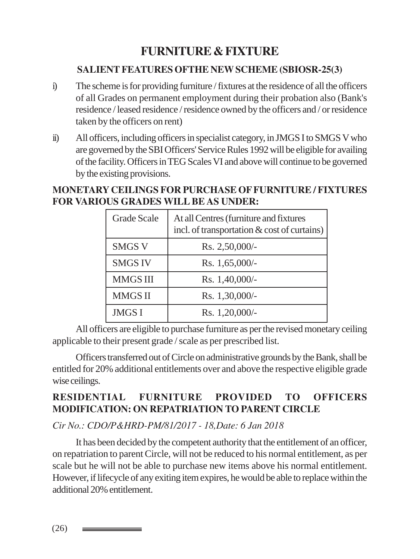# **FURNITURE & FIXTURE**

#### **SALIENT FEATURES OFTHE NEW SCHEME (SBIOSR-25(3)**

- i) The scheme is for providing furniture / fixtures at the residence of all the officers of all Grades on permanent employment during their probation also (Bank's residence / leased residence / residence owned by the officers and / or residence taken by the officers on rent)
- ii) All officers, including officers in specialist category, in JMGS I to SMGS V who are governed by the SBI Officers' Service Rules 1992 will be eligible for availing of the facility. Officers in TEG Scales VI and above will continue to be governed by the existing provisions.

#### **MONETARY CEILINGS FOR PURCHASE OF FURNITURE / FIXTURES FOR VARIOUS GRADES WILL BE AS UNDER:**

| <b>Grade Scale</b> | At all Centres (furniture and fixtures<br>incl. of transportation & cost of curtains) |
|--------------------|---------------------------------------------------------------------------------------|
| <b>SMGS V</b>      | Rs. 2,50,000/-                                                                        |
| <b>SMGS IV</b>     | Rs. $1,65,000/-$                                                                      |
| <b>MMGS III</b>    | Rs. 1,40,000/-                                                                        |
| <b>MMGS II</b>     | Rs. 1,30,000/-                                                                        |
| <b>JMGS I</b>      | Rs. 1,20,000/-                                                                        |

All officers are eligible to purchase furniture as per the revised monetary ceiling applicable to their present grade / scale as per prescribed list.

Officers transferred out of Circle on administrative grounds by the Bank, shall be entitled for 20% additional entitlements over and above the respective eligible grade wise ceilings.

# **RESIDENTIAL FURNITURE PROVIDED TO OFFICERS MODIFICATION: ON REPATRIATION TO PARENT CIRCLE**

*Cir No.: CDO/P&HRD-PM/81/2017 - 18,Date: 6 Jan 2018*

It has been decided by the competent authority that the entitlement of an officer, on repatriation to parent Circle, will not be reduced to his normal entitlement, as per scale but he will not be able to purchase new items above his normal entitlement. However, if lifecycle of any exiting item expires, he would be able to replace within the additional 20% entitlement.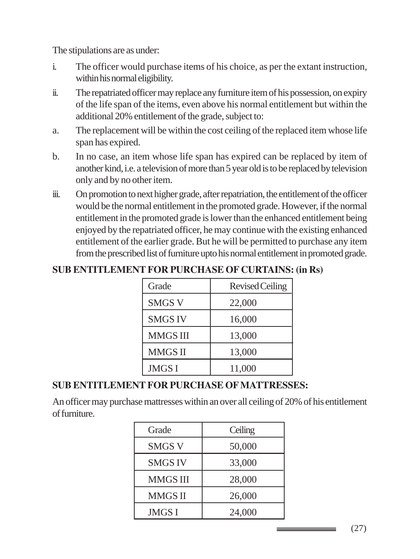The stipulations are as under:

- i. The officer would purchase items of his choice, as per the extant instruction, within his normal eligibility.
- ii. The repatriated officer may replace any furniture item of his possession, on expiry of the life span of the items, even above his normal entitlement but within the additional 20% entitlement of the grade, subject to:
- a. The replacement will be within the cost ceiling of the replaced item whose life span has expired.
- b. In no case, an item whose life span has expired can be replaced by item of another kind, i.e. a television of more than 5 year old is to be replaced by television only and by no other item.
- iii. On promotion to next higher grade, after repatriation, the entitlement of the officer would be the normal entitlement in the promoted grade. However, if the normal entitlement in the promoted grade is lower than the enhanced entitlement being enjoyed by the repatriated officer, he may continue with the existing enhanced entitlement of the earlier grade. But he will be permitted to purchase any item from the prescribed list of furniture upto his normal entitlement in promoted grade.

### **SUB ENTITLEMENT FOR PURCHASE OF CURTAINS: (in Rs)**

| Grade           | <b>Revised Ceiling</b> |
|-----------------|------------------------|
| <b>SMGS V</b>   | 22,000                 |
| <b>SMGS IV</b>  | 16,000                 |
| <b>MMGS III</b> | 13,000                 |
| MMGS II         | 13,000                 |
| <b>JMGSI</b>    | 11,000                 |

# **SUB ENTITLEMENT FOR PURCHASE OF MATTRESSES:**

An officer may purchase mattresses within an over all ceiling of 20% of his entitlement of furniture.

| Grade           | Ceiling |
|-----------------|---------|
| <b>SMGS V</b>   | 50,000  |
| <b>SMGS IV</b>  | 33,000  |
| <b>MMGS III</b> | 28,000  |
| <b>MMGS II</b>  | 26,000  |
| <b>JMGS I</b>   | 24,000  |

(27)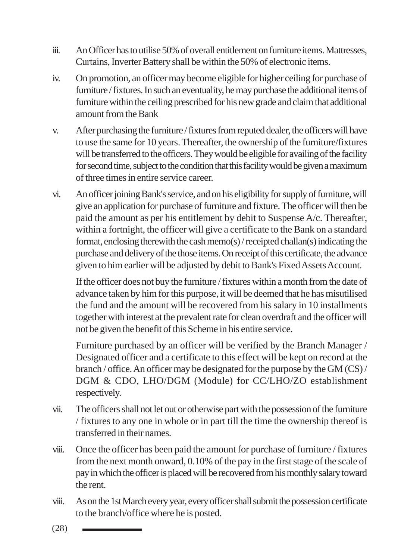- iii. An Officer has to utilise 50% of overall entitlement on furniture items. Mattresses, Curtains, Inverter Battery shall be within the 50% of electronic items.
- iv. On promotion, an officer may become eligible for higher ceiling for purchase of furniture / fixtures. In such an eventuality, he may purchase the additional items of furniture within the ceiling prescribed for his new grade and claim that additional amount from the Bank
- v. After purchasing the furniture / fixtures from reputed dealer, the officers will have to use the same for 10 years. Thereafter, the ownership of the furniture/fixtures will be transferred to the officers. They would be eligible for availing of the facility for second time, subject to the condition that this facility would be given a maximum of three times in entire service career.
- vi. An officer joining Bank's service, and on his eligibility for supply of furniture, will give an application for purchase of furniture and fixture. The officer will then be paid the amount as per his entitlement by debit to Suspense A/c. Thereafter, within a fortnight, the officer will give a certificate to the Bank on a standard format, enclosing therewith the cash memo(s) / receipted challan(s) indicating the purchase and delivery of the those items. On receipt of this certificate, the advance given to him earlier will be adjusted by debit to Bank's Fixed Assets Account.

If the officer does not buy the furniture / fixtures within a month from the date of advance taken by him for this purpose, it will be deemed that he has misutilised the fund and the amount will be recovered from his salary in 10 installments together with interest at the prevalent rate for clean overdraft and the officer will not be given the benefit of this Scheme in his entire service.

Furniture purchased by an officer will be verified by the Branch Manager / Designated officer and a certificate to this effect will be kept on record at the branch / office. An officer may be designated for the purpose by the GM (CS) / DGM & CDO, LHO/DGM (Module) for CC/LHO/ZO establishment respectively.

- vii. The officers shall not let out or otherwise part with the possession of the furniture / fixtures to any one in whole or in part till the time the ownership thereof is transferred in their names.
- viii. Once the officer has been paid the amount for purchase of furniture / fixtures from the next month onward, 0.10% of the pay in the first stage of the scale of pay in which the officer is placed will be recovered from his monthly salary toward the rent.
- viii. As on the 1st March every year, every officer shall submit the possession certificate to the branch/office where he is posted.

(28) <u> The Communication of the Communication of</u>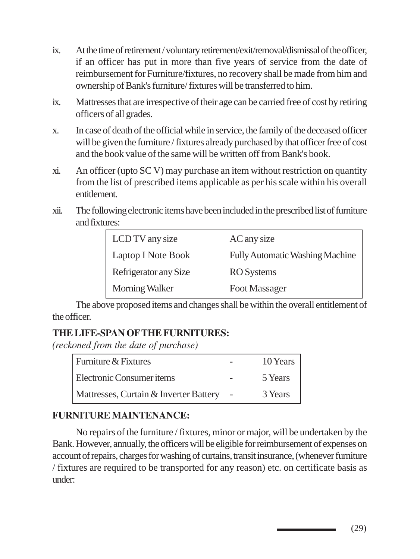- ix. At the time of retirement / voluntary retirement/exit/removal/dismissal of the officer, if an officer has put in more than five years of service from the date of reimbursement for Furniture/fixtures, no recovery shall be made from him and ownership of Bank's furniture/ fixtures will be transferred to him.
- ix. Mattresses that are irrespective of their age can be carried free of cost by retiring officers of all grades.
- x. In case of death of the official while in service, the family of the deceased officer will be given the furniture / fixtures already purchased by that officer free of cost and the book value of the same will be written off from Bank's book.
- xi. An officer (upto SC V) may purchase an item without restriction on quantity from the list of prescribed items applicable as per his scale within his overall entitlement.
- xii. The following electronic items have been included in the prescribed list of furniture and fixtures:

| LCD TV any size       | AC any size                            |
|-----------------------|----------------------------------------|
| Laptop I Note Book    | <b>Fully Automatic Washing Machine</b> |
| Refrigerator any Size | <b>RO</b> Systems                      |
| Morning Walker        | Foot Massager                          |

The above proposed items and changes shall be within the overall entitlement of the officer.

# **THE LIFE-SPAN OF THE FURNITURES:**

*(reckoned from the date of purchase)*

| Furniture & Fixtures                   | 10 Years |
|----------------------------------------|----------|
| Electronic Consumer items              | 5 Years  |
| Mattresses, Curtain & Inverter Battery | 3 Years  |

### **FURNITURE MAINTENANCE:**

No repairs of the furniture / fixtures, minor or major, will be undertaken by the Bank. However, annually, the officers will be eligible for reimbursement of expenses on account of repairs, charges for washing of curtains, transit insurance, (whenever furniture / fixtures are required to be transported for any reason) etc. on certificate basis as under:

(29)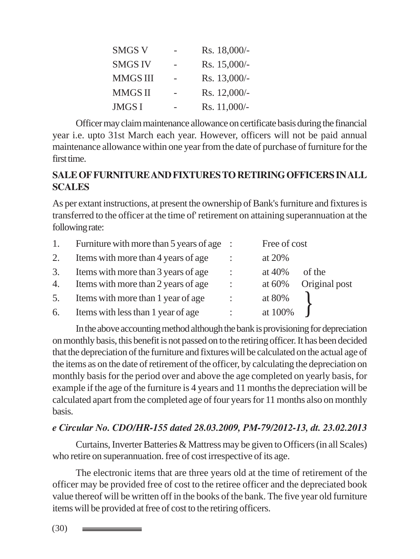| <b>SMGS V</b>   | Rs. 18,000/- |
|-----------------|--------------|
| <b>SMGS IV</b>  | Rs. 15,000/- |
| <b>MMGS III</b> | Rs. 13,000/- |
| <b>MMGS II</b>  | Rs. 12,000/- |
| <b>JMGS I</b>   | Rs. 11,000/- |

Officer may claim maintenance allowance on certificate basis during the financial year i.e. upto 31st March each year. However, officers will not be paid annual maintenance allowance within one year from the date of purchase of furniture for the first time.

#### **SALE OF FURNITURE AND FIXTURES TO RETIRING OFFICERS IN ALL SCALES**

As per extant instructions, at present the ownership of Bank's furniture and fixtures is transferred to the officer at the time of' retirement on attaining superannuation at the following rate:

| 1.       | Furniture with more than $5$ years of age :                                |                           | Free of cost                                    |
|----------|----------------------------------------------------------------------------|---------------------------|-------------------------------------------------|
| 2.       | Items with more than 4 years of age                                        |                           | at 20%                                          |
| 3.<br>4. | Items with more than 3 years of age<br>Items with more than 2 years of age | ÷<br>$\ddot{\phantom{a}}$ | at $40%$<br>of the<br>Original post<br>at $60%$ |
| 5.       | Items with more than 1 year of age                                         | ÷                         | at 80%                                          |
| 6.       | Items with less than 1 year of age                                         |                           | at 100%                                         |

In the above accounting method although the bank is provisioning for depreciation on monthly basis, this benefit is not passed on to the retiring officer. It has been decided that the depreciation of the furniture and fixtures will be calculated on the actual age of the items as on the date of retirement of the officer, by calculating the depreciation on monthly basis for the period over and above the age completed on yearly basis, for example if the age of the furniture is 4 years and 11 months the depreciation will be calculated apart from the completed age of four years for 11 months also on monthly basis.

#### *e Circular No. CDO/HR-155 dated 28.03.2009, PM-79/2012-13, dt. 23.02.2013*

Curtains, Inverter Batteries & Mattress may be given to Officers (in all Scales) who retire on superannuation. free of cost irrespective of its age.

The electronic items that are three years old at the time of retirement of the officer may be provided free of cost to the retiree officer and the depreciated book value thereof will be written off in the books of the bank. The five year old furniture items will be provided at free of cost to the retiring officers.

(30)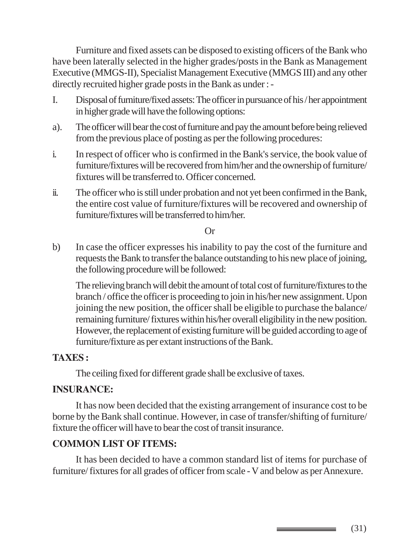Furniture and fixed assets can be disposed to existing officers of the Bank who have been laterally selected in the higher grades/posts in the Bank as Management Executive (MMGS-II), Specialist Management Executive (MMGS III) and any other directly recruited higher grade posts in the Bank as under : -

- I. Disposal of furniture/fixed assets: The officer in pursuance of his / her appointment in higher grade will have the following options:
- a). The officer will bear the cost of furniture and pay the amount before being relieved from the previous place of posting as per the following procedures:
- i. In respect of officer who is confirmed in the Bank's service, the book value of furniture/fixtures will be recovered from him/her and the ownership of furniture/ fixtures will be transferred to. Officer concerned.
- ii. The officer who is still under probation and not yet been confirmed in the Bank, the entire cost value of furniture/fixtures will be recovered and ownership of furniture/fixtures will be transferred to him/her.

Or

b) In case the officer expresses his inability to pay the cost of the furniture and requests the Bank to transfer the balance outstanding to his new place of joining, the following procedure will be followed:

The relieving branch will debit the amount of total cost of furniture/fixtures to the branch / office the officer is proceeding to join in his/her new assignment. Upon joining the new position, the officer shall be eligible to purchase the balance/ remaining furniture/ fixtures within his/her overall eligibility in the new position. However, the replacement of existing furniture will be guided according to age of furniture/fixture as per extant instructions of the Bank.

#### **TAXES :**

The ceiling fixed for different grade shall be exclusive of taxes.

#### **INSURANCE:**

It has now been decided that the existing arrangement of insurance cost to be borne by the Bank shall continue. However, in case of transfer/shifting of furniture/ fixture the officer will have to bear the cost of transit insurance.

#### **COMMON LIST OF ITEMS:**

It has been decided to have a common standard list of items for purchase of furniture/ fixtures for all grades of officer from scale - V and below as per Annexure.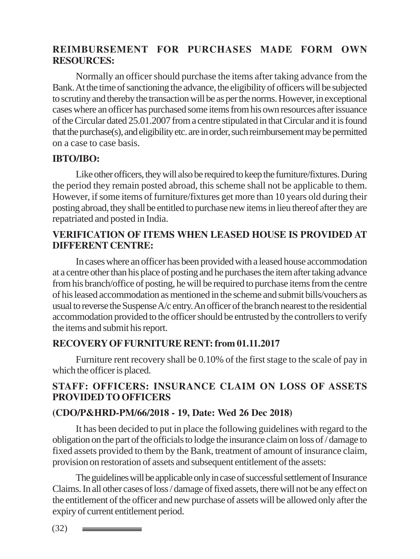#### **REIMBURSEMENT FOR PURCHASES MADE FORM OWN RESOURCES:**

Normally an officer should purchase the items after taking advance from the Bank. At the time of sanctioning the advance, the eligibility of officers will be subjected to scrutiny and thereby the transaction will be as per the norms. However, in exceptional cases where an officer has purchased some items from his own resources after issuance of the Circular dated 25.01.2007 from a centre stipulated in that Circular and it is found that the purchase(s), and eligibility etc. are in order, such reimbursement may be permitted on a case to case basis.

#### **IBTO/IBO:**

Like other officers, they will also be required to keep the furniture/fixtures. During the period they remain posted abroad, this scheme shall not be applicable to them. However, if some items of furniture/fixtures get more than 10 years old during their posting abroad, they shall be entitled to purchase new items in lieu thereof after they are repatriated and posted in India.

#### **VERIFICATION OF ITEMS WHEN LEASED HOUSE IS PROVIDED AT DIFFERENT CENTRE:**

In cases where an officer has been provided with a leased house accommodation at a centre other than his place of posting and he purchases the item after taking advance from his branch/office of posting, he will be required to purchase items from the centre of his leased accommodation as mentioned in the scheme and submit bills/vouchers as usual to reverse the Suspense A/c entry. An officer of the branch nearest to the residential accommodation provided to the officer should be entrusted by the controllers to verify the items and submit his report.

#### **RECOVERY OF FURNITURE RENT: from 01.11.2017**

Furniture rent recovery shall be 0.10% of the first stage to the scale of pay in which the officer is placed.

### **STAFF: OFFICERS: INSURANCE CLAIM ON LOSS OF ASSETS PROVIDED TO OFFICERS**

#### **(CDO/P&HRD-PM/66/2018 - 19, Date: Wed 26 Dec 2018)**

It has been decided to put in place the following guidelines with regard to the obligation on the part of the officials to lodge the insurance claim on loss of / damage to fixed assets provided to them by the Bank, treatment of amount of insurance claim, provision on restoration of assets and subsequent entitlement of the assets:

The guidelines will be applicable only in case of successful settlement of Insurance Claims. In all other cases of loss / damage of fixed assets, there will not be any effect on the entitlement of the officer and new purchase of assets will be allowed only after the expiry of current entitlement period.

(32)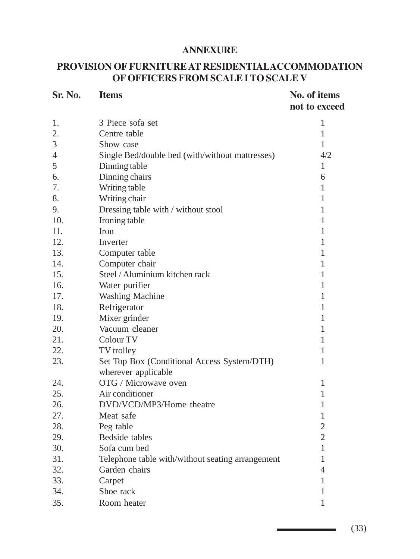#### **ANNEXURE**

## **PROVISION OF FURNITURE AT RESIDENTIALACCOMMODATION OF OFFICERS FROM SCALE I TO SCALE V**

| Sr. No. | <b>Items</b>                                                       | No. of items<br>not to exceed |
|---------|--------------------------------------------------------------------|-------------------------------|
| 1.      | 3 Piece sofa set                                                   | $\mathbf{1}$                  |
| 2.      | Centre table                                                       | $\mathbf{1}$                  |
| 3       | Show case                                                          | $\mathbf{1}$                  |
| 4       | Single Bed/double bed (with/without mattresses)                    | 4/2                           |
| 5       | Dinning table                                                      | 1                             |
| 6.      | Dinning chairs                                                     | 6                             |
| 7.      | Writing table                                                      | 1                             |
| 8.      | Writing chair                                                      | 1                             |
| 9.      | Dressing table with / without stool                                | 1                             |
| 10.     | Ironing table                                                      | 1                             |
| 11.     | <b>Iron</b>                                                        | 1                             |
| 12.     | Inverter                                                           | 1                             |
| 13.     | Computer table                                                     | 1                             |
| 14.     | Computer chair                                                     | 1                             |
| 15.     | Steel / Aluminium kitchen rack                                     | 1                             |
| 16.     | Water purifier                                                     | 1                             |
| 17.     | <b>Washing Machine</b>                                             | 1                             |
| 18.     | Refrigerator                                                       | 1                             |
| 19.     | Mixer grinder                                                      | $\mathbf{1}$                  |
| 20.     | Vacuum cleaner                                                     | 1                             |
| 21.     | Colour TV                                                          | 1                             |
| 22.     | TV trolley                                                         | 1                             |
| 23.     | Set Top Box (Conditional Access System/DTH)<br>wherever applicable | 1                             |
| 24.     | OTG / Microwave oven                                               | 1                             |
| 25.     | Air conditioner                                                    | 1                             |
| 26.     | DVD/VCD/MP3/Home theatre                                           | 1                             |
| 27.     | Meat safe                                                          | 1                             |
| 28.     | Peg table                                                          | $\overline{2}$                |
| 29.     | Bedside tables                                                     | $\overline{2}$                |
| 30.     | Sofa cum bed                                                       | 1                             |
| 31.     | Telephone table with/without seating arrangement                   | 1                             |
| 32.     | Garden chairs                                                      | 4                             |
| 33.     | Carpet                                                             | $\mathbf{1}$                  |
| 34.     | Shoe rack                                                          | 1                             |
| 35.     | Room heater                                                        | 1                             |

(33)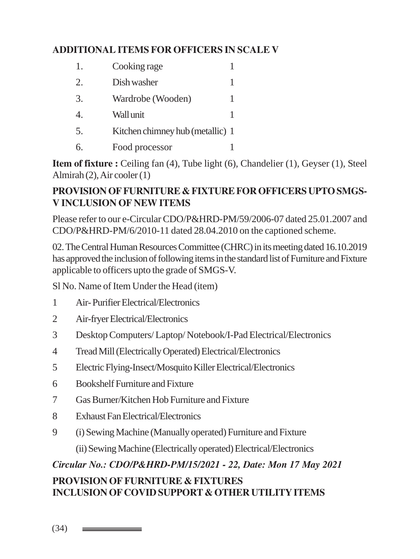# **ADDITIONAL ITEMS FOR OFFICERS IN SCALE V**

| 1. | Cooking rage                     |  |
|----|----------------------------------|--|
| 2. | Dish washer                      |  |
| 3. | Wardrobe (Wooden)                |  |
| 4. | Wall unit                        |  |
| 5. | Kitchen chimney hub (metallic) 1 |  |
|    | Food processor                   |  |

**Item of fixture :** Ceiling fan (4), Tube light (6), Chandelier (1), Geyser (1), Steel Almirah (2), Air cooler (1)

#### **PROVISION OF FURNITURE & FIXTURE FOR OFFICERS UPTO SMGS-V INCLUSION OF NEW ITEMS**

Please refer to our e-Circular CDO/P&HRD-PM/59/2006-07 dated 25.01.2007 and CDO/P&HRD-PM/6/2010-11 dated 28.04.2010 on the captioned scheme.

02. The Central Human Resources Committee (CHRC) in its meeting dated 16.10.2019 has approved the inclusion of following items in the standard list of Furniture and Fixture applicable to officers upto the grade of SMGS-V.

Sl No. Name of Item Under the Head (item)

- 1 Air- Purifier Electrical/Electronics
- 2 Air-fryer Electrical/Electronics
- 3 Desktop Computers/ Laptop/ Notebook/I-Pad Electrical/Electronics
- 4 Tread Mill (Electrically Operated) Electrical/Electronics
- 5 Electric Flying-Insect/Mosquito Killer Electrical/Electronics
- 6 Bookshelf Furniture and Fixture
- 7 Gas Burner/Kitchen Hob Furniture and Fixture
- 8 Exhaust Fan Electrical/Electronics
- 9 (i) Sewing Machine (Manually operated) Furniture and Fixture
	- (ii) Sewing Machine (Electrically operated) Electrical/Electronics

# *Circular No.: CDO/P&HRD-PM/15/2021 - 22, Date: Mon 17 May 2021*

# **PROVISION OF FURNITURE & FIXTURES INCLUSION OF COVID SUPPORT & OTHER UTILITY ITEMS**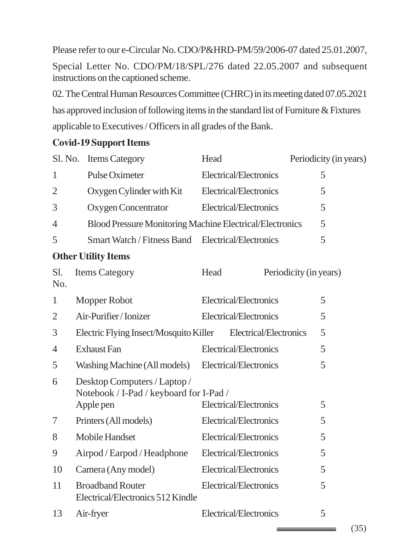Please refer to our e-Circular No. CDO/P&HRD-PM/59/2006-07 dated 25.01.2007, Special Letter No. CDO/PM/18/SPL/276 dated 22.05.2007 and subsequent instructions on the captioned scheme.

02. The Central Human Resources Committee (CHRC) in its meeting dated 07.05.2021 has approved inclusion of following items in the standard list of Furniture & Fixtures applicable to Executives / Officers in all grades of the Bank.

#### **Covid-19 Support Items**

|                | Sl. No. Items Category                                                               | Head                   | Periodicity (in years) |
|----------------|--------------------------------------------------------------------------------------|------------------------|------------------------|
| $\mathbf{1}$   | Pulse Oximeter                                                                       | Electrical/Electronics | 5                      |
| $\overline{2}$ | Oxygen Cylinder with Kit                                                             | Electrical/Electronics | 5                      |
| 3              | Oxygen Concentrator                                                                  | Electrical/Electronics | 5                      |
| $\overline{4}$ | Blood Pressure Monitoring Machine Electrical/Electronics                             |                        | 5                      |
| 5              | Smart Watch / Fitness Band Electrical/Electronics                                    |                        | 5                      |
|                | <b>Other Utility Items</b>                                                           |                        |                        |
| Sl.<br>No.     | <b>Items Category</b>                                                                | Head                   | Periodicity (in years) |
| $\mathbf{1}$   | Mopper Robot                                                                         | Electrical/Electronics | 5                      |
| $\overline{2}$ | Air-Purifier/Ionizer                                                                 | Electrical/Electronics | 5                      |
| 3              | Electric Flying Insect/Mosquito Killer Electrical/Electronics                        |                        | 5                      |
| $\overline{4}$ | <b>Exhaust Fan</b>                                                                   | Electrical/Electronics | 5                      |
| 5              | Washing Machine (All models) Electrical/Electronics                                  |                        | 5                      |
| 6              | Desktop Computers / Laptop /<br>Notebook / I-Pad / keyboard for I-Pad /<br>Apple pen | Electrical/Electronics | 5                      |
| 7              | Printers (All models)                                                                | Electrical/Electronics | 5                      |
| 8              | Mobile Handset                                                                       | Electrical/Electronics | 5                      |
| 9              | Airpod / Earpod / Headphone                                                          | Electrical/Electronics | 5                      |
| 10             | Camera (Any model)                                                                   | Electrical/Electronics | 5                      |
| 11             | <b>Broadband Router</b><br>Electrical/Electronics 512 Kindle                         | Electrical/Electronics | 5                      |
| 13             | Air-fryer                                                                            | Electrical/Electronics | 5                      |

(35)

\_\_\_\_\_\_\_\_\_\_\_\_\_\_\_\_\_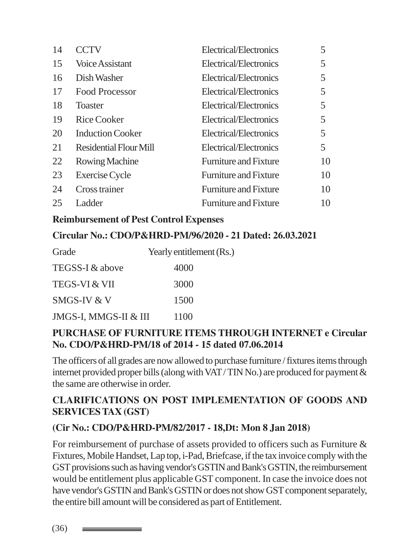| 14 | <b>CCTV</b>                   | Electrical/Electronics       | 5  |
|----|-------------------------------|------------------------------|----|
| 15 | Voice Assistant               | Electrical/Electronics       | 5  |
| 16 | Dish Washer                   | Electrical/Electronics       | 5. |
| 17 | <b>Food Processor</b>         | Electrical/Electronics       | 5  |
| 18 | <b>Toaster</b>                | Electrical/Electronics       | 5  |
| 19 | <b>Rice Cooker</b>            | Electrical/Electronics       | 5  |
| 20 | <b>Induction Cooker</b>       | Electrical/Electronics       | 5  |
| 21 | <b>Residential Flour Mill</b> | Electrical/Electronics       | 5. |
| 22 | <b>Rowing Machine</b>         | <b>Furniture and Fixture</b> | 10 |
| 23 | Exercise Cycle                | <b>Furniture and Fixture</b> | 10 |
| 24 | Cross trainer                 | <b>Furniture and Fixture</b> | 10 |
| 25 | Ladder                        | <b>Furniture and Fixture</b> | 10 |

#### **Reimbursement of Pest Control Expenses**

#### **Circular No.: CDO/P&HRD-PM/96/2020 - 21 Dated: 26.03.2021**

| Grade                    | Yearly entitlement (Rs.) |
|--------------------------|--------------------------|
| TEGSS-I & above          | 4000                     |
| <b>TEGS-VI &amp; VII</b> | 3000                     |
| SMGS-IV & V              | 1500                     |
| JMGS-I, MMGS-II & III    | 1100                     |

### **PURCHASE OF FURNITURE ITEMS THROUGH INTERNET e Circular No. CDO/P&HRD-PM/18 of 2014 - 15 dated 07.06.2014**

The officers of all grades are now allowed to purchase furniture / fixtures items through internet provided proper bills (along with VAT / TIN No.) are produced for payment & the same are otherwise in order.

### **CLARIFICATIONS ON POST IMPLEMENTATION OF GOODS AND SERVICES TAX (GST)**

### **(Cir No.: CDO/P&HRD-PM/82/2017 - 18,Dt: Mon 8 Jan 2018)**

For reimbursement of purchase of assets provided to officers such as Furniture & Fixtures, Mobile Handset, Lap top, i-Pad, Briefcase, if the tax invoice comply with the GST provisions such as having vendor's GSTIN and Bank's GSTIN, the reimbursement would be entitlement plus applicable GST component. In case the invoice does not have vendor's GSTIN and Bank's GSTIN or does not show GST component separately, the entire bill amount will be considered as part of Entitlement.

(36)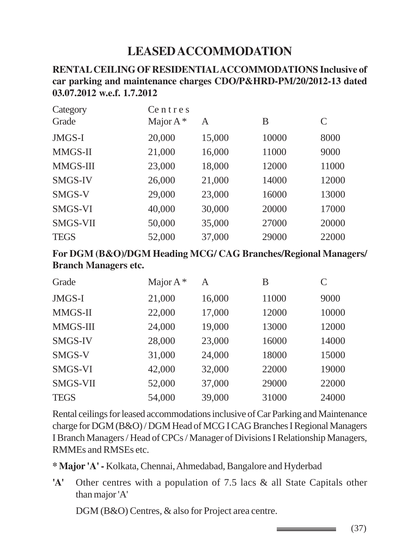# **LEASED ACCOMMODATION**

#### **RENTAL CEILING OF RESIDENTIAL ACCOMMODATIONS Inclusive of car parking and maintenance charges CDO/P&HRD-PM/20/2012-13 dated 03.07.2012 w.e.f. 1.7.2012**

| Category       | Centres     |        |       |               |
|----------------|-------------|--------|-------|---------------|
| Grade          | Major $A^*$ | A      | B     | $\mathcal{C}$ |
| JMGS-I         | 20,000      | 15,000 | 10000 | 8000          |
| MMGS-II        | 21,000      | 16,000 | 11000 | 9000          |
| MMGS-III       | 23,000      | 18,000 | 12000 | 11000         |
| <b>SMGS-IV</b> | 26,000      | 21,000 | 14000 | 12000         |
| SMGS-V         | 29,000      | 23,000 | 16000 | 13000         |
| SMGS-VI        | 40,000      | 30,000 | 20000 | 17000         |
| SMGS-VII       | 50,000      | 35,000 | 27000 | 20000         |
| <b>TEGS</b>    | 52,000      | 37,000 | 29000 | 22000         |

**For DGM (B&O)/DGM Heading MCG/ CAG Branches/Regional Managers/ Branch Managers etc.**

| Grade          | Major $A^*$ | A      | В     | $\mathcal{C}$ |
|----------------|-------------|--------|-------|---------------|
| JMGS-I         | 21,000      | 16,000 | 11000 | 9000          |
| MMGS-II        | 22,000      | 17,000 | 12000 | 10000         |
| MMGS-III       | 24,000      | 19,000 | 13000 | 12000         |
| <b>SMGS-IV</b> | 28,000      | 23,000 | 16000 | 14000         |
| SMGS-V         | 31,000      | 24,000 | 18000 | 15000         |
| SMGS-VI        | 42,000      | 32,000 | 22000 | 19000         |
| SMGS-VII       | 52,000      | 37,000 | 29000 | 22000         |
| <b>TEGS</b>    | 54,000      | 39,000 | 31000 | 24000         |

Rental ceilings for leased accommodations inclusive of Car Parking and Maintenance charge for DGM (B&O) / DGM Head of MCG I CAG Branches I Regional Managers I Branch Managers / Head of CPCs / Manager of Divisions I Relationship Managers, RMMEs and RMSEs etc.

**\* Major 'A' -** Kolkata, Chennai, Ahmedabad, Bangalore and Hyderbad

**'A'** Other centres with a population of 7.5 lacs & all State Capitals other than major 'A'

DGM (B&O) Centres, & also for Project area centre.

(37)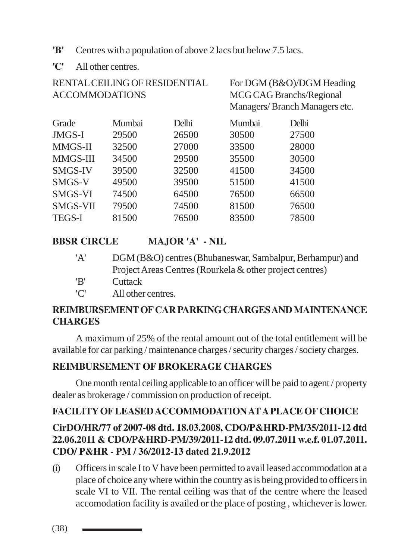- **'B'** Centres with a population of above 2 lacs but below 7.5 lacs.
- **'C'** All other centres.

| RENTAL CEILING OF RESIDENTIAL<br><b>ACCOMMODATIONS</b> |        |       | For DGM (B&O)/DGM Heading<br><b>MCG CAG Branchs/Regional</b><br>Managers/Branch Managers etc. |       |  |
|--------------------------------------------------------|--------|-------|-----------------------------------------------------------------------------------------------|-------|--|
| Grade                                                  | Mumbai | Delhi | Mumbai                                                                                        | Delhi |  |
| JMGS-I                                                 | 29500  | 26500 | 30500                                                                                         | 27500 |  |
| <b>MMGS-II</b>                                         | 32500  | 27000 | 33500                                                                                         | 28000 |  |
| MMGS-III                                               | 34500  | 29500 | 35500                                                                                         | 30500 |  |
| <b>SMGS-IV</b>                                         | 39500  | 32500 | 41500                                                                                         | 34500 |  |
| SMGS-V                                                 | 49500  | 39500 | 51500                                                                                         | 41500 |  |
| <b>SMGS-VI</b>                                         | 74500  | 64500 | 76500                                                                                         | 66500 |  |
| <b>SMGS-VII</b>                                        | 79500  | 74500 | 81500                                                                                         | 76500 |  |
| <b>TEGS-I</b>                                          | 81500  | 76500 | 83500                                                                                         | 78500 |  |

# **BBSR CIRCLE MAJOR 'A' - NIL**

| 'A'                         | DGM (B&O) centres (Bhubaneswar, Sambalpur, Berhampur) and |
|-----------------------------|-----------------------------------------------------------|
|                             | Project Areas Centres (Rourkela & other project centres)  |
| 'B'                         | Cuttack                                                   |
| $^{\prime}$ $\cap^{\prime}$ | All other centres.                                        |

### **REIMBURSEMENT OF CAR PARKING CHARGES AND MAINTENANCE CHARGES**

A maximum of 25% of the rental amount out of the total entitlement will be available for car parking / maintenance charges / security charges / society charges.

### **REIMBURSEMENT OF BROKERAGE CHARGES**

One month rental ceiling applicable to an officer will be paid to agent / property dealer as brokerage / commission on production of receipt.

#### **FACILITY OF LEASED ACCOMMODATION AT A PLACE OF CHOICE**

# **CirDO/HR/77 of 2007-08 dtd. 18.03.2008, CDO/P&HRD-PM/35/2011-12 dtd 22.06.2011 & CDO/P&HRD-PM/39/2011-12 dtd. 09.07.2011 w.e.f. 01.07.2011. CDO/ P&HR - PM / 36/2012-13 dated 21.9.2012**

(i) Officers in scale I to V have been permitted to avail leased accommodation at a place of choice any where within the country as is being provided to officers in scale VI to VII. The rental ceiling was that of the centre where the leased accomodation facility is availed or the place of posting , whichever is lower.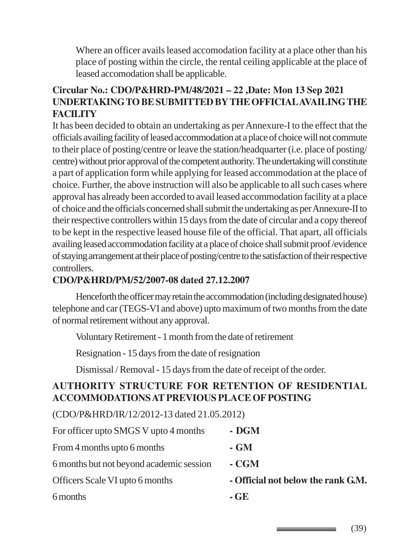Where an officer avails leased accomodation facility at a place other than his place of posting within the circle, the rental ceiling applicable at the place of leased accomodation shall be applicable.

### **Circular No.: CDO/P&HRD-PM/48/2021 – 22 ,Date: Mon 13 Sep 2021 UNDERTAKING TO BE SUBMITTED BY THE OFFICIAL AVAILING THE FACILITY**

It has been decided to obtain an undertaking as per Annexure-I to the effect that the officials availing facility of leased accommodation at a place of choice will not commute to their place of posting/centre or leave the station/headquarter (i.e. place of posting/ centre) without prior approval of the competent authority. The undertaking will constitute a part of application form while applying for leased accommodation at the place of choice. Further, the above instruction will also be applicable to all such cases where approval has already been accorded to avail leased accommodation facility at a place of choice and the officials concerned shall submit the undertaking as per Annexure-II to their respective controllers within 15 days from the date of circular and a copy thereof to be kept in the respective leased house file of the official. That apart, all officials availing leased accommodation facility at a place of choice shall submit proof /evidence of staying arrangement at their place of posting/centre to the satisfaction of their respective controllers.

#### **CDO/P&HRD/PM/52/2007-08 dated 27.12.2007**

Henceforth the officer may retain the accommodation (including designated house) telephone and car (TEGS-VI and above) upto maximum of two months from the date of normal retirement without any approval.

Voluntary Retirement - 1 month from the date of retirement

Resignation - 15 days from the date of resignation

Dismissal / Removal - 15 days from the date of receipt of the order.

### **AUTHORITY STRUCTURE FOR RETENTION OF RESIDENTIAL ACCOMMODATIONS AT PREVIOUS PLACE OF POSTING**

(CDO/P&HRD/IR/12/2012-13 dated 21.05.2012)

| For officer upto SMGS V upto 4 months    | - DGM                              |
|------------------------------------------|------------------------------------|
| From 4 months upto 6 months              | - GM                               |
| 6 months but not beyond academic session | - CGM                              |
| Officers Scale VI upto 6 months          | - Official not below the rank G.M. |
| 6 months                                 | $-GE$                              |

(39)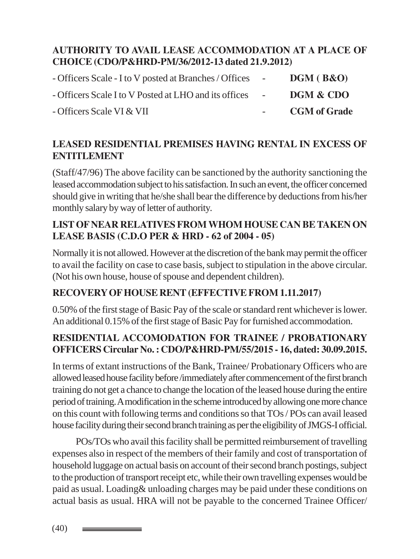### **AUTHORITY TO AVAIL LEASE ACCOMMODATION AT A PLACE OF CHOICE (CDO/P&HRD-PM/36/2012-13 dated 21.9.2012)**

| - Officers Scale - I to V posted at Branches / Offices - | DGM (B&O)           |
|----------------------------------------------------------|---------------------|
| - Officers Scale I to V Posted at LHO and its offices -  | DGM & CDO           |
| - Officers Scale VI & VII                                | <b>CGM</b> of Grade |

### **LEASED RESIDENTIAL PREMISES HAVING RENTAL IN EXCESS OF ENTITLEMENT**

(Staff/47/96) The above facility can be sanctioned by the authority sanctioning the leased accommodation subject to his satisfaction. In such an event, the officer concerned should give in writing that he/she shall bear the difference by deductions from his/her monthly salary by way of letter of authority.

### **LIST OF NEAR RELATIVES FROM WHOM HOUSE CAN BE TAKEN ON LEASE BASIS (C.D.O PER & HRD - 62 of 2004 - 05)**

Normally it is not allowed. However at the discretion of the bank may permit the officer to avail the facility on case to case basis, subject to stipulation in the above circular. (Not his own house, house of spouse and dependent children).

### **RECOVERY OF HOUSE RENT (EFFECTIVE FROM 1.11.2017)**

0.50% of the first stage of Basic Pay of the scale or standard rent whichever is lower. An additional 0.15% of the first stage of Basic Pay for furnished accommodation.

### **RESIDENTIAL ACCOMODATION FOR TRAINEE / PROBATIONARY OFFICERS Circular No. : CDO/P&HRD-PM/55/2015 - 16, dated: 30.09.2015.**

In terms of extant instructions of the Bank, Trainee/ Probationary Officers who are allowed leased house facility before /immediately after commencement of the first branch training do not get a chance to change the location of the leased house during the entire period of training. A modification in the scheme introduced by allowing one more chance on this count with following terms and conditions so that TOs / POs can avail leased house facility during their second branch training as per the eligibility of JMGS-I official.

POs/TOs who avail this facility shall be permitted reimbursement of travelling expenses also in respect of the members of their family and cost of transportation of household luggage on actual basis on account of their second branch postings, subject to the production of transport receipt etc, while their own travelling expenses would be paid as usual. Loading& unloading charges may be paid under these conditions on actual basis as usual. HRA will not be payable to the concerned Trainee Officer/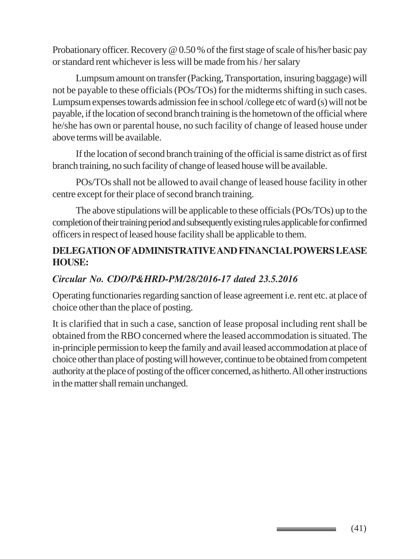Probationary officer. Recovery @ 0.50 % of the first stage of scale of his/her basic pay or standard rent whichever is less will be made from his / her salary

Lumpsum amount on transfer (Packing, Transportation, insuring baggage) will not be payable to these officials (POs/TOs) for the midterms shifting in such cases. Lumpsum expenses towards admission fee in school /college etc of ward (s) will not be payable, if the location of second branch training is the hometown of the official where he/she has own or parental house, no such facility of change of leased house under above terms will be available.

If the location of second branch training of the official is same district as of first branch training, no such facility of change of leased house will be available.

POs/TOs shall not be allowed to avail change of leased house facility in other centre except for their place of second branch training.

The above stipulations will be applicable to these officials (POs/TOs) up to the completion of their training period and subsequently existing rules applicable for confirmed officers in respect of leased house facility shall be applicable to them.

### **DELEGATION OF ADMINISTRATIVE AND FINANCIAL POWERS LEASE HOUSE:**

### *Circular No. CDO/P&HRD-PM/28/2016-17 dated 23.5.2016*

Operating functionaries regarding sanction of lease agreement i.e. rent etc. at place of choice other than the place of posting.

It is clarified that in such a case, sanction of lease proposal including rent shall be obtained from the RBO concerned where the leased accommodation is situated. The in-principle permission to keep the family and avail leased accommodation at place of choice other than place of posting will however, continue to be obtained from competent authority at the place of posting of the officer concerned, as hitherto. All other instructions in the matter shall remain unchanged.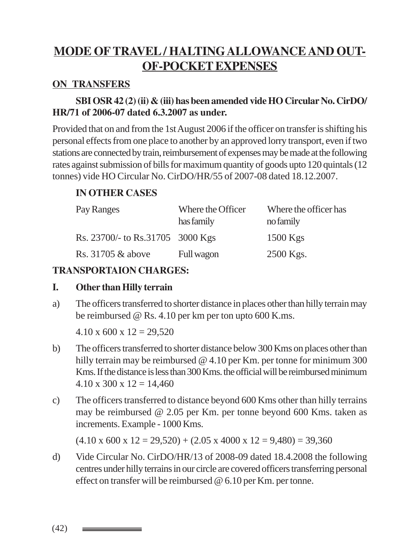# **MODE OFTRAVEL / HALTINGALLOWANCE AND OUT-OF-POCKET EXPENSES**

#### **ON TRANSFERS**

#### **SBI OSR 42 (2) (ii) & (iii) has been amended vide HO Circular No. CirDO/ HR/71 of 2006-07 dated 6.3.2007 as under.**

Provided that on and from the 1st August 2006 if the officer on transfer is shifting his personal effects from one place to another by an approved lorry transport, even if two stations are connected by train, reimbursement of expenses may be made at the following rates against submission of bills for maximum quantity of goods upto 120 quintals (12 tonnes) vide HO Circular No. CirDO/HR/55 of 2007-08 dated 18.12.2007.

#### **IN OTHER CASES**

| Pay Ranges                       | Where the Officer<br>has family | Where the officer has<br>no family |
|----------------------------------|---------------------------------|------------------------------------|
| Rs. 23700/- to Rs.31705 3000 Kgs |                                 | $1500$ Kgs                         |
| Rs. 31705 & above                | Full wagon                      | 2500 Kgs.                          |

#### **TRANSPORTAION CHARGES:**

#### **I. Other than Hilly terrain**

a) The officers transferred to shorter distance in places other than hilly terrain may be reimbursed @ Rs. 4.10 per km per ton upto 600 K.ms.

 $4.10 \times 600 \times 12 = 29.520$ 

- b) The officers transferred to shorter distance below 300 Kms on places other than hilly terrain may be reimbursed @ 4.10 per Km. per tonne for minimum 300 Kms. If the distance is less than 300 Kms. the official will be reimbursed minimum  $4.10 \times 300 \times 12 = 14,460$
- c) The officers transferred to distance beyond 600 Kms other than hilly terrains may be reimbursed @ 2.05 per Km. per tonne beyond 600 Kms. taken as increments. Example - 1000 Kms.

 $(4.10 \times 600 \times 12 = 29,520) + (2.05 \times 4000 \times 12 = 9,480) = 39,360$ 

d) Vide Circular No. CirDO/HR/13 of 2008-09 dated 18.4.2008 the following centres under hilly terrains in our circle are covered officers transferring personal effect on transfer will be reimbursed @ 6.10 per Km. per tonne.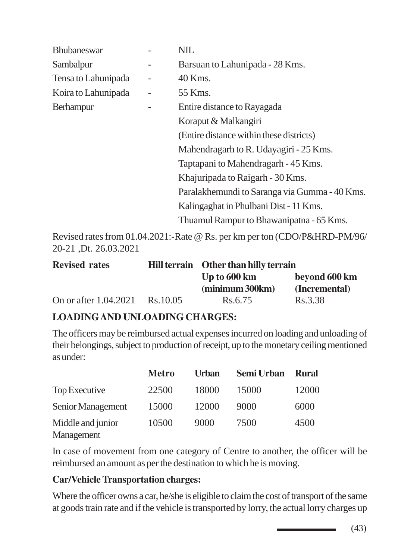| <b>Bhubaneswar</b>  | <b>NIL</b>                                    |
|---------------------|-----------------------------------------------|
| Sambalpur           | Barsuan to Lahunipada - 28 Kms.               |
| Tensa to Lahunipada | 40 Kms.                                       |
| Koira to Lahunipada | 55 Kms.                                       |
| <b>Berhampur</b>    | Entire distance to Rayagada                   |
|                     | Koraput & Malkangiri                          |
|                     | (Entire distance within these districts)      |
|                     | Mahendragarh to R. Udayagiri - 25 Kms.        |
|                     | Taptapani to Mahendragarh - 45 Kms.           |
|                     | Khajuripada to Raigarh - 30 Kms.              |
|                     | Paralakhemundi to Saranga via Gumma - 40 Kms. |
|                     | Kalingaghat in Phulbani Dist - 11 Kms.        |
|                     | Thuamul Rampur to Bhawanipatna - 65 Kms.      |
|                     |                                               |

Revised rates from 01.04.2021:-Rate @ Rs. per km per ton (CDO/P&HRD-PM/96/ 20-21 ,Dt. 26.03.2021

| <b>Revised rates</b>  |           | Hill terrain Other than hilly terrain |               |  |  |
|-----------------------|-----------|---------------------------------------|---------------|--|--|
|                       |           | Up to 600 km                          | beyond 600 km |  |  |
|                       |           | (minimum 300km)                       | (Incremental) |  |  |
| On or after 1.04.2021 | Rs. 10.05 | Rs.6.75                               | Rs.3.38       |  |  |

#### **LOADING AND UNLOADING CHARGES:**

The officers may be reimbursed actual expenses incurred on loading and unloading of their belongings, subject to production of receipt, up to the monetary ceiling mentioned as under:

|                                 | <b>Metro</b> | Urban | Semi Urban | <b>Rural</b> |
|---------------------------------|--------------|-------|------------|--------------|
| Top Executive                   | 22500        | 18000 | 15000      | 12000        |
| Senior Management               | 15000        | 12000 | 9000       | 6000         |
| Middle and junior<br>Management | 10500        | 9000  | 7500       | 4500         |

In case of movement from one category of Centre to another, the officer will be reimbursed an amount as per the destination to which he is moving.

#### **Car/Vehicle Transportation charges:**

Where the officer owns a car, he/she is eligible to claim the cost of transport of the same at goods train rate and if the vehicle is transported by lorry, the actual lorry charges up

(43)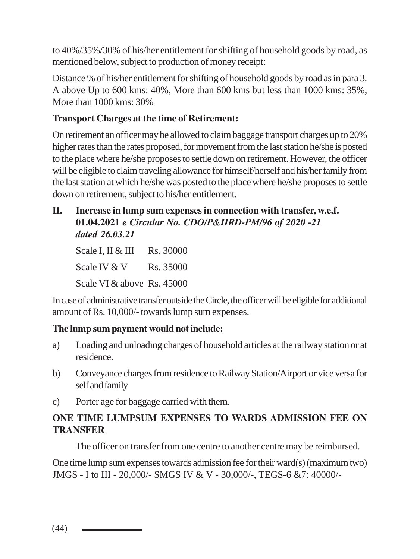to 40%/35%/30% of his/her entitlement for shifting of household goods by road, as mentioned below, subject to production of money receipt:

Distance % of his/her entitlement for shifting of household goods by road as in para 3. A above Up to 600 kms: 40%, More than 600 kms but less than 1000 kms: 35%, More than 1000 kms: 30%

### **Transport Charges at the time of Retirement:**

On retirement an officer may be allowed to claim baggage transport charges up to 20% higher rates than the rates proposed, for movement from the last station he/she is posted to the place where he/she proposes to settle down on retirement. However, the officer will be eligible to claim traveling allowance for himself/herself and his/her family from the last station at which he/she was posted to the place where he/she proposes to settle down on retirement, subject to his/her entitlement.

#### **II. Increase in lump sum expenses in connection with transfer, w.e.f. 01.04.2021** *e Circular No. CDO/P&HRD-PM/96 of 2020 -21 dated 26.03.21*

Scale I, II & III Rs. 30000 Scale IV  $&$  V Rs. 35000 Scale VI & above Rs. 45000

In case of administrative transfer outside the Circle, the officer will be eligible for additional amount of Rs. 10,000/- towards lump sum expenses.

#### **The lump sum payment would not include:**

- a) Loading and unloading charges of household articles at the railway station or at residence.
- b) Conveyance charges from residence to Railway Station/Airport or vice versa for self and family
- c) Porter age for baggage carried with them.

### **ONE TIME LUMPSUM EXPENSES TO WARDS ADMISSION FEE ON TRANSFER**

The officer on transfer from one centre to another centre may be reimbursed.

One time lump sum expenses towards admission fee for their ward(s) (maximum two) JMGS - I to III - 20,000/- SMGS IV & V - 30,000/-, TEGS-6 &7: 40000/-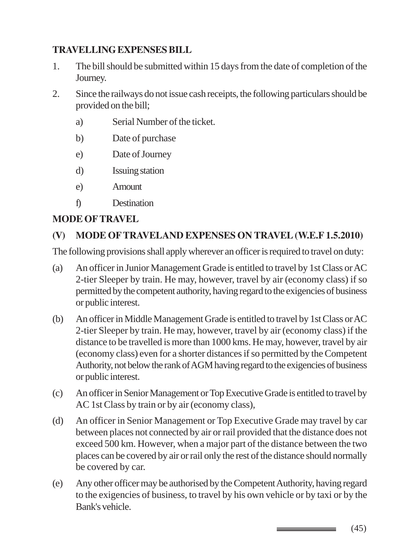# **TRAVELLING EXPENSES BILL**

- 1. The bill should be submitted within 15 days from the date of completion of the Journey.
- 2. Since the railways do not issue cash receipts, the following particulars should be provided on the bill;
	- a) Serial Number of the ticket.
	- b) Date of purchase
	- e) Date of Journey
	- d) Issuing station
	- e) Amount
	- f) Destination

# **MODE OF TRAVEL**

# **(V) MODE OF TRAVELAND EXPENSES ON TRAVEL (W.E.F 1.5.2010)**

The following provisions shall apply wherever an officer is required to travel on duty:

- (a) An officer in Junior Management Grade is entitled to travel by 1st Class or AC 2-tier Sleeper by train. He may, however, travel by air (economy class) if so permitted by the competent authority, having regard to the exigencies of business or public interest.
- (b) An officer in Middle Management Grade is entitled to travel by 1st Class or AC 2-tier Sleeper by train. He may, however, travel by air (economy class) if the distance to be travelled is more than 1000 kms. He may, however, travel by air (economy class) even for a shorter distances if so permitted by the Competent Authority, not below the rank of AGM having regard to the exigencies of business or public interest.
- (c) An officer in Senior Management or Top Executive Grade is entitled to travel by AC 1st Class by train or by air (economy class),
- (d) An officer in Senior Management or Top Executive Grade may travel by car between places not connected by air or rail provided that the distance does not exceed 500 km. However, when a major part of the distance between the two places can be covered by air or rail only the rest of the distance should normally be covered by car.
- (e) Any other officer may be authorised by the Competent Authority, having regard to the exigencies of business, to travel by his own vehicle or by taxi or by the Bank's vehicle.

(45)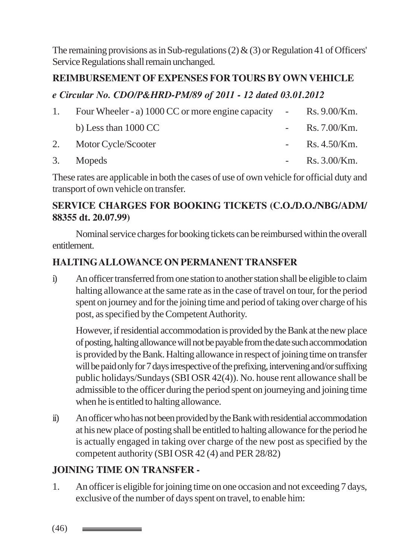The remaining provisions as in Sub-regulations (2)  $\&$  (3) or Regulation 41 of Officers' Service Regulations shall remain unchanged.

#### **REIMBURSEMENT OF EXPENSES FOR TOURS BY OWN VEHICLE**

#### *e Circular No. CDO/P&HRD-PM/89 of 2011 - 12 dated 03.01.2012*

| 1. Four Wheeler - a) 1000 CC or more engine capacity - Rs. 9.00/Km. |                        |
|---------------------------------------------------------------------|------------------------|
| b) Less than $1000 \, \text{CC}$                                    | - Rs. $7.00$ /Km.      |
| 2. Motor Cycle/Scooter                                              | - $\rm{Rs.}\,4.50/Km.$ |
| 3. Mopeds                                                           | - Rs. $3.00$ /Km.      |

These rates are applicable in both the cases of use of own vehicle for official duty and transport of own vehicle on transfer.

### **SERVICE CHARGES FOR BOOKING TICKETS (C.O./D.O./NBG/ADM/ 88355 dt. 20.07.99)**

Nominal service charges for booking tickets can be reimbursed within the overall entitlement.

### **HALTING ALLOWANCE ON PERMANENT TRANSFER**

i) An officer transferred from one station to another station shall be eligible to claim halting allowance at the same rate as in the case of travel on tour, for the period spent on journey and for the joining time and period of taking over charge of his post, as specified by the Competent Authority.

However, if residential accommodation is provided by the Bank at the new place of posting, halting allowance will not be payable from the date such accommodation is provided by the Bank. Halting allowance in respect of joining time on transfer will be paid only for 7 days irrespective of the prefixing, intervening and/or suffixing public holidays/Sundays (SBI OSR 42(4)). No. house rent allowance shall be admissible to the officer during the period spent on journeying and joining time when he is entitled to halting allowance.

ii) An officer who has not been provided by the Bank with residential accommodation at his new place of posting shall be entitled to halting allowance for the period he is actually engaged in taking over charge of the new post as specified by the competent authority (SBI OSR 42 (4) and PER 28/82)

### **JOINING TIME ON TRANSFER -**

1. An officer is eligible for joining time on one occasion and not exceeding 7 days, exclusive of the number of days spent on travel, to enable him:

(46)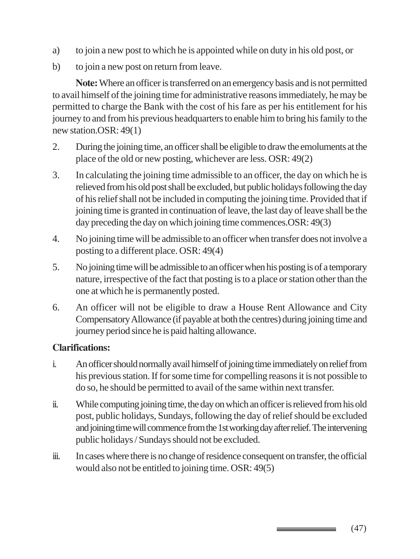- a) to join a new post to which he is appointed while on duty in his old post, or
- b) to join a new post on return from leave.

**Note:** Where an officer is transferred on an emergency basis and is not permitted to avail himself of the joining time for administrative reasons immediately, he may be permitted to charge the Bank with the cost of his fare as per his entitlement for his journey to and from his previous headquarters to enable him to bring his family to the new station.OSR: 49(1)

- 2. During the joining time, an officer shall be eligible to draw the emoluments at the place of the old or new posting, whichever are less. OSR: 49(2)
- 3. In calculating the joining time admissible to an officer, the day on which he is relieved from his old post shall be excluded, but public holidays following the day of his relief shall not be included in computing the joining time. Provided that if joining time is granted in continuation of leave, the last day of leave shall be the day preceding the day on which joining time commences.OSR: 49(3)
- 4. No joining time will be admissible to an officer when transfer does not involve a posting to a different place. OSR: 49(4)
- 5. No joining time will be admissible to an officer when his posting is of a temporary nature, irrespective of the fact that posting is to a place or station other than the one at which he is permanently posted.
- 6. An officer will not be eligible to draw a House Rent Allowance and City Compensatory Allowance (if payable at both the centres) during joining time and journey period since he is paid halting allowance.

#### **Clarifications:**

- i. An officer should normally avail himself of joining time immediately on relief from his previous station. If for some time for compelling reasons it is not possible to do so, he should be permitted to avail of the same within next transfer.
- ii. While computing joining time, the day on which an officer is relieved from his old post, public holidays, Sundays, following the day of relief should be excluded and joining time will commence from the 1st working day after relief. The intervening public holidays / Sundays should not be excluded.
- iii. In cases where there is no change of residence consequent on transfer, the official would also not be entitled to joining time. OSR: 49(5)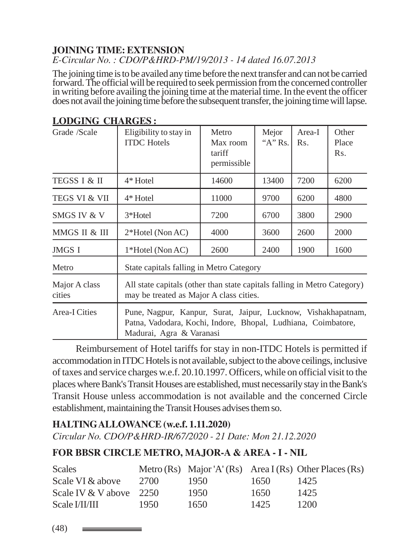#### **JOINING TIME: EXTENSION** *E-Circular No. : CDO/P&HRD-PM/19/2013 - 14 dated 16.07.2013*

The joining time is to be availed any time before the next transfer and can not be carried forward. The official will be required to seek permission from the concerned controller in writing before availing the joining time at the material time. In the event the officer does not avail the joining time before the subsequent transfer, the joining time will lapse.

| Grade /Scale             | Eligibility to stay in<br><b>ITDC</b> Hotels                                                                                                               | Metro<br>Max room<br>tariff<br>permissible | Mejor<br>" $A$ " Rs. | Area-I<br>Rs. | Other<br>Place<br>Rs. |
|--------------------------|------------------------------------------------------------------------------------------------------------------------------------------------------------|--------------------------------------------|----------------------|---------------|-----------------------|
| TEGSS I & II             | $4*$ Hotel                                                                                                                                                 | 14600                                      | 13400                | 7200          | 6200                  |
| <b>TEGS VI &amp; VII</b> | 4* Hotel                                                                                                                                                   | 11000                                      | 9700                 | 6200          | 4800                  |
| SMGS IV & V              | 3*Hotel                                                                                                                                                    | 7200                                       | 6700                 | 3800          | 2900                  |
| MMGS II & III            | $2*H$ otel (Non AC)                                                                                                                                        | 4000                                       | 3600                 | 2600          | 2000                  |
| JMGS I                   | 1*Hotel (Non AC)                                                                                                                                           | 2600                                       | 2400                 | 1900          | 1600                  |
| Metro                    | State capitals falling in Metro Category                                                                                                                   |                                            |                      |               |                       |
| Major A class<br>cities  | All state capitals (other than state capitals falling in Metro Category)<br>may be treated as Major A class cities.                                        |                                            |                      |               |                       |
| <b>Area-I Cities</b>     | Pune, Nagpur, Kanpur, Surat, Jaipur, Lucknow, Vishakhapatnam,<br>Patna, Vadodara, Kochi, Indore, Bhopal, Ludhiana, Coimbatore,<br>Madurai, Agra & Varanasi |                                            |                      |               |                       |

### **LODGING CHARGES :**

Reimbursement of Hotel tariffs for stay in non-ITDC Hotels is permitted if accommodation in ITDC Hotels is not available, subject to the above ceilings, inclusive of taxes and service charges w.e.f. 20.10.1997. Officers, while on official visit to the places where Bank's Transit Houses are established, must necessarily stay in the Bank's Transit House unless accommodation is not available and the concerned Circle establishment, maintaining the Transit Houses advises them so.

### **HALTING ALLOWANCE (w.e.f. 1.11.2020)**

*Circular No. CDO/P&HRD-IR/67/2020 - 21 Date: Mon 21.12.2020*

### **FOR BBSR CIRCLE METRO, MAJOR-A & AREA - I - NIL**

| <b>Scales</b>           |        |      |      | Metro (Rs) Major 'A' (Rs) Area I (Rs) Other Places (Rs) |
|-------------------------|--------|------|------|---------------------------------------------------------|
| Scale VI & above        | -2700- | 1950 | 1650 | 1425                                                    |
| Scale IV & V above 2250 |        | 1950 | 1650 | 1425                                                    |
| Scale I/II/III          | 1950.  | 1650 | 1425 | 1200                                                    |

(48)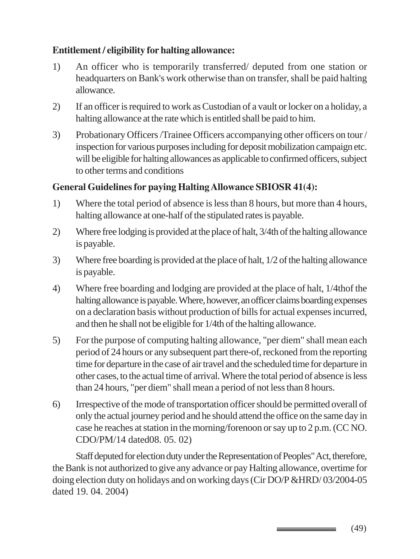#### **Entitlement / eligibility for halting allowance:**

- 1) An officer who is temporarily transferred/ deputed from one station or headquarters on Bank's work otherwise than on transfer, shall be paid halting allowance.
- 2) If an officer is required to work as Custodian of a vault or locker on a holiday, a halting allowance at the rate which is entitled shall be paid to him.
- 3) Probationary Officers /Trainee Officers accompanying other officers on tour / inspection for various purposes including for deposit mobilization campaign etc. will be eligible for halting allowances as applicable to confirmed officers, subject to other terms and conditions

### **General Guidelines for paying Halting Allowance SBIOSR 41(4):**

- 1) Where the total period of absence is less than 8 hours, but more than 4 hours, halting allowance at one-half of the stipulated rates is payable.
- 2) Where free lodging is provided at the place of halt, 3/4th of the halting allowance is payable.
- 3) Where free boarding is provided at the place of halt, 1/2 of the halting allowance is payable.
- 4) Where free boarding and lodging are provided at the place of halt, 1/4thof the halting allowance is payable. Where, however, an officer claims boarding expenses on a declaration basis without production of bills for actual expenses incurred, and then he shall not be eligible for 1/4th of the halting allowance.
- 5) For the purpose of computing halting allowance, "per diem" shall mean each period of 24 hours or any subsequent part there-of, reckoned from the reporting time for departure in the case of air travel and the scheduled time for departure in other cases, to the actual time of arrival. Where the total period of absence is less than 24 hours, "per diem" shall mean a period of not less than 8 hours.
- 6) Irrespective of the mode of transportation officer should be permitted overall of only the actual journey period and he should attend the office on the same day in case he reaches at station in the morning/forenoon or say up to 2 p.m. (CC NO. CDO/PM/14 dated08. 05. 02)

Staff deputed for election duty under the Representation of Peoples" Act, therefore, the Bank is not authorized to give any advance or pay Halting allowance, overtime for doing election duty on holidays and on working days (Cir DO/P &HRD/ 03/2004-05 dated 19. 04. 2004)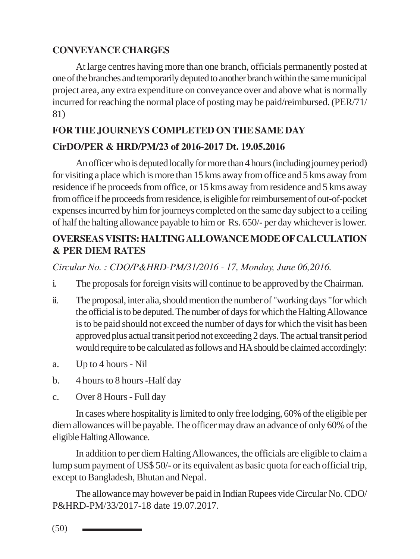### **CONVEYANCE CHARGES**

At large centres having more than one branch, officials permanently posted at one of the branches and temporarily deputed to another branch within the same municipal project area, any extra expenditure on conveyance over and above what is normally incurred for reaching the normal place of posting may be paid/reimbursed. (PER/71/ 81)

### **FOR THE JOURNEYS COMPLETED ON THE SAME DAY**

### **CirDO/PER & HRD/PM/23 of 2016-2017 Dt. 19.05.2016**

An officer who is deputed locally for more than 4 hours (including journey period) for visiting a place which is more than 15 kms away from office and 5 kms away from residence if he proceeds from office, or 15 kms away from residence and 5 kms away from office if he proceeds from residence, is eligible for reimbursement of out-of-pocket expenses incurred by him for journeys completed on the same day subject to a ceiling of half the halting allowance payable to him or Rs. 650/- per day whichever is lower.

# **OVERSEAS VISITS: HALTING ALLOWANCE MODE OF CALCULATION & PER DIEM RATES**

*Circular No. : CDO/P&HRD-PM/31/2016 - 17, Monday, June 06,2016.*

- i. The proposals for foreign visits will continue to be approved by the Chairman.
- ii. The proposal, inter alia, should mention the number of "working days "for which the official is to be deputed. The number of days for which the Halting Allowance is to be paid should not exceed the number of days for which the visit has been approved plus actual transit period not exceeding 2 days. The actual transit period would require to be calculated as follows and HA should be claimed accordingly:
- a. Up to 4 hours Nil
- b. 4 hours to 8 hours -Half day
- c. Over 8 Hours Full day

In cases where hospitality is limited to only free lodging, 60% of the eligible per diem allowances will be payable. The officer may draw an advance of only 60% of the eligible Halting Allowance.

In addition to per diem Halting Allowances, the officials are eligible to claim a lump sum payment of US\$ 50/- or its equivalent as basic quota for each official trip, except to Bangladesh, Bhutan and Nepal.

The allowance may however be paid in Indian Rupees vide Circular No. CDO/ P&HRD-PM/33/2017-18 date 19.07.2017.

(50)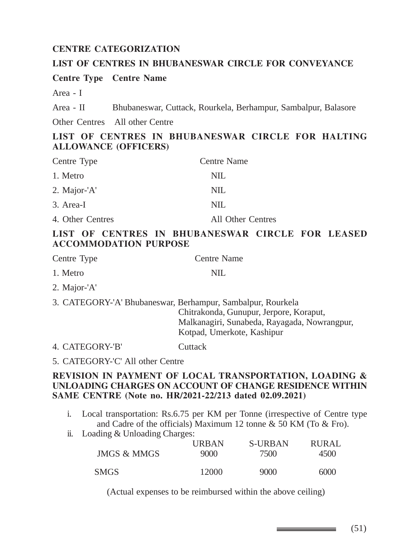#### **CENTRE CATEGORIZATION**

#### **LIST OF CENTRES IN BHUBANESWAR CIRCLE FOR CONVEYANCE**

**Centre Type Centre Name**

Area - I

Area - II Bhubaneswar, Cuttack, Rourkela, Berhampur, Sambalpur, Balasore

Other Centres All other Centre

#### **LIST OF CENTRES IN BHUBANESWAR CIRCLE FOR HALTING ALLOWANCE (OFFICERS)**

| Centre Type      | Centre Name       |
|------------------|-------------------|
| 1. Metro         | NIL.              |
| 2. Major-'A'     | NIL.              |
| 3. Area-I        | NIL.              |
| 4. Other Centres | All Other Centres |

#### **LIST OF CENTRES IN BHUBANESWAR CIRCLE FOR LEASED ACCOMMODATION PURPOSE**

| Centre Type  | Centre Name |
|--------------|-------------|
| 1. Metro     | NIL.        |
| 2. Major-'A' |             |

3. CATEGORY-'A' Bhubaneswar, Berhampur, Sambalpur, Rourkela Chitrakonda, Gunupur, Jerpore, Koraput, Malkanagiri, Sunabeda, Rayagada, Nowrangpur, Kotpad, Umerkote, Kashipur

4. CATEGORY-'B' Cuttack

5. CATEGORY-'C' All other Centre

#### **REVISION IN PAYMENT OF LOCAL TRANSPORTATION, LOADING & UNLOADING CHARGES ON ACCOUNT OF CHANGE RESIDENCE WITHIN SAME CENTRE (Note no. HR/2021-22/213 dated 02.09.2021)**

- i. Local transportation: Rs.6.75 per KM per Tonne (irrespective of Centre type and Cadre of the officials) Maximum 12 tonne & 50 KM (To & Fro).
- ii. Loading & Unloading Charges:

| JMGS & MMGS | <b>URBAN</b> | S-URBAN | <b>RURAL</b> |
|-------------|--------------|---------|--------------|
|             | 9000         | 7500    | 4500         |
| <b>SMGS</b> | 12000        | 9000    | 6000         |

(Actual expenses to be reimbursed within the above ceiling)

(51)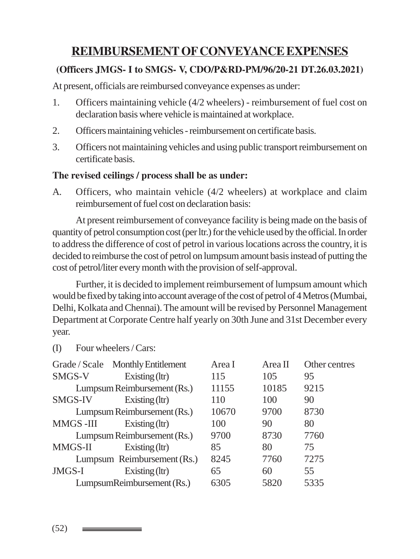# **REIMBURSEMENT OF CONVEYANCE EXPENSES**

### **(Officers JMGS- I to SMGS- V, CDO/P&RD-PM/96/20-21 DT.26.03.2021)**

At present, officials are reimbursed conveyance expenses as under:

- 1. Officers maintaining vehicle (4/2 wheelers) reimbursement of fuel cost on declaration basis where vehicle is maintained at workplace.
- 2. Officers maintaining vehicles reimbursement on certificate basis.
- 3. Officers not maintaining vehicles and using public transport reimbursement on certificate basis.

### **The revised ceilings / process shall be as under:**

A. Officers, who maintain vehicle (4/2 wheelers) at workplace and claim reimbursement of fuel cost on declaration basis:

At present reimbursement of conveyance facility is being made on the basis of quantity of petrol consumption cost (per ltr.) for the vehicle used by the official. In order to address the difference of cost of petrol in various locations across the country, it is decided to reimburse the cost of petrol on lumpsum amount basis instead of putting the cost of petrol/liter every month with the provision of self-approval.

Further, it is decided to implement reimbursement of lumpsum amount which would be fixed by taking into account average of the cost of petrol of 4 Metros (Mumbai, Delhi, Kolkata and Chennai). The amount will be revised by Personnel Management Department at Corporate Centre half yearly on 30th June and 31st December every year.

(I) Four wheelers / Cars:

|                | Grade / Scale Monthly Entitlement | Area I | Area II | Other centres |
|----------------|-----------------------------------|--------|---------|---------------|
| SMGS-V         | Existing $(ltr)$                  | 115    | 105     | 95            |
|                | Lumpsum Reimbursement (Rs.)       | 11155  | 10185   | 9215          |
| <b>SMGS-IV</b> | Existing $(ltr)$                  | 110    | 100     | 90            |
|                | Lumpsum Reimbursement (Rs.)       | 10670  | 9700    | 8730          |
| MMGS-III       | Existing $(ltr)$                  | 100    | 90      | 80            |
|                | Lumpsum Reimbursement (Rs.)       | 9700   | 8730    | 7760          |
| MMGS-II        | Existing $(ltr)$                  | 85     | 80      | 75            |
|                | Lumpsum Reimbursement (Rs.)       | 8245   | 7760    | 7275          |
| <b>JMGS-I</b>  | Existing $(ltr)$                  | 65     | 60      | 55            |
|                | LumpsumReimbursement (Rs.)        | 6305   | 5820    | 5335          |

(52)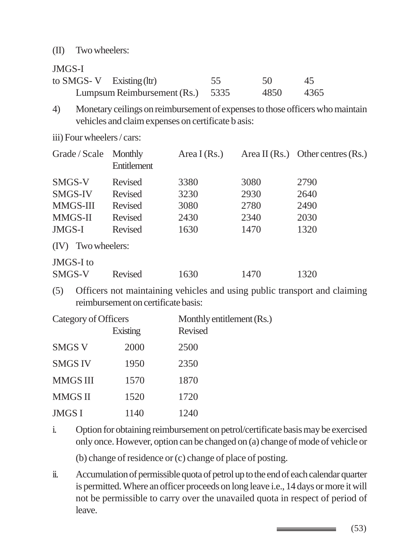#### (II) Two wheelers:

#### JMGS-I

| to SMGS-V Existing $(ltr)$ |                                  | 55 | -50  | -45  |
|----------------------------|----------------------------------|----|------|------|
|                            | Lumpsum Reimbursement (Rs.) 5335 |    | 4850 | 4365 |

- 4) Monetary ceilings on reimbursement of expenses to those officers who maintain vehicles and claim expenses on certificate b asis:
- iii) Four wheelers / cars:

| Grade / Scale         | Monthly<br>Entitlement | Area I (Rs.) |      | Area II $(Rs.)$ Other centres $(Rs.)$ |
|-----------------------|------------------------|--------------|------|---------------------------------------|
| SMGS-V                | Revised                | 3380         | 3080 | 2790                                  |
| SMGS-IV               | Revised                | 3230         | 2930 | 2640                                  |
| MMGS-III              | Revised                | 3080         | 2780 | 2490                                  |
| MMGS-II               | Revised                | 2430         | 2340 | 2030                                  |
| JMGS-I                | Revised                | 1630         | 1470 | 1320                                  |
| Two wheelers:<br>(IV) |                        |              |      |                                       |
| JMGS-I to<br>SMGS-V   | Revised                | 630          | 1470 | 1320                                  |
|                       |                        |              |      |                                       |

(5) Officers not maintaining vehicles and using public transport and claiming reimbursement on certificate basis:

| Category of Officers |          | Monthly entitlement (Rs.) |  |
|----------------------|----------|---------------------------|--|
|                      | Existing | <b>Revised</b>            |  |
| <b>SMGS V</b>        | 2000     | 2500                      |  |
| <b>SMGS IV</b>       | 1950     | 2350                      |  |
| <b>MMGS III</b>      | 1570     | 1870                      |  |
| <b>MMGS II</b>       | 1520     | 1720                      |  |
| <b>JMGS I</b>        | 1140     | 1240                      |  |

i. Option for obtaining reimbursement on petrol/certificate basis may be exercised only once. However, option can be changed on (a) change of mode of vehicle or

(b) change of residence or (c) change of place of posting.

ii. Accumulation of permissible quota of petrol up to the end of each calendar quarter is permitted. Where an officer proceeds on long leave i.e., 14 days or more it will not be permissible to carry over the unavailed quota in respect of period of leave.

(53)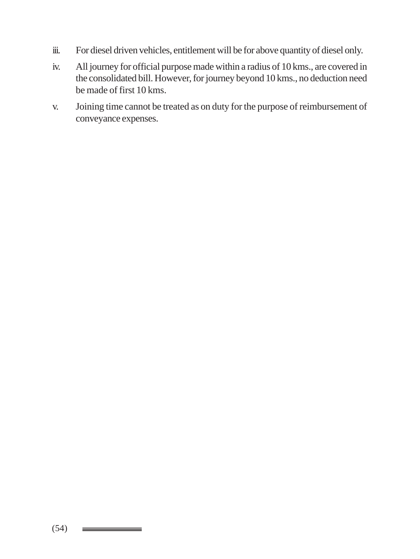- iii. For diesel driven vehicles, entitlement will be for above quantity of diesel only.
- iv. All journey for official purpose made within a radius of 10 kms., are covered in the consolidated bill. However, for journey beyond 10 kms., no deduction need be made of first 10 kms.
- v. Joining time cannot be treated as on duty for the purpose of reimbursement of conveyance expenses.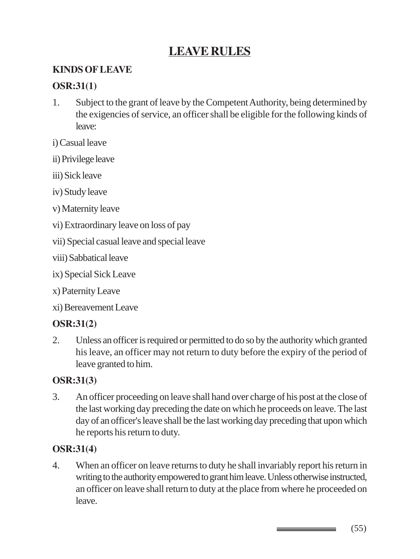# **LEAVE RULES**

### **KINDS OF LEAVE**

#### **OSR:31(1)**

1. Subject to the grant of leave by the Competent Authority, being determined by the exigencies of service, an officer shall be eligible for the following kinds of leave:

i) Casual leave

- ii) Privilege leave
- iii) Sick leave
- iv) Study leave
- v) Maternity leave
- vi) Extraordinary leave on loss of pay
- vii) Special casual leave and special leave
- viii) Sabbatical leave
- ix) Special Sick Leave
- x) Paternity Leave
- xi) Bereavement Leave

### **OSR:31(2)**

2. Unless an officer is required or permitted to do so by the authority which granted his leave, an officer may not return to duty before the expiry of the period of leave granted to him.

#### **OSR:31(3)**

3. An officer proceeding on leave shall hand over charge of his post at the close of the last working day preceding the date on which he proceeds on leave. The last day of an officer's leave shall be the last working day preceding that upon which he reports his return to duty.

### **OSR:31(4)**

4. When an officer on leave returns to duty he shall invariably report his return in writing to the authority empowered to grant him leave. Unless otherwise instructed, an officer on leave shall return to duty at the place from where he proceeded on leave.

(55)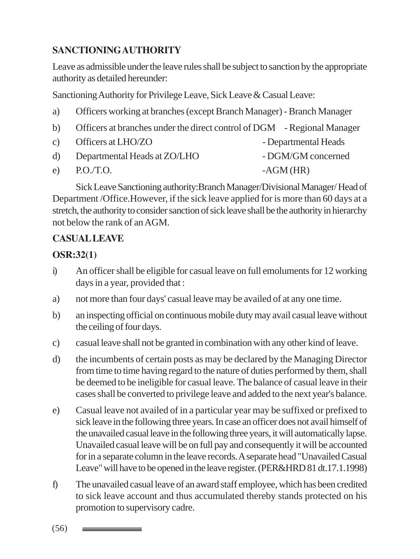# **SANCTIONING AUTHORITY**

Leave as admissible under the leave rules shall be subject to sanction by the appropriate authority as detailed hereunder:

Sanctioning Authority for Privilege Leave, Sick Leave & Casual Leave:

- a) Officers working at branches (except Branch Manager) Branch Manager
- b) Officers at branches under the direct control of DGM Regional Manager
- c) Officers at LHO/ZO Departmental Heads
- d) Departmental Heads at ZO/LHO DGM/GM concerned
- e) P.O./T.O. AGM (HR)

Sick Leave Sanctioning authority:Branch Manager/Divisional Manager/ Head of Department /Office.However, if the sick leave applied for is more than 60 days at a stretch, the authority to consider sanction of sick leave shall be the authority in hierarchy not below the rank of an AGM.

### **CASUAL LEAVE**

### **OSR:32(1)**

- i) An officer shall be eligible for casual leave on full emoluments for 12 working days in a year, provided that :
- a) not more than four days' casual leave may be availed of at any one time.
- b) an inspecting official on continuous mobile duty may avail casual leave without the ceiling of four days.
- c) casual leave shall not be granted in combination with any other kind of leave.
- d) the incumbents of certain posts as may be declared by the Managing Director from time to time having regard to the nature of duties performed by them, shall be deemed to be ineligible for casual leave. The balance of casual leave in their cases shall be converted to privilege leave and added to the next year's balance.
- e) Casual leave not availed of in a particular year may be suffixed or prefixed to sick leave in the following three years. In case an officer does not avail himself of the unavailed casual leave in the following three years, it will automatically lapse. Unavailed casual leave will be on full pay and consequently it will be accounted for in a separate column in the leave records. A separate head "Unavailed Casual Leave" will have to be opened in the leave register. (PER&HRD 81 dt.17.1.1998)
- f) The unavailed casual leave of an award staff employee, which has been credited to sick leave account and thus accumulated thereby stands protected on his promotion to supervisory cadre.

(56)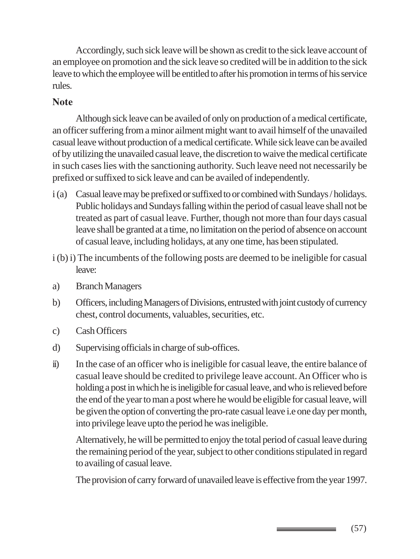Accordingly, such sick leave will be shown as credit to the sick leave account of an employee on promotion and the sick leave so credited will be in addition to the sick leave to which the employee will be entitled to after his promotion in terms of his service rules.

#### **Note**

Although sick leave can be availed of only on production of a medical certificate, an officer suffering from a minor ailment might want to avail himself of the unavailed casual leave without production of a medical certificate. While sick leave can be availed of by utilizing the unavailed casual leave, the discretion to waive the medical certificate in such cases lies with the sanctioning authority. Such leave need not necessarily be prefixed or suffixed to sick leave and can be availed of independently.

- i (a) Casual leave may be prefixed or suffixed to or combined with Sundays / holidays. Public holidays and Sundays falling within the period of casual leave shall not be treated as part of casual leave. Further, though not more than four days casual leave shall be granted at a time, no limitation on the period of absence on account of casual leave, including holidays, at any one time, has been stipulated.
- i (b) i) The incumbents of the following posts are deemed to be ineligible for casual leave:
- a) Branch Managers
- b) Officers, including Managers of Divisions, entrusted with joint custody of currency chest, control documents, valuables, securities, etc.
- c) Cash Officers
- d) Supervising officials in charge of sub-offices.
- ii) In the case of an officer who is ineligible for casual leave, the entire balance of casual leave should be credited to privilege leave account. An Officer who is holding a post in which he is ineligible for casual leave, and who is relieved before the end of the year to man a post where he would be eligible for casual leave, will be given the option of converting the pro-rate casual leave i.e one day per month, into privilege leave upto the period he was ineligible.

Alternatively, he will be permitted to enjoy the total period of casual leave during the remaining period of the year, subject to other conditions stipulated in regard to availing of casual leave.

The provision of carry forward of unavailed leave is effective from the year 1997.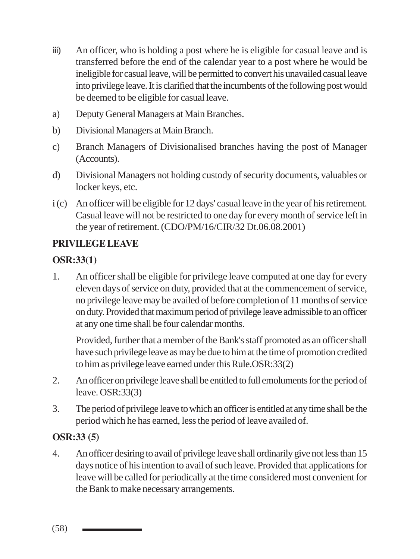- iii) An officer, who is holding a post where he is eligible for casual leave and is transferred before the end of the calendar year to a post where he would be ineligible for casual leave, will be permitted to convert his unavailed casual leave into privilege leave. It is clarified that the incumbents of the following post would be deemed to be eligible for casual leave.
- a) Deputy General Managers at Main Branches.
- b) Divisional Managers at Main Branch.
- c) Branch Managers of Divisionalised branches having the post of Manager (Accounts).
- d) Divisional Managers not holding custody of security documents, valuables or locker keys, etc.
- i (c) An officer will be eligible for 12 days' casual leave in the year of his retirement. Casual leave will not be restricted to one day for every month of service left in the year of retirement. (CDO/PM/16/CIR/32 Dt.06.08.2001)

# **PRIVILEGE LEAVE**

### **OSR:33(1)**

1. An officer shall be eligible for privilege leave computed at one day for every eleven days of service on duty, provided that at the commencement of service, no privilege leave may be availed of before completion of 11 months of service on duty. Provided that maximum period of privilege leave admissible to an officer at any one time shall be four calendar months.

Provided, further that a member of the Bank's staff promoted as an officer shall have such privilege leave as may be due to him at the time of promotion credited to him as privilege leave earned under this Rule.OSR:33(2)

- 2. An officer on privilege leave shall be entitled to full emoluments for the period of leave. OSR:33(3)
- 3. The period of privilege leave to which an officer is entitled at any time shall be the period which he has earned, less the period of leave availed of.

### **OSR:33 (5)**

4. An officer desiring to avail of privilege leave shall ordinarily give not less than 15 days notice of his intention to avail of such leave. Provided that applications for leave will be called for periodically at the time considered most convenient for the Bank to make necessary arrangements.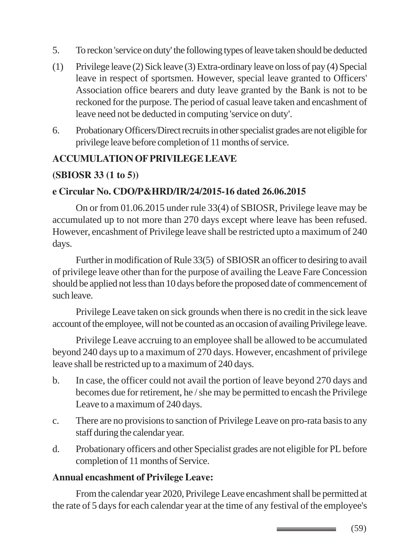- 5. To reckon 'service on duty' the following types of leave taken should be deducted
- (1) Privilege leave (2) Sick leave (3) Extra-ordinary leave on loss of pay (4) Special leave in respect of sportsmen. However, special leave granted to Officers' Association office bearers and duty leave granted by the Bank is not to be reckoned for the purpose. The period of casual leave taken and encashment of leave need not be deducted in computing 'service on duty'.
- 6. Probationary Officers/Direct recruits in other specialist grades are not eligible for privilege leave before completion of 11 months of service.

# **ACCUMULATION OF PRIVILEGE LEAVE**

# **(SBIOSR 33 (1 to 5))**

### **e Circular No. CDO/P&HRD/IR/24/2015-16 dated 26.06.2015**

On or from 01.06.2015 under rule 33(4) of SBIOSR, Privilege leave may be accumulated up to not more than 270 days except where leave has been refused. However, encashment of Privilege leave shall be restricted upto a maximum of 240 days.

Further in modification of Rule 33(5) of SBIOSR an officer to desiring to avail of privilege leave other than for the purpose of availing the Leave Fare Concession should be applied not less than 10 days before the proposed date of commencement of such leave.

Privilege Leave taken on sick grounds when there is no credit in the sick leave account of the employee, will not be counted as an occasion of availing Privilege leave.

Privilege Leave accruing to an employee shall be allowed to be accumulated beyond 240 days up to a maximum of 270 days. However, encashment of privilege leave shall be restricted up to a maximum of 240 days.

- b. In case, the officer could not avail the portion of leave beyond 270 days and becomes due for retirement, he / she may be permitted to encash the Privilege Leave to a maximum of 240 days.
- c. There are no provisions to sanction of Privilege Leave on pro-rata basis to any staff during the calendar year.
- d. Probationary officers and other Specialist grades are not eligible for PL before completion of 11 months of Service.

### **Annual encashment of Privilege Leave:**

From the calendar year 2020, Privilege Leave encashment shall be permitted at the rate of 5 days for each calendar year at the time of any festival of the employee's

(59)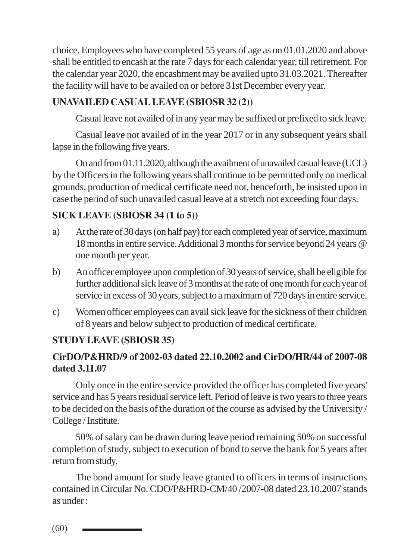choice. Employees who have completed 55 years of age as on 01.01.2020 and above shall be entitled to encash at the rate 7 days for each calendar year, till retirement. For the calendar year 2020, the encashment may be availed upto 31.03.2021. Thereafter the facility will have to be availed on or before 31st December every year.

# **UNAVAILED CASUAL LEAVE (SBIOSR 32 (2))**

Casual leave not availed of in any year may be suffixed or prefixed to sick leave.

Casual leave not availed of in the year 2017 or in any subsequent years shall lapse in the following five years.

On and from 01.11.2020, although the availment of unavailed casual leave (UCL) by the Officers in the following years shall continue to be permitted only on medical grounds, production of medical certificate need not, henceforth, be insisted upon in case the period of such unavailed casual leave at a stretch not exceeding four days.

# **SICK LEAVE (SBIOSR 34 (1 to 5))**

- a) At the rate of 30 days (on half pay) for each completed year of service, maximum 18 months in entire service. Additional 3 months for service beyond 24 years @ one month per year.
- b) An officer employee upon completion of 30 years of service, shall be eligible for further additional sick leave of 3 months at the rate of one month for each year of service in excess of 30 years, subject to a maximum of 720 days in entire service.
- c) Women officer employees can avail sick leave for the sickness of their children of 8 years and below subject to production of medical certificate.

### **STUDY LEAVE (SBIOSR 35)**

# **CirDO/P&HRD/9 of 2002-03 dated 22.10.2002 and CirDO/HR/44 of 2007-08 dated 3.11.07**

Only once in the entire service provided the officer has completed five years' service and has 5 years residual service left. Period of leave is two years to three years to be decided on the basis of the duration of the course as advised by the University / College / Institute.

50% of salary can be drawn during leave period remaining 50% on successful completion of study, subject to execution of bond to serve the bank for 5 years after return from study.

The bond amount for study leave granted to officers in terms of instructions contained in Circular No. CDO/P&HRD-CM/40 /2007-08 dated 23.10.2007 stands as under :

(60)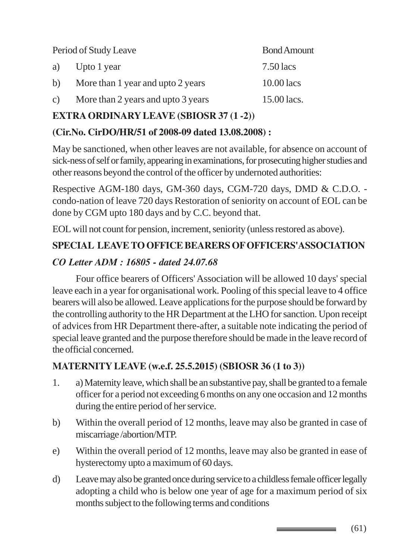| Period of Study Leave |                                    | <b>Bond Amount</b> |
|-----------------------|------------------------------------|--------------------|
| a)                    | Upto 1 year                        | $7.50$ lacs        |
| b)                    | More than 1 year and upto 2 years  | $10.00$ lacs       |
| $\mathcal{C}$ )       | More than 2 years and upto 3 years | 15.00 lacs.        |

### **EXTRA ORDINARY LEAVE (SBIOSR 37 (1 -2))**

### **(Cir.No. CirDO/HR/51 of 2008-09 dated 13.08.2008) :**

May be sanctioned, when other leaves are not available, for absence on account of sick-ness of self or family, appearing in examinations, for prosecuting higher studies and other reasons beyond the control of the officer by undernoted authorities:

Respective AGM-180 days, GM-360 days, CGM-720 days, DMD & C.D.O. condo-nation of leave 720 days Restoration of seniority on account of EOL can be done by CGM upto 180 days and by C.C. beyond that.

EOL will not count for pension, increment, seniority (unless restored as above).

# **SPECIAL LEAVE TO OFFICE BEARERS OF OFFICERS'ASSOCIATION**

### *CO Letter ADM : 16805 - dated 24.07.68*

Four office bearers of Officers' Association will be allowed 10 days' special leave each in a year for organisational work. Pooling of this special leave to 4 office bearers will also be allowed. Leave applications for the purpose should be forward by the controlling authority to the HR Department at the LHO for sanction. Upon receipt of advices from HR Department there-after, a suitable note indicating the period of special leave granted and the purpose therefore should be made in the leave record of the official concerned.

### **MATERNITY LEAVE (w.e.f. 25.5.2015) (SBIOSR 36 (1 to 3))**

- 1. a) Maternity leave, which shall be an substantive pay, shall be granted to a female officer for a period not exceeding 6 months on any one occasion and 12 months during the entire period of her service.
- b) Within the overall period of 12 months, leave may also be granted in case of miscarriage /abortion/MTP.
- e) Within the overall period of 12 months, leave may also be granted in ease of hysterectomy upto a maximum of 60 days.
- d) Leave may also be granted once during service to a childless female officer legally adopting a child who is below one year of age for a maximum period of six months subject to the following terms and conditions

(61)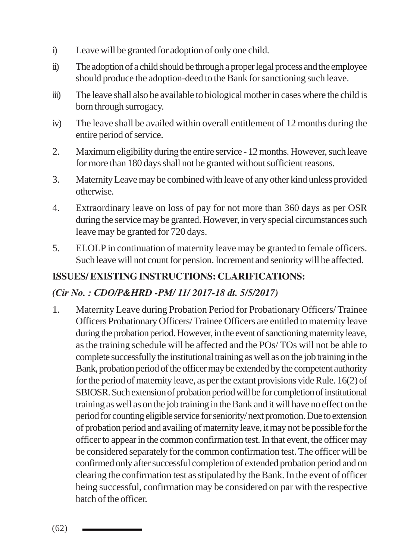- i) Leave will be granted for adoption of only one child.
- ii) The adoption of a child should be through a proper legal process and the employee should produce the adoption-deed to the Bank for sanctioning such leave.
- iii) The leave shall also be available to biological mother in cases where the child is born through surrogacy.
- iv) The leave shall be availed within overall entitlement of 12 months during the entire period of service.
- 2. Maximum eligibility during the entire service 12 months. However, such leave for more than 180 days shall not be granted without sufficient reasons.
- 3. Maternity Leave may be combined with leave of any other kind unless provided otherwise.
- 4. Extraordinary leave on loss of pay for not more than 360 days as per OSR during the service may be granted. However, in very special circumstances such leave may be granted for 720 days.
- 5. ELOLP in continuation of maternity leave may be granted to female officers. Such leave will not count for pension. Increment and seniority will be affected.

### **ISSUES/ EXISTING INSTRUCTIONS: CLARIFICATIONS:**

### *(Cir No. : CDO/P&HRD -PM/ 11/ 2017-18 dt. 5/5/2017)*

1. Maternity Leave during Probation Period for Probationary Officers/ Trainee Officers Probationary Officers/ Trainee Officers are entitled to maternity leave during the probation period. However, in the event of sanctioning maternity leave, as the training schedule will be affected and the POs/ TOs will not be able to complete successfully the institutional training as well as on the job training in the Bank, probation period of the officer may be extended by the competent authority for the period of maternity leave, as per the extant provisions vide Rule. 16(2) of SBIOSR. Such extension of probation period will be for completion of institutional training as well as on the job training in the Bank and it will have no effect on the period for counting eligible service for seniority/ next promotion. Due to extension of probation period and availing of maternity leave, it may not be possible for the officer to appear in the common confirmation test. In that event, the officer may be considered separately for the common confirmation test. The officer will be confirmed only after successful completion of extended probation period and on clearing the confirmation test as stipulated by the Bank. In the event of officer being successful, confirmation may be considered on par with the respective batch of the officer.

(62)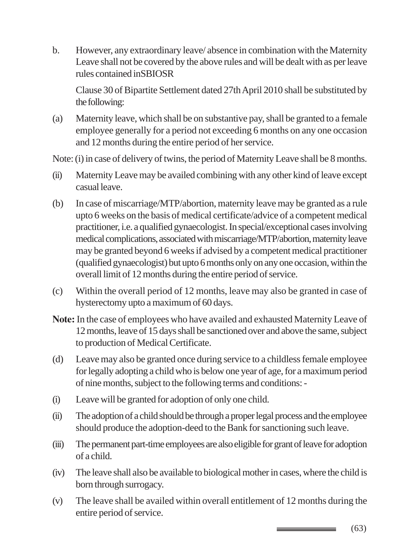b. However, any extraordinary leave/ absence in combination with the Maternity Leave shall not be covered by the above rules and will be dealt with as per leave rules contained inSBIOSR

Clause 30 of Bipartite Settlement dated 27th April 2010 shall be substituted by the following:

(a) Maternity leave, which shall be on substantive pay, shall be granted to a female employee generally for a period not exceeding 6 months on any one occasion and 12 months during the entire period of her service.

Note: (i) in case of delivery of twins, the period of Maternity Leave shall be 8 months.

- (ii) Maternity Leave may be availed combining with any other kind of leave except casual leave.
- (b) In case of miscarriage/MTP/abortion, maternity leave may be granted as a rule upto 6 weeks on the basis of medical certificate/advice of a competent medical practitioner, i.e. a qualified gynaecologist. In special/exceptional cases involving medical complications, associated with miscarriage/MTP/abortion, maternity leave may be granted beyond 6 weeks if advised by a competent medical practitioner (qualified gynaecologist) but upto 6 months only on any one occasion, within the overall limit of 12 months during the entire period of service.
- (c) Within the overall period of 12 months, leave may also be granted in case of hysterectomy upto a maximum of 60 days.
- **Note:** In the case of employees who have availed and exhausted Maternity Leave of 12 months, leave of 15 days shall be sanctioned over and above the same, subject to production of Medical Certificate.
- (d) Leave may also be granted once during service to a childless female employee for legally adopting a child who is below one year of age, for a maximum period of nine months, subject to the following terms and conditions: -
- (i) Leave will be granted for adoption of only one child.
- (ii) The adoption of a child should be through a proper legal process and the employee should produce the adoption-deed to the Bank for sanctioning such leave.
- (iii) The permanent part-time employees are also eligible for grant of leave for adoption of a child.
- (iv) The leave shall also be available to biological mother in cases, where the child is born through surrogacy.
- (v) The leave shall be availed within overall entitlement of 12 months during the entire period of service.

(63) \_\_\_\_\_\_\_\_\_\_\_\_\_\_\_\_\_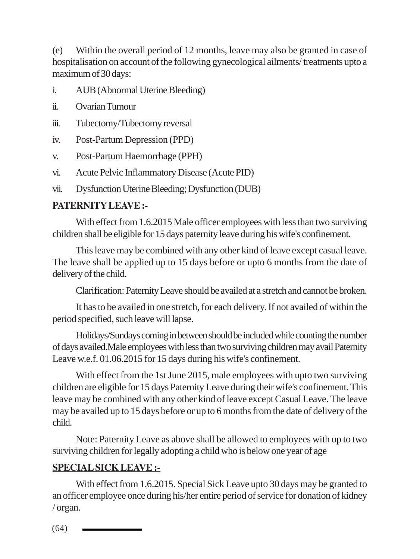(e) Within the overall period of 12 months, leave may also be granted in case of hospitalisation on account of the following gynecological ailments/ treatments upto a maximum of 30 days:

- i. AUB (Abnormal Uterine Bleeding)
- ii. Ovarian Tumour
- iii. Tubectomy/Tubectomy reversal
- iv. Post-Partum Depression (PPD)
- v. Post-Partum Haemorrhage (PPH)
- vi. Acute Pelvic Inflammatory Disease (Acute PID)
- vii. Dysfunction Uterine Bleeding; Dysfunction (DUB)

### **PATERNITY LEAVE :-**

With effect from 1.6.2015 Male officer employees with less than two surviving children shall be eligible for 15 days paternity leave during his wife's confinement.

This leave may be combined with any other kind of leave except casual leave. The leave shall be applied up to 15 days before or upto 6 months from the date of delivery of the child.

Clarification: Paternity Leave should be availed at a stretch and cannot be broken.

It has to be availed in one stretch, for each delivery. If not availed of within the period specified, such leave will lapse.

Holidays/Sundays coming in between should be included while counting the number of days availed.Male employees with less than two surviving children may avail Paternity Leave w.e.f. 01.06.2015 for 15 days during his wife's confinement.

With effect from the 1st June 2015, male employees with upto two surviving children are eligible for 15 days Paternity Leave during their wife's confinement. This leave may be combined with any other kind of leave except Casual Leave. The leave may be availed up to 15 days before or up to 6 months from the date of delivery of the child.

Note: Paternity Leave as above shall be allowed to employees with up to two surviving children for legally adopting a child who is below one year of age

### **SPECIAL SICK LEAVE :-**

With effect from 1.6.2015. Special Sick Leave upto 30 days may be granted to an officer employee once during his/her entire period of service for donation of kidney / organ.

(64)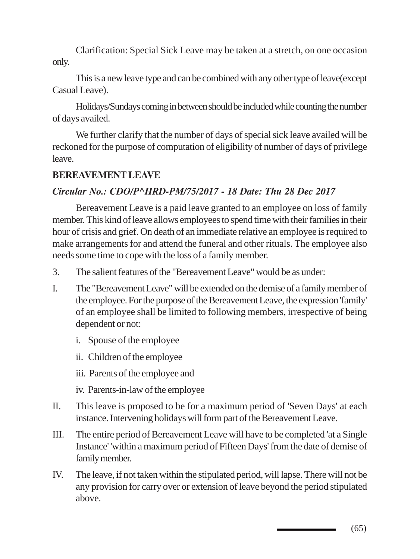Clarification: Special Sick Leave may be taken at a stretch, on one occasion only.

This is a new leave type and can be combined with any other type of leave(except Casual Leave).

Holidays/Sundays coming in between should be included while counting the number of days availed.

We further clarify that the number of days of special sick leave availed will be reckoned for the purpose of computation of eligibility of number of days of privilege leave.

#### **BEREAVEMENT LEAVE**

#### *Circular No.: CDO/P^HRD-PM/75/2017 - 18 Date: Thu 28 Dec 2017*

Bereavement Leave is a paid leave granted to an employee on loss of family member. This kind of leave allows employees to spend time with their families in their hour of crisis and grief. On death of an immediate relative an employee is required to make arrangements for and attend the funeral and other rituals. The employee also needs some time to cope with the loss of a family member.

- 3. The salient features of the "Bereavement Leave" would be as under:
- I. The "Bereavement Leave" will be extended on the demise of a family member of the employee. For the purpose of the Bereavement Leave, the expression 'family' of an employee shall be limited to following members, irrespective of being dependent or not:
	- i. Spouse of the employee
	- ii. Children of the employee
	- iii. Parents of the employee and
	- iv. Parents-in-law of the employee
- II. This leave is proposed to be for a maximum period of 'Seven Days' at each instance. Intervening holidays will form part of the Bereavement Leave.
- III. The entire period of Bereavement Leave will have to be completed 'at a Single Instance' 'within a maximum period of Fifteen Days' from the date of demise of family member.
- IV. The leave, if not taken within the stipulated period, will lapse. There will not be any provision for carry over or extension of leave beyond the period stipulated above.

(65)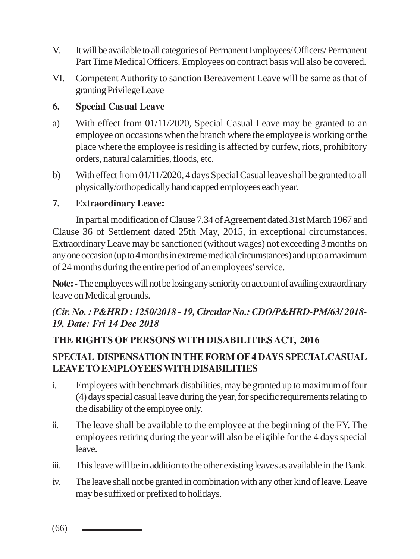- V. It will be available to all categories of Permanent Employees/ Officers/ Permanent Part Time Medical Officers. Employees on contract basis will also be covered.
- VI. Competent Authority to sanction Bereavement Leave will be same as that of granting Privilege Leave

### **6. Special Casual Leave**

- a) With effect from 01/11/2020, Special Casual Leave may be granted to an employee on occasions when the branch where the employee is working or the place where the employee is residing is affected by curfew, riots, prohibitory orders, natural calamities, floods, etc.
- b) With effect from 01/11/2020, 4 days Special Casual leave shall be granted to all physically/orthopedically handicapped employees each year.

### **7. Extraordinary Leave:**

In partial modification of Clause 7.34 of Agreement dated 31st March 1967 and Clause 36 of Settlement dated 25th May, 2015, in exceptional circumstances, Extraordinary Leave may be sanctioned (without wages) not exceeding 3 months on any one occasion (up to 4 months in extreme medical circumstances) and upto a maximum of 24 months during the entire period of an employees' service.

**Note: -** The employees will not be losing any seniority on account of availing extraordinary leave on Medical grounds.

### *(Cir. No. : P&HRD : 1250/2018 - 19, Circular No.: CDO/P&HRD-PM/63/ 2018- 19, Date: Fri 14 Dec 2018*

### **THE RIGHTS OF PERSONS WITH DISABILITIES ACT, 2016**

### **SPECIAL DISPENSATION IN THE FORM OF 4 DAYS SPECIALCASUAL LEAVE TO EMPLOYEES WITH DISABILITIES**

- i. Employees with benchmark disabilities, may be granted up to maximum of four (4) days special casual leave during the year, for specific requirements relating to the disability of the employee only.
- ii. The leave shall be available to the employee at the beginning of the FY. The employees retiring during the year will also be eligible for the 4 days special leave.
- iii. This leave will be in addition to the other existing leaves as available in the Bank.
- iv. The leave shall not be granted in combination with any other kind of leave. Leave may be suffixed or prefixed to holidays.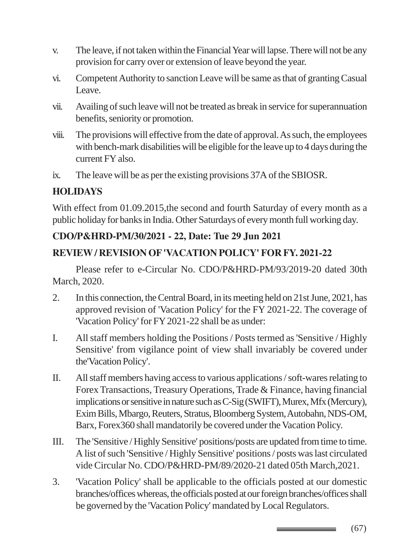- v. The leave, if not taken within the Financial Year will lapse. There will not be any provision for carry over or extension of leave beyond the year.
- vi. Competent Authority to sanction Leave will be same as that of granting Casual Leave.
- vii. Availing of such leave will not be treated as break in service for superannuation benefits, seniority or promotion.
- viii. The provisions will effective from the date of approval. As such, the employees with bench-mark disabilities will be eligible for the leave up to 4 days during the current FY also.
- ix. The leave will be as per the existing provisions 37A of the SBIOSR.

### **HOLIDAYS**

With effect from 01.09.2015, the second and fourth Saturday of every month as a public holiday for banks in India. Other Saturdays of every month full working day.

### **CDO/P&HRD-PM/30/2021 - 22, Date: Tue 29 Jun 2021**

### **REVIEW / REVISION OF 'VACATION POLICY' FOR FY. 2021-22**

Please refer to e-Circular No. CDO/P&HRD-PM/93/2019-20 dated 30th March, 2020.

- 2. In this connection, the Central Board, in its meeting held on 21st June, 2021, has approved revision of 'Vacation Policy' for the FY 2021-22. The coverage of 'Vacation Policy' for FY 2021-22 shall be as under:
- I. All staff members holding the Positions / Posts termed as 'Sensitive / Highly Sensitive' from vigilance point of view shall invariably be covered under the'Vacation Policy'.
- II. All staff members having access to various applications / soft-wares relating to Forex Transactions, Treasury Operations, Trade & Finance, having financial implications or sensitive in nature such as C-Sig (SWIFT), Murex, Mfx (Mercury), Exim Bills, Mbargo, Reuters, Stratus, Bloomberg System, Autobahn, NDS-OM, Barx, Forex360 shall mandatorily be covered under the Vacation Policy.
- III. The 'Sensitive / Highly Sensitive' positions/posts are updated from time to time. A list of such 'Sensitive / Highly Sensitive' positions / posts was last circulated vide Circular No. CDO/P&HRD-PM/89/2020-21 dated 05th March,2021.
- 3. 'Vacation Policy' shall be applicable to the officials posted at our domestic branches/offices whereas, the officials posted at our foreign branches/offices shall be governed by the 'Vacation Policy' mandated by Local Regulators.

(67)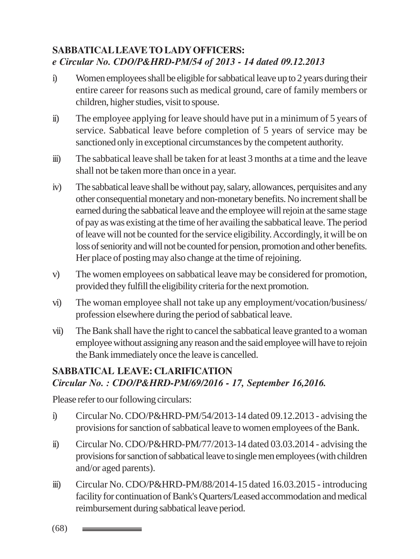### **SABBATICAL LEAVE TO LADY OFFICERS:** *e Circular No. CDO/P&HRD-PM/54 of 2013 - 14 dated 09.12.2013*

- i) Women employees shall be eligible for sabbatical leave up to 2 years during their entire career for reasons such as medical ground, care of family members or children, higher studies, visit to spouse.
- ii) The employee applying for leave should have put in a minimum of 5 years of service. Sabbatical leave before completion of 5 years of service may be sanctioned only in exceptional circumstances by the competent authority.
- iii) The sabbatical leave shall be taken for at least 3 months at a time and the leave shall not be taken more than once in a year.
- iv) The sabbatical leave shall be without pay, salary, allowances, perquisites and any other consequential monetary and non-monetary benefits. No increment shall be earned during the sabbatical leave and the employee will rejoin at the same stage of pay as was existing at the time of her availing the sabbatical leave. The period of leave will not be counted for the service eligibility. Accordingly, it will be on loss of seniority and will not be counted for pension, promotion and other benefits. Her place of posting may also change at the time of rejoining.
- v) The women employees on sabbatical leave may be considered for promotion, provided they fulfill the eligibility criteria for the next promotion.
- vi) The woman employee shall not take up any employment/vocation/business/ profession elsewhere during the period of sabbatical leave.
- vii) The Bank shall have the right to cancel the sabbatical leave granted to a woman employee without assigning any reason and the said employee will have to rejoin the Bank immediately once the leave is cancelled.

#### **SABBATICAL LEAVE: CLARIFICATION** *Circular No. : CDO/P&HRD-PM/69/2016 - 17, September 16,2016.*

Please refer to our following circulars:

- i) Circular No. CDO/P&HRD-PM/54/2013-14 dated 09.12.2013 advising the provisions for sanction of sabbatical leave to women employees of the Bank.
- ii) Circular No. CDO/P&HRD-PM/77/2013-14 dated 03.03.2014 advising the provisions for sanction of sabbatical leave to single men employees (with children and/or aged parents).
- iii) Circular No. CDO/P&HRD-PM/88/2014-15 dated 16.03.2015 introducing facility for continuation of Bank's Quarters/Leased accommodation and medical reimbursement during sabbatical leave period.

(68)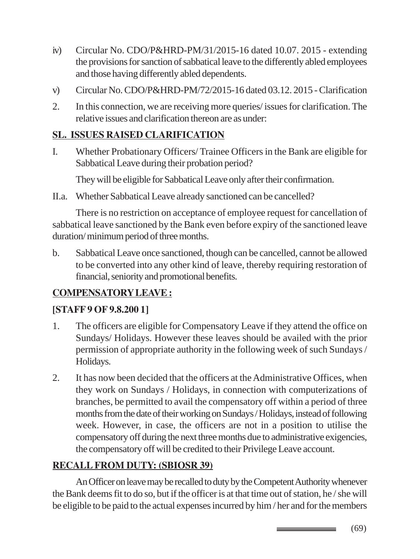- iv) Circular No. CDO/P&HRD-PM/31/2015-16 dated 10.07. 2015 extending the provisions for sanction of sabbatical leave to the differently abled employees and those having differently abled dependents.
- v) Circular No. CDO/P&HRD-PM/72/2015-16 dated 03.12. 2015 Clarification
- 2. In this connection, we are receiving more queries/ issues for clarification. The relative issues and clarification thereon are as under:

# **SL. ISSUES RAISED CLARIFICATION**

I. Whether Probationary Officers/ Trainee Officers in the Bank are eligible for Sabbatical Leave during their probation period?

They will be eligible for Sabbatical Leave only after their confirmation.

II.a. Whether Sabbatical Leave already sanctioned can be cancelled?

There is no restriction on acceptance of employee request for cancellation of sabbatical leave sanctioned by the Bank even before expiry of the sanctioned leave duration/ minimum period of three months.

b. Sabbatical Leave once sanctioned, though can be cancelled, cannot be allowed to be converted into any other kind of leave, thereby requiring restoration of financial, seniority and promotional benefits.

# **COMPENSATORY LEAVE :**

### **[STAFF 9 OF 9.8.200 1]**

- 1. The officers are eligible for Compensatory Leave if they attend the office on Sundays/ Holidays. However these leaves should be availed with the prior permission of appropriate authority in the following week of such Sundays / Holidays.
- 2. It has now been decided that the officers at the Administrative Offices, when they work on Sundays / Holidays, in connection with computerizations of branches, be permitted to avail the compensatory off within a period of three months from the date of their working on Sundays / Holidays, instead of following week. However, in case, the officers are not in a position to utilise the compensatory off during the next three months due to administrative exigencies, the compensatory off will be credited to their Privilege Leave account.

# **RECALL FROM DUTY: (SBIOSR 39)**

An Officer on leave may be recalled to duty by the Competent Authority whenever the Bank deems fit to do so, but if the officer is at that time out of station, he / she will be eligible to be paid to the actual expenses incurred by him / her and for the members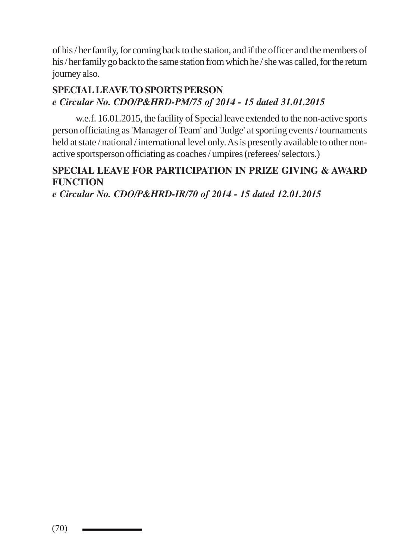of his / her family, for coming back to the station, and if the officer and the members of his / her family go back to the same station from which he / she was called, for the return journey also.

### **SPECIAL LEAVE TO SPORTS PERSON** *e Circular No. CDO/P&HRD-PM/75 of 2014 - 15 dated 31.01.2015*

w.e.f. 16.01.2015, the facility of Special leave extended to the non-active sports person officiating as 'Manager of Team' and 'Judge' at sporting events / tournaments held at state / national / international level only. As is presently available to other nonactive sportsperson officiating as coaches / umpires (referees/ selectors.)

### **SPECIAL LEAVE FOR PARTICIPATION IN PRIZE GIVING & AWARD FUNCTION**

*e Circular No. CDO/P&HRD-IR/70 of 2014 - 15 dated 12.01.2015*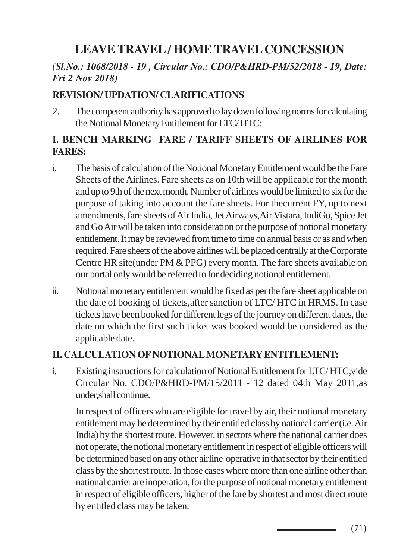# **LEAVE TRAVEL / HOME TRAVEL CONCESSION**

### *(Sl.No.: 1068/2018 - 19 , Circular No.: CDO/P&HRD-PM/52/2018 - 19, Date: Fri 2 Nov 2018)*

#### **REVISION/ UPDATION/ CLARIFICATIONS**

2. The competent authority has approved to lay down following norms for calculating the Notional Monetary Entitlement for LTC/ HTC:

### **I. BENCH MARKING FARE / TARIFF SHEETS OF AIRLINES FOR FARES:**

- i. The basis of calculation of the Notional Monetary Entitlement would be the Fare Sheets of the Airlines. Fare sheets as on 10th will be applicable for the month and up to 9th of the next month. Number of airlines would be limited to six for the purpose of taking into account the fare sheets. For thecurrent FY, up to next amendments, fare sheets of Air India, Jet Airways,Air Vistara, IndiGo, Spice Jet and Go Air will be taken into consideration or the purpose of notional monetary entitlement. It may be reviewed from time to time on annual basis or as and when required. Fare sheets of the above airlines will be placed centrally at the Corporate Centre HR site(under PM & PPG) every month. The fare sheets available on our portal only would be referred to for deciding notional entitlement.
- ii. Notional monetary entitlement would be fixed as per the fare sheet applicable on the date of booking of tickets,after sanction of LTC/ HTC in HRMS. In case tickets have been booked for different legs of the journey on different dates, the date on which the first such ticket was booked would be considered as the applicable date.

#### **II. CALCULATION OF NOTIONAL MONETARY ENTITLEMENT:**

i. Existing instructions for calculation of Notional Entitlement for LTC/ HTC,vide Circular No. CDO/P&HRD-PM/15/2011 - 12 dated 04th May 2011,as under,shall continue.

In respect of officers who are eligible for travel by air, their notional monetary entitlement may be determined by their entitled class by national carrier (i.e. Air India) by the shortest route. However, in sectors where the national carrier does not operate, the notional monetary entitlement in respect of eligible officers will be determined based on any other airline operative in that sector by their entitled class by the shortest route. In those cases where more than one airline other than national carrier are inoperation, for the purpose of notional monetary entitlement in respect of eligible officers, higher of the fare by shortest and most direct route by entitled class may be taken.

(71)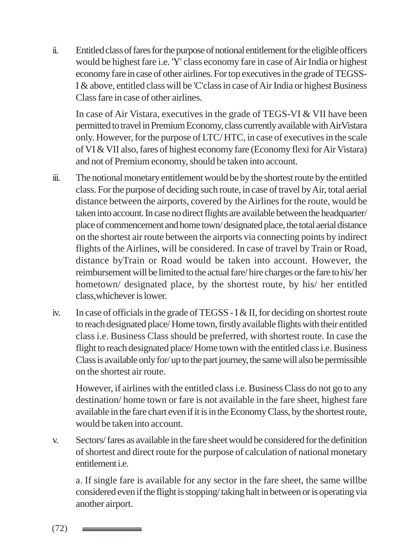ii. Entitled class of fares for the purpose of notional entitlement for the eligible officers would be highest fare i.e. 'Y' class economy fare in case of Air India or highest economy fare in case of other airlines. For top executives in the grade of TEGSS-I & above, entitled class will be 'C'class in case of Air India or highest Business Class fare in case of other airlines.

In case of Air Vistara, executives in the grade of TEGS-VI & VII have been permitted to travel in Premium Economy, class currently available with AirVistara only. However, for the purpose of LTC/ HTC, in case of executives in the scale of VI & VII also, fares of highest economy fare (Economy flexi for Air Vistara) and not of Premium economy, should be taken into account.

- iii. The notional monetary entitlement would be by the shortest route by the entitled class. For the purpose of deciding such route, in case of travel by Air, total aerial distance between the airports, covered by the Airlines for the route, would be taken into account. In case no direct flights are available between the headquarter/ place of commencement and home town/ designated place, the total aerial distance on the shortest air route between the airports via connecting points by indirect flights of the Airlines, will be considered. In case of travel by Train or Road, distance byTrain or Road would be taken into account. However, the reimbursement will be limited to the actual fare/ hire charges or the fare to his/ her hometown/ designated place, by the shortest route, by his/ her entitled class,whichever is lower.
- iv. In case of officials in the grade of TEGSS I & II, for deciding on shortest route to reach designated place/ Home town, firstly available flights with their entitled class i.e. Business Class should be preferred, with shortest route. In case the flight to reach designated place/ Home town with the entitled class i.e. Business Class is available only for/ up to the part journey, the same will also be permissible on the shortest air route.

However, if airlines with the entitled class i.e. Business Class do not go to any destination/ home town or fare is not available in the fare sheet, highest fare available in the fare chart even if it is in the Economy Class, by the shortest route, would be taken into account.

v. Sectors/ fares as available in the fare sheet would be considered for the definition of shortest and direct route for the purpose of calculation of national monetary entitlement i.e.

a. If single fare is available for any sector in the fare sheet, the same willbe considered even if the flight is stopping/ taking halt in between or is operating via another airport.

(72)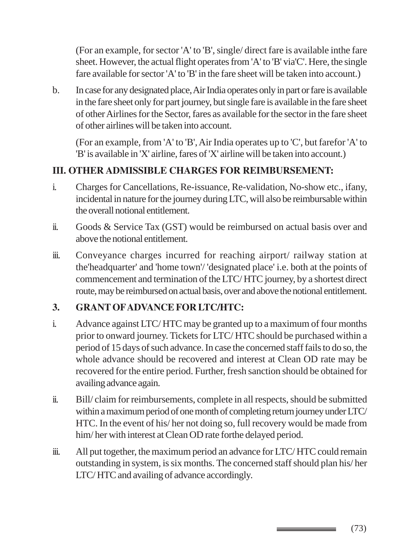(For an example, for sector 'A' to 'B', single/ direct fare is available inthe fare sheet. However, the actual flight operates from 'A' to 'B' via'C'. Here, the single fare available for sector 'A' to 'B' in the fare sheet will be taken into account.)

b. In case for any designated place, Air India operates only in part or fare is available in the fare sheet only for part journey, but single fare is available in the fare sheet of other Airlines for the Sector, fares as available for the sector in the fare sheet of other airlines will be taken into account.

(For an example, from 'A' to 'B', Air India operates up to 'C', but farefor 'A' to 'B' is available in 'X' airline, fares of 'X' airline will be taken into account.)

## **III. OTHER ADMISSIBLE CHARGES FOR REIMBURSEMENT:**

- i. Charges for Cancellations, Re-issuance, Re-validation, No-show etc., ifany, incidental in nature for the journey during LTC, will also be reimbursable within the overall notional entitlement.
- ii. Goods & Service Tax (GST) would be reimbursed on actual basis over and above the notional entitlement.
- iii. Conveyance charges incurred for reaching airport/ railway station at the'headquarter' and 'home town'/ 'designated place' i.e. both at the points of commencement and termination of the LTC/ HTC journey, by a shortest direct route, may be reimbursed on actual basis, over and above the notional entitlement.

## **3. GRANT OF ADVANCE FOR LTC/HTC:**

- i. Advance against LTC/ HTC may be granted up to a maximum of four months prior to onward journey. Tickets for LTC/ HTC should be purchased within a period of 15 days of such advance. In case the concerned staff fails to do so, the whole advance should be recovered and interest at Clean OD rate may be recovered for the entire period. Further, fresh sanction should be obtained for availing advance again.
- ii. Bill/ claim for reimbursements, complete in all respects, should be submitted within a maximum period of one month of completing return journey under LTC/ HTC. In the event of his/ her not doing so, full recovery would be made from him/her with interest at Clean OD rate forthe delayed period.
- iii. All put together, the maximum period an advance for LTC/ HTC could remain outstanding in system, is six months. The concerned staff should plan his/ her LTC/ HTC and availing of advance accordingly.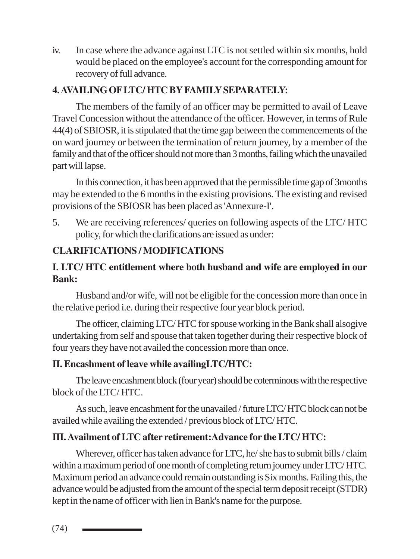iv. In case where the advance against LTC is not settled within six months, hold would be placed on the employee's account for the corresponding amount for recovery of full advance.

## **4. AVAILING OF LTC/ HTC BY FAMILY SEPARATELY:**

The members of the family of an officer may be permitted to avail of Leave Travel Concession without the attendance of the officer. However, in terms of Rule 44(4) of SBIOSR, it is stipulated that the time gap between the commencements of the on ward journey or between the termination of return journey, by a member of the family and that of the officer should not more than 3 months, failing which the unavailed part will lapse.

In this connection, it has been approved that the permissible time gap of 3months may be extended to the 6 months in the existing provisions. The existing and revised provisions of the SBIOSR has been placed as 'Annexure-I'.

5. We are receiving references/ queries on following aspects of the LTC/ HTC policy, for which the clarifications are issued as under:

## **CLARIFICATIONS / MODIFICATIONS**

## **I. LTC/ HTC entitlement where both husband and wife are employed in our Bank:**

Husband and/or wife, will not be eligible for the concession more than once in the relative period i.e. during their respective four year block period.

The officer, claiming LTC/ HTC for spouse working in the Bank shall alsogive undertaking from self and spouse that taken together during their respective block of four years they have not availed the concession more than once.

### **II. Encashment of leave while availingLTC/HTC:**

The leave encashment block (four year) should be coterminous with the respective block of the LTC/ HTC.

As such, leave encashment for the unavailed / future LTC/ HTC block can not be availed while availing the extended / previous block of LTC/ HTC.

## **III. Availment of LTC after retirement:Advance for the LTC/ HTC:**

Wherever, officer has taken advance for LTC, he/ she has to submit bills / claim within a maximum period of one month of completing return journey under LTC/ HTC. Maximum period an advance could remain outstanding is Six months. Failing this, the advance would be adjusted from the amount of the special term deposit receipt (STDR) kept in the name of officer with lien in Bank's name for the purpose.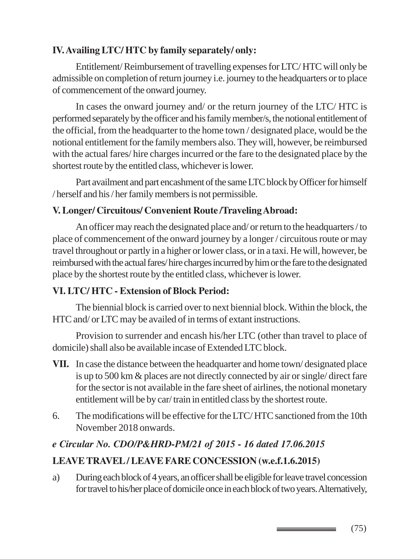## **IV. Availing LTC/ HTC by family separately/ only:**

Entitlement/ Reimbursement of travelling expenses for LTC/ HTC will only be admissible on completion of return journey i.e. journey to the headquarters or to place of commencement of the onward journey.

In cases the onward journey and/ or the return journey of the LTC/ HTC is performed separately by the officer and his family member/s, the notional entitlement of the official, from the headquarter to the home town / designated place, would be the notional entitlement for the family members also. They will, however, be reimbursed with the actual fares/ hire charges incurred or the fare to the designated place by the shortest route by the entitled class, whichever is lower.

Part availment and part encashment of the same LTC block by Officer for himself / herself and his / her family members is not permissible.

## **V. Longer/ Circuitous/ Convenient Route /Traveling Abroad:**

An officer may reach the designated place and/ or return to the headquarters / to place of commencement of the onward journey by a longer / circuitous route or may travel throughout or partly in a higher or lower class, or in a taxi. He will, however, be reimbursed with the actual fares/ hire charges incurred by him or the fare to the designated place by the shortest route by the entitled class, whichever is lower.

## **VI. LTC/ HTC - Extension of Block Period:**

The biennial block is carried over to next biennial block. Within the block, the HTC and/ or LTC may be availed of in terms of extant instructions.

Provision to surrender and encash his/her LTC (other than travel to place of domicile) shall also be available incase of Extended LTC block.

- **VII.** In case the distance between the headquarter and home town/ designated place is up to 500 km & places are not directly connected by air or single/ direct fare for the sector is not available in the fare sheet of airlines, the notional monetary entitlement will be by car/ train in entitled class by the shortest route.
- 6. The modifications will be effective for the LTC/ HTC sanctioned from the 10th November 2018 onwards.

## *e Circular No. CDO/P&HRD-PM/21 of 2015 - 16 dated 17.06.2015*

## **LEAVE TRAVEL / LEAVE FARE CONCESSION (w.e.f.1.6.2015)**

a) During each block of 4 years, an officer shall be eligible for leave travel concession for travel to his/her place of domicile once in each block of two years. Alternatively,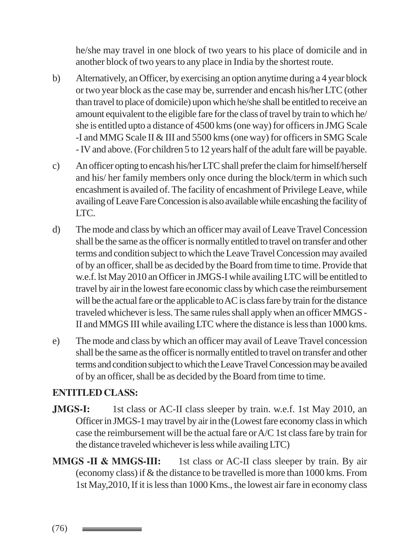he/she may travel in one block of two years to his place of domicile and in another block of two years to any place in India by the shortest route.

- b) Alternatively, an Officer, by exercising an option anytime during a 4 year block or two year block as the case may be, surrender and encash his/her LTC (other than travel to place of domicile) upon which he/she shall be entitled to receive an amount equivalent to the eligible fare for the class of travel by train to which he/ she is entitled upto a distance of 4500 kms (one way) for officers in JMG Scale -I and MMG Scale II & III and 5500 kms (one way) for officers in SMG Scale - IV and above. (For children 5 to 12 years half of the adult fare will be payable.
- c) An officer opting to encash his/her LTC shall prefer the claim for himself/herself and his/ her family members only once during the block/term in which such encashment is availed of. The facility of encashment of Privilege Leave, while availing of Leave Fare Concession is also available while encashing the facility of LTC.
- d) The mode and class by which an officer may avail of Leave Travel Concession shall be the same as the officer is normally entitled to travel on transfer and other terms and condition subject to which the Leave Travel Concession may availed of by an officer, shall be as decided by the Board from time to time. Provide that w.e.f. lst May 2010 an Officer in JMGS-I while availing LTC will be entitled to travel by air in the lowest fare economic class by which case the reimbursement will be the actual fare or the applicable to AC is class fare by train for the distance traveled whichever is less. The same rules shall apply when an officer MMGS - II and MMGS III while availing LTC where the distance is less than 1000 kms.
- e) The mode and class by which an officer may avail of Leave Travel concession shall be the same as the officer is normally entitled to travel on transfer and other terms and condition subject to which the Leave Travel Concession may be availed of by an officer, shall be as decided by the Board from time to time.

### **ENTITLED CLASS:**

- **JMGS-I:** 1st class or AC-II class sleeper by train. w.e.f. 1st May 2010, an Officer in JMGS-1 may travel by air in the (Lowest fare economy class in which case the reimbursement will be the actual fare or A/C 1st class fare by train for the distance traveled whichever is less while availing LTC)
- **MMGS -II & MMGS-III:** 1st class or AC-II class sleeper by train. By air (economy class) if & the distance to be travelled is more than 1000 kms. From 1st May,2010, If it is less than 1000 Kms., the lowest air fare in economy class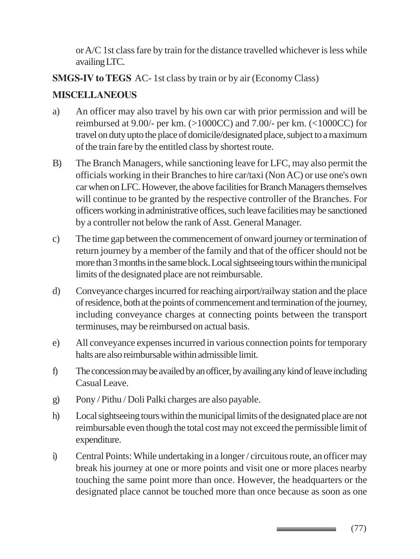or A/C 1st class fare by train for the distance travelled whichever is less while availing LTC.

**SMGS-IV to TEGS** AC- 1st class by train or by air (Economy Class)

## **MISCELLANEOUS**

- a) An officer may also travel by his own car with prior permission and will be reimbursed at 9.00/- per km. (>1000CC) and 7.00/- per km. (<1000CC) for travel on duty upto the place of domicile/designated place, subject to a maximum of the train fare by the entitled class by shortest route.
- B) The Branch Managers, while sanctioning leave for LFC, may also permit the officials working in their Branches to hire car/taxi (Non AC) or use one's own car when on LFC. However, the above facilities for Branch Managers themselves will continue to be granted by the respective controller of the Branches. For officers working in administrative offices, such leave facilities may be sanctioned by a controller not below the rank of Asst. General Manager.
- c) The time gap between the commencement of onward journey or termination of return journey by a member of the family and that of the officer should not be more than 3 months in the same block. Local sightseeing tours within the municipal limits of the designated place are not reimbursable.
- d) Conveyance charges incurred for reaching airport/railway station and the place of residence, both at the points of commencement and termination of the journey, including conveyance charges at connecting points between the transport terminuses, may be reimbursed on actual basis.
- e) All conveyance expenses incurred in various connection points for temporary halts are also reimbursable within admissible limit.
- f) The concession may be availed by an officer, by availing any kind of leave including Casual Leave.
- g) Pony / Pithu / Doli Palki charges are also payable.
- h) Local sightseeing tours within the municipal limits of the designated place are not reimbursable even though the total cost may not exceed the permissible limit of expenditure.
- i) Central Points: While undertaking in a longer / circuitous route, an officer may break his journey at one or more points and visit one or more places nearby touching the same point more than once. However, the headquarters or the designated place cannot be touched more than once because as soon as one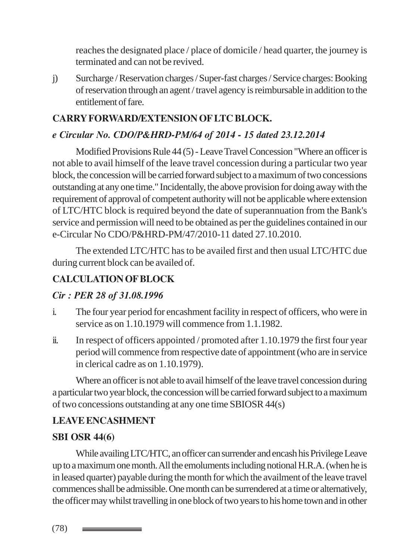reaches the designated place / place of domicile / head quarter, the journey is terminated and can not be revived.

j) Surcharge / Reservation charges / Super-fast charges / Service charges: Booking of reservation through an agent / travel agency is reimbursable in addition to the entitlement of fare.

## **CARRY FORWARD/EXTENSION OF LTC BLOCK.**

## *e Circular No. CDO/P&HRD-PM/64 of 2014 - 15 dated 23.12.2014*

Modified Provisions Rule 44 (5) - Leave Travel Concession "Where an officer is not able to avail himself of the leave travel concession during a particular two year block, the concession will be carried forward subject to a maximum of two concessions outstanding at any one time." Incidentally, the above provision for doing away with the requirement of approval of competent authority will not be applicable where extension of LTC/HTC block is required beyond the date of superannuation from the Bank's service and permission will need to be obtained as per the guidelines contained in our e-Circular No CDO/P&HRD-PM/47/2010-11 dated 27.10.2010.

The extended LTC/HTC has to be availed first and then usual LTC/HTC due during current block can be availed of.

## **CALCULATION OF BLOCK**

## *Cir : PER 28 of 31.08.1996*

- i. The four year period for encashment facility in respect of officers, who were in service as on 1.10.1979 will commence from 1.1.1982.
- ii. In respect of officers appointed / promoted after 1.10.1979 the first four year period will commence from respective date of appointment (who are in service in clerical cadre as on 1.10.1979).

Where an officer is not able to avail himself of the leave travel concession during a particular two year block, the concession will be carried forward subject to a maximum of two concessions outstanding at any one time SBIOSR 44(s)

## **LEAVE ENCASHMENT**

### **SBI OSR 44(6)**

While availing LTC/HTC, an officer can surrender and encash his Privilege Leave up to a maximum one month. All the emoluments including notional H.R.A. (when he is in leased quarter) payable during the month for which the availment of the leave travel commences shall be admissible. One month can be surrendered at a time or alternatively, the officer may whilst travelling in one block of two years to his home town and in other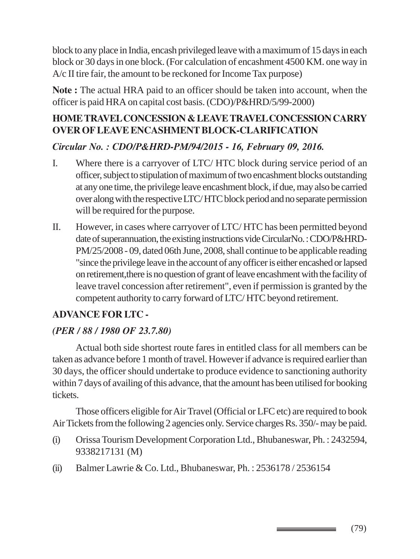block to any place in India, encash privileged leave with a maximum of 15 days in each block or 30 days in one block. (For calculation of encashment 4500 KM. one way in A/c II tire fair, the amount to be reckoned for Income Tax purpose)

**Note :** The actual HRA paid to an officer should be taken into account, when the officer is paid HRA on capital cost basis. (CDO)/P&HRD/5/99-2000)

## **HOME TRAVEL CONCESSION & LEAVE TRAVEL CONCESSION CARRY OVER OF LEAVE ENCASHMENT BLOCK-CLARIFICATION**

## *Circular No. : CDO/P&HRD-PM/94/2015 - 16, February 09, 2016.*

- I. Where there is a carryover of LTC/ HTC block during service period of an officer, subject to stipulation of maximum of two encashment blocks outstanding at any one time, the privilege leave encashment block, if due, may also be carried over along with the respective LTC/ HTC block period and no separate permission will be required for the purpose.
- II. However, in cases where carryover of LTC/ HTC has been permitted beyond date of superannuation, the existing instructions vide CircularNo. : CDO/P&HRD-PM/25/2008 - 09, dated 06th June, 2008, shall continue to be applicable reading "since the privilege leave in the account of any officer is either encashed or lapsed on retirement,there is no question of grant of leave encashment with the facility of leave travel concession after retirement", even if permission is granted by the competent authority to carry forward of LTC/ HTC beyond retirement.

### **ADVANCE FOR LTC -**

### *(PER / 88 / 1980 OF 23.7.80)*

Actual both side shortest route fares in entitled class for all members can be taken as advance before 1 month of travel. However if advance is required earlier than 30 days, the officer should undertake to produce evidence to sanctioning authority within 7 days of availing of this advance, that the amount has been utilised for booking tickets.

Those officers eligible for Air Travel (Official or LFC etc) are required to book Air Tickets from the following 2 agencies only. Service charges Rs. 350/- may be paid.

- (i) Orissa Tourism Development Corporation Ltd., Bhubaneswar, Ph. : 2432594, 9338217131 (M)
- (ii) Balmer Lawrie & Co. Ltd., Bhubaneswar, Ph. : 2536178 / 2536154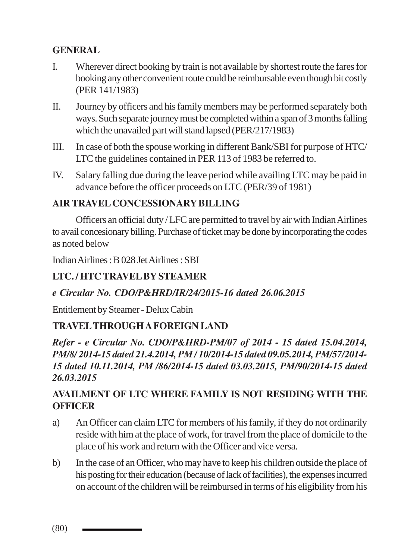## **GENERAL**

- I. Wherever direct booking by train is not available by shortest route the fares for booking any other convenient route could be reimbursable even though bit costly (PER 141/1983)
- II. Journey by officers and his family members may be performed separately both ways. Such separate journey must be completed within a span of 3 months falling which the unavailed part will stand lapsed (PER/217/1983)
- III. In case of both the spouse working in different Bank/SBI for purpose of HTC/ LTC the guidelines contained in PER 113 of 1983 be referred to.
- IV. Salary falling due during the leave period while availing LTC may be paid in advance before the officer proceeds on LTC (PER/39 of 1981)

## **AIR TRAVEL CONCESSIONARY BILLING**

Officers an official duty / LFC are permitted to travel by air with Indian Airlines to avail concesionary billing. Purchase of ticket may be done by incorporating the codes as noted below

Indian Airlines : B 028 Jet Airlines : SBI

## **LTC. / HTC TRAVEL BY STEAMER**

### *e Circular No. CDO/P&HRD/IR/24/2015-16 dated 26.06.2015*

Entitlement by Steamer - Delux Cabin

## **TRAVEL THROUGH A FOREIGN LAND**

*Refer - e Circular No. CDO/P&HRD-PM/07 of 2014 - 15 dated 15.04.2014, PM/8/ 2014-15 dated 21.4.2014, PM / 10/2014-15 dated 09.05.2014, PM/57/2014- 15 dated 10.11.2014, PM /86/2014-15 dated 03.03.2015, PM/90/2014-15 dated 26.03.2015*

## **AVAILMENT OF LTC WHERE FAMILY IS NOT RESIDING WITH THE OFFICER**

- a) An Officer can claim LTC for members of his family, if they do not ordinarily reside with him at the place of work, for travel from the place of domicile to the place of his work and return with the Officer and vice versa.
- b) In the case of an Officer, who may have to keep his children outside the place of his posting for their education (because of lack of facilities), the expenses incurred on account of the children will be reimbursed in terms of his eligibility from his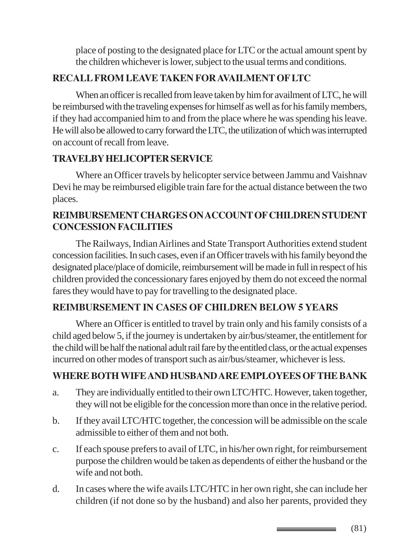place of posting to the designated place for LTC or the actual amount spent by the children whichever is lower, subject to the usual terms and conditions.

## **RECALL FROM LEAVE TAKEN FOR AVAILMENT OF LTC**

When an officer is recalled from leave taken by him for availment of LTC, he will be reimbursed with the traveling expenses for himself as well as for his family members, if they had accompanied him to and from the place where he was spending his leave. He will also be allowed to carry forward the LTC, the utilization of which was interrupted on account of recall from leave.

## **TRAVELBY HELICOPTER SERVICE**

Where an Officer travels by helicopter service between Jammu and Vaishnav Devi he may be reimbursed eligible train fare for the actual distance between the two places.

## **REIMBURSEMENT CHARGES ON ACCOUNT OF CHILDREN STUDENT CONCESSION FACILITIES**

The Railways, Indian Airlines and State Transport Authorities extend student concession facilities. In such cases, even if an Officer travels with his family beyond the designated place/place of domicile, reimbursement will be made in full in respect of his children provided the concessionary fares enjoyed by them do not exceed the normal fares they would have to pay for travelling to the designated place.

### **REIMBURSEMENT IN CASES OF CHILDREN BELOW 5 YEARS**

Where an Officer is entitled to travel by train only and his family consists of a child aged below 5, if the journey is undertaken by air/bus/steamer, the entitlement for the child will be half the national adult rail fare by the entitled class, or the actual expenses incurred on other modes of transport such as air/bus/steamer, whichever is less.

## **WHERE BOTH WIFE AND HUSBAND ARE EMPLOYEES OF THE BANK**

- a. They are individually entitled to their own LTC/HTC. However, taken together, they will not be eligible for the concession more than once in the relative period.
- b. If they avail LTC/HTC together, the concession will be admissible on the scale admissible to either of them and not both.
- c. If each spouse prefers to avail of LTC, in his/her own right, for reimbursement purpose the children would be taken as dependents of either the husband or the wife and not both.
- d. In cases where the wife avails LTC/HTC in her own right, she can include her children (if not done so by the husband) and also her parents, provided they

(81)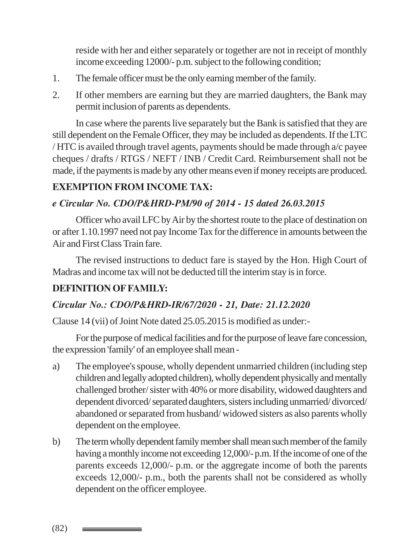reside with her and either separately or together are not in receipt of monthly income exceeding 12000/- p.m. subject to the following condition;

- 1. The female officer must be the only earning member of the family.
- 2. If other members are earning but they are married daughters, the Bank may permit inclusion of parents as dependents.

In case where the parents live separately but the Bank is satisfied that they are still dependent on the Female Officer, they may be included as dependents. If the LTC / HTC is availed through travel agents, payments should be made through  $a/c$  payee cheques / drafts / RTGS / NEFT / INB / Credit Card. Reimbursement shall not be made, if the payments is made by any other means even if money receipts are produced.

## **EXEMPTION FROM INCOME TAX:**

#### *e Circular No. CDO/P&HRD-PM/90 of 2014 - 15 dated 26.03.2015*

Officer who avail LFC by Air by the shortest route to the place of destination on or after 1.10.1997 need not pay Income Tax for the difference in amounts between the Air and First Class Train fare.

The revised instructions to deduct fare is stayed by the Hon. High Court of Madras and income tax will not be deducted till the interim stay is in force.

### **DEFINITION OF FAMILY:**

#### *Circular No.: CDO/P&HRD-IR/67/2020 - 21, Date: 21.12.2020*

Clause 14 (vii) of Joint Note dated 25.05.2015 is modified as under:-

For the purpose of medical facilities and for the purpose of leave fare concession, the expression 'family' of an employee shall mean -

- a) The employee's spouse, wholly dependent unmarried children (including step children and legally adopted children), wholly dependent physically and mentally challenged brother/ sister with 40% or more disability, widowed daughters and dependent divorced/ separated daughters, sisters including unmarried/ divorced/ abandoned or separated from husband/ widowed sisters as also parents wholly dependent on the employee.
- b) The term wholly dependent family member shall mean such member of the family having a monthly income not exceeding 12,000/- p.m. If the income of one of the parents exceeds 12,000/- p.m. or the aggregate income of both the parents exceeds 12,000/- p.m., both the parents shall not be considered as wholly dependent on the officer employee.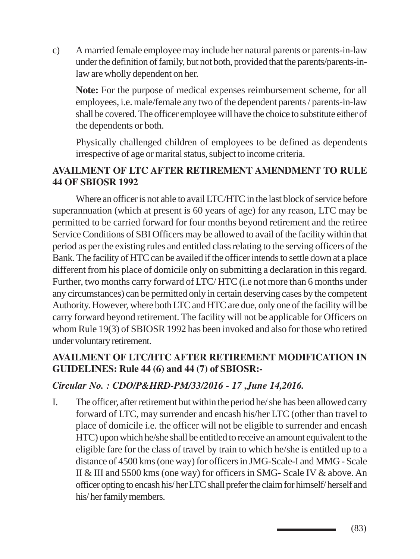c) A married female employee may include her natural parents or parents-in-law under the definition of family, but not both, provided that the parents/parents-inlaw are wholly dependent on her.

**Note:** For the purpose of medical expenses reimbursement scheme, for all employees, i.e. male/female any two of the dependent parents / parents-in-law shall be covered. The officer employee will have the choice to substitute either of the dependents or both.

Physically challenged children of employees to be defined as dependents irrespective of age or marital status, subject to income criteria.

## **AVAILMENT OF LTC AFTER RETIREMENT AMENDMENT TO RULE 44 OF SBIOSR 1992**

Where an officer is not able to avail LTC/HTC in the last block of service before superannuation (which at present is 60 years of age) for any reason, LTC may be permitted to be carried forward for four months beyond retirement and the retiree Service Conditions of SBI Officers may be allowed to avail of the facility within that period as per the existing rules and entitled class relating to the serving officers of the Bank. The facility of HTC can be availed if the officer intends to settle down at a place different from his place of domicile only on submitting a declaration in this regard. Further, two months carry forward of LTC/ HTC (i.e not more than 6 months under any circumstances) can be permitted only in certain deserving cases by the competent Authority. However, where both LTC and HTC are due, only one of the facility will be carry forward beyond retirement. The facility will not be applicable for Officers on whom Rule 19(3) of SBIOSR 1992 has been invoked and also for those who retired under voluntary retirement.

## **AVAILMENT OF LTC/HTC AFTER RETIREMENT MODIFICATION IN GUIDELINES: Rule 44 (6) and 44 (7) of SBIOSR:-**

### *Circular No. : CDO/P&HRD-PM/33/2016 - 17 ,June 14,2016.*

I. The officer, after retirement but within the period he/ she has been allowed carry forward of LTC, may surrender and encash his/her LTC (other than travel to place of domicile i.e. the officer will not be eligible to surrender and encash HTC) upon which he/she shall be entitled to receive an amount equivalent to the eligible fare for the class of travel by train to which he/she is entitled up to a distance of 4500 kms (one way) for officers in JMG-Scale-I and MMG - Scale II & III and 5500 kms (one way) for officers in SMG- Scale IV & above. An officer opting to encash his/ her LTC shall prefer the claim for himself/ herself and his/ her family members.

(83)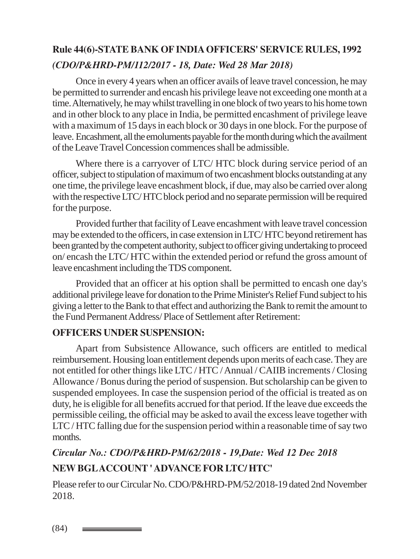# **Rule 44(6)-STATE BANK OF INDIA OFFICERS' SERVICE RULES, 1992** *(CDO/P&HRD-PM/112/2017 - 18, Date: Wed 28 Mar 2018)*

Once in every 4 years when an officer avails of leave travel concession, he may be permitted to surrender and encash his privilege leave not exceeding one month at a time. Alternatively, he may whilst travelling in one block of two years to his home town and in other block to any place in India, be permitted encashment of privilege leave with a maximum of 15 days in each block or 30 days in one block. For the purpose of leave. Encashment, all the emoluments payable for the month during which the availment of the Leave Travel Concession commences shall be admissible.

Where there is a carryover of LTC/ HTC block during service period of an officer, subject to stipulation of maximum of two encashment blocks outstanding at any one time, the privilege leave encashment block, if due, may also be carried over along with the respective LTC/ HTC block period and no separate permission will be required for the purpose.

Provided further that facility of Leave encashment with leave travel concession may be extended to the officers, in case extension in LTC/ HTC beyond retirement has been granted by the competent authority, subject to officer giving undertaking to proceed on/ encash the LTC/ HTC within the extended period or refund the gross amount of leave encashment including the TDS component.

Provided that an officer at his option shall be permitted to encash one day's additional privilege leave for donation to the Prime Minister's Relief Fund subject to his giving a letter to the Bank to that effect and authorizing the Bank to remit the amount to the Fund Permanent Address/ Place of Settlement after Retirement:

#### **OFFICERS UNDER SUSPENSION:**

Apart from Subsistence Allowance, such officers are entitled to medical reimbursement. Housing loan entitlement depends upon merits of each case. They are not entitled for other things like LTC / HTC / Annual / CAIIB increments / Closing Allowance / Bonus during the period of suspension. But scholarship can be given to suspended employees. In case the suspension period of the official is treated as on duty, he is eligible for all benefits accrued for that period. If the leave due exceeds the permissible ceiling, the official may be asked to avail the excess leave together with LTC / HTC falling due for the suspension period within a reasonable time of say two months.

# *Circular No.: CDO/P&HRD-PM/62/2018 - 19,Date: Wed 12 Dec 2018* **NEW BGL ACCOUNT ' ADVANCE FOR LTC/ HTC'**

Please refer to our Circular No. CDO/P&HRD-PM/52/2018-19 dated 2nd November 2018.

(84)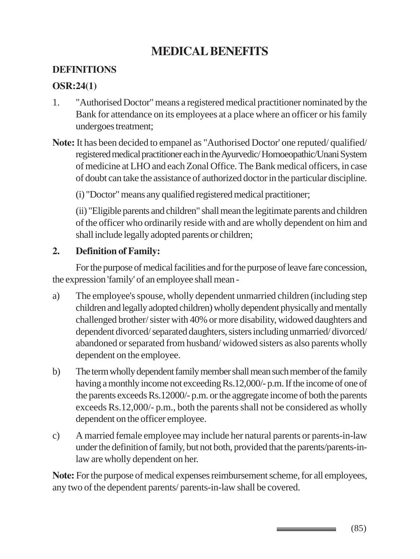# **MEDICAL BENEFITS**

## **DEFINITIONS**

### **OSR:24(1)**

- 1. "Authorised Doctor" means a registered medical practitioner nominated by the Bank for attendance on its employees at a place where an officer or his family undergoes treatment;
- **Note:** It has been decided to empanel as "Authorised Doctor' one reputed/ qualified/ registered medical practitioner each in the Ayurvedic/ Homoeopathic/Unani System of medicine at LHO and each Zonal Office. The Bank medical officers, in case of doubt can take the assistance of authorized doctor in the particular discipline.

(i) "Doctor" means any qualified registered medical practitioner;

(ii) "Eligible parents and children" shall mean the legitimate parents and children of the officer who ordinarily reside with and are wholly dependent on him and shall include legally adopted parents or children;

### **2. Definition of Family:**

For the purpose of medical facilities and for the purpose of leave fare concession, the expression 'family' of an employee shall mean -

- a) The employee's spouse, wholly dependent unmarried children (including step children and legally adopted children) wholly dependent physically and mentally challenged brother/ sister with 40% or more disability, widowed daughters and dependent divorced/ separated daughters, sisters including unmarried/ divorced/ abandoned or separated from husband/ widowed sisters as also parents wholly dependent on the employee.
- b) The term wholly dependent family member shall mean such member of the family having a monthly income not exceeding Rs.12,000/- p.m. If the income of one of the parents exceeds Rs.12000/- p.m. or the aggregate income of both the parents exceeds Rs.12,000/- p.m., both the parents shall not be considered as wholly dependent on the officer employee.
- c) A married female employee may include her natural parents or parents-in-law under the definition of family, but not both, provided that the parents/parents-inlaw are wholly dependent on her.

**Note:** For the purpose of medical expenses reimbursement scheme, for all employees, any two of the dependent parents/ parents-in-law shall be covered.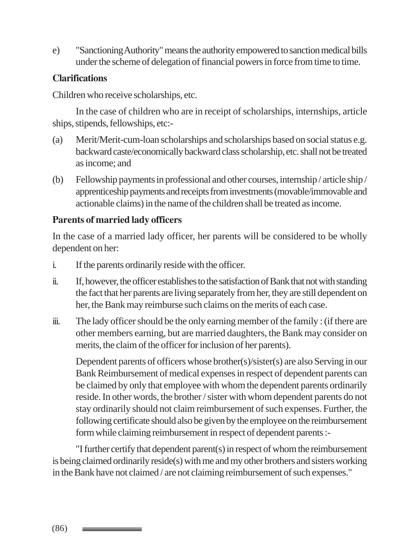e) "Sanctioning Authority" means the authority empowered to sanction medical bills under the scheme of delegation of financial powers in force from time to time.

## **Clarifications**

Children who receive scholarships, etc.

In the case of children who are in receipt of scholarships, internships, article ships, stipends, fellowships, etc:-

- (a) Merit/Merit-cum-loan scholarships and scholarships based on social status e.g. backward caste/economically backward class scholarship, etc. shall not be treated as income; and
- (b) Fellowship payments in professional and other courses, internship / article ship / apprenticeship payments and receipts from investments (movable/immovable and actionable claims) in the name of the children shall be treated as income.

## **Parents of married lady officers**

In the case of a married lady officer, her parents will be considered to be wholly dependent on her:

- i. If the parents ordinarily reside with the officer.
- ii. If, however, the officer establishes to the satisfaction of Bank that not with standing the fact that her parents are living separately from her, they are still dependent on her, the Bank may reimburse such claims on the merits of each case.
- iii. The lady officer should be the only earning member of the family : (if there are other members earning, but are married daughters, the Bank may consider on merits, the claim of the officer for inclusion of her parents).

Dependent parents of officers whose brother(s)/sister(s) are also Serving in our Bank Reimbursement of medical expenses in respect of dependent parents can be claimed by only that employee with whom the dependent parents ordinarily reside. In other words, the brother / sister with whom dependent parents do not stay ordinarily should not claim reimbursement of such expenses. Further, the following certificate should also be given by the employee on the reimbursement form while claiming reimbursement in respect of dependent parents :-

"I further certify that dependent parent(s) in respect of whom the reimbursement is being claimed ordinarily reside(s) with me and my other brothers and sisters working in the Bank have not claimed / are not claiming reimbursement of such expenses."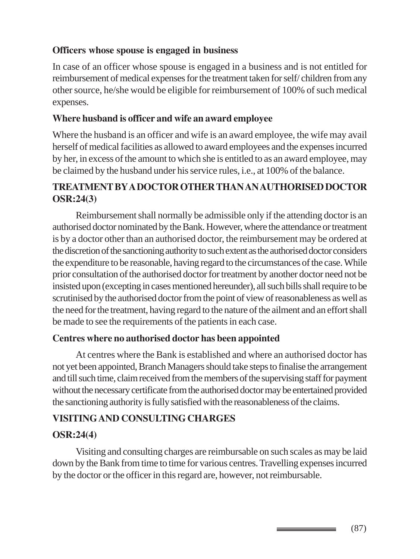### **Officers whose spouse is engaged in business**

In case of an officer whose spouse is engaged in a business and is not entitled for reimbursement of medical expenses for the treatment taken for self/ children from any other source, he/she would be eligible for reimbursement of 100% of such medical expenses.

#### **Where husband is officer and wife an award employee**

Where the husband is an officer and wife is an award employee, the wife may avail herself of medical facilities as allowed to award employees and the expenses incurred by her, in excess of the amount to which she is entitled to as an award employee, may be claimed by the husband under his service rules, i.e., at 100% of the balance.

## **TREATMENT BY A DOCTOR OTHER THAN AN AUTHORISED DOCTOR OSR:24(3)**

Reimbursement shall normally be admissible only if the attending doctor is an authorised doctor nominated by the Bank. However, where the attendance or treatment is by a doctor other than an authorised doctor, the reimbursement may be ordered at the discretion of the sanctioning authority to such extent as the authorised doctor considers the expenditure to be reasonable, having regard to the circumstances of the case. While prior consultation of the authorised doctor for treatment by another doctor need not be insisted upon (excepting in cases mentioned hereunder), all such bills shall require to be scrutinised by the authorised doctor from the point of view of reasonableness as well as the need for the treatment, having regard to the nature of the ailment and an effort shall be made to see the requirements of the patients in each case.

#### **Centres where no authorised doctor has been appointed**

At centres where the Bank is established and where an authorised doctor has not yet been appointed, Branch Managers should take steps to finalise the arrangement and till such time, claim received from the members of the supervising staff for payment without the necessary certificate from the authorised doctor may be entertained provided the sanctioning authority is fully satisfied with the reasonableness of the claims.

### **VISITING AND CONSULTING CHARGES**

### **OSR:24(4)**

Visiting and consulting charges are reimbursable on such scales as may be laid down by the Bank from time to time for various centres. Travelling expenses incurred by the doctor or the officer in this regard are, however, not reimbursable.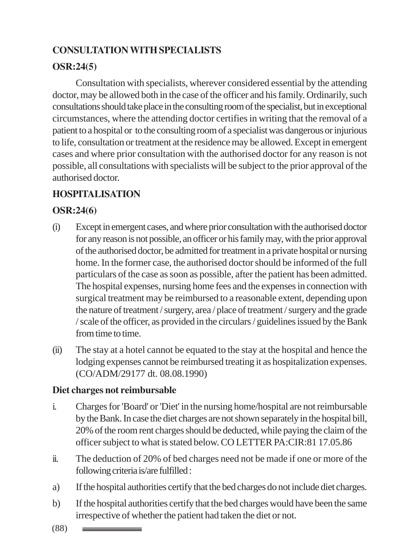## **CONSULTATION WITH SPECIALISTS**

## **OSR:24(5)**

Consultation with specialists, wherever considered essential by the attending doctor, may be allowed both in the case of the officer and his family. Ordinarily, such consultations should take place in the consulting room of the specialist, but in exceptional circumstances, where the attending doctor certifies in writing that the removal of a patient to a hospital or to the consulting room of a specialist was dangerous or injurious to life, consultation or treatment at the residence may be allowed. Except in emergent cases and where prior consultation with the authorised doctor for any reason is not possible, all consultations with specialists will be subject to the prior approval of the authorised doctor.

## **HOSPITALISATION**

## **OSR:24(6)**

- (i) Except in emergent cases, and where prior consultation with the authorised doctor for any reason is not possible, an officer or his family may, with the prior approval of the authorised doctor, be admitted for treatment in a private hospital or nursing home. In the former case, the authorised doctor should be informed of the full particulars of the case as soon as possible, after the patient has been admitted. The hospital expenses, nursing home fees and the expenses in connection with surgical treatment may be reimbursed to a reasonable extent, depending upon the nature of treatment / surgery, area / place of treatment / surgery and the grade / scale of the officer, as provided in the circulars / guidelines issued by the Bank from time to time.
- (ii) The stay at a hotel cannot be equated to the stay at the hospital and hence the lodging expenses cannot be reimbursed treating it as hospitalization expenses. (CO/ADM/29177 dt. 08.08.1990)

## **Diet charges not reimbursable**

- i. Charges for 'Board' or 'Diet' in the nursing home/hospital are not reimbursable by the Bank. In case the diet charges are not shown separately in the hospital bill, 20% of the room rent charges should be deducted, while paying the claim of the officer subject to what is stated below. CO LETTER PA:CIR:81 17.05.86
- ii. The deduction of 20% of bed charges need not be made if one or more of the following criteria is/are fulfilled :
- a) If the hospital authorities certify that the bed charges do not include diet charges.
- b) If the hospital authorities certify that the bed charges would have been the same irrespective of whether the patient had taken the diet or not.
- (88)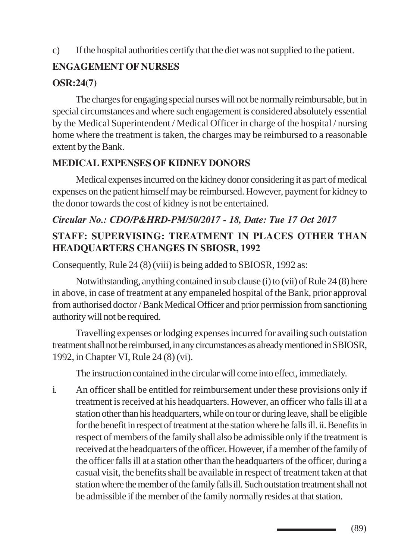## c) If the hospital authorities certify that the diet was not supplied to the patient.

## **ENGAGEMENT OF NURSES**

## **OSR:24(7)**

The charges for engaging special nurses will not be normally reimbursable, but in special circumstances and where such engagement is considered absolutely essential by the Medical Superintendent / Medical Officer in charge of the hospital / nursing home where the treatment is taken, the charges may be reimbursed to a reasonable extent by the Bank.

## **MEDICAL EXPENSES OF KIDNEY DONORS**

Medical expenses incurred on the kidney donor considering it as part of medical expenses on the patient himself may be reimbursed. However, payment for kidney to the donor towards the cost of kidney is not be entertained.

## *Circular No.: CDO/P&HRD-PM/50/2017 - 18, Date: Tue 17 Oct 2017*

## **STAFF: SUPERVISING: TREATMENT IN PLACES OTHER THAN HEADQUARTERS CHANGES IN SBIOSR, 1992**

Consequently, Rule 24 (8) (viii) is being added to SBIOSR, 1992 as:

Notwithstanding, anything contained in sub clause (i) to (vii) of Rule 24 (8) here in above, in case of treatment at any empaneled hospital of the Bank, prior approval from authorised doctor / Bank Medical Officer and prior permission from sanctioning authority will not be required.

Travelling expenses or lodging expenses incurred for availing such outstation treatment shall not be reimbursed, in any circumstances as already mentioned in SBIOSR, 1992, in Chapter VI, Rule 24 (8) (vi).

The instruction contained in the circular will come into effect, immediately.

i. An officer shall be entitled for reimbursement under these provisions only if treatment is received at his headquarters. However, an officer who falls ill at a station other than his headquarters, while on tour or during leave, shall be eligible for the benefit in respect of treatment at the station where he falls ill. ii. Benefits in respect of members of the family shall also be admissible only if the treatment is received at the headquarters of the officer. However, if a member of the family of the officer falls ill at a station other than the headquarters of the officer, during a casual visit, the benefits shall be available in respect of treatment taken at that station where the member of the family falls ill. Such outstation treatment shall not be admissible if the member of the family normally resides at that station.

(89)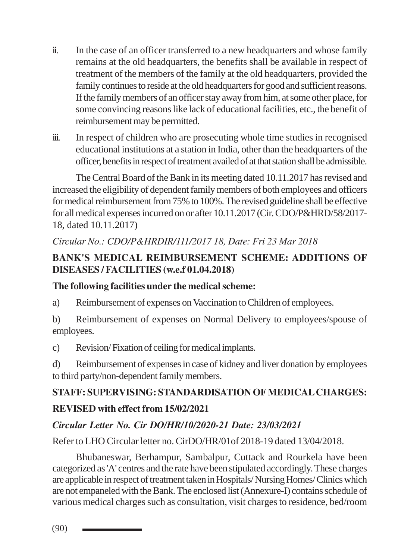- ii. In the case of an officer transferred to a new headquarters and whose family remains at the old headquarters, the benefits shall be available in respect of treatment of the members of the family at the old headquarters, provided the family continues to reside at the old headquarters for good and sufficient reasons. If the family members of an officer stay away from him, at some other place, for some convincing reasons like lack of educational facilities, etc., the benefit of reimbursement may be permitted.
- iii. In respect of children who are prosecuting whole time studies in recognised educational institutions at a station in India, other than the headquarters of the officer, benefits in respect of treatment availed of at that station shall be admissible.

The Central Board of the Bank in its meeting dated 10.11.2017 has revised and increased the eligibility of dependent family members of both employees and officers for medical reimbursement from 75% to 100%. The revised guideline shall be effective for all medical expenses incurred on or after 10.11.2017 (Cir. CDO/P&HRD/58/2017- 18, dated 10.11.2017)

## *Circular No.: CDO/P&HRDIR/111/2017 18, Date: Fri 23 Mar 2018*

## **BANK'S MEDICAL REIMBURSEMENT SCHEME: ADDITIONS OF DISEASES / FACILITIES (w.e.f 01.04.2018)**

### **The following facilities under the medical scheme:**

a) Reimbursement of expenses on Vaccination to Children of employees.

b) Reimbursement of expenses on Normal Delivery to employees/spouse of employees.

c) Revision/ Fixation of ceiling for medical implants.

d) Reimbursement of expenses in case of kidney and liver donation by employees to third party/non-dependent family members.

# **STAFF: SUPERVISING: STANDARDISATION OF MEDICAL CHARGES: REVISED with effect from 15/02/2021**

## *Circular Letter No. Cir DO/HR/10/2020-21 Date: 23/03/2021*

Refer to LHO Circular letter no. CirDO/HR/01of 2018-19 dated 13/04/2018.

Bhubaneswar, Berhampur, Sambalpur, Cuttack and Rourkela have been categorized as 'A' centres and the rate have been stipulated accordingly. These charges are applicable in respect of treatment taken in Hospitals/ Nursing Homes/ Clinics which are not empaneled with the Bank. The enclosed list (Annexure-I) contains schedule of various medical charges such as consultation, visit charges to residence, bed/room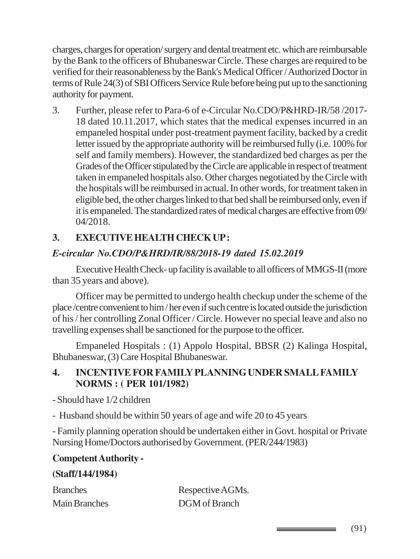charges, charges for operation/ surgery and dental treatment etc. which are reimbursable by the Bank to the officers of Bhubaneswar Circle. These charges are required to be verified for their reasonableness by the Bank's Medical Officer / Authorized Doctor in terms of Rule 24(3) of SBI Officers Service Rule before being put up to the sanctioning authority for payment.

3. Further, please refer to Para-6 of e-Circular No.CDO/P&HRD-IR/58 /2017- 18 dated 10.11.2017, which states that the medical expenses incurred in an empaneled hospital under post-treatment payment facility, backed by a credit letter issued by the appropriate authority will be reimbursed fully (i.e. 100% for self and family members). However, the standardized bed charges as per the Grades of the Officer stipulated by the Circle are applicable in respect of treatment taken in empaneled hospitals also. Other charges negotiated by the Circle with the hospitals will be reimbursed in actual. In other words, for treatment taken in eligible bed, the other charges linked to that bed shall be reimbursed only, even if it is empaneled. The standardized rates of medical charges are effective from 09/ 04/2018.

## **3. EXECUTIVE HEALTH CHECK UP :**

## *E-circular No.CDO/P&HRD/IR/88/2018-19 dated 15.02.2019*

Executive Health Check- up facility is available to all officers of MMGS-II (more than 35 years and above).

Officer may be permitted to undergo health checkup under the scheme of the place /centre convenient to him / her even if such centre is located outside the jurisdiction of his / her controlling Zonal Officer / Circle. However no special leave and also no travelling expenses shall be sanctioned for the purpose to the officer.

Empaneled Hospitals : (1) Appolo Hospital, BBSR (2) Kalinga Hospital, Bhubaneswar, (3) Care Hospital Bhubaneswar.

## **4. INCENTIVE FOR FAMILY PLANNING UNDER SMALL FAMILY NORMS : ( PER 101/1982)**

- Should have 1/2 children

- Husband should be within 50 years of age and wife 20 to 45 years

- Family planning operation should be undertaken either in Govt. hospital or Private Nursing Home/Doctors authorised by Government. (PER/244/1983)

### **Competent Authority -**

#### **(Staff/144/1984)**

| <b>Branches</b>      | Respective AGMs. |
|----------------------|------------------|
| <b>Main Branches</b> | DGM of Branch    |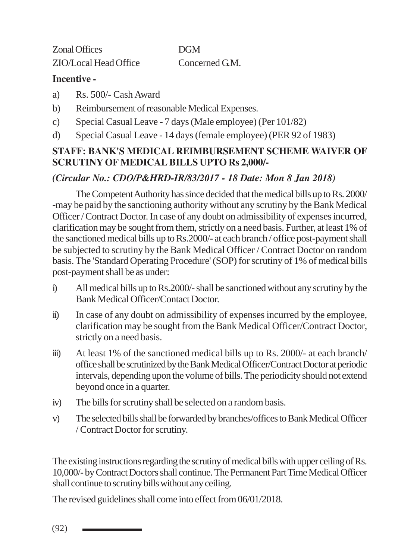Zonal Offices DGM ZIO/Local Head Office Concerned G.M.

#### **Incentive -**

- a) Rs. 500/- Cash Award
- b) Reimbursement of reasonable Medical Expenses.
- c) Special Casual Leave 7 days (Male employee) (Per 101/82)
- d) Special Casual Leave 14 days (female employee) (PER 92 of 1983)

### **STAFF: BANK'S MEDICAL REIMBURSEMENT SCHEME WAIVER OF SCRUTINY OF MEDICAL BILLS UPTO Rs 2,000/-**

## *(Circular No.: CDO/P&HRD-IR/83/2017 - 18 Date: Mon 8 Jan 2018)*

The Competent Authority has since decided that the medical bills up to Rs. 2000/ -may be paid by the sanctioning authority without any scrutiny by the Bank Medical Officer / Contract Doctor. In case of any doubt on admissibility of expenses incurred, clarification may be sought from them, strictly on a need basis. Further, at least 1% of the sanctioned medical bills up to Rs.2000/- at each branch / office post-payment shall be subjected to scrutiny by the Bank Medical Officer / Contract Doctor on random basis. The 'Standard Operating Procedure' (SOP) for scrutiny of 1% of medical bills post-payment shall be as under:

- i) All medical bills up to Rs.2000/- shall be sanctioned without any scrutiny by the Bank Medical Officer/Contact Doctor.
- ii) In case of any doubt on admissibility of expenses incurred by the employee, clarification may be sought from the Bank Medical Officer/Contract Doctor, strictly on a need basis.
- iii) At least 1% of the sanctioned medical bills up to Rs. 2000/- at each branch/ office shall be scrutinized by the Bank Medical Officer/Contract Doctor at periodic intervals, depending upon the volume of bills. The periodicity should not extend beyond once in a quarter.
- iv) The bills for scrutiny shall be selected on a random basis.
- v) The selected bills shall be forwarded by branches/offices to Bank Medical Officer / Contract Doctor for scrutiny.

The existing instructions regarding the scrutiny of medical bills with upper ceiling of Rs. 10,000/- by Contract Doctors shall continue. The Permanent Part Time Medical Officer shall continue to scrutiny bills without any ceiling.

The revised guidelines shall come into effect from 06/01/2018.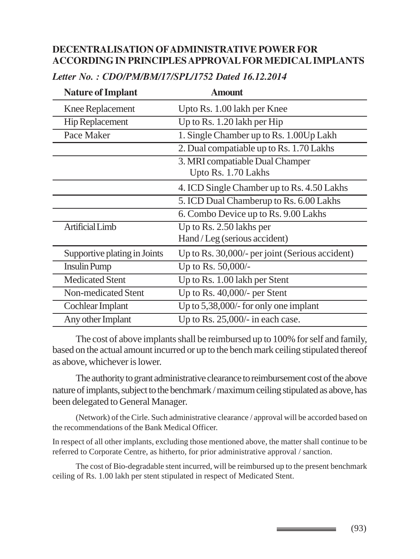#### **DECENTRALISATION OF ADMINISTRATIVE POWER FOR ACCORDING IN PRINCIPLES APPROVAL FOR MEDICAL IMPLANTS**

| <b>Nature of Implant</b>     | <b>Amount</b>                                               |
|------------------------------|-------------------------------------------------------------|
| <b>Knee Replacement</b>      | Upto Rs. 1.00 lakh per Knee                                 |
| <b>Hip Replacement</b>       | Up to Rs. $1.20$ lakh per Hip                               |
| Pace Maker                   | 1. Single Chamber up to Rs. 1.00Up Lakh                     |
|                              | 2. Dual compatiable up to Rs. 1.70 Lakhs                    |
|                              | 3. MRI compatiable Dual Champer<br>Upto Rs. 1.70 Lakhs      |
|                              | 4. ICD Single Chamber up to Rs. 4.50 Lakhs                  |
|                              | 5. ICD Dual Chamberup to Rs. 6.00 Lakhs                     |
|                              | 6. Combo Device up to Rs. 9.00 Lakhs                        |
| <b>Artificial Limb</b>       | Up to Rs. $2.50$ lakhs per<br>Hand / Leg (serious accident) |
| Supportive plating in Joints | Up to Rs. 30,000/- per joint (Serious accident)             |
| <b>Insulin Pump</b>          | Up to Rs. 50,000/-                                          |
| <b>Medicated Stent</b>       | Up to Rs. 1.00 lakh per Stent                               |
| Non-medicated Stent          | Up to Rs. 40,000/- per Stent                                |
| Cochlear Implant             | Up to $5,38,000/$ - for only one implant                    |
| Any other Implant            | Up to Rs. $25,000/$ - in each case.                         |

#### *Letter No. : CDO/PM/BM/17/SPL/1752 Dated 16.12.2014*

The cost of above implants shall be reimbursed up to 100% for self and family, based on the actual amount incurred or up to the bench mark ceiling stipulated thereof as above, whichever is lower.

The authority to grant administrative clearance to reimbursement cost of the above nature of implants, subject to the benchmark / maximum ceiling stipulated as above, has been delegated to General Manager.

(Network) of the Cirle. Such administrative clearance / approval will be accorded based on the recommendations of the Bank Medical Officer.

In respect of all other implants, excluding those mentioned above, the matter shall continue to be referred to Corporate Centre, as hitherto, for prior administrative approval / sanction.

The cost of Bio-degradable stent incurred, will be reimbursed up to the present benchmark ceiling of Rs. 1.00 lakh per stent stipulated in respect of Medicated Stent.

(93)

\_\_\_\_\_\_\_\_\_\_\_\_\_\_\_\_\_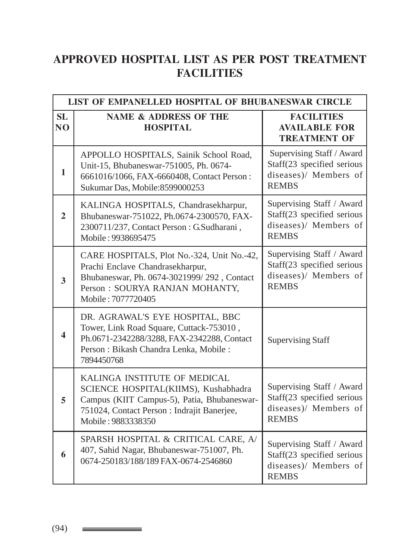# **APPROVED HOSPITAL LIST AS PER POST TREATMENT FACILITIES**

| LIST OF EMPANELLED HOSPITAL OF BHUBANESWAR CIRCLE |                                                                                                                                                                                          |                                                                                                  |  |
|---------------------------------------------------|------------------------------------------------------------------------------------------------------------------------------------------------------------------------------------------|--------------------------------------------------------------------------------------------------|--|
| SL<br>N <sub>O</sub>                              | <b>NAME &amp; ADDRESS OF THE</b><br><b>HOSPITAL</b>                                                                                                                                      | <b>FACILITIES</b><br><b>AVAILABLE FOR</b><br><b>TREATMENT OF</b>                                 |  |
| $\mathbf{1}$                                      | APPOLLO HOSPITALS, Sainik School Road,<br>Unit-15, Bhubaneswar-751005, Ph. 0674-<br>6661016/1066, FAX-6660408, Contact Person:<br>Sukumar Das, Mobile: 8599000253                        | Supervising Staff / Award<br>Staff(23 specified serious<br>diseases)/ Members of<br><b>REMBS</b> |  |
| $\overline{2}$                                    | KALINGA HOSPITALS, Chandrasekharpur,<br>Bhubaneswar-751022, Ph.0674-2300570, FAX-<br>2300711/237, Contact Person: G.Sudharani,<br>Mobile: 9938695475                                     | Supervising Staff / Award<br>Staff(23 specified serious<br>diseases)/ Members of<br><b>REMBS</b> |  |
| 3                                                 | CARE HOSPITALS, Plot No.-324, Unit No.-42,<br>Prachi Enclave Chandrasekharpur,<br>Bhubaneswar, Ph. 0674-3021999/292, Contact<br>Person: SOURYA RANJAN MOHANTY,<br>Mobile: 7077720405     | Supervising Staff / Award<br>Staff(23 specified serious<br>diseases)/ Members of<br><b>REMBS</b> |  |
| $\overline{\mathbf{4}}$                           | DR. AGRAWAL'S EYE HOSPITAL, BBC<br>Tower, Link Road Square, Cuttack-753010,<br>Ph.0671-2342288/3288, FAX-2342288, Contact<br>Person: Bikash Chandra Lenka, Mobile:<br>7894450768         | <b>Supervising Staff</b>                                                                         |  |
| 5                                                 | KALINGA INSTITUTE OF MEDICAL<br>SCIENCE HOSPITAL(KIIMS), Kushabhadra<br>Campus (KIIT Campus-5), Patia, Bhubaneswar-<br>751024, Contact Person : Indrajit Banerjee,<br>Mobile: 9883338350 | Supervising Staff / Award<br>Staff(23 specified serious<br>diseases)/ Members of<br><b>REMBS</b> |  |
| 6                                                 | SPARSH HOSPITAL & CRITICAL CARE, A/<br>407, Sahid Nagar, Bhubaneswar-751007, Ph.<br>0674-250183/188/189 FAX-0674-2546860                                                                 | Supervising Staff / Award<br>Staff(23 specified serious<br>diseases)/ Members of<br><b>REMBS</b> |  |

(94) \_\_\_\_\_\_\_\_\_\_\_\_\_\_\_\_\_\_\_\_\_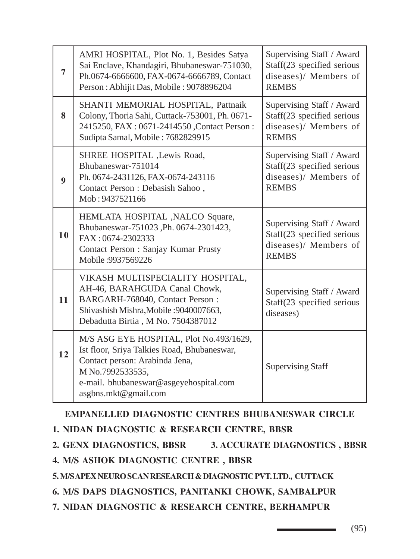| 7  | AMRI HOSPITAL, Plot No. 1, Besides Satya<br>Sai Enclave, Khandagiri, Bhubaneswar-751030,<br>Ph.0674-6666600, FAX-0674-6666789, Contact<br>Person: Abhijit Das, Mobile: 9078896204                              | Supervising Staff / Award<br>Staff(23 specified serious<br>diseases)/ Members of<br><b>REMBS</b> |
|----|----------------------------------------------------------------------------------------------------------------------------------------------------------------------------------------------------------------|--------------------------------------------------------------------------------------------------|
| 8  | SHANTI MEMORIAL HOSPITAL, Pattnaik<br>Colony, Thoria Sahi, Cuttack-753001, Ph. 0671-<br>2415250, FAX: 0671-2414550, Contact Person:<br>Sudipta Samal, Mobile: 7682829915                                       | Supervising Staff / Award<br>Staff(23 specified serious<br>diseases)/ Members of<br><b>REMBS</b> |
| 9  | SHREE HOSPITAL , Lewis Road,<br>Bhubaneswar-751014<br>Ph. 0674-2431126, FAX-0674-243116<br>Contact Person : Debasish Sahoo,<br>Mob: 9437521166                                                                 | Supervising Staff / Award<br>Staff(23 specified serious<br>diseases)/ Members of<br><b>REMBS</b> |
| 10 | HEMLATA HOSPITAL , NALCO Square,<br>Bhubaneswar-751023, Ph. 0674-2301423,<br>FAX: 0674-2302333<br>Contact Person : Sanjay Kumar Prusty<br>Mobile: 9937569226                                                   | Supervising Staff / Award<br>Staff(23 specified serious<br>diseases)/ Members of<br><b>REMBS</b> |
| 11 | VIKASH MULTISPECIALITY HOSPITAL,<br>AH-46, BARAHGUDA Canal Chowk,<br>BARGARH-768040, Contact Person:<br>Shivashish Mishra, Mobile: 9040007663,<br>Debadutta Birtia, M No. 7504387012                           | Supervising Staff / Award<br>Staff(23 specified serious<br>diseases)                             |
| 12 | M/S ASG EYE HOSPITAL, Plot No.493/1629,<br>Ist floor, Sriya Talkies Road, Bhubaneswar,<br>Contact person: Arabinda Jena,<br>M No.7992533535,<br>e-mail. bhubaneswar@asgeyehospital.com<br>asgbns.mkt@gmail.com | <b>Supervising Staff</b>                                                                         |

#### **EMPANELLED DIAGNOSTIC CENTRES BHUBANESWAR CIRCLE**

- **1. NIDAN DIAGNOSTIC & RESEARCH CENTRE, BBSR**
- **2. GENX DIAGNOSTICS, BBSR 3. ACCURATE DIAGNOSTICS , BBSR**
- **4. M/S ASHOK DIAGNOSTIC CENTRE , BBSR**
- **5. M/S APEX NEURO SCAN RESEARCH & DIAGNOSTIC PVT. LTD., CUTTACK**
- **6. M/S DAPS DIAGNOSTICS, PANITANKI CHOWK, SAMBALPUR**
- **7. NIDAN DIAGNOSTIC & RESEARCH CENTRE, BERHAMPUR**

(95)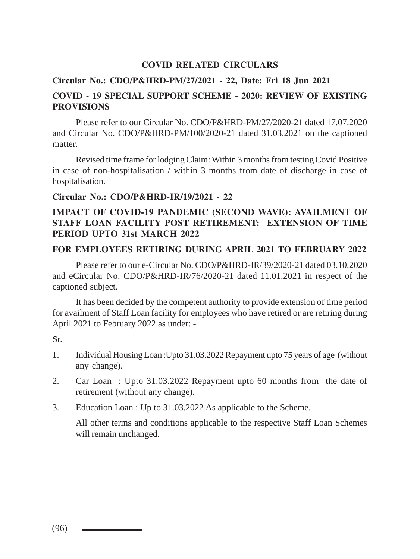#### **COVID RELATED CIRCULARS**

#### **Circular No.: CDO/P&HRD-PM/27/2021 - 22, Date: Fri 18 Jun 2021**

#### **COVID - 19 SPECIAL SUPPORT SCHEME - 2020: REVIEW OF EXISTING PROVISIONS**

Please refer to our Circular No. CDO/P&HRD-PM/27/2020-21 dated 17.07.2020 and Circular No. CDO/P&HRD-PM/100/2020-21 dated 31.03.2021 on the captioned matter.

Revised time frame for lodging Claim: Within 3 months from testing Covid Positive in case of non-hospitalisation / within 3 months from date of discharge in case of hospitalisation.

#### **Circular No.: CDO/P&HRD-IR/19/2021 - 22**

#### **IMPACT OF COVID-19 PANDEMIC (SECOND WAVE): AVAILMENT OF STAFF LOAN FACILITY POST RETIREMENT: EXTENSION OF TIME PERIOD UPTO 31st MARCH 2022**

#### **FOR EMPLOYEES RETIRING DURING APRIL 2021 TO FEBRUARY 2022**

Please refer to our e-Circular No. CDO/P&HRD-IR/39/2020-21 dated 03.10.2020 and eCircular No. CDO/P&HRD-IR/76/2020-21 dated 11.01.2021 in respect of the captioned subject.

It has been decided by the competent authority to provide extension of time period for availment of Staff Loan facility for employees who have retired or are retiring during April 2021 to February 2022 as under: -

Sr.

- 1. Individual Housing Loan :Upto 31.03.2022 Repayment upto 75 years of age (without any change).
- 2. Car Loan : Upto 31.03.2022 Repayment upto 60 months from the date of retirement (without any change).
- 3. Education Loan : Up to 31.03.2022 As applicable to the Scheme.

All other terms and conditions applicable to the respective Staff Loan Schemes will remain unchanged.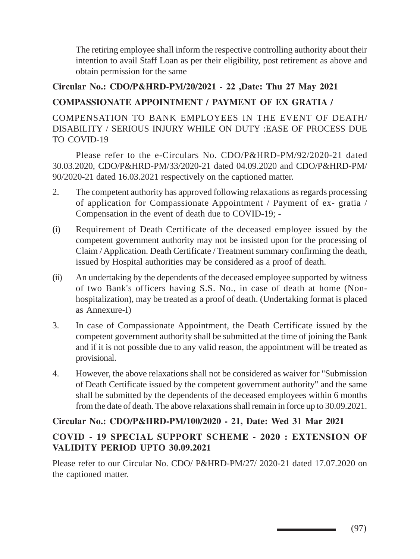The retiring employee shall inform the respective controlling authority about their intention to avail Staff Loan as per their eligibility, post retirement as above and obtain permission for the same

#### **Circular No.: CDO/P&HRD-PM/20/2021 - 22 ,Date: Thu 27 May 2021**

### **COMPASSIONATE APPOINTMENT / PAYMENT OF EX GRATIA /**

COMPENSATION TO BANK EMPLOYEES IN THE EVENT OF DEATH/ DISABILITY / SERIOUS INJURY WHILE ON DUTY :EASE OF PROCESS DUE TO COVID-19

Please refer to the e-Circulars No. CDO/P&HRD-PM/92/2020-21 dated 30.03.2020, CDO/P&HRD-PM/33/2020-21 dated 04.09.2020 and CDO/P&HRD-PM/ 90/2020-21 dated 16.03.2021 respectively on the captioned matter.

- 2. The competent authority has approved following relaxations as regards processing of application for Compassionate Appointment / Payment of ex- gratia / Compensation in the event of death due to COVID-19; -
- (i) Requirement of Death Certificate of the deceased employee issued by the competent government authority may not be insisted upon for the processing of Claim / Application. Death Certificate / Treatment summary confirming the death, issued by Hospital authorities may be considered as a proof of death.
- (ii) An undertaking by the dependents of the deceased employee supported by witness of two Bank's officers having S.S. No., in case of death at home (Nonhospitalization), may be treated as a proof of death. (Undertaking format is placed as Annexure-I)
- 3. In case of Compassionate Appointment, the Death Certificate issued by the competent government authority shall be submitted at the time of joining the Bank and if it is not possible due to any valid reason, the appointment will be treated as provisional.
- 4. However, the above relaxations shall not be considered as waiver for "Submission of Death Certificate issued by the competent government authority" and the same shall be submitted by the dependents of the deceased employees within 6 months from the date of death. The above relaxations shall remain in force up to 30.09.2021.

#### **Circular No.: CDO/P&HRD-PM/100/2020 - 21, Date: Wed 31 Mar 2021**

#### **COVID - 19 SPECIAL SUPPORT SCHEME - 2020 : EXTENSION OF VALIDITY PERIOD UPTO 30.09.2021**

Please refer to our Circular No. CDO/ P&HRD-PM/27/ 2020-21 dated 17.07.2020 on the captioned matter.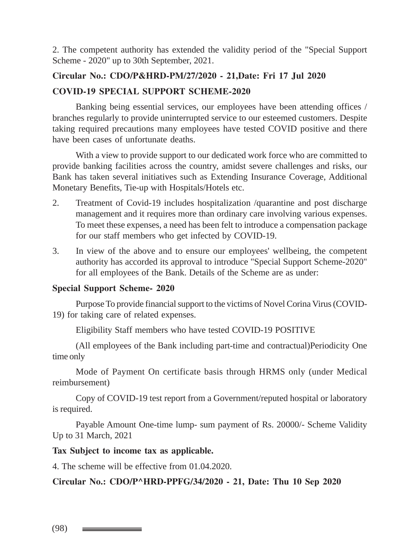2. The competent authority has extended the validity period of the "Special Support Scheme - 2020" up to 30th September, 2021.

# **Circular No.: CDO/P&HRD-PM/27/2020 - 21,Date: Fri 17 Jul 2020**

#### **COVID-19 SPECIAL SUPPORT SCHEME-2020**

Banking being essential services, our employees have been attending offices / branches regularly to provide uninterrupted service to our esteemed customers. Despite taking required precautions many employees have tested COVID positive and there have been cases of unfortunate deaths.

With a view to provide support to our dedicated work force who are committed to provide banking facilities across the country, amidst severe challenges and risks, our Bank has taken several initiatives such as Extending Insurance Coverage, Additional Monetary Benefits, Tie-up with Hospitals/Hotels etc.

- 2. Treatment of Covid-19 includes hospitalization /quarantine and post discharge management and it requires more than ordinary care involving various expenses. To meet these expenses, a need has been felt to introduce a compensation package for our staff members who get infected by COVID-19.
- 3. In view of the above and to ensure our employees' wellbeing, the competent authority has accorded its approval to introduce "Special Support Scheme-2020" for all employees of the Bank. Details of the Scheme are as under:

#### **Special Support Scheme- 2020**

Purpose To provide financial support to the victims of Novel Corina Virus (COVID-19) for taking care of related expenses.

Eligibility Staff members who have tested COVID-19 POSITIVE

(All employees of the Bank including part-time and contractual)Periodicity One time only

Mode of Payment On certificate basis through HRMS only (under Medical reimbursement)

Copy of COVID-19 test report from a Government/reputed hospital or laboratory is required.

Payable Amount One-time lump- sum payment of Rs. 20000/- Scheme Validity Up to 31 March, 2021

#### **Tax Subject to income tax as applicable.**

4. The scheme will be effective from 01.04.2020.

**Circular No.: CDO/P^HRD-PPFG/34/2020 - 21, Date: Thu 10 Sep 2020**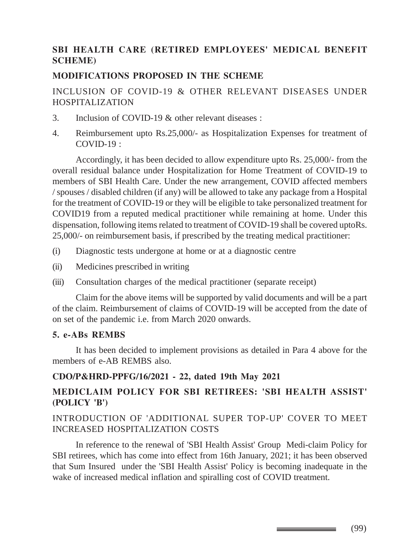### **SBI HEALTH CARE (RETIRED EMPLOYEES' MEDICAL BENEFIT SCHEME)**

#### **MODIFICATIONS PROPOSED IN THE SCHEME**

#### INCLUSION OF COVID-19 & OTHER RELEVANT DISEASES UNDER HOSPITALIZATION

- 3. Inclusion of COVID-19 & other relevant diseases :
- 4. Reimbursement upto Rs.25,000/- as Hospitalization Expenses for treatment of  $COVID-19$ .

Accordingly, it has been decided to allow expenditure upto Rs. 25,000/- from the overall residual balance under Hospitalization for Home Treatment of COVID-19 to members of SBI Health Care. Under the new arrangement, COVID affected members / spouses / disabled children (if any) will be allowed to take any package from a Hospital for the treatment of COVID-19 or they will be eligible to take personalized treatment for COVID19 from a reputed medical practitioner while remaining at home. Under this dispensation, following items related to treatment of COVID-19 shall be covered uptoRs. 25,000/- on reimbursement basis, if prescribed by the treating medical practitioner:

- (i) Diagnostic tests undergone at home or at a diagnostic centre
- (ii) Medicines prescribed in writing
- (iii) Consultation charges of the medical practitioner (separate receipt)

Claim for the above items will be supported by valid documents and will be a part of the claim. Reimbursement of claims of COVID-19 will be accepted from the date of on set of the pandemic i.e. from March 2020 onwards.

#### **5. e-ABs REMBS**

It has been decided to implement provisions as detailed in Para 4 above for the members of e-AB REMBS also.

#### **CDO/P&HRD-PPFG/16/2021 - 22, dated 19th May 2021**

#### **MEDICLAIM POLICY FOR SBI RETIREES: 'SBI HEALTH ASSIST' (POLICY 'B')**

#### INTRODUCTION OF 'ADDITIONAL SUPER TOP-UP' COVER TO MEET INCREASED HOSPITALIZATION COSTS

In reference to the renewal of 'SBI Health Assist' Group Medi-claim Policy for SBI retirees, which has come into effect from 16th January, 2021; it has been observed that Sum Insured under the 'SBI Health Assist' Policy is becoming inadequate in the wake of increased medical inflation and spiralling cost of COVID treatment.

(99)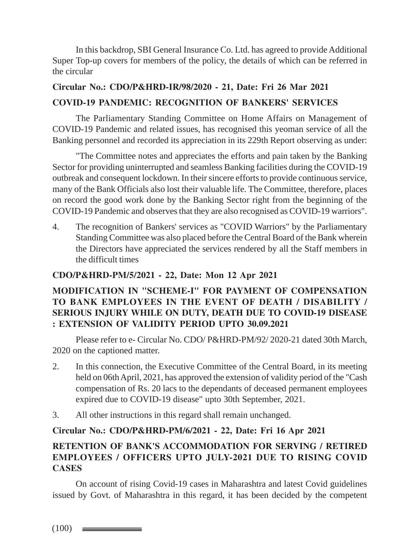In this backdrop, SBI General Insurance Co. Ltd. has agreed to provide Additional Super Top-up covers for members of the policy, the details of which can be referred in the circular

## **Circular No.: CDO/P&HRD-IR/98/2020 - 21, Date: Fri 26 Mar 2021 COVID-19 PANDEMIC: RECOGNITION OF BANKERS' SERVICES**

The Parliamentary Standing Committee on Home Affairs on Management of COVID-19 Pandemic and related issues, has recognised this yeoman service of all the Banking personnel and recorded its appreciation in its 229th Report observing as under:

"The Committee notes and appreciates the efforts and pain taken by the Banking Sector for providing uninterrupted and seamless Banking facilities during the COVID-19 outbreak and consequent lockdown. In their sincere efforts to provide continuous service, many of the Bank Officials also lost their valuable life. The Committee, therefore, places on record the good work done by the Banking Sector right from the beginning of the COVID-19 Pandemic and observes that they are also recognised as COVID-19 warriors".

4. The recognition of Bankers' services as "COVID Warriors" by the Parliamentary Standing Committee was also placed before the Central Board of the Bank wherein the Directors have appreciated the services rendered by all the Staff members in the difficult times

#### **CDO/P&HRD-PM/5/2021 - 22, Date: Mon 12 Apr 2021**

#### **MODIFICATION IN "SCHEME-I" FOR PAYMENT OF COMPENSATION TO BANK EMPLOYEES IN THE EVENT OF DEATH / DISABILITY / SERIOUS INJURY WHILE ON DUTY, DEATH DUE TO COVID-19 DISEASE : EXTENSION OF VALIDITY PERIOD UPTO 30.09.2021**

Please refer to e- Circular No. CDO/ P&HRD-PM/92/ 2020-21 dated 30th March, 2020 on the captioned matter.

- 2. In this connection, the Executive Committee of the Central Board, in its meeting held on 06th April, 2021, has approved the extension of validity period of the "Cash compensation of Rs. 20 lacs to the dependants of deceased permanent employees expired due to COVID-19 disease" upto 30th September, 2021.
- 3. All other instructions in this regard shall remain unchanged.

#### **Circular No.: CDO/P&HRD-PM/6/2021 - 22, Date: Fri 16 Apr 2021**

### **RETENTION OF BANK'S ACCOMMODATION FOR SERVING / RETIRED EMPLOYEES / OFFICERS UPTO JULY-2021 DUE TO RISING COVID CASES**

On account of rising Covid-19 cases in Maharashtra and latest Covid guidelines issued by Govt. of Maharashtra in this regard, it has been decided by the competent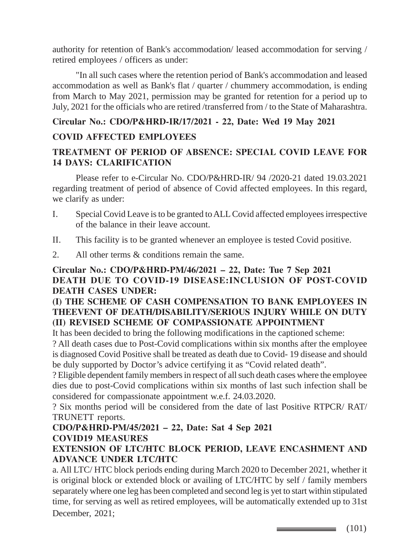authority for retention of Bank's accommodation/ leased accommodation for serving / retired employees / officers as under:

"In all such cases where the retention period of Bank's accommodation and leased accommodation as well as Bank's flat / quarter / chummery accommodation, is ending from March to May 2021, permission may be granted for retention for a period up to July, 2021 for the officials who are retired /transferred from / to the State of Maharashtra.

## **Circular No.: CDO/P&HRD-IR/17/2021 - 22, Date: Wed 19 May 2021 COVID AFFECTED EMPLOYEES**

#### **TREATMENT OF PERIOD OF ABSENCE: SPECIAL COVID LEAVE FOR 14 DAYS: CLARIFICATION**

Please refer to e-Circular No. CDO/P&HRD-IR/ 94 /2020-21 dated 19.03.2021 regarding treatment of period of absence of Covid affected employees. In this regard, we clarify as under:

- I. Special Covid Leave is to be granted to ALL Covid affected employees irrespective of the balance in their leave account.
- II. This facility is to be granted whenever an employee is tested Covid positive.
- 2. All other terms & conditions remain the same.

#### **Circular No.: CDO/P&HRD-PM/46/2021 – 22, Date: Tue 7 Sep 2021 DEATH DUE TO COVID-19 DISEASE:INCLUSION OF POST-COVID DEATH CASES UNDER:**

#### **(I) THE SCHEME OF CASH COMPENSATION TO BANK EMPLOYEES IN THEEVENT OF DEATH/DISABILITY/SERIOUS INJURY WHILE ON DUTY (II) REVISED SCHEME OF COMPASSIONATE APPOINTMENT**

It has been decided to bring the following modifications in the captioned scheme:

? All death cases due to Post-Covid complications within six months after the employee is diagnosed Covid Positive shall be treated as death due to Covid- 19 disease and should be duly supported by Doctor's advice certifying it as "Covid related death".

? Eligible dependent family members in respect of all such death cases where the employee dies due to post-Covid complications within six months of last such infection shall be considered for compassionate appointment w.e.f. 24.03.2020.

? Six months period will be considered from the date of last Positive RTPCR/ RAT/ TRUNETT reports.

## **CDO/P&HRD-PM/45/2021 – 22, Date: Sat 4 Sep 2021 COVID19 MEASURES**

#### **EXTENSION OF LTC/HTC BLOCK PERIOD, LEAVE ENCASHMENT AND ADVANCE UNDER LTC/HTC**

a. All LTC/ HTC block periods ending during March 2020 to December 2021, whether it is original block or extended block or availing of LTC/HTC by self / family members separately where one leg has been completed and second leg is yet to start within stipulated time, for serving as well as retired employees, will be automatically extended up to 31st December, 2021;

 $\longrightarrow$  (101)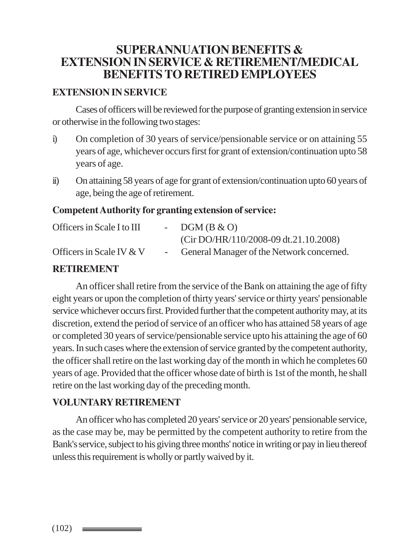## **SUPERANNUATION BENEFITS & EXTENSION IN SERVICE & RETIREMENT/MEDICAL BENEFITS TO RETIRED EMPLOYEES**

#### **EXTENSION IN SERVICE**

Cases of officers will be reviewed for the purpose of granting extension in service or otherwise in the following two stages:

- i) On completion of 30 years of service/pensionable service or on attaining 55 years of age, whichever occurs first for grant of extension/continuation upto 58 years of age.
- ii) On attaining 58 years of age for grant of extension/continuation upto 60 years of age, being the age of retirement.

#### **Competent Authority for granting extension of service:**

| Officers in Scale I to III         | - $DGM(B & O)$                              |
|------------------------------------|---------------------------------------------|
|                                    | $(Cir DO/HR/110/2008-09 dt.21.10.2008)$     |
| Officers in Scale IV $&\mathrm{V}$ | - General Manager of the Network concerned. |

#### **RETIREMENT**

An officer shall retire from the service of the Bank on attaining the age of fifty eight years or upon the completion of thirty years' service or thirty years' pensionable service whichever occurs first. Provided further that the competent authority may, at its discretion, extend the period of service of an officer who has attained 58 years of age or completed 30 years of service/pensionable service upto his attaining the age of 60 years. In such cases where the extension of service granted by the competent authority, the officer shall retire on the last working day of the month in which he completes 60 years of age. Provided that the officer whose date of birth is 1st of the month, he shall retire on the last working day of the preceding month.

#### **VOLUNTARY RETIREMENT**

An officer who has completed 20 years' service or 20 years' pensionable service, as the case may be, may be permitted by the competent authority to retire from the Bank's service, subject to his giving three months' notice in writing or pay in lieu thereof unless this requirement is wholly or partly waived by it.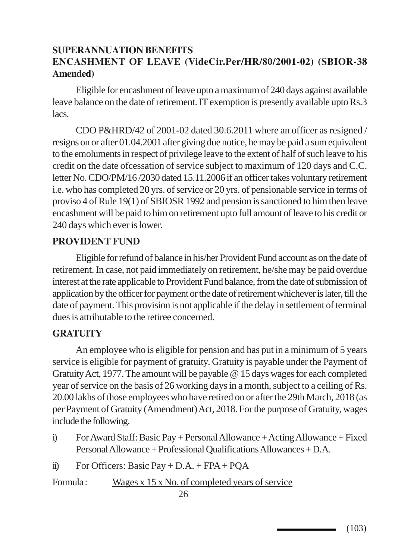## **SUPERANNUATION BENEFITS ENCASHMENT OF LEAVE (VideCir.Per/HR/80/2001-02) (SBIOR-38 Amended)**

Eligible for encashment of leave upto a maximum of 240 days against available leave balance on the date of retirement. IT exemption is presently available upto Rs.3 lacs.

CDO P&HRD/42 of 2001-02 dated 30.6.2011 where an officer as resigned / resigns on or after 01.04.2001 after giving due notice, he may be paid a sum equivalent to the emoluments in respect of privilege leave to the extent of half of such leave to his credit on the date ofcessation of service subject to maximum of 120 days and C.C. letter No. CDO/PM/16 /2030 dated 15.11.2006 if an officer takes voluntary retirement i.e. who has completed 20 yrs. of service or 20 yrs. of pensionable service in terms of proviso 4 of Rule 19(1) of SBIOSR 1992 and pension is sanctioned to him then leave encashment will be paid to him on retirement upto full amount of leave to his credit or 240 days which ever is lower.

#### **PROVIDENT FUND**

Eligible for refund of balance in his/her Provident Fund account as on the date of retirement. In case, not paid immediately on retirement, he/she may be paid overdue interest at the rate applicable to Provident Fund balance, from the date of submission of application by the officer for payment or the date of retirement whichever is later, till the date of payment. This provision is not applicable if the delay in settlement of terminal dues is attributable to the retiree concerned.

#### **GRATUITY**

An employee who is eligible for pension and has put in a minimum of 5 years service is eligible for payment of gratuity. Gratuity is payable under the Payment of Gratuity Act, 1977. The amount will be payable @ 15 days wages for each completed year of service on the basis of 26 working days in a month, subject to a ceiling of Rs. 20.00 lakhs of those employees who have retired on or after the 29th March, 2018 (as per Payment of Gratuity (Amendment) Act, 2018. For the purpose of Gratuity, wages include the following.

- i) For Award Staff: Basic Pay + Personal Allowance + Acting Allowance + Fixed Personal Allowance + Professional Qualifications Allowances + D.A.
- ii) For Officers: Basic Pay + D.A. + FPA + PQA

Formula : Wages x 15 x No. of completed years of service

(103)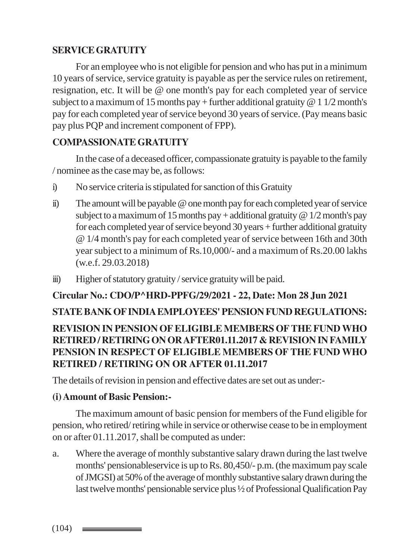## **SERVICE GRATUITY**

For an employee who is not eligible for pension and who has put in a minimum 10 years of service, service gratuity is payable as per the service rules on retirement, resignation, etc. It will be @ one month's pay for each completed year of service subject to a maximum of 15 months pay + further additional gratuity  $@ 1 1/2$  month's pay for each completed year of service beyond 30 years of service. (Pay means basic pay plus PQP and increment component of FPP).

## **COMPASSIONATE GRATUITY**

In the case of a deceased officer, compassionate gratuity is payable to the family / nominee as the case may be, as follows:

- i) No service criteria is stipulated for sanction of this Gratuity
- ii) The amount will be payable @ one month pay for each completed year of service subject to a maximum of 15 months pay + additional gratuity  $@ 1/2$  month's pay for each completed year of service beyond 30 years + further additional gratuity @ 1/4 month's pay for each completed year of service between 16th and 30th year subject to a minimum of Rs.10,000/- and a maximum of Rs.20.00 lakhs (w.e.f. 29.03.2018)
- iii) Higher of statutory gratuity / service gratuity will be paid.

## **Circular No.: CDO/P^HRD-PPFG/29/2021 - 22, Date: Mon 28 Jun 2021**

## **STATE BANK OF INDIA EMPLOYEES' PENSION FUND REGULATIONS: REVISION IN PENSION OF ELIGIBLE MEMBERS OF THE FUND WHO RETIRED / RETIRING ON OR AFTER01.11.2017 & REVISION IN FAMILY PENSION IN RESPECT OF ELIGIBLE MEMBERS OF THE FUND WHO RETIRED / RETIRING ON OR AFTER 01.11.2017**

The details of revision in pension and effective dates are set out as under:-

### **(i) Amount of Basic Pension:-**

The maximum amount of basic pension for members of the Fund eligible for pension, who retired/ retiring while in service or otherwise cease to be in employment on or after 01.11.2017, shall be computed as under:

a. Where the average of monthly substantive salary drawn during the last twelve months' pensionableservice is up to Rs. 80,450/- p.m. (the maximum pay scale of JMGSI) at 50% of the average of monthly substantive salary drawn during the last twelve months' pensionable service plus ½ of Professional Qualification Pay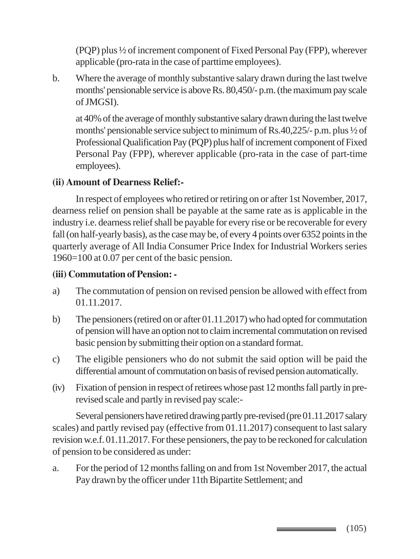(PQP) plus ½ of increment component of Fixed Personal Pay (FPP), wherever applicable (pro-rata in the case of parttime employees).

b. Where the average of monthly substantive salary drawn during the last twelve months' pensionable service is above Rs. 80,450/- p.m. (the maximum pay scale of JMGSI).

at 40% of the average of monthly substantive salary drawn during the last twelve months' pensionable service subject to minimum of Rs.40,225/- p.m. plus ½ of Professional Qualification Pay (PQP) plus half of increment component of Fixed Personal Pay (FPP), wherever applicable (pro-rata in the case of part-time employees).

#### **(ii) Amount of Dearness Relief:-**

In respect of employees who retired or retiring on or after 1st November, 2017, dearness relief on pension shall be payable at the same rate as is applicable in the industry i.e. dearness relief shall be payable for every rise or be recoverable for every fall (on half-yearly basis), as the case may be, of every 4 points over 6352 points in the quarterly average of All India Consumer Price Index for Industrial Workers series 1960=100 at 0.07 per cent of the basic pension.

#### **(iii) Commutation of Pension: -**

- a) The commutation of pension on revised pension be allowed with effect from 01.11.2017.
- b) The pensioners (retired on or after 01.11.2017) who had opted for commutation of pension will have an option not to claim incremental commutation on revised basic pension by submitting their option on a standard format.
- c) The eligible pensioners who do not submit the said option will be paid the differential amount of commutation on basis of revised pension automatically.
- (iv) Fixation of pension in respect of retirees whose past 12 months fall partly in prerevised scale and partly in revised pay scale:-

Several pensioners have retired drawing partly pre-revised (pre 01.11.2017 salary scales) and partly revised pay (effective from 01.11.2017) consequent to last salary revision w.e.f. 01.11.2017. For these pensioners, the pay to be reckoned for calculation of pension to be considered as under:

a. For the period of 12 months falling on and from 1st November 2017, the actual Pay drawn by the officer under 11th Bipartite Settlement; and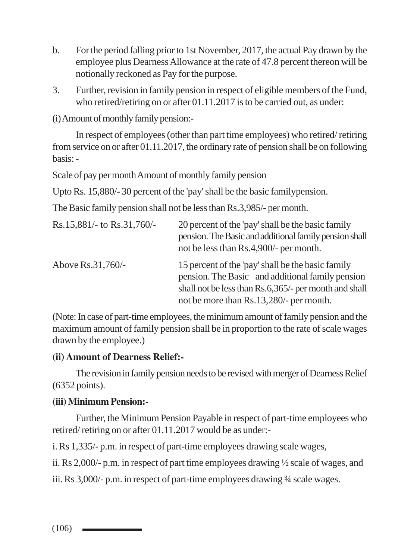- b. For the period falling prior to 1st November, 2017, the actual Pay drawn by the employee plus Dearness Allowance at the rate of 47.8 percent thereon will be notionally reckoned as Pay for the purpose.
- 3. Further, revision in family pension in respect of eligible members of the Fund, who retired/retiring on or after 01.11.2017 is to be carried out, as under:

(i) Amount of monthly family pension:-

In respect of employees (other than part time employees) who retired/ retiring from service on or after 01.11.2017, the ordinary rate of pension shall be on following basis: -

Scale of pay per month Amount of monthly family pension

Upto Rs. 15,880/- 30 percent of the 'pay' shall be the basic familypension.

The Basic family pension shall not be less than Rs.3,985/- per month.

| Rs.15,881/- to Rs.31,760/- | 20 percent of the 'pay' shall be the basic family<br>pension. The Basic and additional family pension shall<br>not be less than Rs.4,900/- per month.                                                     |
|----------------------------|-----------------------------------------------------------------------------------------------------------------------------------------------------------------------------------------------------------|
| Above Rs.31,760/-          | 15 percent of the 'pay' shall be the basic family<br>pension. The Basic and additional family pension<br>shall not be less than Rs.6,365/- per month and shall<br>not be more than Rs.13,280/- per month. |

(Note: In case of part-time employees, the minimum amount of family pension and the maximum amount of family pension shall be in proportion to the rate of scale wages drawn by the employee.)

#### **(ii) Amount of Dearness Relief:-**

The revision in family pension needs to be revised with merger of Dearness Relief (6352 points).

### **(iii) Minimum Pension:-**

Further, the Minimum Pension Payable in respect of part-time employees who retired/ retiring on or after 01.11.2017 would be as under:-

i. Rs 1,335/- p.m. in respect of part-time employees drawing scale wages,

ii. Rs 2,000/- p.m. in respect of part time employees drawing ½ scale of wages, and

iii. Rs 3,000/- p.m. in respect of part-time employees drawing ¾ scale wages.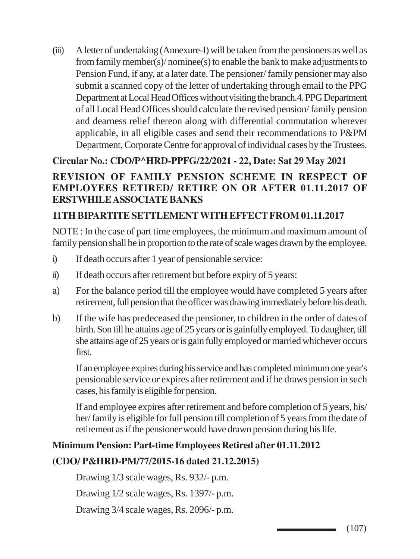(iii) A letter of undertaking (Annexure-I) will be taken from the pensioners as well as from family member(s)/ nominee(s) to enable the bank to make adjustments to Pension Fund, if any, at a later date. The pensioner/ family pensioner may also submit a scanned copy of the letter of undertaking through email to the PPG Department at Local Head Offices without visiting the branch.4. PPG Department of all Local Head Offices should calculate the revised pension/ family pension and dearness relief thereon along with differential commutation wherever applicable, in all eligible cases and send their recommendations to P&PM Department, Corporate Centre for approval of individual cases by the Trustees.

## **Circular No.: CDO/P^HRD-PPFG/22/2021 - 22, Date: Sat 29 May 2021**

## **REVISION OF FAMILY PENSION SCHEME IN RESPECT OF EMPLOYEES RETIRED/ RETIRE ON OR AFTER 01.11.2017 OF ERSTWHILE ASSOCIATE BANKS**

### **11TH BIPARTITE SETTLEMENT WITH EFFECT FROM 01.11.2017**

NOTE : In the case of part time employees, the minimum and maximum amount of family pension shall be in proportion to the rate of scale wages drawn by the employee.

- i) If death occurs after 1 year of pensionable service:
- ii) If death occurs after retirement but before expiry of 5 years:
- a) For the balance period till the employee would have completed 5 years after retirement, full pension that the officer was drawing immediately before his death.
- b) If the wife has predeceased the pensioner, to children in the order of dates of birth. Son till he attains age of 25 years or is gainfully employed. To daughter, till she attains age of 25 years or is gain fully employed or married whichever occurs first.

If an employee expires during his service and has completed minimum one year's pensionable service or expires after retirement and if he draws pension in such cases, his family is eligible for pension.

If and employee expires after retirement and before completion of 5 years, his/ her/ family is eligible for full pension till completion of 5 years from the date of retirement as if the pensioner would have drawn pension during his life.

### **Minimum Pension: Part-time Employees Retired after 01.11.2012**

### **(CDO/ P&HRD-PM/77/2015-16 dated 21.12.2015)**

Drawing 1/3 scale wages, Rs. 932/- p.m.

Drawing 1/2 scale wages, Rs. 1397/- p.m.

Drawing 3/4 scale wages, Rs. 2096/- p.m.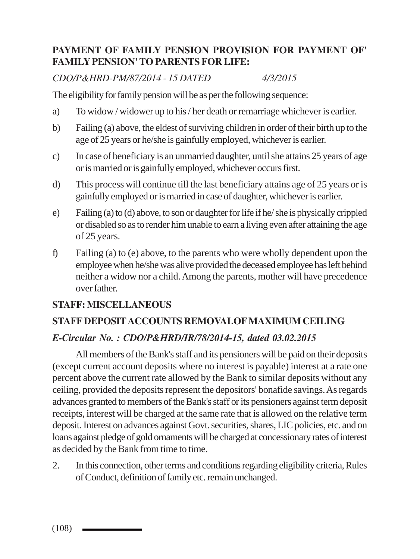## **PAYMENT OF FAMILY PENSION PROVISION FOR PAYMENT OF' FAMILY PENSION' TO PARENTS FOR LIFE:**

*CDO/P&HRD-PM/87/2014 - 15 DATED 4/3/2015*

The eligibility for family pension will be as per the following sequence:

- a) To widow / widower up to his / her death or remarriage whichever is earlier.
- b) Failing (a) above, the eldest of surviving children in order of their birth up to the age of 25 years or he/she is gainfully employed, whichever is earlier.
- c) In case of beneficiary is an unmarried daughter, until she attains 25 years of age or is married or is gainfully employed, whichever occurs first.
- d) This process will continue till the last beneficiary attains age of 25 years or is gainfully employed or is married in case of daughter, whichever is earlier.
- e) Failing (a) to (d) above, to son or daughter for life if he/ she is physically crippled or disabled so as to render him unable to earn a living even after attaining the age of 25 years.
- f) Failing (a) to (e) above, to the parents who were wholly dependent upon the employee when he/she was alive provided the deceased employee has left behind neither a widow nor a child. Among the parents, mother will have precedence over father.

## **STAFF: MISCELLANEOUS**

## **STAFF DEPOSIT ACCOUNTS REMOVALOF MAXIMUM CEILING**

## *E-Circular No. : CDO/P&HRD/IR/78/2014-15, dated 03.02.2015*

All members of the Bank's staff and its pensioners will be paid on their deposits (except current account deposits where no interest is payable) interest at a rate one percent above the current rate allowed by the Bank to similar deposits without any ceiling, provided the deposits represent the depositors' bonafide savings. As regards advances granted to members of the Bank's staff or its pensioners against term deposit receipts, interest will be charged at the same rate that is allowed on the relative term deposit. Interest on advances against Govt. securities, shares, LIC policies, etc. and on loans against pledge of gold ornaments will be charged at concessionary rates of interest as decided by the Bank from time to time.

2. In this connection, other terms and conditions regarding eligibility criteria, Rules of Conduct, definition of family etc. remain unchanged.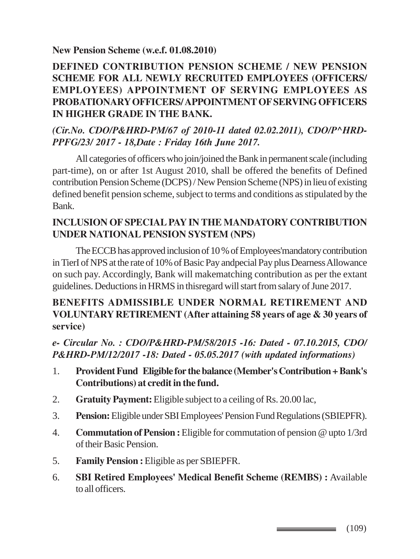**New Pension Scheme (w.e.f. 01.08.2010)**

## **DEFINED CONTRIBUTION PENSION SCHEME / NEW PENSION SCHEME FOR ALL NEWLY RECRUITED EMPLOYEES (OFFICERS/ EMPLOYEES) APPOINTMENT OF SERVING EMPLOYEES AS PROBATIONARY OFFICERS/ APPOINTMENT OF SERVING OFFICERS IN HIGHER GRADE IN THE BANK.**

## *(Cir.No. CDO/P&HRD-PM/67 of 2010-11 dated 02.02.2011), CDO/P^HRD-PPFG/23/ 2017 - 18,Date : Friday 16th June 2017.*

All categories of officers who join/joined the Bank in permanent scale (including part-time), on or after 1st August 2010, shall be offered the benefits of Defined contribution Pension Scheme (DCPS) / New Pension Scheme (NPS) in lieu of existing defined benefit pension scheme, subject to terms and conditions as stipulated by the Bank.

## **INCLUSION OF SPECIAL PAY IN THE MANDATORY CONTRIBUTION UNDER NATIONAL PENSION SYSTEM (NPS)**

The ECCB has approved inclusion of 10 % of Employees'mandatory contribution in TierI of NPS at the rate of 10% of Basic Pay andpecial Pay plus Dearness Allowance on such pay. Accordingly, Bank will makematching contribution as per the extant guidelines. Deductions in HRMS in thisregard will start from salary of June 2017.

## **BENEFITS ADMISSIBLE UNDER NORMAL RETIREMENT AND VOLUNTARY RETIREMENT (After attaining 58 years of age & 30 years of service)**

*e- Circular No. : CDO/P&HRD-PM/58/2015 -16: Dated - 07.10.2015, CDO/ P&HRD-PM/12/2017 -18: Dated - 05.05.2017 (with updated informations)*

- 1. **Provident Fund Eligible for the balance (Member's Contribution + Bank's Contributions) at credit in the fund.**
- 2. **Gratuity Payment:** Eligible subject to a ceiling of Rs. 20.00 lac,
- 3. **Pension:** Eligible under SBI Employees' Pension Fund Regulations (SBIEPFR).
- 4. **Commutation of Pension :** Eligible for commutation of pension @ upto 1/3rd of their Basic Pension.
- 5. **Family Pension :** Eligible as per SBIEPFR.
- 6. **SBI Retired Employees' Medical Benefit Scheme (REMBS) :** Available to all officers.

 $\longrightarrow$  (109)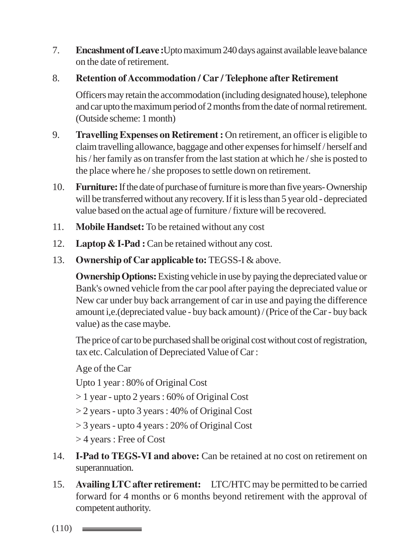- 7. **Encashment of Leave :**Upto maximum 240 days against available leave balance on the date of retirement.
- 8. **Retention of Accommodation / Car / Telephone after Retirement**

Officers may retain the accommodation (including designated house), telephone and car upto the maximum period of 2 months from the date of normal retirement. (Outside scheme: 1 month)

- 9. **Travelling Expenses on Retirement :** On retirement, an officer is eligible to claim travelling allowance, baggage and other expenses for himself / herself and his / her family as on transfer from the last station at which he / she is posted to the place where he / she proposes to settle down on retirement.
- 10. **Furniture:** If the date of purchase of furniture is more than five years- Ownership will be transferred without any recovery. If it is less than 5 year old - depreciated value based on the actual age of furniture / fixture will be recovered.
- 11. **Mobile Handset:** To be retained without any cost
- 12. **Laptop & I-Pad :** Can be retained without any cost.
- 13. **Ownership of Car applicable to:** TEGSS-I & above.

**Ownership Options:** Existing vehicle in use by paying the depreciated value or Bank's owned vehicle from the car pool after paying the depreciated value or New car under buy back arrangement of car in use and paying the difference amount i,e.(depreciated value - buy back amount) / (Price of the Car - buy back value) as the case maybe.

The price of car to be purchased shall be original cost without cost of registration, tax etc. Calculation of Depreciated Value of Car :

Age of the Car

Upto 1 year : 80% of Original Cost

- > 1 year upto 2 years : 60% of Original Cost
- > 2 years upto 3 years : 40% of Original Cost
- > 3 years upto 4 years : 20% of Original Cost
- > 4 years : Free of Cost
- 14. **I-Pad to TEGS-VI and above:** Can be retained at no cost on retirement on superannuation.
- 15. **Availing LTC after retirement:** LTC/HTC may be permitted to be carried forward for 4 months or 6 months beyond retirement with the approval of competent authority.

 $(110)$   $\equiv$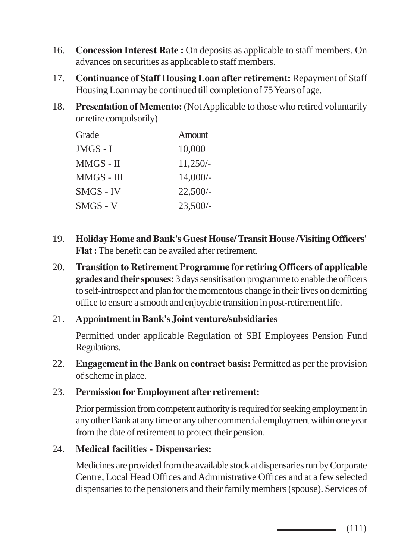- 16. **Concession Interest Rate :** On deposits as applicable to staff members. On advances on securities as applicable to staff members.
- 17. **Continuance of Staff Housing Loan after retirement:** Repayment of Staff Housing Loan may be continued till completion of 75 Years of age.
- 18. **Presentation of Memento:** (Not Applicable to those who retired voluntarily or retire compulsorily)

| Grade      | Amount     |
|------------|------------|
| JMGS - I   | 10,000     |
| MMGS - II  | $11,250/-$ |
| MMGS - III | $14,000/-$ |
| SMGS - IV  | $22,500/-$ |
| SMGS - V   | $23,500/-$ |

- 19. **Holiday Home and Bank's Guest House/ Transit House /Visiting Officers' Flat :** The benefit can be availed after retirement.
- 20. **Transition to Retirement Programme for retiring Officers of applicable grades and their spouses:** 3 days sensitisation programme to enable the officers to self-introspect and plan for the momentous change in their lives on demitting office to ensure a smooth and enjoyable transition in post-retirement life.

#### 21. **Appointment in Bank's Joint venture/subsidiaries**

Permitted under applicable Regulation of SBI Employees Pension Fund Regulations.

22. **Engagement in the Bank on contract basis:** Permitted as per the provision of scheme in place.

#### 23. **Permission for Employment after retirement:**

Prior permission from competent authority is required for seeking employment in any other Bank at any time or any other commercial employment within one year from the date of retirement to protect their pension.

#### 24. **Medical facilities - Dispensaries:**

Medicines are provided from the available stock at dispensaries run by Corporate Centre, Local Head Offices and Administrative Offices and at a few selected dispensaries to the pensioners and their family members (spouse). Services of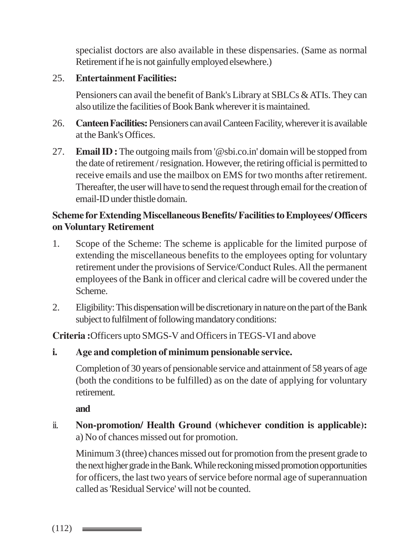specialist doctors are also available in these dispensaries. (Same as normal Retirement if he is not gainfully employed elsewhere.)

## 25. **Entertainment Facilities:**

Pensioners can avail the benefit of Bank's Library at SBLCs & ATIs. They can also utilize the facilities of Book Bank wherever it is maintained.

- 26. **Canteen Facilities:** Pensioners can avail Canteen Facility, wherever it is available at the Bank's Offices.
- 27. **Email ID :** The outgoing mails from '@sbi.co.in' domain will be stopped from the date of retirement / resignation. However, the retiring official is permitted to receive emails and use the mailbox on EMS for two months after retirement. Thereafter, the user will have to send the request through email for the creation of email-ID under thistle domain.

## **Scheme for Extending Miscellaneous Benefits/ Facilities to Employees/ Officers on Voluntary Retirement**

- 1. Scope of the Scheme: The scheme is applicable for the limited purpose of extending the miscellaneous benefits to the employees opting for voluntary retirement under the provisions of Service/Conduct Rules. All the permanent employees of the Bank in officer and clerical cadre will be covered under the Scheme.
- 2. Eligibility: This dispensation will be discretionary in nature on the part of the Bank subject to fulfilment of following mandatory conditions:

**Criteria :**Officers upto SMGS-V and Officers in TEGS-VI and above

#### **i. Age and completion of minimum pensionable service.**

Completion of 30 years of pensionable service and attainment of 58 years of age (both the conditions to be fulfilled) as on the date of applying for voluntary retirement.

**and**

ii. **Non-promotion/ Health Ground (whichever condition is applicable):** a) No of chances missed out for promotion.

Minimum 3 (three) chances missed out for promotion from the present grade to the next higher grade in the Bank. While reckoning missed promotion opportunities for officers, the last two years of service before normal age of superannuation called as 'Residual Service' will not be counted.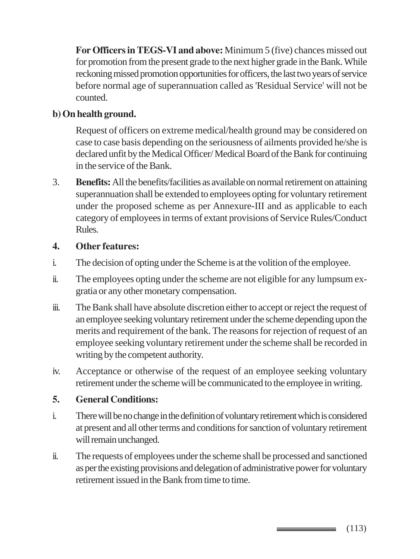**For Officers in TEGS-VI and above:** Minimum 5 (five) chances missed out for promotion from the present grade to the next higher grade in the Bank. While reckoning missed promotion opportunities for officers, the last two years of service before normal age of superannuation called as 'Residual Service' will not be counted.

## **b) On health ground.**

Request of officers on extreme medical/health ground may be considered on case to case basis depending on the seriousness of ailments provided he/she is declared unfit by the Medical Officer/ Medical Board of the Bank for continuing in the service of the Bank.

3. **Benefits:** All the benefits/facilities as available on normal retirement on attaining superannuation shall be extended to employees opting for voluntary retirement under the proposed scheme as per Annexure-III and as applicable to each category of employees in terms of extant provisions of Service Rules/Conduct Rules.

#### **4. Other features:**

- i. The decision of opting under the Scheme is at the volition of the employee.
- ii. The employees opting under the scheme are not eligible for any lumpsum exgratia or any other monetary compensation.
- iii. The Bank shall have absolute discretion either to accept or reject the request of an employee seeking voluntary retirement under the scheme depending upon the merits and requirement of the bank. The reasons for rejection of request of an employee seeking voluntary retirement under the scheme shall be recorded in writing by the competent authority.
- iv. Acceptance or otherwise of the request of an employee seeking voluntary retirement under the scheme will be communicated to the employee in writing.

## **5. General Conditions:**

- i. There will be no change in the definition of voluntary retirement which is considered at present and all other terms and conditions for sanction of voluntary retirement will remain unchanged.
- ii. The requests of employees under the scheme shall be processed and sanctioned as per the existing provisions and delegation of administrative power for voluntary retirement issued in the Bank from time to time.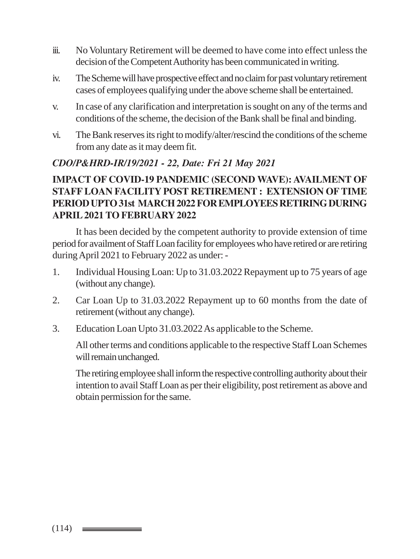- iii. No Voluntary Retirement will be deemed to have come into effect unless the decision of the Competent Authority has been communicated in writing.
- iv. The Scheme will have prospective effect and no claim for past voluntary retirement cases of employees qualifying under the above scheme shall be entertained.
- v. In case of any clarification and interpretation is sought on any of the terms and conditions of the scheme, the decision of the Bank shall be final and binding.
- vi. The Bank reserves its right to modify/alter/rescind the conditions of the scheme from any date as it may deem fit.

## *CDO/P&HRD-IR/19/2021 - 22, Date: Fri 21 May 2021*

## **IMPACT OF COVID-19 PANDEMIC (SECOND WAVE): AVAILMENT OF STAFF LOAN FACILITY POST RETIREMENT : EXTENSION OF TIME PERIOD UPTO 31st MARCH 2022FOR EMPLOYEES RETIRING DURING APRIL 2021 TO FEBRUARY 2022**

It has been decided by the competent authority to provide extension of time period for availment of Staff Loan facility for employees who have retired or are retiring during April 2021 to February 2022 as under: -

- 1. Individual Housing Loan: Up to 31.03.2022 Repayment up to 75 years of age (without any change).
- 2. Car Loan Up to 31.03.2022 Repayment up to 60 months from the date of retirement (without any change).
- 3. Education Loan Upto 31.03.2022 As applicable to the Scheme.

All other terms and conditions applicable to the respective Staff Loan Schemes will remain unchanged.

The retiring employee shall inform the respective controlling authority about their intention to avail Staff Loan as per their eligibility, post retirement as above and obtain permission for the same.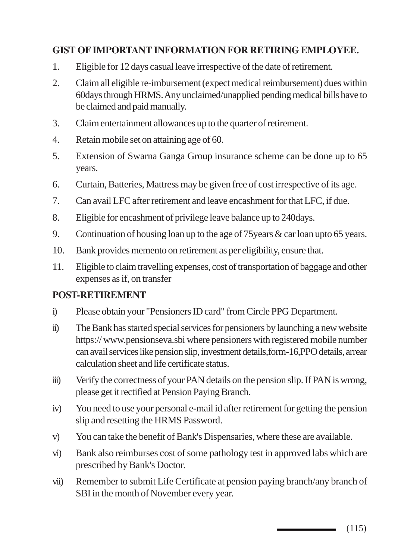## **GIST OF IMPORTANT INFORMATION FOR RETIRING EMPLOYEE.**

- 1. Eligible for 12 days casual leave irrespective of the date of retirement.
- 2. Claim all eligible re-imbursement (expect medical reimbursement) dues within 60days through HRMS. Any unclaimed/unapplied pending medical bills have to be claimed and paid manually.
- 3. Claim entertainment allowances up to the quarter of retirement.
- 4. Retain mobile set on attaining age of 60.
- 5. Extension of Swarna Ganga Group insurance scheme can be done up to 65 years.
- 6. Curtain, Batteries, Mattress may be given free of cost irrespective of its age.
- 7. Can avail LFC after retirement and leave encashment for that LFC, if due.
- 8. Eligible for encashment of privilege leave balance up to 240days.
- 9. Continuation of housing loan up to the age of 75years & car loan upto 65 years.
- 10. Bank provides memento on retirement as per eligibility, ensure that.
- 11. Eligible to claim travelling expenses, cost of transportation of baggage and other expenses as if, on transfer

## **POST-RETIREMENT**

- i) Please obtain your "Pensioners ID card" from Circle PPG Department.
- ii) The Bank has started special services for pensioners by launching a new website https:// www.pensionseva.sbi where pensioners with registered mobile number can avail services like pension slip, investment details,form-16,PPO details, arrear calculation sheet and life certificate status.
- iii) Verify the correctness of your PAN details on the pension slip. If PAN is wrong, please get it rectified at Pension Paying Branch.
- iv) You need to use your personal e-mail id after retirement for getting the pension slip and resetting the HRMS Password.
- v) You can take the benefit of Bank's Dispensaries, where these are available.
- vi) Bank also reimburses cost of some pathology test in approved labs which are prescribed by Bank's Doctor.
- vii) Remember to submit Life Certificate at pension paying branch/any branch of SBI in the month of November every year.

(115)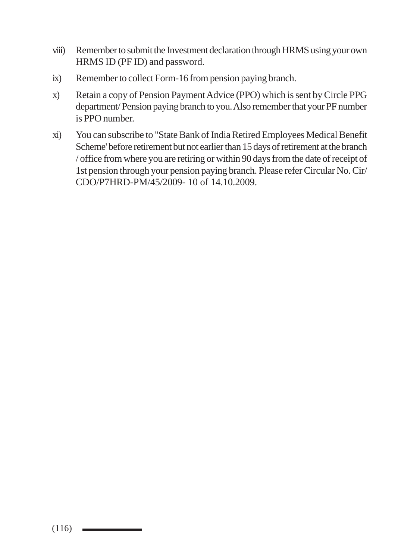- viii) Remember to submit the Investment declaration through HRMS using your own HRMS ID (PF ID) and password.
- ix) Remember to collect Form-16 from pension paying branch.
- x) Retain a copy of Pension Payment Advice (PPO) which is sent by Circle PPG department/ Pension paying branch to you. Also remember that your PF number is PPO number.
- xi) You can subscribe to "State Bank of India Retired Employees Medical Benefit Scheme' before retirement but not earlier than 15 days of retirement at the branch / office from where you are retiring or within 90 days from the date of receipt of 1st pension through your pension paying branch. Please refer Circular No. Cir/ CDO/P7HRD-PM/45/2009- 10 of 14.10.2009.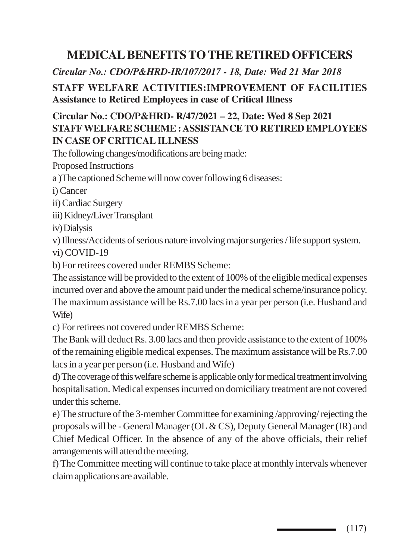# **MEDICAL BENEFITS TO THE RETIRED OFFICERS**

*Circular No.: CDO/P&HRD-IR/107/2017 - 18, Date: Wed 21 Mar 2018*

## **STAFF WELFARE ACTIVITIES:IMPROVEMENT OF FACILITIES Assistance to Retired Employees in case of Critical Illness**

## **Circular No.: CDO/P&HRD- R/47/2021 – 22, Date: Wed 8 Sep 2021 STAFF WELFARE SCHEME : ASSISTANCE TO RETIRED EMPLOYEES IN CASE OF CRITICAL ILLNESS**

The following changes/modifications are being made:

Proposed Instructions

a )The captioned Scheme will now cover following 6 diseases:

i) Cancer

ii) Cardiac Surgery

iii) Kidney/Liver Transplant

iv) Dialysis

v) Illness/Accidents of serious nature involving major surgeries / life support system. vi) COVID-19

b) For retirees covered under REMBS Scheme:

The assistance will be provided to the extent of 100% of the eligible medical expenses incurred over and above the amount paid under the medical scheme/insurance policy. The maximum assistance will be Rs.7.00 lacs in a year per person (i.e. Husband and Wife)

c) For retirees not covered under REMBS Scheme:

The Bank will deduct Rs. 3.00 lacs and then provide assistance to the extent of 100% of the remaining eligible medical expenses. The maximum assistance will be Rs.7.00 lacs in a year per person (i.e. Husband and Wife)

d) The coverage of this welfare scheme is applicable only for medical treatment involving hospitalisation. Medical expenses incurred on domiciliary treatment are not covered under this scheme.

e) The structure of the 3-member Committee for examining /approving/ rejecting the proposals will be - General Manager (OL & CS), Deputy General Manager (IR) and Chief Medical Officer. In the absence of any of the above officials, their relief arrangements will attend the meeting.

f) The Committee meeting will continue to take place at monthly intervals whenever claim applications are available.

 $\equiv$  (117)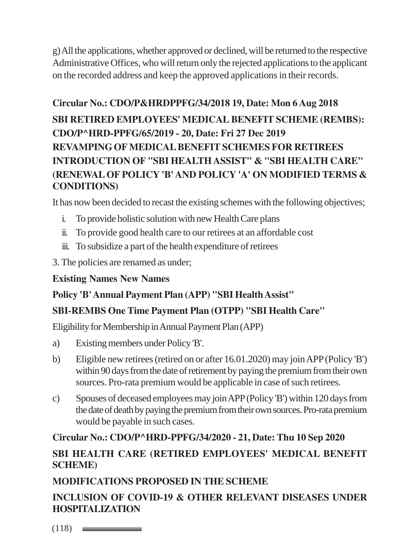g) All the applications, whether approved or declined, will be returned to the respective Administrative Offices, who will return only the rejected applications to the applicant on the recorded address and keep the approved applications in their records.

# **Circular No.: CDO/P&HRDPPFG/34/2018 19, Date: Mon 6 Aug 2018 SBI RETIRED EMPLOYEES' MEDICAL BENEFIT SCHEME (REMBS): CDO/P^HRD-PPFG/65/2019 - 20, Date: Fri 27 Dec 2019 REVAMPING OF MEDICAL BENEFIT SCHEMES FOR RETIREES INTRODUCTION OF "SBI HEALTH ASSIST" & "SBI HEALTH CARE" (RENEWAL OF POLICY 'B' AND POLICY 'A' ON MODIFIED TERMS & CONDITIONS)**

It has now been decided to recast the existing schemes with the following objectives;

- i. To provide holistic solution with new Health Care plans
- ii. To provide good health care to our retirees at an affordable cost
- iii. To subsidize a part of the health expenditure of retirees
- 3. The policies are renamed as under;

## **Existing Names New Names**

## **Policy 'B' Annual Payment Plan (APP) "SBI Health Assist"**

## **SBI-REMBS One Time Payment Plan (OTPP) "SBI Health Care"**

Eligibility for Membership in Annual Payment Plan (APP)

- a) Existing members under Policy 'B'.
- b) Eligible new retirees (retired on or after 16.01.2020) may join APP (Policy 'B') within 90 days from the date of retirement by paying the premium from their own sources. Pro-rata premium would be applicable in case of such retirees.
- c) Spouses of deceased employees may join APP (Policy 'B') within 120 days from the date of death by paying the premium from their own sources. Pro-rata premium would be payable in such cases.

## **Circular No.: CDO/P^HRD-PPFG/34/2020 - 21, Date: Thu 10 Sep 2020 SBI HEALTH CARE (RETIRED EMPLOYEES' MEDICAL BENEFIT SCHEME)**

# **MODIFICATIONS PROPOSED IN THE SCHEME**

**INCLUSION OF COVID-19 & OTHER RELEVANT DISEASES UNDER HOSPITALIZATION**

 $(118)$   $\equiv$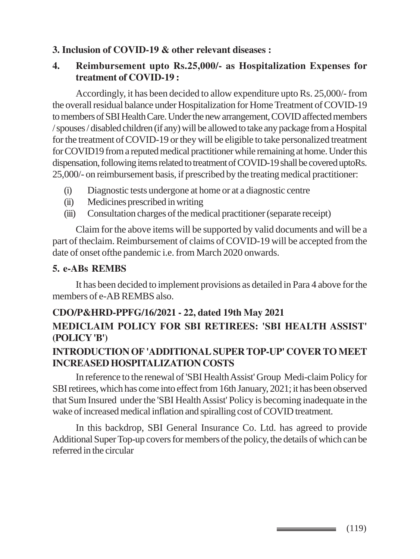## **3. Inclusion of COVID-19 & other relevant diseases :**

### **4. Reimbursement upto Rs.25,000/- as Hospitalization Expenses for treatment of COVID-19 :**

Accordingly, it has been decided to allow expenditure upto Rs. 25,000/- from the overall residual balance under Hospitalization for Home Treatment of COVID-19 to members of SBI Health Care. Under the new arrangement, COVID affected members / spouses / disabled children (if any) will be allowed to take any package from a Hospital for the treatment of COVID-19 or they will be eligible to take personalized treatment for COVID19 from a reputed medical practitioner while remaining at home. Under this dispensation, following items related to treatment of COVID-19 shall be covered uptoRs. 25,000/- on reimbursement basis, if prescribed by the treating medical practitioner:

- (i) Diagnostic tests undergone at home or at a diagnostic centre
- (ii) Medicines prescribed in writing
- (iii) Consultation charges of the medical practitioner (separate receipt)

Claim for the above items will be supported by valid documents and will be a part of theclaim. Reimbursement of claims of COVID-19 will be accepted from the date of onset ofthe pandemic i.e. from March 2020 onwards.

## **5. e-ABs REMBS**

It has been decided to implement provisions as detailed in Para 4 above for the members of e-AB REMBS also.

## **CDO/P&HRD-PPFG/16/2021 - 22, dated 19th May 2021 MEDICLAIM POLICY FOR SBI RETIREES: 'SBI HEALTH ASSIST' (POLICY 'B')**

## **INTRODUCTION OF 'ADDITIONAL SUPER TOP-UP' COVER TO MEET INCREASED HOSPITALIZATION COSTS**

In reference to the renewal of 'SBI Health Assist' Group Medi-claim Policy for SBI retirees, which has come into effect from 16th January, 2021; it has been observed that Sum Insured under the 'SBI Health Assist' Policy is becoming inadequate in the wake of increased medical inflation and spiralling cost of COVID treatment.

In this backdrop, SBI General Insurance Co. Ltd. has agreed to provide Additional Super Top-up covers for members of the policy, the details of which can be referred in the circular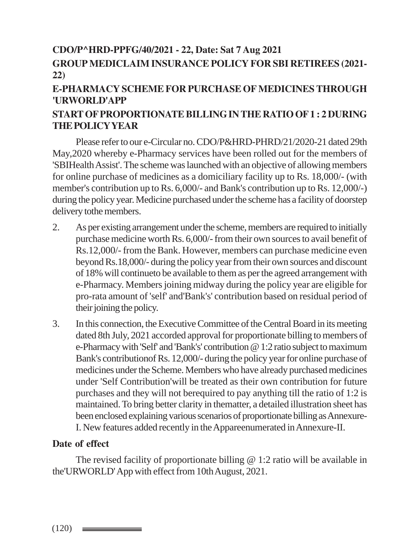# **CDO/P^HRD-PPFG/40/2021 - 22, Date: Sat 7 Aug 2021**

## **GROUP MEDICLAIM INSURANCE POLICY FOR SBI RETIREES (2021- 22)**

## **E-PHARMACY SCHEME FOR PURCHASE OF MEDICINES THROUGH 'URWORLD'APP**

## **START OF PROPORTIONATE BILLING IN THE RATIO OF 1 : 2 DURING THE POLICY YEAR**

Please refer to our e-Circular no. CDO/P&HRD-PHRD/21/2020-21 dated 29th May,2020 whereby e-Pharmacy services have been rolled out for the members of 'SBIHealth Assist'. The scheme was launched with an objective of allowing members for online purchase of medicines as a domiciliary facility up to Rs. 18,000/- (with member's contribution up to Rs. 6,000/- and Bank's contribution up to Rs. 12,000/-) during the policy year. Medicine purchased under the scheme has a facility of doorstep delivery tothe members.

- 2. As per existing arrangement under the scheme, members are required to initially purchase medicine worth Rs. 6,000/- from their own sources to avail benefit of Rs.12,000/- from the Bank. However, members can purchase medicine even beyond Rs.18,000/- during the policy year from their own sources and discount of 18% will continueto be available to them as per the agreed arrangement with e-Pharmacy. Members joining midway during the policy year are eligible for pro-rata amount of 'self' and'Bank's' contribution based on residual period of their joining the policy.
- 3. In this connection, the Executive Committee of the Central Board in its meeting dated 8th July, 2021 accorded approval for proportionate billing to members of e-Pharmacy with 'Self' and 'Bank's' contribution @ 1:2 ratio subject to maximum Bank's contributionof Rs. 12,000/- during the policy year for online purchase of medicines under the Scheme. Members who have already purchased medicines under 'Self Contribution'will be treated as their own contribution for future purchases and they will not berequired to pay anything till the ratio of 1:2 is maintained. To bring better clarity in thematter, a detailed illustration sheet has been enclosed explaining various scenarios of proportionate billing as Annexure-I. New features added recently in the Appareenumerated in Annexure-II.

## **Date of effect**

The revised facility of proportionate billing  $\omega$  1:2 ratio will be available in the'URWORLD' App with effect from 10th August, 2021.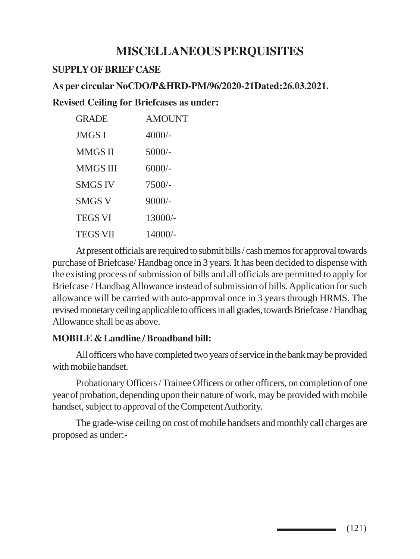## **MISCELLANEOUS PERQUISITES**

#### **SUPPLY OF BRIEF CASE**

#### **As per circular NoCDO/P&HRD-PM/96/2020-21Dated:26.03.2021.**

### **Revised Ceiling for Briefcases as under:**

| <b>AMOUNT</b> |
|---------------|
| 4000/-        |
| $5000/-$      |
| $6000/-$      |
| $7500/-$      |
| $9000/-$      |
| $13000/-$     |
| $14000/-$     |
|               |

At present officials are required to submit bills / cash memos for approval towards purchase of Briefcase/ Handbag once in 3 years. It has been decided to dispense with the existing process of submission of bills and all officials are permitted to apply for Briefcase / Handbag Allowance instead of submission of bills. Application for such allowance will be carried with auto-approval once in 3 years through HRMS. The revised monetary ceiling applicable to officers in all grades, towards Briefcase / Handbag Allowance shall be as above.

## **MOBILE & Landline / Broadband bill:**

All officers who have completed two years of service in the bank may be provided with mobile handset.

Probationary Officers / Trainee Officers or other officers, on completion of one year of probation, depending upon their nature of work, may be provided with mobile handset, subject to approval of the Competent Authority.

The grade-wise ceiling on cost of mobile handsets and monthly call charges are proposed as under:-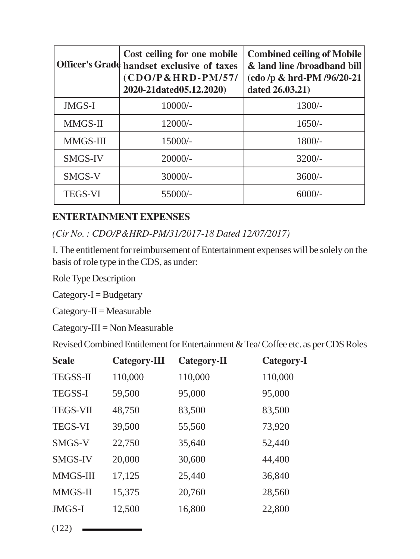|                | Cost ceiling for one mobile<br>Officer's Grade handset exclusive of taxes<br>$(CDO/P&HRD-PM/57/$<br>2020-21dated05.12.2020) | <b>Combined ceiling of Mobile</b><br>& land line/broadband bill<br>(cdo/p & hrd-PM/96/20-21<br>dated 26.03.21) |
|----------------|-----------------------------------------------------------------------------------------------------------------------------|----------------------------------------------------------------------------------------------------------------|
| JMGS-I         | $10000/-$                                                                                                                   | $1300/-$                                                                                                       |
| MMGS-II        | $12000/-$                                                                                                                   | $1650/-$                                                                                                       |
| MMGS-III       | $15000/-$                                                                                                                   | $1800/-$                                                                                                       |
| <b>SMGS-IV</b> | $20000/-$                                                                                                                   | $3200/-$                                                                                                       |
| SMGS-V         | $30000/-$                                                                                                                   | $3600/-$                                                                                                       |
| <b>TEGS-VI</b> | 55000/-                                                                                                                     | $6000/-$                                                                                                       |

## **ENTERTAINMENT EXPENSES**

*(Cir No. : CDO/P&HRD-PM/31/2017-18 Dated 12/07/2017)*

I. The entitlement for reimbursement of Entertainment expenses will be solely on the basis of role type in the CDS, as under:

Role Type Description

 $Category-I = Budgetary$ 

 $Category-II = Measurement$ 

Category-III = Non Measurable

Revised Combined Entitlement for Entertainment & Tea/ Coffee etc. as per CDS Roles

| <b>Scale</b>    | Category-III | Category-II | Category-I |
|-----------------|--------------|-------------|------------|
| <b>TEGSS-II</b> | 110,000      | 110,000     | 110,000    |
| <b>TEGSS-I</b>  | 59,500       | 95,000      | 95,000     |
| <b>TEGS-VII</b> | 48,750       | 83,500      | 83,500     |
| <b>TEGS-VI</b>  | 39,500       | 55,560      | 73,920     |
| SMGS-V          | 22,750       | 35,640      | 52,440     |
| <b>SMGS-IV</b>  | 20,000       | 30,600      | 44,400     |
| <b>MMGS-III</b> | 17,125       | 25,440      | 36,840     |
| <b>MMGS-II</b>  | 15,375       | 20,760      | 28,560     |
| JMGS-I          | 12,500       | 16,800      | 22,800     |
|                 |              |             |            |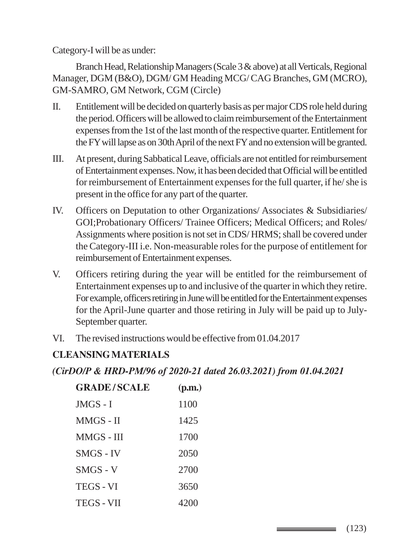Category-I will be as under:

Branch Head, Relationship Managers (Scale 3 & above) at all Verticals, Regional Manager, DGM (B&O), DGM/ GM Heading MCG/ CAG Branches, GM (MCRO), GM-SAMRO, GM Network, CGM (Circle)

- II. Entitlement will be decided on quarterly basis as per major CDS role held during the period. Officers will be allowed to claim reimbursement of the Entertainment expenses from the 1st of the last month of the respective quarter. Entitlement for the FY will lapse as on 30th April of the next FY and no extension will be granted.
- III. At present, during Sabbatical Leave, officials are not entitled for reimbursement of Entertainment expenses. Now, it has been decided that Official will be entitled for reimbursement of Entertainment expenses for the full quarter, if he/ she is present in the office for any part of the quarter.
- IV. Officers on Deputation to other Organizations/ Associates & Subsidiaries/ GOI;Probationary Officers/ Trainee Officers; Medical Officers; and Roles/ Assignments where position is not set in CDS/ HRMS; shall be covered under the Category-III i.e. Non-measurable roles for the purpose of entitlement for reimbursement of Entertainment expenses.
- V. Officers retiring during the year will be entitled for the reimbursement of Entertainment expenses up to and inclusive of the quarter in which they retire. For example, officers retiring in June will be entitled for the Entertainment expenses for the April-June quarter and those retiring in July will be paid up to July-September quarter.
- VI. The revised instructions would be effective from 01.04.2017

## **CLEANSING MATERIALS**

## *(CirDO/P & HRD-PM/96 of 2020-21 dated 26.03.2021) from 01.04.2021*

| <b>GRADE/SCALE</b> | (p.m.) |
|--------------------|--------|
| JMGS - I           | 1100   |
| MMGS - II          | 1425   |
| MMGS - III         | 1700   |
| <b>SMGS - IV</b>   | 2050   |
| $SMGS - V$         | 2700   |
| <b>TEGS - VI</b>   | 3650   |
| <b>TEGS - VII</b>  | 4200   |

\_\_\_\_\_\_\_\_\_\_\_\_\_\_\_\_\_\_\_\_\_\_\_\_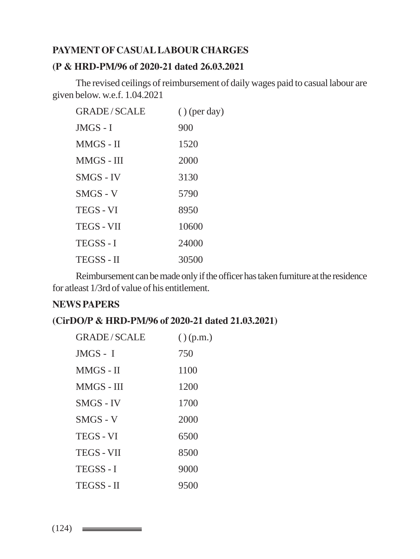## **PAYMENT OF CASUAL LABOUR CHARGES**

#### **(P & HRD-PM/96 of 2020-21 dated 26.03.2021**

The revised ceilings of reimbursement of daily wages paid to casual labour are given below. w.e.f. 1.04.2021

| <b>GRADE/SCALE</b> | $()$ (per day) |
|--------------------|----------------|
| $JMGS - I$         | 900            |
| $MMGS - II$        | 1520           |
| MMGS - III         | 2000           |
| SMGS - IV          | 3130           |
| $SMGS - V$         | 5790           |
| TEGS - VI          | 8950           |
| <b>TEGS - VII</b>  | 10600          |
| <b>TEGSS-I</b>     | 24000          |
| <b>TEGSS - II</b>  | 30500          |

Reimbursement can be made only if the officer has taken furniture at the residence for atleast 1/3rd of value of his entitlement.

#### **NEWS PAPERS**

## **(CirDO/P & HRD-PM/96 of 2020-21 dated 21.03.2021)**

| <b>GRADE/SCALE</b> | $()$ (p.m.) |
|--------------------|-------------|
| $JMGS - I$         | 750         |
| MMGS - II          | 1100        |
| MMGS - III         | 1200        |
| SMGS - IV          | 1700        |
| $SMGS - V$         | 2000        |
| <b>TEGS - VI</b>   | 6500        |
| <b>TEGS - VII</b>  | 8500        |
| <b>TEGSS-I</b>     | 9000        |
| <b>TEGSS-II</b>    | 9500        |

 $(124)$   $\equiv$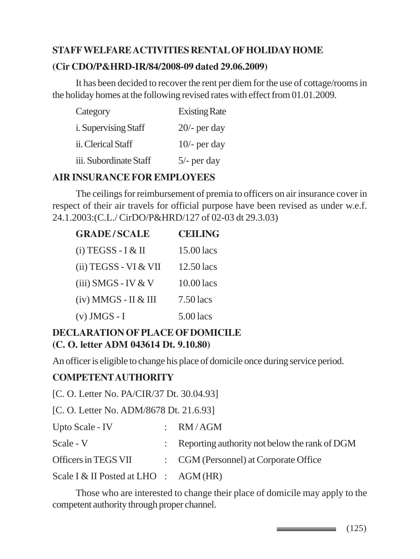## **STAFF WELFARE ACTIVITIES RENTAL OF HOLIDAY HOME (Cir CDO/P&HRD-IR/84/2008-09 dated 29.06.2009)**

It has been decided to recover the rent per diem for the use of cottage/rooms in the holiday homes at the following revised rates with effect from 01.01.2009.

| Category                    | <b>Existing Rate</b> |
|-----------------------------|----------------------|
| <i>i.</i> Supervising Staff | $20/-$ per day       |
| ii. Clerical Staff          | $10/-$ per day       |
| iii. Subordinate Staff      | $5/-$ per day        |

#### **AIR INSURANCE FOR EMPLOYEES**

The ceilings for reimbursement of premia to officers on air insurance cover in respect of their air travels for official purpose have been revised as under w.e.f. 24.1.2003:(C.L./ CirDO/P&HRD/127 of 02-03 dt 29.3.03)

| <b>GRADE/SCALE</b>       | <b>CEILING</b> |
|--------------------------|----------------|
| (i) TEGSS - I & II       | 15.00 lacs     |
| (ii) TEGSS - VI & VII    | 12.50 lacs     |
| (iii) SMGS - IV & V      | 10.00 lacs     |
| $(iv)$ MMGS - II $&$ III | $7.50$ lacs    |
| $(v)$ JMGS - I           | $5.00$ lacs    |

## **DECLARATION OF PLACE OF DOMICILE (C. O. letter ADM 043614 Dt. 9.10.80)**

An officer is eligible to change his place of domicile once during service period.

## **COMPETENT AUTHORITY**

[C. O. Letter No. PA/CIR/37 Dt. 30.04.93]

[C. O. Letter No. ADM/8678 Dt. 21.6.93]

| Upto Scale - IV                         | $:$ RM/AGM                                                 |
|-----------------------------------------|------------------------------------------------------------|
| Scale - V                               | $\therefore$ Reporting authority not below the rank of DGM |
| Officers in TEGS VII                    | : CGM (Personnel) at Corporate Office                      |
| Scale I & II Posted at LHO : $AGM$ (HR) |                                                            |

Those who are interested to change their place of domicile may apply to the competent authority through proper channel.

 $\equiv$  (125)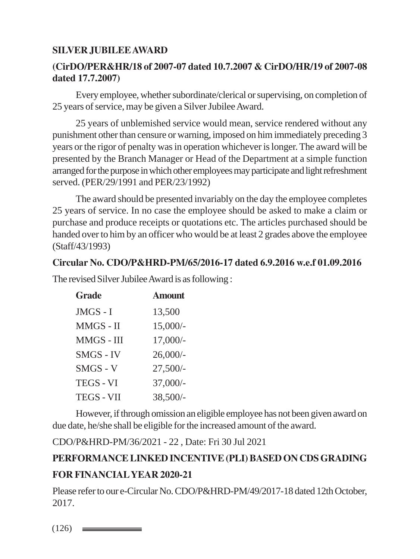## **SILVER JUBILEE AWARD**

## **(CirDO/PER&HR/18 of 2007-07 dated 10.7.2007 & CirDO/HR/19 of 2007-08 dated 17.7.2007)**

Every employee, whether subordinate/clerical or supervising, on completion of 25 years of service, may be given a Silver Jubilee Award.

25 years of unblemished service would mean, service rendered without any punishment other than censure or warning, imposed on him immediately preceding 3 years or the rigor of penalty was in operation whichever is longer. The award will be presented by the Branch Manager or Head of the Department at a simple function arranged for the purpose in which other employees may participate and light refreshment served. (PER/29/1991 and PER/23/1992)

The award should be presented invariably on the day the employee completes 25 years of service. In no case the employee should be asked to make a claim or purchase and produce receipts or quotations etc. The articles purchased should be handed over to him by an officer who would be at least 2 grades above the employee (Staff/43/1993)

#### **Circular No. CDO/P&HRD-PM/65/2016-17 dated 6.9.2016 w.e.f 01.09.2016**

The revised Silver Jubilee Award is as following :

| <b>Grade</b>      | <b>Amount</b> |
|-------------------|---------------|
| JMGS - I          | 13,500        |
| MMGS - II         | $15,000/-$    |
| MMGS - III        | $17,000/-$    |
| <b>SMGS - IV</b>  | $26,000/-$    |
| $SMGS - V$        | $27,500/-$    |
| <b>TEGS - VI</b>  | 37,000/-      |
| <b>TEGS - VII</b> | 38,500/-      |

However, if through omission an eligible employee has not been given award on due date, he/she shall be eligible for the increased amount of the award.

CDO/P&HRD-PM/36/2021 - 22 , Date: Fri 30 Jul 2021

# **PERFORMANCE LINKED INCENTIVE (PLI) BASED ON CDS GRADING FOR FINANCIAL YEAR 2020-21**

Please refer to our e-Circular No. CDO/P&HRD-PM/49/2017-18 dated 12th October, 2017.

 $(126)$   $\equiv$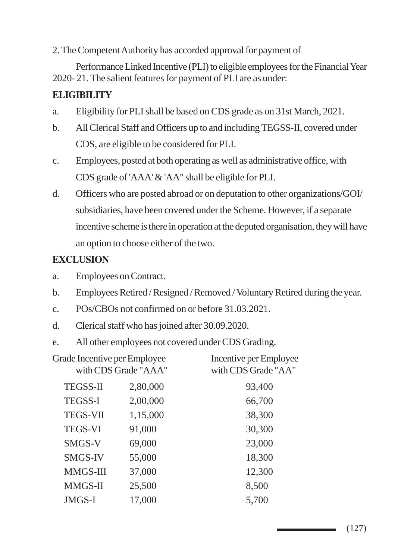2. The Competent Authority has accorded approval for payment of

Performance Linked Incentive (PLI) to eligible employees for the Financial Year 2020- 21. The salient features for payment of PLI are as under:

## **ELIGIBILITY**

- a. Eligibility for PLI shall be based on CDS grade as on 31st March, 2021.
- b. All Clerical Staff and Officers up to and including TEGSS-II, covered under CDS, are eligible to be considered for PLI.
- c. Employees, posted at both operating as well as administrative office, with CDS grade of 'AAA' & 'AA" shall be eligible for PLI.
- d. Officers who are posted abroad or on deputation to other organizations/GOI/ subsidiaries, have been covered under the Scheme. However, if a separate incentive scheme is there in operation at the deputed organisation, they will have an option to choose either of the two.

## **EXCLUSION**

- a. Employees on Contract.
- b. Employees Retired / Resigned / Removed / Voluntary Retired during the year.
- c. POs/CBOs not confirmed on or before 31.03.2021.
- d. Clerical staff who has joined after 30.09.2020.
- e. All other employees not covered under CDS Grading.

| Grade Incentive per Employee<br>with CDS Grade "AAA" |          | Incentive per Employee<br>with CDS Grade "AA" |  |
|------------------------------------------------------|----------|-----------------------------------------------|--|
|                                                      |          |                                               |  |
| <b>TEGSS-II</b>                                      | 2,80,000 | 93,400                                        |  |
| <b>TEGSS-I</b>                                       | 2,00,000 | 66,700                                        |  |
| <b>TEGS-VII</b>                                      | 1,15,000 | 38,300                                        |  |
| <b>TEGS-VI</b>                                       | 91,000   | 30,300                                        |  |
| SMGS-V                                               | 69,000   | 23,000                                        |  |
| <b>SMGS-IV</b>                                       | 55,000   | 18,300                                        |  |
| MMGS-III                                             | 37,000   | 12,300                                        |  |
| MMGS-II                                              | 25,500   | 8,500                                         |  |
| <b>JMGS-I</b>                                        | 17,000   | 5,700                                         |  |

(127)

\_\_\_\_\_\_\_\_\_\_\_\_\_\_\_\_\_\_\_\_\_\_\_\_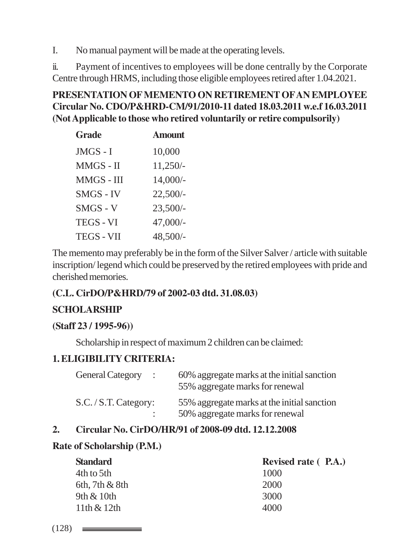I. No manual payment will be made at the operating levels.

ii. Payment of incentives to employees will be done centrally by the Corporate Centre through HRMS, including those eligible employees retired after 1.04.2021.

## **PRESENTATION OF MEMENTO ON RETIREMENT OF AN EMPLOYEE Circular No. CDO/P&HRD-CM/91/2010-11 dated 18.03.2011 w.e.f 16.03.2011 (Not Applicable to those who retired voluntarily or retire compulsorily)**

| <b>Grade</b>      | <b>Amount</b> |
|-------------------|---------------|
| JMGS - I          | 10,000        |
| MMGS - II         | $11,250/-$    |
| MMGS - III        | $14,000/-$    |
| <b>SMGS - IV</b>  | $22,500/-$    |
| $SMGS - V$        | $23,500/-$    |
| <b>TEGS - VI</b>  | 47,000/-      |
| <b>TEGS - VII</b> | 48,500/-      |

The memento may preferably be in the form of the Silver Salver / article with suitable inscription/ legend which could be preserved by the retired employees with pride and cherished memories.

## **(C.L. CirDO/P&HRD/79 of 2002-03 dtd. 31.08.03)**

## **SCHOLARSHIP**

## **(Staff 23 / 1995-96))**

Scholarship in respect of maximum 2 children can be claimed:

## **1. ELIGIBILITY CRITERIA:**

| <b>General Category</b><br>$\ddot{\phantom{1}}$ | 60% aggregate marks at the initial sanction<br>55% aggregate marks for renewal |
|-------------------------------------------------|--------------------------------------------------------------------------------|
| S.C./ S.T. Category:                            | 55% aggregate marks at the initial sanction                                    |
|                                                 | 50% aggregate marks for renewal                                                |

## **2. Circular No. CirDO/HR/91 of 2008-09 dtd. 12.12.2008**

## **Rate of Scholarship (P.M.)**

| <b>Standard</b>     | Revised rate (P.A.) |
|---------------------|---------------------|
| 4th to 5th          | 1000                |
| $6th$ , 7th $&$ 8th | 2000                |
| 9th $\&$ 10th       | 3000                |
| $11th \& 12th$      | 4000                |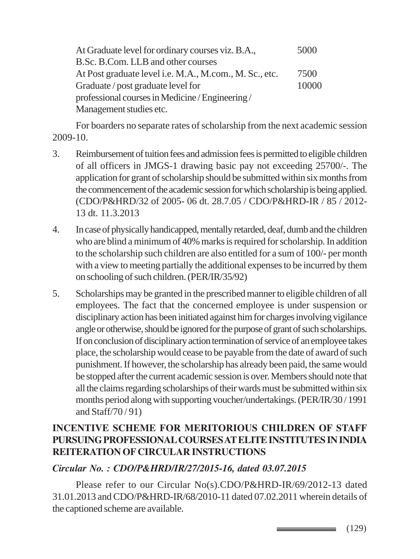At Graduate level for ordinary courses viz. B.A., 5000 B.Sc. B.Com. LLB and other courses At Post graduate level i.e. M.A., M.com., M. Sc., etc. 7500 Graduate / post graduate level for 10000 professional courses in Medicine / Engineering / Management studies etc.

For boarders no separate rates of scholarship from the next academic session 2009-10.

- 3. Reimbursement of tuition fees and admission fees is permitted to eligible children of all officers in JMGS-1 drawing basic pay not exceeding 25700/-. The application for grant of scholarship should be submitted within six months from the commencement of the academic session for which scholarship is being applied. (CDO/P&HRD/32 of 2005- 06 dt. 28.7.05 / CDO/P&HRD-IR / 85 / 2012- 13 dt. 11.3.2013
- 4. In case of physically handicapped, mentally retarded, deaf, dumb and the children who are blind a minimum of 40% marks is required for scholarship. In addition to the scholarship such children are also entitled for a sum of 100/- per month with a view to meeting partially the additional expenses to be incurred by them on schooling of such children. (PER/IR/35/92)
- 5. Scholarships may be granted in the prescribed manner to eligible children of all employees. The fact that the concerned employee is under suspension or disciplinary action has been initiated against him for charges involving vigilance angle or otherwise, should be ignored for the purpose of grant of such scholarships. If on conclusion of disciplinary action termination of service of an employee takes place, the scholarship would cease to be payable from the date of award of such punishment. If however, the scholarship has already been paid, the same would be stopped after the current academic session is over. Members should note that all the claims regarding scholarships of their wards must be submitted within six months period along with supporting voucher/undertakings. (PER/IR/30 / 1991 and Staff/70 / 91)

## **INCENTIVE SCHEME FOR MERITORIOUS CHILDREN OF STAFF PURSUING PROFESSIONAL COURSES AT ELITE INSTITUTES IN INDIA REITERATION OF CIRCULAR INSTRUCTIONS**

## *Circular No. : CDO/P&HRD/IR/27/2015-16, dated 03.07.2015*

Please refer to our Circular No(s).CDO/P&HRD-IR/69/2012-13 dated 31.01.2013 and CDO/P&HRD-IR/68/2010-11 dated 07.02.2011 wherein details of the captioned scheme are available.

> (129)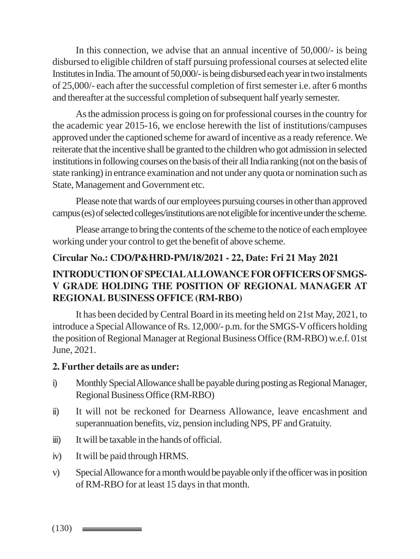In this connection, we advise that an annual incentive of 50,000/- is being disbursed to eligible children of staff pursuing professional courses at selected elite Institutes in India. The amount of 50,000/- is being disbursed each year in two instalments of 25,000/- each after the successful completion of first semester i.e. after 6 months and thereafter at the successful completion of subsequent half yearly semester.

As the admission process is going on for professional courses in the country for the academic year 2015-16, we enclose herewith the list of institutions/campuses approved under the captioned scheme for award of incentive as a ready reference. We reiterate that the incentive shall be granted to the children who got admission in selected institutions in following courses on the basis of their all India ranking (not on the basis of state ranking) in entrance examination and not under any quota or nomination such as State, Management and Government etc.

Please note that wards of our employees pursuing courses in other than approved campus (es) of selected colleges/institutions are not eligible for incentive under the scheme.

Please arrange to bring the contents of the scheme to the notice of each employee working under your control to get the benefit of above scheme.

#### **Circular No.: CDO/P&HRD-PM/18/2021 - 22, Date: Fri 21 May 2021**

## **INTRODUCTION OF SPECIAL ALLOWANCE FOR OFFICERS OF SMGS-V GRADE HOLDING THE POSITION OF REGIONAL MANAGER AT REGIONAL BUSINESS OFFICE (RM-RBO)**

It has been decided by Central Board in its meeting held on 21st May, 2021, to introduce a Special Allowance of Rs. 12,000/- p.m. for the SMGS-V officers holding the position of Regional Manager at Regional Business Office (RM-RBO) w.e.f. 01st June, 2021.

#### **2. Further details are as under:**

- i) Monthly Special Allowance shall be payable during posting as Regional Manager, Regional Business Office (RM-RBO)
- ii) It will not be reckoned for Dearness Allowance, leave encashment and superannuation benefits, viz, pension including NPS, PF and Gratuity.
- iii) It will be taxable in the hands of official.
- iv) It will be paid through HRMS.
- v) Special Allowance for a month would be payable only if the officer was in position of RM-RBO for at least 15 days in that month.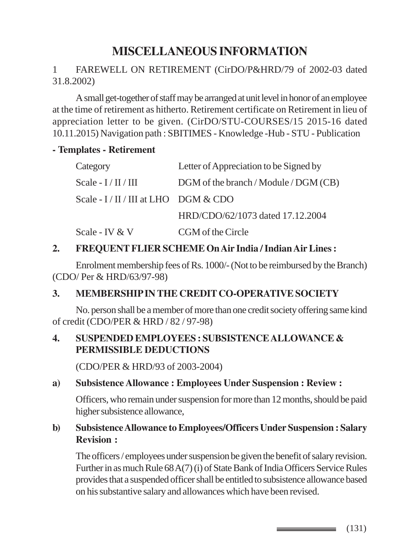# **MISCELLANEOUS INFORMATION**

## 1 FAREWELL ON RETIREMENT (CirDO/P&HRD/79 of 2002-03 dated 31.8.2002)

A small get-together of staff may be arranged at unit level in honor of an employee at the time of retirement as hitherto. Retirement certificate on Retirement in lieu of appreciation letter to be given. (CirDO/STU-COURSES/15 2015-16 dated 10.11.2015) Navigation path : SBITIMES - Knowledge -Hub - STU - Publication

#### **- Templates - Retirement**

| Category                            | Letter of Appreciation to be Signed by |
|-------------------------------------|----------------------------------------|
| Scale - $I/II/III$                  | DGM of the branch / Module / DGM (CB)  |
| Scale - $I/II/III$ at LHO DGM & CDO |                                        |
|                                     | HRD/CDO/62/1073 dated 17.12.2004       |
| Scale - IV & V                      | CGM of the Circle                      |

#### **2. FREQUENT FLIER SCHEME On Air India / Indian Air Lines :**

Enrolment membership fees of Rs. 1000/- (Not to be reimbursed by the Branch) (CDO/ Per & HRD/63/97-98)

## **3. MEMBERSHIP IN THE CREDIT CO-OPERATIVE SOCIETY**

No. person shall be a member of more than one credit society offering same kind of credit (CDO/PER & HRD / 82 / 97-98)

#### **4. SUSPENDED EMPLOYEES : SUBSISTENCE ALLOWANCE & PERMISSIBLE DEDUCTIONS**

(CDO/PER & HRD/93 of 2003-2004)

#### **a) Subsistence Allowance : Employees Under Suspension : Review :**

Officers, who remain under suspension for more than 12 months, should be paid higher subsistence allowance,

#### **b) Subsistence Allowance to Employees/Officers Under Suspension : Salary Revision :**

The officers / employees under suspension be given the benefit of salary revision. Further in as much Rule 68 A(7) (i) of State Bank of India Officers Service Rules provides that a suspended officer shall be entitled to subsistence allowance based on his substantive salary and allowances which have been revised.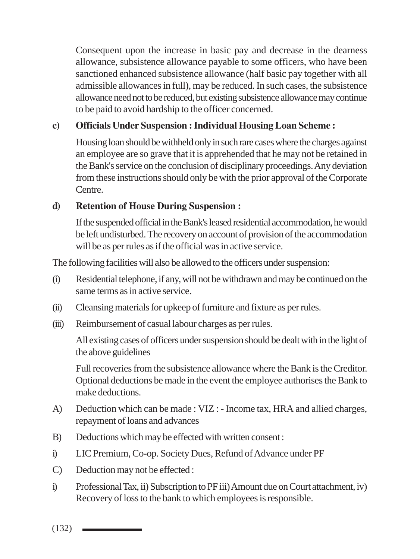Consequent upon the increase in basic pay and decrease in the dearness allowance, subsistence allowance payable to some officers, who have been sanctioned enhanced subsistence allowance (half basic pay together with all admissible allowances in full), may be reduced. In such cases, the subsistence allowance need not to be reduced, but existing subsistence allowance may continue to be paid to avoid hardship to the officer concerned.

## **c) Officials Under Suspension : Individual Housing Loan Scheme :**

Housing loan should be withheld only in such rare cases where the charges against an employee are so grave that it is apprehended that he may not be retained in the Bank's service on the conclusion of disciplinary proceedings. Any deviation from these instructions should only be with the prior approval of the Corporate Centre.

## **d) Retention of House During Suspension :**

If the suspended official in the Bank's leased residential accommodation, he would be left undisturbed. The recovery on account of provision of the accommodation will be as per rules as if the official was in active service.

The following facilities will also be allowed to the officers under suspension:

- (i) Residential telephone, if any, will not be withdrawn and may be continued on the same terms as in active service.
- (ii) Cleansing materials for upkeep of furniture and fixture as per rules.
- (iii) Reimbursement of casual labour charges as per rules.

All existing cases of officers under suspension should be dealt with in the light of the above guidelines

Full recoveries from the subsistence allowance where the Bank is the Creditor. Optional deductions be made in the event the employee authorises the Bank to make deductions.

- A) Deduction which can be made : VIZ : Income tax, HRA and allied charges, repayment of loans and advances
- B) Deductions which may be effected with written consent :
- i) LIC Premium, Co-op. Society Dues, Refund of Advance under PF
- C) Deduction may not be effected :
- i) Professional Tax, ii) Subscription to PF iii) Amount due on Court attachment, iv) Recovery of loss to the bank to which employees is responsible.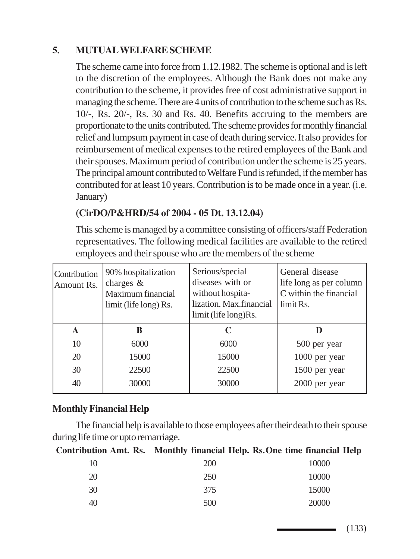## **5. MUTUAL WELFARE SCHEME**

The scheme came into force from 1.12.1982. The scheme is optional and is left to the discretion of the employees. Although the Bank does not make any contribution to the scheme, it provides free of cost administrative support in managing the scheme. There are 4 units of contribution to the scheme such as Rs. 10/-, Rs. 20/-, Rs. 30 and Rs. 40. Benefits accruing to the members are proportionate to the units contributed. The scheme provides for monthly financial relief and lumpsum payment in case of death during service. It also provides for reimbursement of medical expenses to the retired employees of the Bank and their spouses. Maximum period of contribution under the scheme is 25 years. The principal amount contributed to Welfare Fund is refunded, if the member has contributed for at least 10 years. Contribution is to be made once in a year. (i.e. January)

## **(CirDO/P&HRD/54 of 2004 - 05 Dt. 13.12.04)**

This scheme is managed by a committee consisting of officers/staff Federation representatives. The following medical facilities are available to the retired employees and their spouse who are the members of the scheme

| Contribution<br>Amount Rs. | 90% hospitalization<br>charges $\&$<br>Maximum financial<br>limit (life long) Rs. | Serious/special<br>diseases with or<br>without hospita-<br>lization. Max.financial<br>limit (life long)Rs. | General disease<br>life long as per column<br>C within the financial<br>limit Rs. |
|----------------------------|-----------------------------------------------------------------------------------|------------------------------------------------------------------------------------------------------------|-----------------------------------------------------------------------------------|
| A                          | B                                                                                 | C                                                                                                          |                                                                                   |
| 10                         | 6000                                                                              | 6000                                                                                                       | 500 per year                                                                      |
| 20                         | 15000                                                                             | 15000                                                                                                      | 1000 per year                                                                     |
| 30                         | 22500                                                                             | 22500                                                                                                      | 1500 per year                                                                     |
| 40                         | 30000                                                                             | 30000                                                                                                      | 2000 per year                                                                     |

## **Monthly Financial Help**

The financial help is available to those employees after their death to their spouse during life time or upto remarriage.

#### **Contribution Amt. Rs. Monthly financial Help. Rs.One time financial Help**

| 10 | 200 | 10000 |
|----|-----|-------|
| 20 | 250 | 10000 |
| 30 | 375 | 15000 |
| 40 | 500 | 20000 |

(133)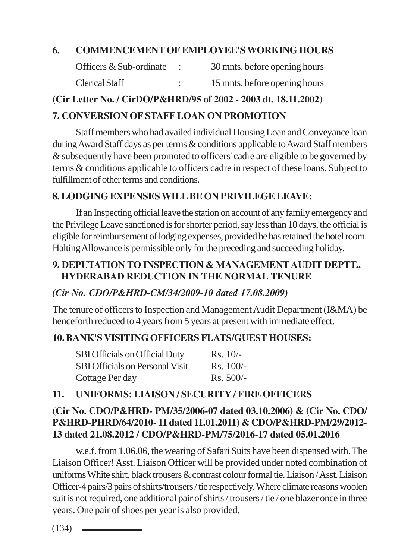## **6. COMMENCEMENT OF EMPLOYEE'S WORKING HOURS**

| Officers & Sub-ordinate | 30 mnts. before opening hours |
|-------------------------|-------------------------------|
| <b>Clerical Staff</b>   | 15 mnts. before opening hours |

#### **(Cir Letter No. / CirDO/P&HRD/95 of 2002 - 2003 dt. 18.11.2002)**

## **7. CONVERSION OF STAFF LOAN ON PROMOTION**

Staff members who had availed individual Housing Loan and Conveyance loan during Award Staff days as per terms & conditions applicable to Award Staff members & subsequently have been promoted to officers' cadre are eligible to be governed by terms & conditions applicable to officers cadre in respect of these loans. Subject to fulfillment of other terms and conditions.

## **8. LODGING EXPENSES WILL BE ON PRIVILEGE LEAVE:**

If an Inspecting official leave the station on account of any family emergency and the Privilege Leave sanctioned is for shorter period, say less than 10 days, the official is eligible for reimbursement of lodging expenses, provided he has retained the hotel room. Halting Allowance is permissible only for the preceding and succeeding holiday.

## **9. DEPUTATION TO INSPECTION & MANAGEMENT AUDIT DEPTT., HYDERABAD REDUCTION IN THE NORMAL TENURE**

## *(Cir No. CDO/P&HRD-CM/34/2009-10 dated 17.08.2009)*

The tenure of officers to Inspection and Management Audit Department (I&MA) be henceforth reduced to 4 years from 5 years at present with immediate effect.

## **10. BANK'S VISITING OFFICERS FLATS/GUEST HOUSES:**

| SBI Officials on Official Duty         | $Rs. 10/-$      |
|----------------------------------------|-----------------|
| <b>SBI Officials on Personal Visit</b> | $\rm Rs. 100/-$ |
| Cottage Per day                        | $Rs. 500/-$     |

## **11. UNIFORMS: LIAISON / SECURITY / FIRE OFFICERS**

## **(Cir No. CDO/P&HRD- PM/35/2006-07 dated 03.10.2006) & (Cir No. CDO/ P&HRD-PHRD/64/2010- 11 dated 11.01.2011) & CDO/P&HRD-PM/29/2012- 13 dated 21.08.2012 / CDO/P&HRD-PM/75/2016-17 dated 05.01.2016**

w.e.f. from 1.06.06, the wearing of Safari Suits have been dispensed with. The Liaison Officer! Asst. Liaison Officer will be provided under noted combination of uniforms White shirt, black trousers & contrast colour formal tie. Liaison / Asst. Liaison Officer-4 pairs/3 pairs of shirts/trousers / tie respectively. Where climate reasons woolen suit is not required, one additional pair of shirts / trousers / tie / one blazer once in three years. One pair of shoes per year is also provided.

 $(134)$   $\equiv$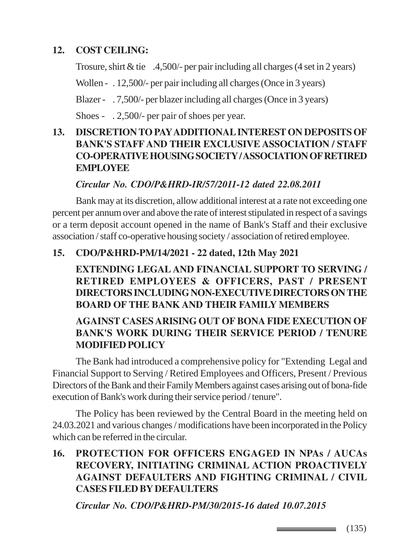## **12. COST CEILING:**

Trosure, shirt & tie .4,500/- per pair including all charges (4 set in 2 years)

Wollen - . 12,500/- per pair including all charges (Once in 3 years)

Blazer - . 7,500/- per blazer including all charges (Once in 3 years)

Shoes - . 2,500/- per pair of shoes per year.

## **13. DISCRETION TO PAY ADDITIONAL INTEREST ON DEPOSITS OF BANK'S STAFF AND THEIR EXCLUSIVE ASSOCIATION / STAFF CO-OPERATIVE HOUSING SOCIETY / ASSOCIATION OF RETIRED EMPLOYEE**

## *Circular No. CDO/P&HRD-IR/57/2011-12 dated 22.08.2011*

Bank may at its discretion, allow additional interest at a rate not exceeding one percent per annum over and above the rate of interest stipulated in respect of a savings or a term deposit account opened in the name of Bank's Staff and their exclusive association / staff co-operative housing society / association of retired employee.

## **15. CDO/P&HRD-PM/14/2021 - 22 dated, 12th May 2021**

**EXTENDING LEGAL AND FINANCIAL SUPPORT TO SERVING / RETIRED EMPLOYEES & OFFICERS, PAST / PRESENT DIRECTORS INCLUDING NON-EXECUTIVE DIRECTORS ON THE BOARD OF THE BANK AND THEIR FAMILY MEMBERS**

## **AGAINST CASES ARISING OUT OF BONA FIDE EXECUTION OF BANK'S WORK DURING THEIR SERVICE PERIOD / TENURE MODIFIED POLICY**

The Bank had introduced a comprehensive policy for "Extending Legal and Financial Support to Serving / Retired Employees and Officers, Present / Previous Directors of the Bank and their Family Members against cases arising out of bona-fide execution of Bank's work during their service period / tenure".

The Policy has been reviewed by the Central Board in the meeting held on 24.03.2021 and various changes / modifications have been incorporated in the Policy which can be referred in the circular.

## **16. PROTECTION FOR OFFICERS ENGAGED IN NPAs / AUCAs RECOVERY, INITIATING CRIMINAL ACTION PROACTIVELY AGAINST DEFAULTERS AND FIGHTING CRIMINAL / CIVIL CASES FILED BY DEFAULTERS**

*Circular No. CDO/P&HRD-PM/30/2015-16 dated 10.07.2015*

 $\equiv$  (135)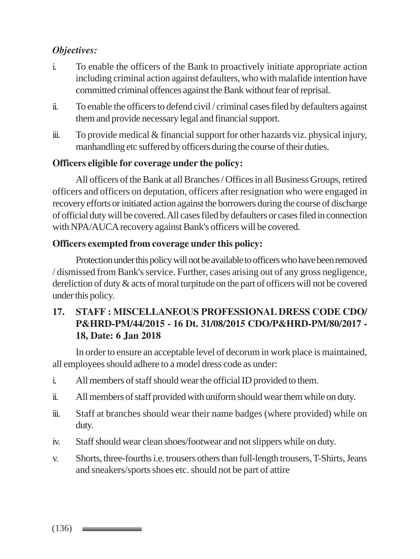## *Objectives:*

- i. To enable the officers of the Bank to proactively initiate appropriate action including criminal action against defaulters, who with malafide intention have committed criminal offences against the Bank without fear of reprisal.
- ii. To enable the officers to defend civil / criminal cases filed by defaulters against them and provide necessary legal and financial support.
- iii. To provide medical & financial support for other hazards viz. physical injury, manhandling etc suffered by officers during the course of their duties.

## **Officers eligible for coverage under the policy:**

All officers of the Bank at all Branches / Offices in all Business Groups, retired officers and officers on deputation, officers after resignation who were engaged in recovery efforts or initiated action against the borrowers during the course of discharge of official duty will be covered. All cases filed by defaulters or cases filed in connection with NPA/AUCA recovery against Bank's officers will be covered.

## **Officers exempted from coverage under this policy:**

Protection under this policy will not be available to officers who have been removed / dismissed from Bank's service. Further, cases arising out of any gross negligence, dereliction of duty & acts of moral turpitude on the part of officers will not be covered under this policy.

## **17. STAFF : MISCELLANEOUS PROFESSIONAL DRESS CODE CDO/ P&HRD-PM/44/2015 - 16 Dt. 31/08/2015 CDO/P&HRD-PM/80/2017 - 18, Date: 6 Jan 2018**

In order to ensure an acceptable level of decorum in work place is maintained, all employees should adhere to a model dress code as under:

- i. All members of staff should wear the official ID provided to them.
- ii. All members of staff provided with uniform should wear them while on duty.
- iii. Staff at branches should wear their name badges (where provided) while on duty.
- iv. Staff should wear clean shoes/footwear and not slippers while on duty.
- v. Shorts, three-fourths i.e. trousers others than full-length trousers, T-Shirts, Jeans and sneakers/sports shoes etc. should not be part of attire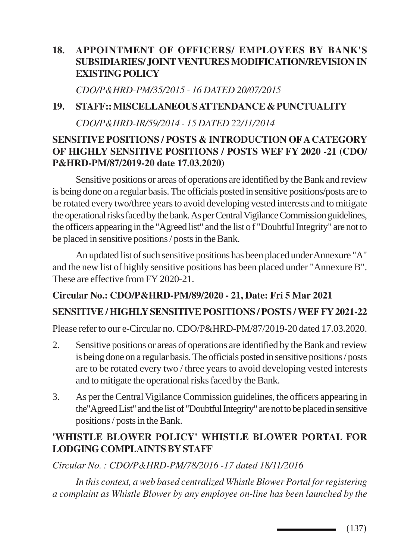## **18. APPOINTMENT OF OFFICERS/ EMPLOYEES BY BANK'S SUBSIDIARIES/ JOINT VENTURES MODIFICATION/REVISION IN EXISTING POLICY**

*CDO/P&HRD-PM/35/2015 - 16 DATED 20/07/2015*

#### **19. STAFF:: MISCELLANEOUS ATTENDANCE & PUNCTUALITY**

*CDO/P&HRD-IR/59/2014 - 15 DATED 22/11/2014*

## **SENSITIVE POSITIONS / POSTS & INTRODUCTION OF A CATEGORY OF HIGHLY SENSITIVE POSITIONS / POSTS WEF FY 2020 -21 (CDO/ P&HRD-PM/87/2019-20 date 17.03.2020)**

Sensitive positions or areas of operations are identified by the Bank and review is being done on a regular basis. The officials posted in sensitive positions/posts are to be rotated every two/three years to avoid developing vested interests and to mitigate the operational risks faced by the bank. As per Central Vigilance Commission guidelines, the officers appearing in the "Agreed list" and the list o f "Doubtful Integrity" are not to be placed in sensitive positions / posts in the Bank.

An updated list of such sensitive positions has been placed under Annexure "A" and the new list of highly sensitive positions has been placed under "Annexure B". These are effective from FY 2020-21.

## **Circular No.: CDO/P&HRD-PM/89/2020 - 21, Date: Fri 5 Mar 2021**

## **SENSITIVE / HIGHLY SENSITIVE POSITIONS / POSTS / WEF FY 2021-22**

Please refer to our e-Circular no. CDO/P&HRD-PM/87/2019-20 dated 17.03.2020.

- 2. Sensitive positions or areas of operations are identified by the Bank and review is being done on a regular basis. The officials posted in sensitive positions / posts are to be rotated every two / three years to avoid developing vested interests and to mitigate the operational risks faced by the Bank.
- 3. As per the Central Vigilance Commission guidelines, the officers appearing in the"Agreed List" and the list of "Doubtful Integrity" are not to be placed in sensitive positions / posts in the Bank.

## **'WHISTLE BLOWER POLICY' WHISTLE BLOWER PORTAL FOR LODGING COMPLAINTS BY STAFF**

*Circular No. : CDO/P&HRD-PM/78/2016 -17 dated 18/11/2016*

*In this context, a web based centralized Whistle Blower Portal for registering a complaint as Whistle Blower by any employee on-line has been launched by the*

 $\equiv$  (137)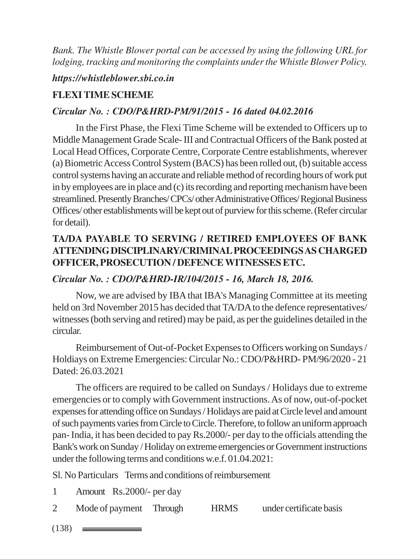*Bank. The Whistle Blower portal can be accessed by using the following URL for lodging, tracking and monitoring the complaints under the Whistle Blower Policy.*

#### *https://whistleblower.sbi.co.in*

## **FLEXI TIME SCHEME**

## *Circular No. : CDO/P&HRD-PM/91/2015 - 16 dated 04.02.2016*

In the First Phase, the Flexi Time Scheme will be extended to Officers up to Middle Management Grade Scale- III and Contractual Officers of the Bank posted at Local Head Offices, Corporate Centre, Corporate Centre establishments, wherever (a) Biometric Access Control System (BACS) has been rolled out, (b) suitable access control systems having an accurate and reliable method of recording hours of work put in by employees are in place and (c) its recording and reporting mechanism have been streamlined. Presently Branches/ CPCs/ other Administrative Offices/ Regional Business Offices/ other establishments will be kept out of purview for this scheme. (Refer circular for detail).

## **TA/DA PAYABLE TO SERVING / RETIRED EMPLOYEES OF BANK ATTENDING DISCIPLINARY/CRIMINAL PROCEEDINGS AS CHARGED OFFICER, PROSECUTION / DEFENCE WITNESSES ETC.**

## *Circular No. : CDO/P&HRD-IR/104/2015 - 16, March 18, 2016.*

Now, we are advised by IBA that IBA's Managing Committee at its meeting held on 3rd November 2015 has decided that TA/DA to the defence representatives/ witnesses (both serving and retired) may be paid, as per the guidelines detailed in the circular.

Reimbursement of Out-of-Pocket Expenses to Officers working on Sundays / Holdiays on Extreme Emergencies: Circular No.: CDO/P&HRD- PM/96/2020 - 21 Dated: 26.03.2021

The officers are required to be called on Sundays / Holidays due to extreme emergencies or to comply with Government instructions. As of now, out-of-pocket expenses for attending office on Sundays / Holidays are paid at Circle level and amount of such payments varies from Circle to Circle. Therefore, to follow an uniform approach pan- India, it has been decided to pay Rs.2000/- per day to the officials attending the Bank's work on Sunday / Holiday on extreme emergencies or Government instructions under the following terms and conditions w.e.f. 01.04.2021:

Sl. No Particulars Terms and conditions of reimbursement

- 1 Amount Rs.2000/- per day
- 2 Mode of payment Through HRMS under certificate basis
- $(138)$   $\equiv$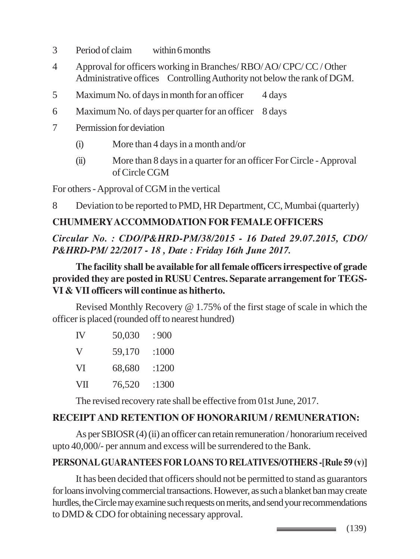- 3 Period of claim within 6 months
- 4 Approval for officers working in Branches/ RBO/ AO/ CPC/ CC / Other Administrative offices Controlling Authority not below the rank of DGM.
- 5 Maximum No. of days in month for an officer 4 days
- 6 Maximum No. of days per quarter for an officer 8 days
- 7 Permission for deviation
	- (i) More than 4 days in a month and/or
	- (ii) More than 8 days in a quarter for an officer For Circle Approval of Circle CGM

For others - Approval of CGM in the vertical

8 Deviation to be reported to PMD, HR Department, CC, Mumbai (quarterly)

## **CHUMMERY ACCOMMODATION FOR FEMALE OFFICERS**

*Circular No. : CDO/P&HRD-PM/38/2015 - 16 Dated 29.07.2015, CDO/ P&HRD-PM/ 22/2017 - 18 , Date : Friday 16th June 2017.*

**The facility shall be available for all female officers irrespective of grade provided they are posted in RUSU Centres. Separate arrangement for TEGS-VI & VII officers will continue as hitherto.**

Revised Monthly Recovery @ 1.75% of the first stage of scale in which the officer is placed (rounded off to nearest hundred)

| IV | 50,030 | :900  |
|----|--------|-------|
| V  | 59,170 | :1000 |
| VI | 68,680 | :1200 |
| VП | 76,520 | :1300 |

The revised recovery rate shall be effective from 01st June, 2017.

## **RECEIPT AND RETENTION OF HONORARIUM / REMUNERATION:**

As per SBIOSR (4) (ii) an officer can retain remuneration / honorarium received upto 40,000/- per annum and excess will be surrendered to the Bank.

## **PERSONAL GUARANTEES FOR LOANS TO RELATIVES/OTHERS -[Rule 59 (v)]**

It has been decided that officers should not be permitted to stand as guarantors for loans involving commercial transactions. However, as such a blanket ban may create hurdles, the Circle may examine such requests on merits, and send your recommendations to DMD & CDO for obtaining necessary approval.

> (139)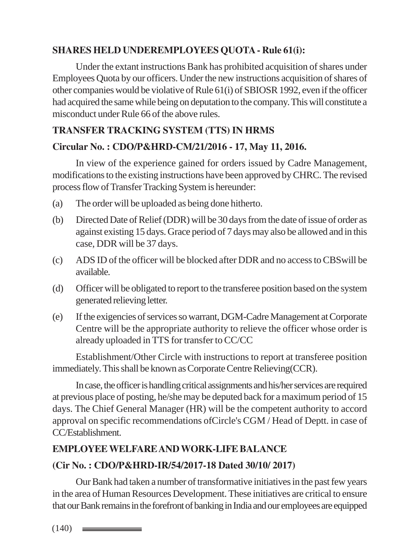## **SHARES HELD UNDEREMPLOYEES QUOTA - Rule 61(i):**

Under the extant instructions Bank has prohibited acquisition of shares under Employees Quota by our officers. Under the new instructions acquisition of shares of other companies would be violative of Rule 61(i) of SBIOSR 1992, even if the officer had acquired the same while being on deputation to the company. This will constitute a misconduct under Rule 66 of the above rules.

## **TRANSFER TRACKING SYSTEM (TTS) IN HRMS**

## **Circular No. : CDO/P&HRD-CM/21/2016 - 17, May 11, 2016.**

In view of the experience gained for orders issued by Cadre Management, modifications to the existing instructions have been approved by CHRC. The revised process flow of Transfer Tracking System is hereunder:

- (a) The order will be uploaded as being done hitherto.
- (b) Directed Date of Relief (DDR) will be 30 days from the date of issue of order as against existing 15 days. Grace period of 7 days may also be allowed and in this case, DDR will be 37 days.
- (c) ADS ID of the officer will be blocked after DDR and no access to CBSwill be available.
- (d) Officer will be obligated to report to the transferee position based on the system generated relieving letter.
- (e) If the exigencies of services so warrant, DGM-Cadre Management at Corporate Centre will be the appropriate authority to relieve the officer whose order is already uploaded in TTS for transfer to CC/CC

Establishment/Other Circle with instructions to report at transferee position immediately. This shall be known as Corporate Centre Relieving(CCR).

In case, the officer is handling critical assignments and his/her services are required at previous place of posting, he/she may be deputed back for a maximum period of 15 days. The Chief General Manager (HR) will be the competent authority to accord approval on specific recommendations ofCircle's CGM / Head of Deptt. in case of CC/Establishment.

## **EMPLOYEE WELFARE AND WORK-LIFE BALANCE**

## **(Cir No. : CDO/P&HRD-IR/54/2017-18 Dated 30/10/ 2017)**

Our Bank had taken a number of transformative initiatives in the past few years in the area of Human Resources Development. These initiatives are critical to ensure that our Bank remains in the forefront of banking in India and our employees are equipped

 $(140)$   $\equiv$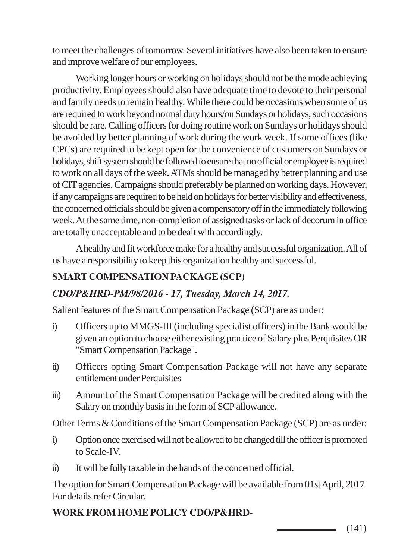to meet the challenges of tomorrow. Several initiatives have also been taken to ensure and improve welfare of our employees.

Working longer hours or working on holidays should not be the mode achieving productivity. Employees should also have adequate time to devote to their personal and family needs to remain healthy. While there could be occasions when some of us are required to work beyond normal duty hours/on Sundays or holidays, such occasions should be rare. Calling officers for doing routine work on Sundays or holidays should be avoided by better planning of work during the work week. If some offices (like CPCs) are required to be kept open for the convenience of customers on Sundays or holidays, shift system should be followed to ensure that no official or employee is required to work on all days of the week. ATMs should be managed by better planning and use of CIT agencies. Campaigns should preferably be planned on working days. However, if any campaigns are required to be held on holidays for better visibility and effectiveness, the concerned officials should be given a compensatory off in the immediately following week. At the same time, non-completion of assigned tasks or lack of decorum in office are totally unacceptable and to be dealt with accordingly.

A healthy and fit workforce make for a healthy and successful organization. All of us have a responsibility to keep this organization healthy and successful.

## **SMART COMPENSATION PACKAGE (SCP)**

## *CDO/P&HRD-PM/98/2016 - 17, Tuesday, March 14, 2017.*

Salient features of the Smart Compensation Package (SCP) are as under:

- i) Officers up to MMGS-III (including specialist officers) in the Bank would be given an option to choose either existing practice of Salary plus Perquisites OR "Smart Compensation Package".
- ii) Officers opting Smart Compensation Package will not have any separate entitlement under Perquisites
- iii) Amount of the Smart Compensation Package will be credited along with the Salary on monthly basis in the form of SCP allowance.

Other Terms & Conditions of the Smart Compensation Package (SCP) are as under:

- i) Option once exercised will not be allowed to be changed till the officer is promoted to Scale-IV.
- ii) It will be fully taxable in the hands of the concerned official.

The option for Smart Compensation Package will be available from 01st April, 2017. For details refer Circular.

## **WORK FROM HOME POLICY CDO/P&HRD-**

(141)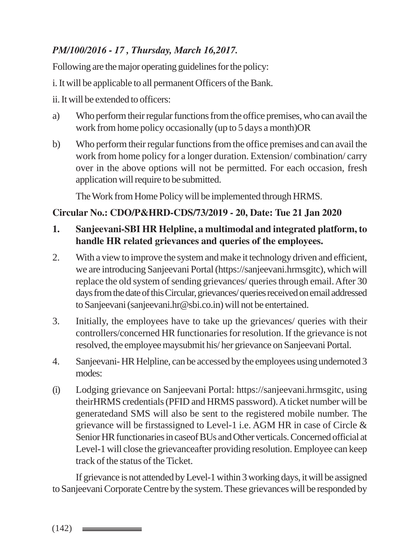## *PM/100/2016 - 17 , Thursday, March 16,2017.*

Following are the major operating guidelines for the policy:

i. It will be applicable to all permanent Officers of the Bank.

ii. It will be extended to officers:

- a) Who perform their regular functions from the office premises, who can avail the work from home policy occasionally (up to 5 days a month)OR
- b) Who perform their regular functions from the office premises and can avail the work from home policy for a longer duration. Extension/ combination/ carry over in the above options will not be permitted. For each occasion, fresh application will require to be submitted.

The Work from Home Policy will be implemented through HRMS.

## **Circular No.: CDO/P&HRD-CDS/73/2019 - 20, Date: Tue 21 Jan 2020**

## **1. Sanjeevani-SBI HR Helpline, a multimodal and integrated platform, to handle HR related grievances and queries of the employees.**

- 2. With a view to improve the system and make it technology driven and efficient, we are introducing Sanjeevani Portal (https://sanjeevani.hrmsgitc), which will replace the old system of sending grievances/ queries through email. After 30 days from the date of this Circular, grievances/ queries received on email addressed to Sanjeevani (sanjeevani.hr@sbi.co.in) will not be entertained.
- 3. Initially, the employees have to take up the grievances/ queries with their controllers/concerned HR functionaries for resolution. If the grievance is not resolved, the employee maysubmit his/ her grievance on Sanjeevani Portal.
- 4. Sanjeevani- HR Helpline, can be accessed by the employees using undernoted 3 modes:
- (i) Lodging grievance on Sanjeevani Portal: https://sanjeevani.hrmsgitc, using theirHRMS credentials (PFID and HRMS password). A ticket number will be generatedand SMS will also be sent to the registered mobile number. The grievance will be firstassigned to Level-1 i.e. AGM HR in case of Circle & Senior HR functionaries in caseof BUs and Other verticals. Concerned official at Level-1 will close the grievanceafter providing resolution. Employee can keep track of the status of the Ticket.

If grievance is not attended by Level-1 within 3 working days, it will be assigned to Sanjeevani Corporate Centre by the system. These grievances will be responded by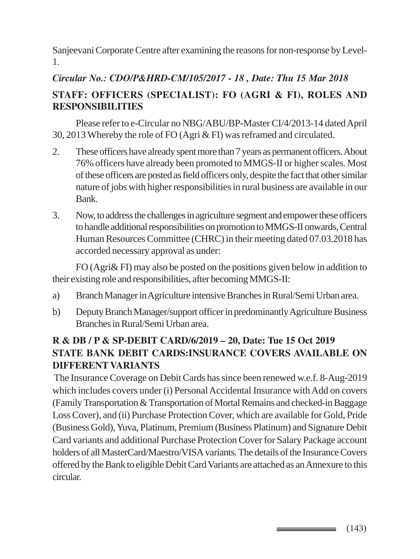Sanjeevani Corporate Centre after examining the reasons for non-response by Level-1.

## *Circular No.: CDO/P&HRD-CM/105/2017 - 18 , Date: Thu 15 Mar 2018* **STAFF: OFFICERS (SPECIALIST): FO (AGRI & FI), ROLES AND RESPONSIBILITIES**

Please refer to e-Circular no NBG/ABU/BP-Master CI/4/2013-14 dated April 30, 2013 Whereby the role of FO (Agri & FI) was reframed and circulated.

- 2. These officers have already spent more than 7 years as permanent officers. About 76% officers have already been promoted to MMGS-II or higher scales. Most of these officers are posted as field officers only, despite the fact that other similar nature of jobs with higher responsibilities in rural business are available in our Bank.
- 3. Now, to address the challenges in agriculture segment and empower these officers to handle additional responsibilities on promotion to MMGS-II onwards, Central Human Resources Committee (CHRC) in their meeting dated 07.03.2018 has accorded necessary approval as under:

FO (Agri& FI) may also be posted on the positions given below in addition to their existing role and responsibilities, after becoming MMGS-II:

- a) Branch Manager in Agriculture intensive Branches in Rural/Semi Urban area.
- b) Deputy Branch Manager/support officer in predominantly Agriculture Business Branches in Rural/Semi Urban area.

## **R & DB / P & SP-DEBIT CARD/6/2019 – 20, Date: Tue 15 Oct 2019 STATE BANK DEBIT CARDS:INSURANCE COVERS AVAILABLE ON DIFFERENT VARIANTS**

 The Insurance Coverage on Debit Cards has since been renewed w.e.f. 8-Aug-2019 which includes covers under (i) Personal Accidental Insurance with Add on covers (Family Transportation & Transportation of Mortal Remains and checked-in Baggage Loss Cover), and (ii) Purchase Protection Cover, which are available for Gold, Pride (Business Gold), Yuva, Platinum, Premium (Business Platinum) and Signature Debit Card variants and additional Purchase Protection Cover for Salary Package account holders of all MasterCard/Maestro/VISA variants. The details of the Insurance Covers offered by the Bank to eligible Debit Card Variants are attached as an Annexure to this circular.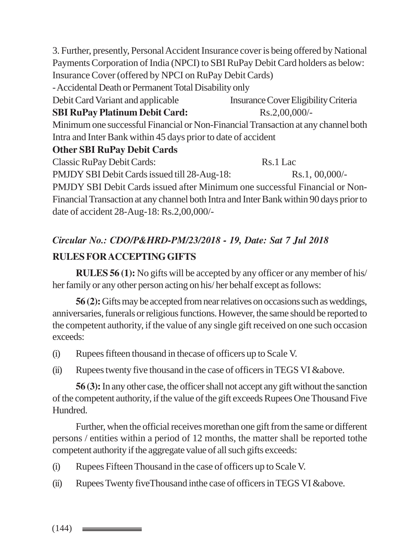3. Further, presently, Personal Accident Insurance cover is being offered by National Payments Corporation of India (NPCI) to SBI RuPay Debit Card holders as below: Insurance Cover (offered by NPCI on RuPay Debit Cards)

- Accidental Death or Permanent Total Disability only

Debit Card Variant and applicable Insurance Cover Eligibility Criteria

**SBI RuPay Platinum Debit Card:** Rs.2,00,000/-

Minimum one successful Financial or Non-Financial Transaction at any channel both Intra and Inter Bank within 45 days prior to date of accident

## **Other SBI RuPay Debit Cards**

Classic RuPay Debit Cards: Rs.1 Lac

PMJDY SBI Debit Cards issued till 28-Aug-18: Rs.1, 00,000/-

PMJDY SBI Debit Cards issued after Minimum one successful Financial or Non-Financial Transaction at any channel both Intra and Inter Bank within 90 days prior to date of accident 28-Aug-18: Rs.2,00,000/-

# *Circular No.: CDO/P&HRD-PM/23/2018 - 19, Date: Sat 7 Jul 2018* **RULES FOR ACCEPTING GIFTS**

**RULES 56 (1):** No gifts will be accepted by any officer or any member of his/ her family or any other person acting on his/ her behalf except as follows:

**56 (2):** Gifts may be accepted from near relatives on occasions such as weddings, anniversaries, funerals or religious functions. However, the same should be reported to the competent authority, if the value of any single gift received on one such occasion exceeds:

- (i) Rupees fifteen thousand in thecase of officers up to Scale V.
- (ii) Rupees twenty five thousand in the case of officers in TEGS VI &above.

**56 (3):** In any other case, the officer shall not accept any gift without the sanction of the competent authority, if the value of the gift exceeds Rupees One Thousand Five Hundred.

Further, when the official receives morethan one gift from the same or different persons / entities within a period of 12 months, the matter shall be reported tothe competent authority if the aggregate value of all such gifts exceeds:

- (i) Rupees Fifteen Thousand in the case of officers up to Scale V.
- (ii) Rupees Twenty fiveThousand inthe case of officers in TEGS VI &above.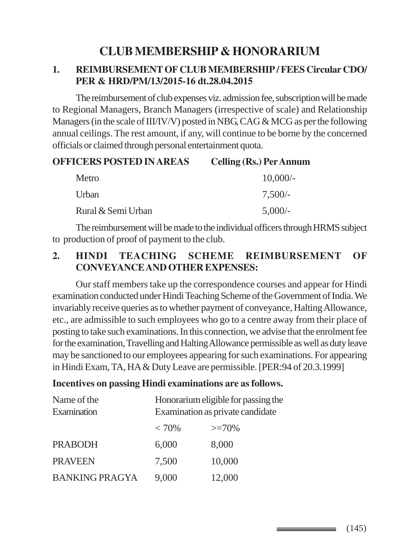# **CLUB MEMBERSHIP & HONORARIUM**

#### **1. REIMBURSEMENT OF CLUB MEMBERSHIP / FEES Circular CDO/ PER & HRD/PM/13/2015-16 dt.28.04.2015**

The reimbursement of club expenses viz. admission fee, subscription will be made to Regional Managers, Branch Managers (irrespective of scale) and Relationship Managers (in the scale of III/IV/V) posted in NBG, CAG & MCG as per the following annual ceilings. The rest amount, if any, will continue to be borne by the concerned officials or claimed through personal entertainment quota.

#### **OFFICERS POSTED IN AREAS Celling (Rs.) Per Annum**

| Metro              | $10,000/$ - |
|--------------------|-------------|
| Urban              | $7,500/-$   |
| Rural & Semi Urban | $5,000/-$   |

The reimbursement will be made to the individual officers through HRMS subject to production of proof of payment to the club.

#### **2. HINDI TEACHING SCHEME REIMBURSEMENT OF CONVEYANCE AND OTHER EXPENSES:**

Our staff members take up the correspondence courses and appear for Hindi examination conducted under Hindi Teaching Scheme of the Government of India. We invariably receive queries as to whether payment of conveyance, Halting Allowance, etc., are admissible to such employees who go to a centre away from their place of posting to take such examinations. In this connection, we advise that the enrolment fee for the examination, Travelling and Halting Allowance permissible as well as duty leave may be sanctioned to our employees appearing for such examinations. For appearing in Hindi Exam, TA, HA & Duty Leave are permissible. [PER:94 of 20.3.1999]

#### **Incentives on passing Hindi examinations are as follows.**

| Name of the<br>Examination | Honorarium eligible for passing the<br>Examination as private candidate |         |
|----------------------------|-------------------------------------------------------------------------|---------|
|                            | $< 70\%$                                                                | $>=70%$ |
| <b>PRABODH</b>             | 6,000                                                                   | 8,000   |
| <b>PRAVEEN</b>             | 7,500                                                                   | 10,000  |
| <b>BANKING PRAGYA</b>      | 9,000                                                                   | 12,000  |

\_\_\_\_\_\_\_\_\_\_\_\_\_\_\_\_\_\_\_\_\_\_\_\_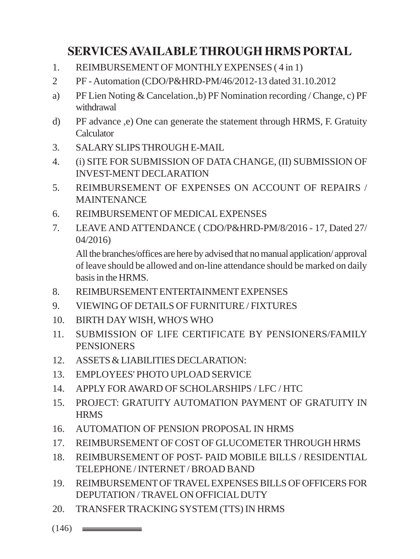# **SERVICES AVAILABLE THROUGH HRMS PORTAL**

- 1. REIMBURSEMENT OF MONTHLY EXPENSES ( 4 in 1)
- 2 PF Automation (CDO/P&HRD-PM/46/2012-13 dated 31.10.2012
- a) PF Lien Noting & Cancelation.,b) PF Nomination recording / Change, c) PF withdrawal
- d) PF advance ,e) One can generate the statement through HRMS, F. Gratuity Calculator
- 3. SALARY SLIPS THROUGH E-MAIL
- 4. (i) SITE FOR SUBMISSION OF DATA CHANGE, (II) SUBMISSION OF INVEST-MENT DECLARATION
- 5. REIMBURSEMENT OF EXPENSES ON ACCOUNT OF REPAIRS / MAINTENANCE
- 6. REIMBURSEMENT OF MEDICAL EXPENSES
- 7. LEAVE AND ATTENDANCE ( CDO/P&HRD-PM/8/2016 17, Dated 27/ 04/2016)

All the branches/offices are here by advised that no manual application/ approval of leave should be allowed and on-line attendance should be marked on daily basis in the HRMS.

- 8. REIMBURSEMENT ENTERTAINMENT EXPENSES
- 9. VIEWING OF DETAILS OF FURNITURE / FIXTURES
- 10. BIRTH DAY WISH, WHO'S WHO
- 11. SUBMISSION OF LIFE CERTIFICATE BY PENSIONERS/FAMILY **PENSIONERS**
- 12. ASSETS & LIABILITIES DECLARATION:
- 13. EMPLOYEES' PHOTO UPLOAD SERVICE
- 14. APPLY FOR AWARD OF SCHOLARSHIPS / LFC / HTC
- 15. PROJECT: GRATUITY AUTOMATION PAYMENT OF GRATUITY IN **HRMS**
- 16. AUTOMATION OF PENSION PROPOSAL IN HRMS
- 17. REIMBURSEMENT OF COST OF GLUCOMETER THROUGH HRMS
- 18. REIMBURSEMENT OF POST- PAID MOBILE BILLS / RESIDENTIAL TELEPHONE / INTERNET / BROAD BAND
- 19. REIMBURSEMENT OF TRAVEL EXPENSES BILLS OF OFFICERS FOR DEPUTATION / TRAVEL ON OFFICIAL DUTY
- 20. TRANSFER TRACKING SYSTEM (TTS) IN HRMS
- $(146)$   $\equiv$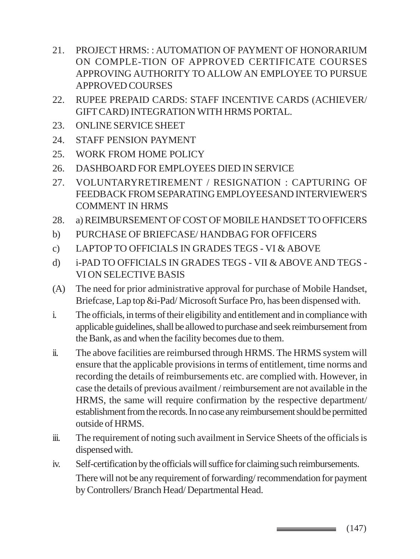- 21. PROJECT HRMS: : AUTOMATION OF PAYMENT OF HONORARIUM ON COMPLE-TION OF APPROVED CERTIFICATE COURSES APPROVING AUTHORITY TO ALLOW AN EMPLOYEE TO PURSUE APPROVED COURSES
- 22. RUPEE PREPAID CARDS: STAFF INCENTIVE CARDS (ACHIEVER/ GIFT CARD) INTEGRATION WITH HRMS PORTAL.
- 23. ONLINE SERVICE SHEET
- 24. STAFF PENSION PAYMENT
- 25. WORK FROM HOME POLICY
- 26. DASHBOARD FOR EMPLOYEES DIED IN SERVICE
- 27. VOLUNTARYRETIREMENT / RESIGNATION : CAPTURING OF FEEDBACK FROM SEPARATING EMPLOYEESAND INTERVIEWER'S COMMENT IN HRMS
- 28. a) REIMBURSEMENT OF COST OF MOBILE HANDSET TO OFFICERS
- b) PURCHASE OF BRIEFCASE/ HANDBAG FOR OFFICERS
- c) LAPTOP TO OFFICIALS IN GRADES TEGS VI & ABOVE
- d) i-PAD TO OFFICIALS IN GRADES TEGS VII & ABOVE AND TEGS VI ON SELECTIVE BASIS
- (A) The need for prior administrative approval for purchase of Mobile Handset, Briefcase, Lap top &i-Pad/ Microsoft Surface Pro, has been dispensed with.
- i. The officials, in terms of their eligibility and entitlement and in compliance with applicable guidelines, shall be allowed to purchase and seek reimbursement from the Bank, as and when the facility becomes due to them.
- ii. The above facilities are reimbursed through HRMS. The HRMS system will ensure that the applicable provisions in terms of entitlement, time norms and recording the details of reimbursements etc. are complied with. However, in case the details of previous availment / reimbursement are not available in the HRMS, the same will require confirmation by the respective department/ establishment from the records. In no case any reimbursement should be permitted outside of HRMS.
- iii. The requirement of noting such availment in Service Sheets of the officials is dispensed with.
- iv. Self-certification by the officials will suffice for claiming such reimbursements. There will not be any requirement of forwarding/ recommendation for payment by Controllers/ Branch Head/ Departmental Head.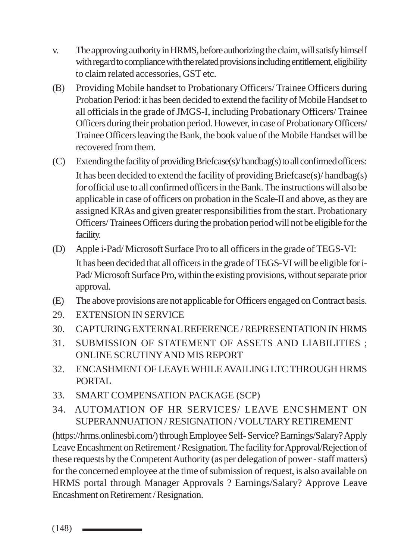- v. The approving authority in HRMS, before authorizing the claim, will satisfy himself with regard to compliance with the related provisions including entitlement, eligibility to claim related accessories, GST etc.
- (B) Providing Mobile handset to Probationary Officers/ Trainee Officers during Probation Period: it has been decided to extend the facility of Mobile Handset to all officials in the grade of JMGS-I, including Probationary Officers/ Trainee Officers during their probation period. However, in case of Probationary Officers/ Trainee Officers leaving the Bank, the book value of the Mobile Handset will be recovered from them.
- (C) Extending the facility of providing Briefcase(s)/ handbag(s) to all confirmed officers: It has been decided to extend the facility of providing Briefcase(s)/ handbag(s) for official use to all confirmed officers in the Bank. The instructions will also be applicable in case of officers on probation in the Scale-II and above, as they are assigned KRAs and given greater responsibilities from the start. Probationary Officers/ Trainees Officers during the probation period will not be eligible for the facility.
- (D) Apple i-Pad/ Microsoft Surface Pro to all officers in the grade of TEGS-VI: It has been decided that all officers in the grade of TEGS-VI will be eligible for i-Pad/ Microsoft Surface Pro, within the existing provisions, without separate prior approval.
- (E) The above provisions are not applicable for Officers engaged on Contract basis.
- 29. EXTENSION IN SERVICE
- 30. CAPTURING EXTERNAL REFERENCE / REPRESENTATION IN HRMS
- 31. SUBMISSION OF STATEMENT OF ASSETS AND LIABILITIES ; ONLINE SCRUTINY AND MIS REPORT
- 32. ENCASHMENT OF LEAVE WHILE AVAILING LTC THROUGH HRMS PORTAL
- 33. SMART COMPENSATION PACKAGE (SCP)
- 34. AUTOMATION OF HR SERVICES/ LEAVE ENCSHMENT ON SUPERANNUATION / RESIGNATION / VOLUTARY RETIREMENT

(https://hrms.onlinesbi.com/) through Employee Self- Service? Earnings/Salary? Apply Leave Encashment on Retirement / Resignation. The facility for Approval/Rejection of these requests by the Competent Authority (as per delegation of power - staff matters) for the concerned employee at the time of submission of request, is also available on HRMS portal through Manager Approvals ? Earnings/Salary? Approve Leave Encashment on Retirement / Resignation.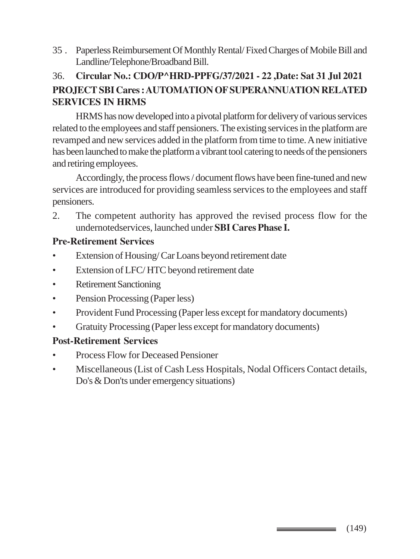35 . Paperless Reimbursement Of Monthly Rental/ Fixed Charges of Mobile Bill and Landline/Telephone/Broadband Bill.

# 36. **Circular No.: CDO/P^HRD-PPFG/37/2021 - 22 ,Date: Sat 31 Jul 2021 PROJECT SBI Cares : AUTOMATION OF SUPERANNUATION RELATED SERVICES IN HRMS**

HRMS has now developed into a pivotal platform for delivery of various services related to the employees and staff pensioners. The existing services in the platform are revamped and new services added in the platform from time to time. A new initiative has been launched to make the platform a vibrant tool catering to needs of the pensioners and retiring employees.

Accordingly, the process flows / document flows have been fine-tuned and new services are introduced for providing seamless services to the employees and staff pensioners.

2. The competent authority has approved the revised process flow for the undernotedservices, launched under **SBI Cares Phase I.**

#### **Pre-Retirement Services**

- Extension of Housing/ Car Loans beyond retirement date
- Extension of LFC/ HTC beyond retirement date
- Retirement Sanctioning
- Pension Processing (Paper less)
- Provident Fund Processing (Paper less except for mandatory documents)
- Gratuity Processing (Paper less except for mandatory documents)

# **Post-Retirement Services**

- Process Flow for Deceased Pensioner
- Miscellaneous (List of Cash Less Hospitals, Nodal Officers Contact details, Do's & Don'ts under emergency situations)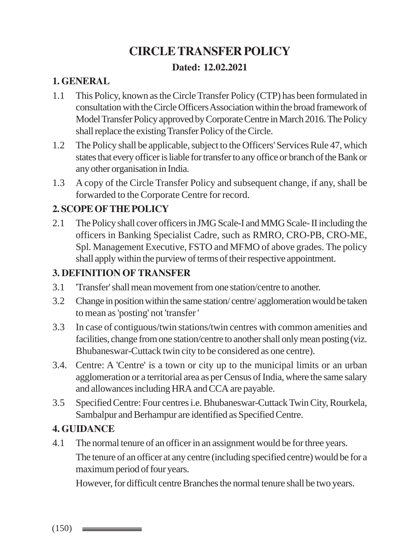# **CIRCLE TRANSFER POLICY**

# **Dated: 12.02.2021**

# **1. GENERAL**

- 1.1 This Policy, known as the Circle Transfer Policy (CTP) has been formulated in consultation with the Circle Officers Association within the broad framework of Model Transfer Policy approved by Corporate Centre in March 2016. The Policy shall replace the existing Transfer Policy of the Circle.
- 1.2 The Policy shall be applicable, subject to the Officers' Services Rule 47, which states that every officer is liable for transfer to any office or branch of the Bank or any other organisation in India.
- 1.3 A copy of the Circle Transfer Policy and subsequent change, if any, shall be forwarded to the Corporate Centre for record.

# **2. SCOPE OF THE POLICY**

2.1 The Policy shall cover officers in JMG Scale-I and MMG Scale- II including the officers in Banking Specialist Cadre, such as RMRO, CRO-PB, CRO-ME, Spl. Management Executive, FSTO and MFMO of above grades. The policy shall apply within the purview of terms of their respective appointment.

# **3. DEFINITION OF TRANSFER**

- 3.1 'Transfer' shall mean movement from one station/centre to another.
- 3.2 Change in position within the same station/ centre/ agglomeration would be taken to mean as 'posting' not 'transfer '
- 3.3 In case of contiguous/twin stations/twin centres with common amenities and facilities, change from one station/centre to another shall only mean posting (viz. Bhubaneswar-Cuttack twin city to be considered as one centre).
- 3.4. Centre: A 'Centre' is a town or city up to the municipal limits or an urban agglomeration or a territorial area as per Census of India, where the same salary and allowances including HRA and CCA are payable.
- 3.5 Specified Centre: Four centres i.e. Bhubaneswar-Cuttack Twin City, Rourkela, Sambalpur and Berhampur are identified as Specified Centre.

# **4. GUIDANCE**

4.1 The normal tenure of an officer in an assignment would be for three years.

The tenure of an officer at any centre (including specified centre) would be for a maximum period of four years.

However, for difficult centre Branches the normal tenure shall be two years.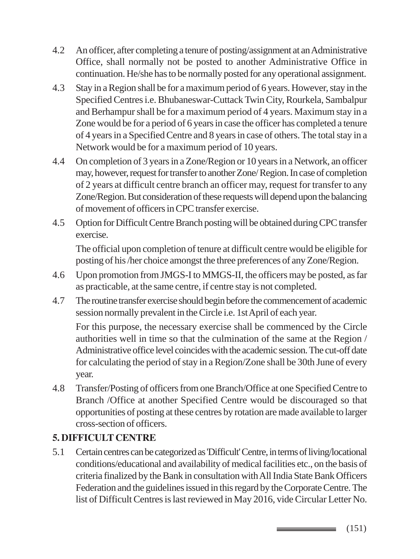- 4.2 An officer, after completing a tenure of posting/assignment at an Administrative Office, shall normally not be posted to another Administrative Office in continuation. He/she has to be normally posted for any operational assignment.
- 4.3 Stay in a Region shall be for a maximum period of 6 years. However, stay in the Specified Centres i.e. Bhubaneswar-Cuttack Twin City, Rourkela, Sambalpur and Berhampur shall be for a maximum period of 4 years. Maximum stay in a Zone would be for a period of 6 years in case the officer has completed a tenure of 4 years in a Specified Centre and 8 years in case of others. The total stay in a Network would be for a maximum period of 10 years.
- 4.4 On completion of 3 years in a Zone/Region or 10 years in a Network, an officer may, however, request for transfer to another Zone/ Region. In case of completion of 2 years at difficult centre branch an officer may, request for transfer to any Zone/Region. But consideration of these requests will depend upon the balancing of movement of officers in CPC transfer exercise.
- 4.5 Option for Difficult Centre Branch posting will be obtained during CPC transfer exercise.

The official upon completion of tenure at difficult centre would be eligible for posting of his /her choice amongst the three preferences of any Zone/Region.

- 4.6 Upon promotion from JMGS-I to MMGS-II, the officers may be posted, as far as practicable, at the same centre, if centre stay is not completed.
- 4.7 The routine transfer exercise should begin before the commencement of academic session normally prevalent in the Circle i.e. 1st April of each year.

For this purpose, the necessary exercise shall be commenced by the Circle authorities well in time so that the culmination of the same at the Region / Administrative office level coincides with the academic session. The cut-off date for calculating the period of stay in a Region/Zone shall be 30th June of every year.

4.8 Transfer/Posting of officers from one Branch/Office at one Specified Centre to Branch /Office at another Specified Centre would be discouraged so that opportunities of posting at these centres by rotation are made available to larger cross-section of officers.

# **5. DIFFICULT CENTRE**

5.1 Certain centres can be categorized as 'Difficult' Centre, in terms of living/locational conditions/educational and availability of medical facilities etc., on the basis of criteria finalized by the Bank in consultation with All India State Bank Officers Federation and the guidelines issued in this regard by the Corporate Centre. The list of Difficult Centres is last reviewed in May 2016, vide Circular Letter No.

> (151) \_\_\_\_\_\_\_\_\_\_\_\_\_\_\_\_\_\_\_\_\_\_\_\_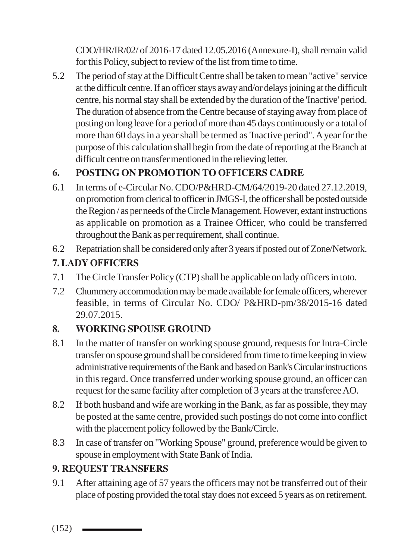CDO/HR/IR/02/ of 2016-17 dated 12.05.2016 (Annexure-I), shall remain valid for this Policy, subject to review of the list from time to time.

5.2 The period of stay at the Difficult Centre shall be taken to mean "active" service at the difficult centre. If an officer stays away and/or delays joining at the difficult centre, his normal stay shall be extended by the duration of the 'Inactive' period. The duration of absence from the Centre because of staying away from place of posting on long leave for a period of more than 45 days continuously or a total of more than 60 days in a year shall be termed as 'Inactive period". A year for the purpose of this calculation shall begin from the date of reporting at the Branch at difficult centre on transfer mentioned in the relieving letter.

# **6. POSTING ON PROMOTION TO OFFICERS CADRE**

- 6.1 In terms of e-Circular No. CDO/P&HRD-CM/64/2019-20 dated 27.12.2019, on promotion from clerical to officer in JMGS-I, the officer shall be posted outside the Region / as per needs of the Circle Management. However, extant instructions as applicable on promotion as a Trainee Officer, who could be transferred throughout the Bank as per requirement, shall continue.
- 6.2 Repatriation shall be considered only after 3 years if posted out of Zone/Network.

# **7. LADY OFFICERS**

- 7.1 The Circle Transfer Policy (CTP) shall be applicable on lady officers in toto.
- 7.2 Chummery accommodation may be made available for female officers, wherever feasible, in terms of Circular No. CDO/ P&HRD-pm/38/2015-16 dated 29.07.2015.

# **8. WORKING SPOUSE GROUND**

- 8.1 In the matter of transfer on working spouse ground, requests for Intra-Circle transfer on spouse ground shall be considered from time to time keeping in view administrative requirements of the Bank and based on Bank's Circular instructions in this regard. Once transferred under working spouse ground, an officer can request for the same facility after completion of 3 years at the transferee AO.
- 8.2 If both husband and wife are working in the Bank, as far as possible, they may be posted at the same centre, provided such postings do not come into conflict with the placement policy followed by the Bank/Circle.
- 8.3 In case of transfer on "Working Spouse" ground, preference would be given to spouse in employment with State Bank of India.

# **9. REQUEST TRANSFERS**

9.1 After attaining age of 57 years the officers may not be transferred out of their place of posting provided the total stay does not exceed 5 years as on retirement.

 $(152)$   $\equiv$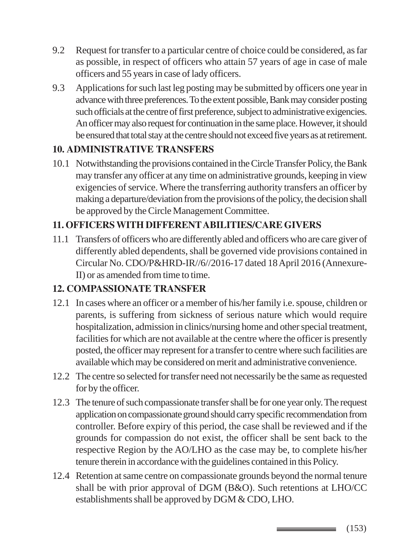- 9.2 Request for transfer to a particular centre of choice could be considered, as far as possible, in respect of officers who attain 57 years of age in case of male officers and 55 years in case of lady officers.
- 9.3 Applications for such last leg posting may be submitted by officers one year in advance with three preferences. To the extent possible, Bank may consider posting such officials at the centre of first preference, subject to administrative exigencies. An officer may also request for continuation in the same place. However, it should be ensured that total stay at the centre should not exceed five years as at retirement.

# **10. ADMINISTRATIVE TRANSFERS**

10.1 Notwithstanding the provisions contained in the Circle Transfer Policy, the Bank may transfer any officer at any time on administrative grounds, keeping in view exigencies of service. Where the transferring authority transfers an officer by making a departure/deviation from the provisions of the policy, the decision shall be approved by the Circle Management Committee.

# **11. OFFICERS WITH DIFFERENT ABILITIES/CARE GIVERS**

11.1 Transfers of officers who are differently abled and officers who are care giver of differently abled dependents, shall be governed vide provisions contained in Circular No. CDO/P&HRD-IR//6//2016-17 dated 18 April 2016 (Annexure-II) or as amended from time to time.

# **12. COMPASSIONATE TRANSFER**

- 12.1 In cases where an officer or a member of his/her family i.e. spouse, children or parents, is suffering from sickness of serious nature which would require hospitalization, admission in clinics/nursing home and other special treatment, facilities for which are not available at the centre where the officer is presently posted, the officer may represent for a transfer to centre where such facilities are available which may be considered on merit and administrative convenience.
- 12.2 The centre so selected for transfer need not necessarily be the same as requested for by the officer.
- 12.3 The tenure of such compassionate transfer shall be for one year only. The request application on compassionate ground should carry specific recommendation from controller. Before expiry of this period, the case shall be reviewed and if the grounds for compassion do not exist, the officer shall be sent back to the respective Region by the AO/LHO as the case may be, to complete his/her tenure therein in accordance with the guidelines contained in this Policy.
- 12.4 Retention at same centre on compassionate grounds beyond the normal tenure shall be with prior approval of DGM (B&O). Such retentions at LHO/CC establishments shall be approved by DGM & CDO, LHO.

(153)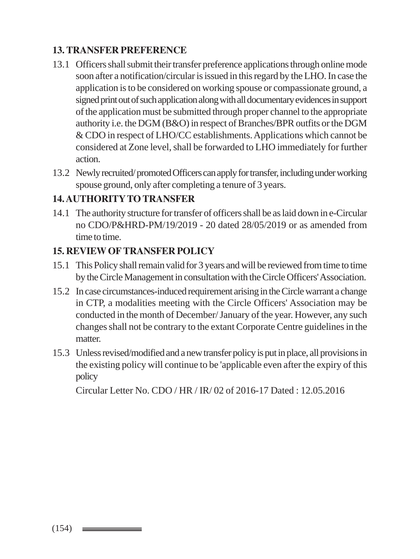# **13. TRANSFER PREFERENCE**

- 13.1 Officers shall submit their transfer preference applications through online mode soon after a notification/circular is issued in this regard by the LHO. In case the application is to be considered on working spouse or compassionate ground, a signed print out of such application along with all documentary evidences in support of the application must be submitted through proper channel to the appropriate authority i.e. the DGM (B&O) in respect of Branches/BPR outfits or the DGM & CDO in respect of LHO/CC establishments. Applications which cannot be considered at Zone level, shall be forwarded to LHO immediately for further action.
- 13.2 Newly recruited/ promoted Officers can apply for transfer, including under working spouse ground, only after completing a tenure of 3 years.

# **14. AUTHORITY TO TRANSFER**

14.1 The authority structure for transfer of officers shall be as laid down in e-Circular no CDO/P&HRD-PM/19/2019 - 20 dated 28/05/2019 or as amended from time to time.

#### **15. REVIEW OF TRANSFER POLICY**

- 15.1 This Policy shall remain valid for 3 years and will be reviewed from time to time by the Circle Management in consultation with the Circle Officers' Association.
- 15.2 In case circumstances-induced requirement arising in the Circle warrant a change in CTP, a modalities meeting with the Circle Officers' Association may be conducted in the month of December/ January of the year. However, any such changes shall not be contrary to the extant Corporate Centre guidelines in the matter.
- 15.3 Unless revised/modified and a new transfer policy is put in place, all provisions in the existing policy will continue to be 'applicable even after the expiry of this policy

Circular Letter No. CDO / HR / IR/ 02 of 2016-17 Dated : 12.05.2016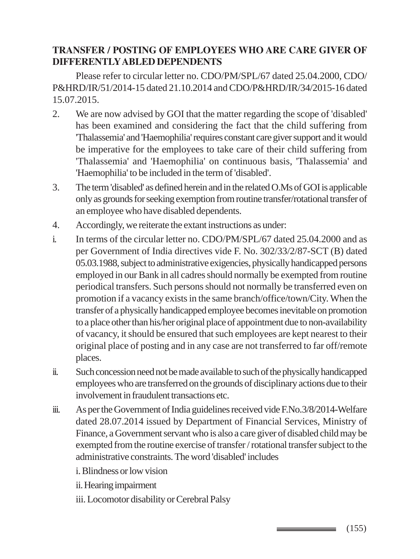# **TRANSFER / POSTING OF EMPLOYEES WHO ARE CARE GIVER OF DIFFERENTLY ABLED DEPENDENTS**

Please refer to circular letter no. CDO/PM/SPL/67 dated 25.04.2000, CDO/ P&HRD/IR/51/2014-15 dated 21.10.2014 and CDO/P&HRD/IR/34/2015-16 dated 15.07.2015.

- 2. We are now advised by GOI that the matter regarding the scope of 'disabled' has been examined and considering the fact that the child suffering from 'Thalassemia' and 'Haemophilia' requires constant care giver support and it would be imperative for the employees to take care of their child suffering from 'Thalassemia' and 'Haemophilia' on continuous basis, 'Thalassemia' and 'Haemophilia' to be included in the term of 'disabled'.
- 3. The term 'disabled' as defined herein and in the related O.Ms of GOI is applicable only as grounds for seeking exemption from routine transfer/rotational transfer of an employee who have disabled dependents.
- 4. Accordingly, we reiterate the extant instructions as under:
- i. In terms of the circular letter no. CDO/PM/SPL/67 dated 25.04.2000 and as per Government of India directives vide F. No. 302/33/2/87-SCT (B) dated 05.03.1988, subject to administrative exigencies, physically handicapped persons employed in our Bank in all cadres should normally be exempted from routine periodical transfers. Such persons should not normally be transferred even on promotion if a vacancy exists in the same branch/office/town/City. When the transfer of a physically handicapped employee becomes inevitable on promotion to a place other than his/her original place of appointment due to non-availability of vacancy, it should be ensured that such employees are kept nearest to their original place of posting and in any case are not transferred to far off/remote places.
- ii. Such concession need not be made available to such of the physically handicapped employees who are transferred on the grounds of disciplinary actions due to their involvement in fraudulent transactions etc.
- iii. As per the Government of India guidelines received vide F.No.3/8/2014-Welfare dated 28.07.2014 issued by Department of Financial Services, Ministry of Finance, a Government servant who is also a care giver of disabled child may be exempted from the routine exercise of transfer / rotational transfer subject to the administrative constraints. The word 'disabled' includes
	- i. Blindness or low vision
	- ii. Hearing impairment
	- iii. Locomotor disability or Cerebral Palsy

(155)

\_\_\_\_\_\_\_\_\_\_\_\_\_\_\_\_\_\_\_\_\_\_\_\_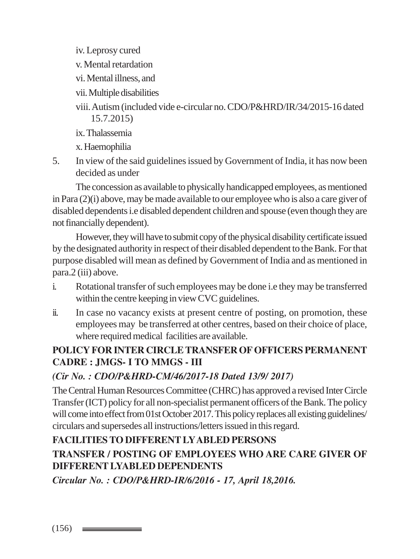iv. Leprosy cured

- v. Mental retardation
- vi. Mental illness, and
- vii. Multiple disabilities
- viii. Autism (included vide e-circular no. CDO/P&HRD/IR/34/2015-16 dated 15.7.2015)
- ix. Thalassemia

x. Haemophilia

5. In view of the said guidelines issued by Government of India, it has now been decided as under

The concession as available to physically handicapped employees, as mentioned in Para (2)(i) above, may be made available to our employee who is also a care giver of disabled dependents i.e disabled dependent children and spouse (even though they are not financially dependent).

However, they will have to submit copy of the physical disability certificate issued by the designated authority in respect of their disabled dependent to the Bank. For that purpose disabled will mean as defined by Government of India and as mentioned in para.2 (iii) above.

- i. Rotational transfer of such employees may be done i.e they may be transferred within the centre keeping in view CVC guidelines.
- ii. In case no vacancy exists at present centre of posting, on promotion, these employees may be transferred at other centres, based on their choice of place, where required medical facilities are available.

# **POLICY FOR INTER CIRCLE TRANSFER OF OFFICERS PERMANENT CADRE : JMGS- I TO MMGS - III**

# *(Cir No. : CDO/P&HRD-CM/46/2017-18 Dated 13/9/ 2017)*

The Central Human Resources Committee (CHRC) has approved a revised Inter Circle Transfer (ICT) policy for all non-specialist permanent officers of the Bank. The policy will come into effect from 01st October 2017. This policy replaces all existing guidelines/ circulars and supersedes all instructions/letters issued in this regard.

# **FACILITIES TO DIFFERENT LY ABLED PERSONS**

# **TRANSFER / POSTING OF EMPLOYEES WHO ARE CARE GIVER OF DIFFERENT LYABLED DEPENDENTS**

*Circular No. : CDO/P&HRD-IR/6/2016 - 17, April 18,2016.*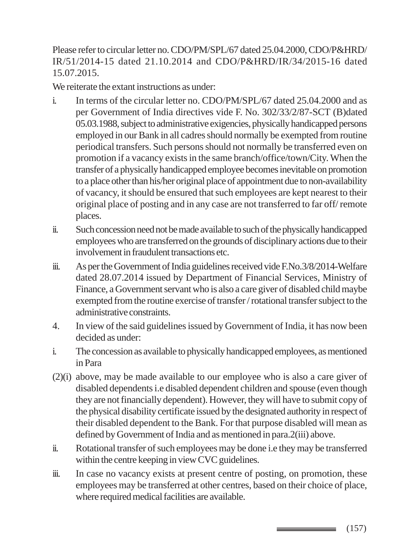Please refer to circular letter no. CDO/PM/SPL/67 dated 25.04.2000, CDO/P&HRD/ IR/51/2014-15 dated 21.10.2014 and CDO/P&HRD/IR/34/2015-16 dated 15.07.2015.

We reiterate the extant instructions as under:

- i. In terms of the circular letter no. CDO/PM/SPL/67 dated 25.04.2000 and as per Government of India directives vide F. No. 302/33/2/87-SCT (B)dated 05.03.1988, subject to administrative exigencies, physically handicapped persons employed in our Bank in all cadres should normally be exempted from routine periodical transfers. Such persons should not normally be transferred even on promotion if a vacancy exists in the same branch/office/town/City. When the transfer of a physically handicapped employee becomes inevitable on promotion to a place other than his/her original place of appointment due to non-availability of vacancy, it should be ensured that such employees are kept nearest to their original place of posting and in any case are not transferred to far off/ remote places.
- ii. Such concession need not be made available to such of the physically handicapped employees who are transferred on the grounds of disciplinary actions due to their involvement in fraudulent transactions etc.
- iii. As per the Government of India guidelines received vide F.No.3/8/2014-Welfare dated 28.07.2014 issued by Department of Financial Services, Ministry of Finance, a Government servant who is also a care giver of disabled child maybe exempted from the routine exercise of transfer / rotational transfer subject to the administrative constraints.
- 4. In view of the said guidelines issued by Government of India, it has now been decided as under:
- i. The concession as available to physically handicapped employees, as mentioned in Para
- (2)(i) above, may be made available to our employee who is also a care giver of disabled dependents i.e disabled dependent children and spouse (even though they are not financially dependent). However, they will have to submit copy of the physical disability certificate issued by the designated authority in respect of their disabled dependent to the Bank. For that purpose disabled will mean as defined by Government of India and as mentioned in para.2(iii) above.
- ii. Rotational transfer of such employees may be done i.e they may be transferred within the centre keeping in view CVC guidelines.
- iii. In case no vacancy exists at present centre of posting, on promotion, these employees may be transferred at other centres, based on their choice of place, where required medical facilities are available.

(157)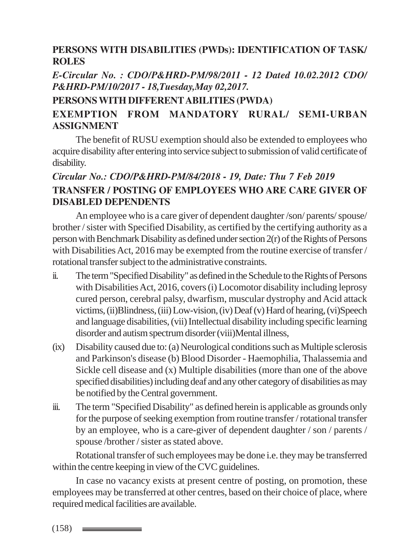#### **PERSONS WITH DISABILITIES (PWDs): IDENTIFICATION OF TASK/ ROLES**

*E-Circular No. : CDO/P&HRD-PM/98/2011 - 12 Dated 10.02.2012 CDO/ P&HRD-PM/10/2017 - 18,Tuesday,May 02,2017.*

#### **PERSONS WITH DIFFERENT ABILITIES (PWDA)**

# **EXEMPTION FROM MANDATORY RURAL/ SEMI-URBAN ASSIGNMENT**

The benefit of RUSU exemption should also be extended to employees who acquire disability after entering into service subject to submission of valid certificate of disability.

# *Circular No.: CDO/P&HRD-PM/84/2018 - 19, Date: Thu 7 Feb 2019* **TRANSFER / POSTING OF EMPLOYEES WHO ARE CARE GIVER OF DISABLED DEPENDENTS**

An employee who is a care giver of dependent daughter /son/ parents/ spouse/ brother / sister with Specified Disability, as certified by the certifying authority as a person with Benchmark Disability as defined under section 2(r) of the Rights of Persons with Disabilities Act, 2016 may be exempted from the routine exercise of transfer / rotational transfer subject to the administrative constraints.

- ii. The term "Specified Disability" as defined in the Schedule to the Rights of Persons with Disabilities Act, 2016, covers (i) Locomotor disability including leprosy cured person, cerebral palsy, dwarfism, muscular dystrophy and Acid attack victims, (ii)Blindness, (iii) Low-vision, (iv) Deaf (v) Hard of hearing, (vi)Speech and language disabilities, (vii) Intellectual disability including specific learning disorder and autism spectrum disorder (viii)Mental illness,
- (ix) Disability caused due to: (a) Neurological conditions such as Multiple sclerosis and Parkinson's disease (b) Blood Disorder - Haemophilia, Thalassemia and Sickle cell disease and (x) Multiple disabilities (more than one of the above specified disabilities) including deaf and any other category of disabilities as may be notified by the Central government.
- iii. The term "Specified Disability" as defined herein is applicable as grounds only for the purpose of seeking exemption from routine transfer / rotational transfer by an employee, who is a care-giver of dependent daughter / son / parents / spouse /brother / sister as stated above.

Rotational transfer of such employees may be done i.e. they may be transferred within the centre keeping in view of the CVC guidelines.

In case no vacancy exists at present centre of posting, on promotion, these employees may be transferred at other centres, based on their choice of place, where required medical facilities are available.

 $(158)$   $\equiv$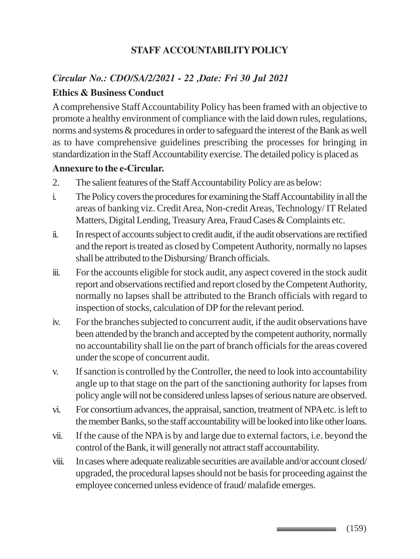# **STAFF ACCOUNTABILITY POLICY**

# *Circular No.: CDO/SA/2/2021 - 22 ,Date: Fri 30 Jul 2021* **Ethics & Business Conduct**

A comprehensive Staff Accountability Policy has been framed with an objective to promote a healthy environment of compliance with the laid down rules, regulations, norms and systems & procedures in order to safeguard the interest of the Bank as well as to have comprehensive guidelines prescribing the processes for bringing in standardization in the Staff Accountability exercise. The detailed policy is placed as

#### **Annexure to the e-Circular.**

- 2. The salient features of the Staff Accountability Policy are as below:
- i. The Policy covers the procedures for examining the Staff Accountability in all the areas of banking viz. Credit Area, Non-credit Areas, Technology/ IT Related Matters, Digital Lending, Treasury Area, Fraud Cases & Complaints etc.
- ii. In respect of accounts subject to credit audit, if the audit observations are rectified and the report is treated as closed by Competent Authority, normally no lapses shall be attributed to the Disbursing/ Branch officials.
- iii. For the accounts eligible for stock audit, any aspect covered in the stock audit report and observations rectified and report closed by the Competent Authority, normally no lapses shall be attributed to the Branch officials with regard to inspection of stocks, calculation of DP for the relevant period.
- iv. For the branches subjected to concurrent audit, if the audit observations have been attended by the branch and accepted by the competent authority, normally no accountability shall lie on the part of branch officials for the areas covered under the scope of concurrent audit.
- v. If sanction is controlled by the Controller, the need to look into accountability angle up to that stage on the part of the sanctioning authority for lapses from policy angle will not be considered unless lapses of serious nature are observed.
- vi. For consortium advances, the appraisal, sanction, treatment of NPA etc. is left to the member Banks, so the staff accountability will be looked into like other loans.
- vii. If the cause of the NPA is by and large due to external factors, i.e. beyond the control of the Bank, it will generally not attract staff accountability.
- viii. In cases where adequate realizable securities are available and/or account closed/ upgraded, the procedural lapses should not be basis for proceeding against the employee concerned unless evidence of fraud/ malafide emerges.

(159) \_\_\_\_\_\_\_\_\_\_\_\_\_\_\_\_\_\_\_\_\_\_\_\_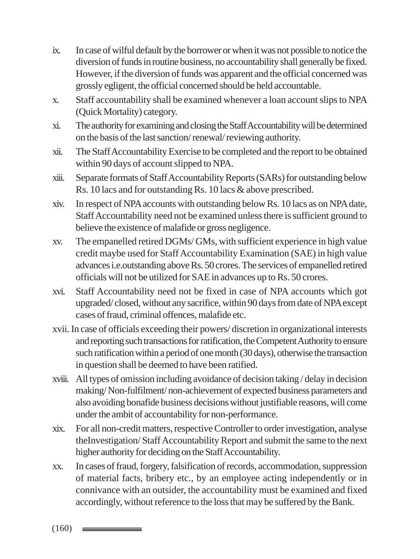- ix. In case of wilful default by the borrower or when it was not possible to notice the diversion of funds in routine business, no accountability shall generally be fixed. However, if the diversion of funds was apparent and the official concerned was grossly egligent, the official concerned should be held accountable.
- x. Staff accountability shall be examined whenever a loan account slips to NPA (Quick Mortality) category.
- xi. The authority for examining and closing the Staff Accountability will be determined on the basis of the last sanction/ renewal/ reviewing authority.
- xii. The Staff Accountability Exercise to be completed and the report to be obtained within 90 days of account slipped to NPA.
- xiii. Separate formats of Staff Accountability Reports (SARs) for outstanding below Rs. 10 lacs and for outstanding Rs. 10 lacs & above prescribed.
- xiv. In respect of NPA accounts with outstanding below Rs. 10 lacs as on NPA date, Staff Accountability need not be examined unless there is sufficient ground to believe the existence of malafide or gross negligence.
- xv. The empanelled retired DGMs/ GMs, with sufficient experience in high value credit maybe used for Staff Accountability Examination (SAE) in high value advances i.e.outstanding above Rs. 50 crores. The services of empanelled retired officials will not be utilized for SAE in advances up to Rs. 50 crores.
- xvi. Staff Accountability need not be fixed in case of NPA accounts which got upgraded/ closed, without any sacrifice, within 90 days from date of NPA except cases of fraud, criminal offences, malafide etc.
- xvii. In case of officials exceeding their powers/ discretion in organizational interests and reporting such transactions for ratification, the Competent Authority to ensure such ratification within a period of one month (30 days), otherwise the transaction in question shall be deemed to have been ratified.
- xviii. All types of omission including avoidance of decision taking / delay in decision making/ Non-fulfilment/ non-achievement of expected business parameters and also avoiding bonafide business decisions without justifiable reasons, will come under the ambit of accountability for non-performance.
- xix. For all non-credit matters, respective Controller to order investigation, analyse theInvestigation/ Staff Accountability Report and submit the same to the next higher authority for deciding on the Staff Accountability.
- xx. In cases of fraud, forgery, falsification of records, accommodation, suppression of material facts, bribery etc., by an employee acting independently or in connivance with an outsider, the accountability must be examined and fixed accordingly, without reference to the loss that may be suffered by the Bank.

 $(160)$   $\longrightarrow$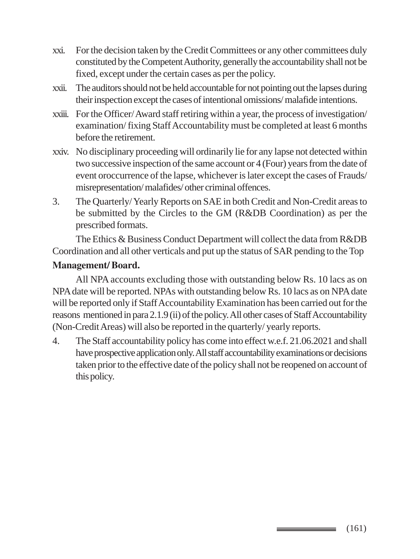- xxi. For the decision taken by the Credit Committees or any other committees duly constituted by the Competent Authority, generally the accountability shall not be fixed, except under the certain cases as per the policy.
- xxii. The auditors should not be held accountable for not pointing out the lapses during their inspection except the cases of intentional omissions/ malafide intentions.
- xxiii. For the Officer/ Award staff retiring within a year, the process of investigation/ examination/ fixing Staff Accountability must be completed at least 6 months before the retirement.
- xxiv. No disciplinary proceeding will ordinarily lie for any lapse not detected within two successive inspection of the same account or 4 (Four) years from the date of event oroccurrence of the lapse, whichever is later except the cases of Frauds/ misrepresentation/ malafides/ other criminal offences.
- 3. The Quarterly/ Yearly Reports on SAE in both Credit and Non-Credit areas to be submitted by the Circles to the GM (R&DB Coordination) as per the prescribed formats.

The Ethics & Business Conduct Department will collect the data from R&DB Coordination and all other verticals and put up the status of SAR pending to the Top

#### **Management/ Board.**

All NPA accounts excluding those with outstanding below Rs. 10 lacs as on NPA date will be reported. NPAs with outstanding below Rs. 10 lacs as on NPA date will be reported only if Staff Accountability Examination has been carried out for the reasons mentioned in para 2.1.9 (ii) of the policy. All other cases of Staff Accountability (Non-Credit Areas) will also be reported in the quarterly/ yearly reports.

4. The Staff accountability policy has come into effect w.e.f. 21.06.2021 and shall have prospective application only. All staff accountability examinations or decisions taken prior to the effective date of the policy shall not be reopened on account of this policy.

> (161) \_\_\_\_\_\_\_\_\_\_\_\_\_\_\_\_\_\_\_\_\_\_\_\_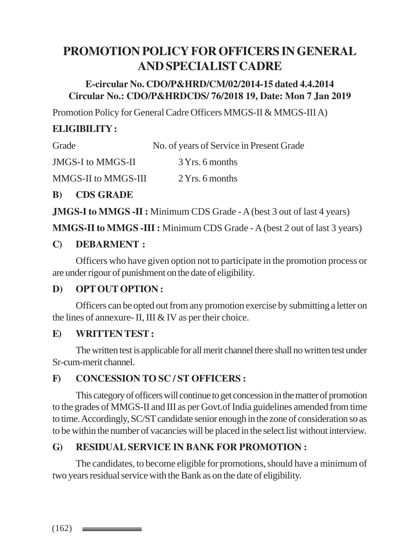# **PROMOTION POLICY FOR OFFICERS IN GENERAL AND SPECIALIST CADRE**

#### **E-circular No. CDO/P&HRD/CM/02/2014-15 dated 4.4.2014 Circular No.: CDO/P&HRDCDS/ 76/2018 19, Date: Mon 7 Jan 2019**

Promotion Policy for General Cadre Officers MMGS-II & MMGS-III A)

# **ELIGIBILITY :**

| Grade | No. of years of Service in Present Grade |  |
|-------|------------------------------------------|--|
|-------|------------------------------------------|--|

JMGS-I to MMGS-II 3 Yrs. 6 months

MMGS-II to MMGS-III 2 Yrs. 6 months

#### **B) CDS GRADE**

**JMGS-I to MMGS -II :** Minimum CDS Grade - A (best 3 out of last 4 years)

**MMGS-II to MMGS -III :** Minimum CDS Grade - A (best 2 out of last 3 years)

#### **C) DEBARMENT :**

Officers who have given option not to participate in the promotion process or are under rigour of punishment on the date of eligibility.

# **D) OPT OUT OPTION :**

Officers can be opted out from any promotion exercise by submitting a letter on the lines of annexure- II, III & IV as per their choice.

#### **E) WRITTEN TEST :**

The written test is applicable for all merit channel there shall no written test under Sr-cum-merit channel.

# **F) CONCESSION TO SC / ST OFFICERS :**

This category of officers will continue to get concession in the matter of promotion to the grades of MMGS-II and III as per Govt.of India guidelines amended from time to time. Accordingly, SC/ST candidate senior enough in the zone of consideration so as to be within the number of vacancies will be placed in the select list without interview.

# **G) RESIDUAL SERVICE IN BANK FOR PROMOTION :**

The candidates, to become eligible for promotions, should have a minimum of two years residual service with the Bank as on the date of eligibility.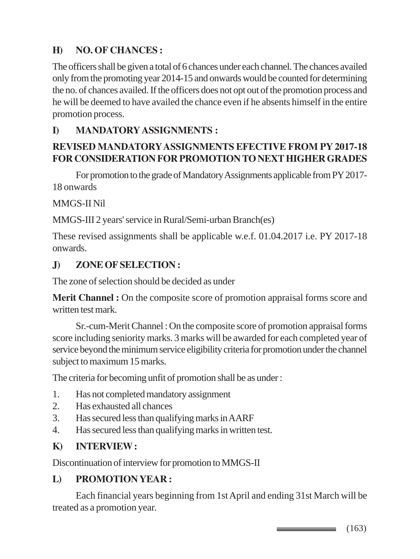# **H) NO. OF CHANCES :**

The officers shall be given a total of 6 chances under each channel. The chances availed only from the promoting year 2014-15 and onwards would be counted for determining the no. of chances availed. If the officers does not opt out of the promotion process and he will be deemed to have availed the chance even if he absents himself in the entire promotion process.

#### **I) MANDATORY ASSIGNMENTS :**

#### **REVISED MANDATORY ASSIGNMENTS EFECTIVE FROM PY 2017-18 FOR CONSIDERATION FOR PROMOTION TO NEXT HIGHER GRADES**

For promotion to the grade of Mandatory Assignments applicable from PY 2017- 18 onwards

MMGS-II Nil

MMGS-III 2 years' service in Rural/Semi-urban Branch(es)

These revised assignments shall be applicable w.e.f. 01.04.2017 i.e. PY 2017-18 onwards.

#### **J) ZONE OF SELECTION :**

The zone of selection should be decided as under

**Merit Channel :** On the composite score of promotion appraisal forms score and written test mark.

Sr.-cum-Merit Channel : On the composite score of promotion appraisal forms score including seniority marks. 3 marks will be awarded for each completed year of service beyond the minimum service eligibility criteria for promotion under the channel subject to maximum 15 marks.

The criteria for becoming unfit of promotion shall be as under :

- 1. Has not completed mandatory assignment
- 2. Has exhausted all chances
- 3. Has secured less than qualifying marks in AARF
- 4. Has secured less than qualifying marks in written test.

#### **K) INTERVIEW :**

Discontinuation of interview for promotion to MMGS-II

# **L) PROMOTION YEAR :**

Each financial years beginning from 1st April and ending 31st March will be treated as a promotion year.

 $\equiv$  (163)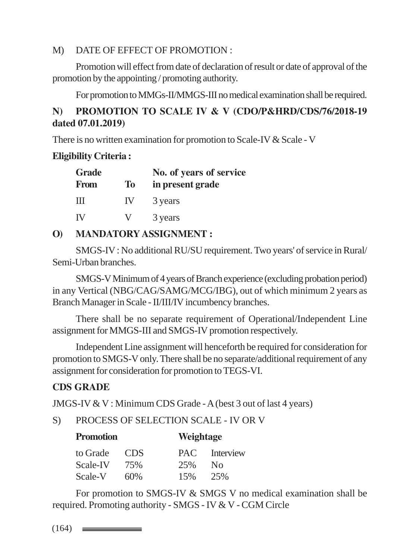#### M) DATE OF EFFECT OF PROMOTION :

Promotion will effect from date of declaration of result or date of approval of the promotion by the appointing / promoting authority.

For promotion to MMGs-II/MMGS-III no medical examination shall be required.

# **N) PROMOTION TO SCALE IV & V (CDO/P&HRD/CDS/76/2018-19 dated 07.01.2019)**

There is no written examination for promotion to Scale-IV & Scale - V

#### **Eligibility Criteria :**

| <b>Grade</b><br><b>From</b> | <b>To</b> | No. of years of service<br>in present grade |
|-----------------------------|-----------|---------------------------------------------|
| Ш                           | IV.       | 3 years                                     |
| <b>IV</b>                   | V         | 3 years                                     |

# **O) MANDATORY ASSIGNMENT :**

SMGS-IV : No additional RU/SU requirement. Two years' of service in Rural/ Semi-Urban branches.

SMGS-V Minimum of 4 years of Branch experience (excluding probation period) in any Vertical (NBG/CAG/SAMG/MCG/IBG), out of which minimum 2 years as Branch Manager in Scale - II/III/IV incumbency branches.

There shall be no separate requirement of Operational/Independent Line assignment for MMGS-III and SMGS-IV promotion respectively.

Independent Line assignment will henceforth be required for consideration for promotion to SMGS-V only. There shall be no separate/additional requirement of any assignment for consideration for promotion to TEGS-VI.

# **CDS GRADE**

JMGS-IV & V : Minimum CDS Grade - A (best 3 out of last 4 years)

S) PROCESS OF SELECTION SCALE - IV OR V

**Promotion Weightage**

| <b>FIQHIQUOH</b> |      | vveightage |               |
|------------------|------|------------|---------------|
| to Grade         | CDS. |            | PAC Interview |
| Scale-IV         | 75%  | 25%        | $N_{\Omega}$  |
| Scale-V          | 60%  | 15%        | 25%           |

For promotion to SMGS-IV & SMGS V no medical examination shall be required. Promoting authority - SMGS - IV & V - CGM Circle

 $(164)$   $\longrightarrow$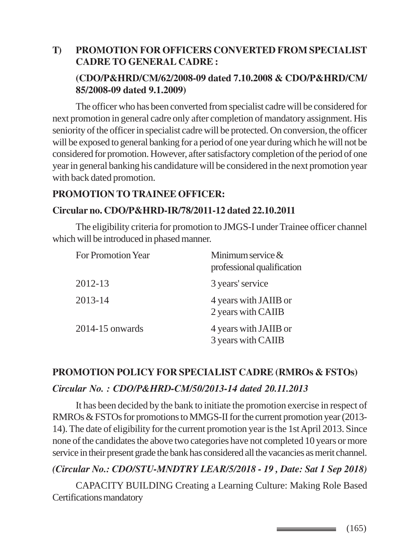# **T) PROMOTION FOR OFFICERS CONVERTED FROM SPECIALIST CADRE TO GENERAL CADRE : (CDO/P&HRD/CM/62/2008-09 dated 7.10.2008 & CDO/P&HRD/CM/ 85/2008-09 dated 9.1.2009)**

The officer who has been converted from specialist cadre will be considered for next promotion in general cadre only after completion of mandatory assignment. His seniority of the officer in specialist cadre will be protected. On conversion, the officer will be exposed to general banking for a period of one year during which he will not be considered for promotion. However, after satisfactory completion of the period of one year in general banking his candidature will be considered in the next promotion year with back dated promotion.

#### **PROMOTION TO TRAINEE OFFICER:**

#### **Circular no. CDO/P&HRD-IR/78/2011-12 dated 22.10.2011**

The eligibility criteria for promotion to JMGS-I under Trainee officer channel which will be introduced in phased manner.

| <b>For Promotion Year</b> | Minimum service $\&$<br>professional qualification |
|---------------------------|----------------------------------------------------|
| 2012-13                   | 3 years' service                                   |
| 2013-14                   | 4 years with JAIIB or<br>2 years with CAIIB        |
| $2014 - 15$ onwards       | 4 years with JAIIB or<br>3 years with CAIIB        |

# **PROMOTION POLICY FOR SPECIALIST CADRE (RMROs & FSTOs)** *Circular No. : CDO/P&HRD-CM/50/2013-14 dated 20.11.2013*

It has been decided by the bank to initiate the promotion exercise in respect of RMROs & FSTOs for promotions to MMGS-II for the current promotion year (2013- 14). The date of eligibility for the current promotion year is the 1st April 2013. Since none of the candidates the above two categories have not completed 10 years or more service in their present grade the bank has considered all the vacancies as merit channel.

# *(Circular No.: CDO/STU-MNDTRY LEAR/5/2018 - 19 , Date: Sat 1 Sep 2018)*

CAPACITY BUILDING Creating a Learning Culture: Making Role Based Certifications mandatory

 $\equiv$  (165)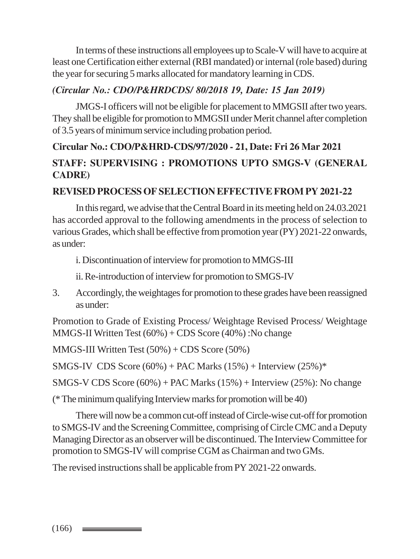In terms of these instructions all employees up to Scale-V will have to acquire at least one Certification either external (RBI mandated) or internal (role based) during the year for securing 5 marks allocated for mandatory learning in CDS.

#### *(Circular No.: CDO/P&HRDCDS/ 80/2018 19, Date: 15 Jan 2019)*

JMGS-I officers will not be eligible for placement to MMGSII after two years. They shall be eligible for promotion to MMGSII under Merit channel after completion of 3.5 years of minimum service including probation period.

# **Circular No.: CDO/P&HRD-CDS/97/2020 - 21, Date: Fri 26 Mar 2021 STAFF: SUPERVISING : PROMOTIONS UPTO SMGS-V (GENERAL CADRE)**

#### **REVISED PROCESS OF SELECTION EFFECTIVE FROM PY 2021-22**

In this regard, we advise that the Central Board in its meeting held on 24.03.2021 has accorded approval to the following amendments in the process of selection to various Grades, which shall be effective from promotion year (PY) 2021-22 onwards, as under:

i. Discontinuation of interview for promotion to MMGS-III

ii. Re-introduction of interview for promotion to SMGS-IV

3. Accordingly, the weightages for promotion to these grades have been reassigned as under:

Promotion to Grade of Existing Process/ Weightage Revised Process/ Weightage MMGS-II Written Test  $(60\%) + CDS$  Score  $(40\%)$ : No change

MMGS-III Written Test (50%) + CDS Score (50%)

SMGS-IV CDS Score  $(60\%)$  + PAC Marks  $(15\%)$  + Interview  $(25\%)$ \*

SMGS-V CDS Score  $(60%)$  + PAC Marks  $(15%)$  + Interview  $(25%)$ : No change

(\* The minimum qualifying Interview marks for promotion will be 40)

There will now be a common cut-off instead of Circle-wise cut-off for promotion to SMGS-IV and the Screening Committee, comprising of Circle CMC and a Deputy Managing Director as an observer will be discontinued. The Interview Committee for promotion to SMGS-IV will comprise CGM as Chairman and two GMs.

The revised instructions shall be applicable from PY 2021-22 onwards.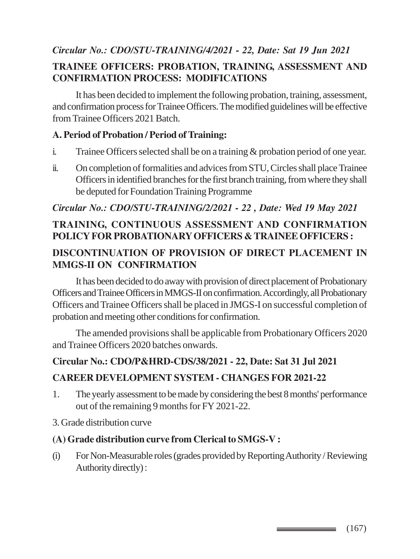# *Circular No.: CDO/STU-TRAINING/4/2021 - 22, Date: Sat 19 Jun 2021* **TRAINEE OFFICERS: PROBATION, TRAINING, ASSESSMENT AND CONFIRMATION PROCESS: MODIFICATIONS**

It has been decided to implement the following probation, training, assessment, and confirmation process for Trainee Officers. The modified guidelines will be effective from Trainee Officers 2021 Batch.

#### **A. Period of Probation / Period of Training:**

- i. Trainee Officers selected shall be on a training & probation period of one year.
- ii. On completion of formalities and advices from STU, Circles shall place Trainee Officers in identified branches for the first branch training, from where they shall be deputed for Foundation Training Programme

#### *Circular No.: CDO/STU-TRAINING/2/2021 - 22 , Date: Wed 19 May 2021*

# **TRAINING, CONTINUOUS ASSESSMENT AND CONFIRMATION POLICY FOR PROBATIONARY OFFICERS & TRAINEE OFFICERS :**

# **DISCONTINUATION OF PROVISION OF DIRECT PLACEMENT IN MMGS-II ON CONFIRMATION**

It has been decided to do away with provision of direct placement of Probationary Officers and Trainee Officers in MMGS-II on confirmation. Accordingly, all Probationary Officers and Trainee Officers shall be placed in JMGS-I on successful completion of probation and meeting other conditions for confirmation.

The amended provisions shall be applicable from Probationary Officers 2020 and Trainee Officers 2020 batches onwards.

# **Circular No.: CDO/P&HRD-CDS/38/2021 - 22, Date: Sat 31 Jul 2021**

# **CAREER DEVELOPMENT SYSTEM - CHANGES FOR 2021-22**

- 1. The yearly assessment to be made by considering the best 8 months' performance out of the remaining 9 months for FY 2021-22.
- 3. Grade distribution curve

#### **(A) Grade distribution curve from Clerical to SMGS-V :**

(i) For Non-Measurable roles (grades provided by Reporting Authority / Reviewing Authority directly) :

 $\equiv$  (167)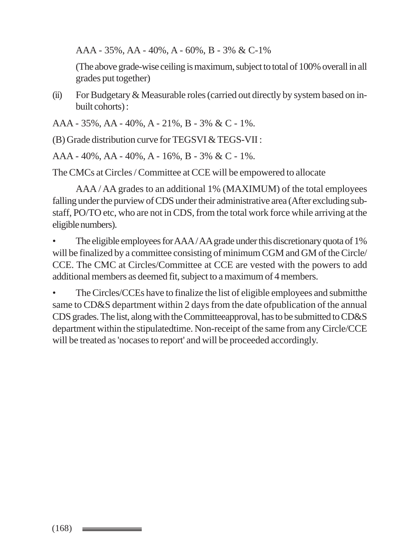AAA - 35%, AA - 40%, A - 60%, B - 3% & C-1%

(The above grade-wise ceiling is maximum, subject to total of 100% overall in all grades put together)

(ii) For Budgetary  $&$  Measurable roles (carried out directly by system based on inbuilt cohorts) :

AAA - 35%, AA - 40%, A - 21%, B - 3% & C - 1%.

(B) Grade distribution curve for TEGSVI & TEGS-VII :

AAA - 40%, AA - 40%, A - 16%, B - 3% & C - 1%.

The CMCs at Circles / Committee at CCE will be empowered to allocate

AAA / AA grades to an additional 1% (MAXIMUM) of the total employees falling under the purview of CDS under their administrative area (After excluding substaff, PO/TO etc, who are not in CDS, from the total work force while arriving at the eligible numbers).

The eligible employees for AAA/AA grade under this discretionary quota of 1% will be finalized by a committee consisting of minimum CGM and GM of the Circle/ CCE. The CMC at Circles/Committee at CCE are vested with the powers to add additional members as deemed fit, subject to a maximum of 4 members.

• The Circles/CCEs have to finalize the list of eligible employees and submitthe same to CD&S department within 2 days from the date ofpublication of the annual CDS grades. The list, along with the Committeeapproval, has to be submitted to CD&S department within the stipulatedtime. Non-receipt of the same from any Circle/CCE will be treated as 'nocases to report' and will be proceeded accordingly.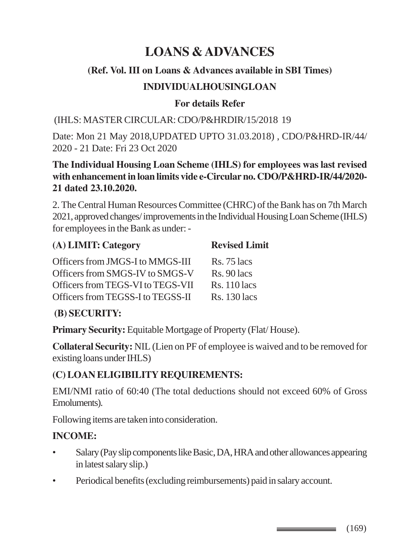# **LOANS & ADVANCES**

#### **(Ref. Vol. III on Loans & Advances available in SBI Times)**

#### **INDIVIDUALHOUSINGLOAN**

#### **For details Refer**

(IHLS: MASTER CIRCULAR: CDO/P&HRDIR/15/2018 19

Date: Mon 21 May 2018,UPDATED UPTO 31.03.2018) , CDO/P&HRD-IR/44/ 2020 - 21 Date: Fri 23 Oct 2020

#### **The Individual Housing Loan Scheme (IHLS) for employees was last revised with enhancement in loan limits vide e-Circular no. CDO/P&HRD-IR/44/2020- 21 dated 23.10.2020.**

2. The Central Human Resources Committee (CHRC) of the Bank has on 7th March 2021, approved changes/ improvements in the Individual Housing Loan Scheme (IHLS) for employees in the Bank as under: -

| (A) LIMIT: Category               | <b>Revised Limit</b> |  |
|-----------------------------------|----------------------|--|
| Officers from JMGS-I to MMGS-III  | $Rs. 75$ lacs        |  |
| Officers from SMGS-IV to SMGS-V   | $Rs. 90$ lacs        |  |
| Officers from TEGS-VI to TEGS-VII | $Rs. 110$ lacs       |  |
| Officers from TEGSS-I to TEGSS-II | <b>Rs.</b> 130 lacs  |  |

# **(B) SECURITY:**

**Primary Security:** Equitable Mortgage of Property (Flat/ House).

**Collateral Security:** NIL (Lien on PF of employee is waived and to be removed for existing loans under IHLS)

# **(C) LOAN ELIGIBILITY REQUIREMENTS:**

EMI/NMI ratio of 60:40 (The total deductions should not exceed 60% of Gross Emoluments).

Following items are taken into consideration.

# **INCOME:**

- Salary (Pay slip components like Basic, DA, HRA and other allowances appearing in latest salary slip.)
- Periodical benefits (excluding reimbursements) paid in salary account.

 $\longrightarrow$  (169)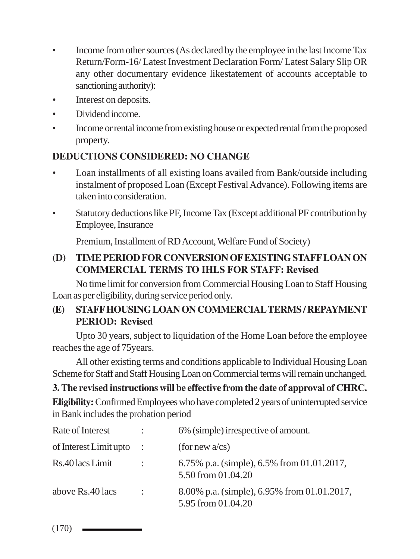- Income from other sources (As declared by the employee in the last Income Tax Return/Form-16/ Latest Investment Declaration Form/ Latest Salary Slip OR any other documentary evidence likestatement of accounts acceptable to sanctioning authority):
- Interest on deposits.
- Dividend income.
- Income or rental income from existing house or expected rental from the proposed property.

# **DEDUCTIONS CONSIDERED: NO CHANGE**

- Loan installments of all existing loans availed from Bank/outside including instalment of proposed Loan (Except Festival Advance). Following items are taken into consideration.
- Statutory deductions like PF, Income Tax (Except additional PF contribution by Employee, Insurance

Premium, Installment of RD Account, Welfare Fund of Society)

# **(D) TIME PERIOD FOR CONVERSION OF EXISTING STAFF LOAN ON COMMERCIAL TERMS TO IHLS FOR STAFF: Revised**

No time limit for conversion from Commercial Housing Loan to Staff Housing Loan as per eligibility, during service period only.

# **(E) STAFF HOUSING LOAN ON COMMERCIAL TERMS / REPAYMENT PERIOD: Revised**

Upto 30 years, subject to liquidation of the Home Loan before the employee reaches the age of 75years.

All other existing terms and conditions applicable to Individual Housing Loan Scheme for Staff and Staff Housing Loan on Commercial terms will remain unchanged.

# **3. The revised instructions will be effective from the date of approval of CHRC.**

**Eligibility:** Confirmed Employees who have completed 2 years of uninterrupted service in Bank includes the probation period

| Rate of Interest       | $\mathbb{R}^n$ | 6% (simple) irrespective of amount.                               |
|------------------------|----------------|-------------------------------------------------------------------|
| of Interest Limit upto | $\mathbb{R}^2$ | (for new $a$ /cs)                                                 |
| Rs.40 lacs Limit       | $\mathbb{R}^n$ | 6.75% p.a. (simple), 6.5% from 01.01.2017,<br>5.50 from 01.04.20  |
| above Rs.40 lacs       | $\ddot{\cdot}$ | 8.00% p.a. (simple), 6.95% from 01.01.2017,<br>5.95 from 01.04.20 |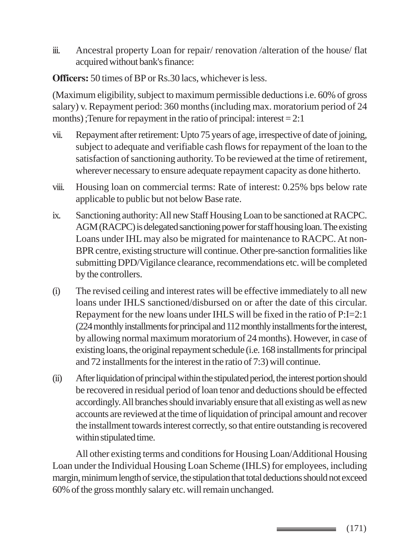iii. Ancestral property Loan for repair/ renovation /alteration of the house/ flat acquired without bank's finance:

**Officers:** 50 times of BP or Rs.30 lacs, whichever is less.

(Maximum eligibility, subject to maximum permissible deductions i.e. 60% of gross salary) v. Repayment period: 360 months (including max. moratorium period of 24 months) ;Tenure for repayment in the ratio of principal: interest = 2:1

- vii. Repayment after retirement: Upto 75 years of age, irrespective of date of joining, subject to adequate and verifiable cash flows for repayment of the loan to the satisfaction of sanctioning authority. To be reviewed at the time of retirement, wherever necessary to ensure adequate repayment capacity as done hitherto.
- viii. Housing loan on commercial terms: Rate of interest: 0.25% bps below rate applicable to public but not below Base rate.
- ix. Sanctioning authority: All new Staff Housing Loan to be sanctioned at RACPC. AGM (RACPC) is delegated sanctioning power for staff housing loan. The existing Loans under IHL may also be migrated for maintenance to RACPC. At non-BPR centre, existing structure will continue. Other pre-sanction formalities like submitting DPD/Vigilance clearance, recommendations etc. will be completed by the controllers.
- (i) The revised ceiling and interest rates will be effective immediately to all new loans under IHLS sanctioned/disbursed on or after the date of this circular. Repayment for the new loans under IHLS will be fixed in the ratio of P:I=2:1 (224 monthly installments for principal and 112 monthly installments for the interest, by allowing normal maximum moratorium of 24 months). However, in case of existing loans, the original repayment schedule (i.e. 168 installments for principal and 72 installments for the interest in the ratio of 7:3) will continue.
- (ii) After liquidation of principal within the stipulated period, the interest portion should be recovered in residual period of loan tenor and deductions should be effected accordingly. All branches should invariably ensure that all existing as well as new accounts are reviewed at the time of liquidation of principal amount and recover the installment towards interest correctly, so that entire outstanding is recovered within stipulated time.

All other existing terms and conditions for Housing Loan/Additional Housing Loan under the Individual Housing Loan Scheme (IHLS) for employees, including margin, minimum length of service, the stipulation that total deductions should not exceed 60% of the gross monthly salary etc. will remain unchanged.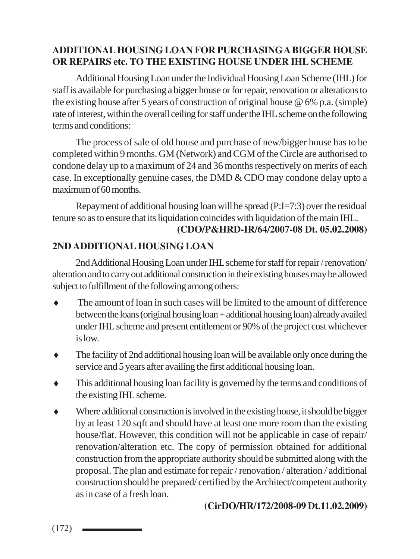# **ADDITIONAL HOUSING LOAN FOR PURCHASING A BIGGER HOUSE OR REPAIRS etc. TO THE EXISTING HOUSE UNDER IHL SCHEME**

Additional Housing Loan under the Individual Housing Loan Scheme (IHL) for staff is available for purchasing a bigger house or for repair, renovation or alterations to the existing house after 5 years of construction of original house @ 6% p.a. (simple) rate of interest, within the overall ceiling for staff under the IHL scheme on the following terms and conditions:

The process of sale of old house and purchase of new/bigger house has to be completed within 9 months. GM (Network) and CGM of the Circle are authorised to condone delay up to a maximum of 24 and 36 months respectively on merits of each case. In exceptionally genuine cases, the DMD & CDO may condone delay upto a maximum of 60 months.

Repayment of additional housing loan will be spread (P:I=7:3) over the residual tenure so as to ensure that its liquidation coincides with liquidation of the main IHL.

#### **(CDO/P&HRD-IR/64/2007-08 Dt. 05.02.2008)**

# **2ND ADDITIONAL HOUSING LOAN**

2nd Additional Housing Loan under IHL scheme for staff for repair / renovation/ alteration and to carry out additional construction in their existing houses may be allowed subject to fulfillment of the following among others:

- The amount of loan in such cases will be limited to the amount of difference between the loans (original housing loan + additional housing loan) already availed under IHL scheme and present entitlement or 90% of the project cost whichever is low.
- ♦ The facility of 2nd additional housing loan will be available only once during the service and 5 years after availing the first additional housing loan.
- This additional housing loan facility is governed by the terms and conditions of the existing IHL scheme.
- Where additional construction is involved in the existing house, it should be bigger by at least 120 sqft and should have at least one more room than the existing house/flat. However, this condition will not be applicable in case of repair/ renovation/alteration etc. The copy of permission obtained for additional construction from the appropriate authority should be submitted along with the proposal. The plan and estimate for repair / renovation / alteration / additional construction should be prepared/ certified by the Architect/competent authority as in case of a fresh loan.

#### **(CirDO/HR/172/2008-09 Dt.11.02.2009)**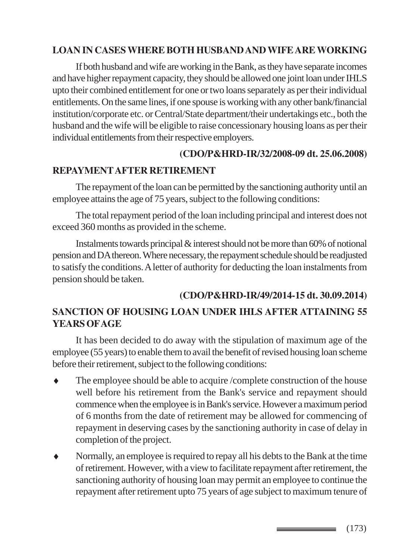#### **LOAN IN CASES WHERE BOTH HUSBAND AND WIFE ARE WORKING**

If both husband and wife are working in the Bank, as they have separate incomes and have higher repayment capacity, they should be allowed one joint loan under IHLS upto their combined entitlement for one or two loans separately as per their individual entitlements. On the same lines, if one spouse is working with any other bank/financial institution/corporate etc. or Central/State department/their undertakings etc., both the husband and the wife will be eligible to raise concessionary housing loans as per their individual entitlements from their respective employers.

#### **(CDO/P&HRD-IR/32/2008-09 dt. 25.06.2008)**

#### **REPAYMENT AFTER RETIREMENT**

The repayment of the loan can be permitted by the sanctioning authority until an employee attains the age of 75 years, subject to the following conditions:

The total repayment period of the loan including principal and interest does not exceed 360 months as provided in the scheme.

Instalments towards principal & interest should not be more than 60% of notional pension and DA thereon. Where necessary, the repayment schedule should be readjusted to satisfy the conditions. A letter of authority for deducting the loan instalments from pension should be taken.

# **(CDO/P&HRD-IR/49/2014-15 dt. 30.09.2014)**

#### **SANCTION OF HOUSING LOAN UNDER IHLS AFTER ATTAINING 55 YEARS OF AGE**

It has been decided to do away with the stipulation of maximum age of the employee (55 years) to enable them to avail the benefit of revised housing loan scheme before their retirement, subject to the following conditions:

- The employee should be able to acquire /complete construction of the house well before his retirement from the Bank's service and repayment should commence when the employee is in Bank's service. However a maximum period of 6 months from the date of retirement may be allowed for commencing of repayment in deserving cases by the sanctioning authority in case of delay in completion of the project.
- Normally, an employee is required to repay all his debts to the Bank at the time of retirement. However, with a view to facilitate repayment after retirement, the sanctioning authority of housing loan may permit an employee to continue the repayment after retirement upto 75 years of age subject to maximum tenure of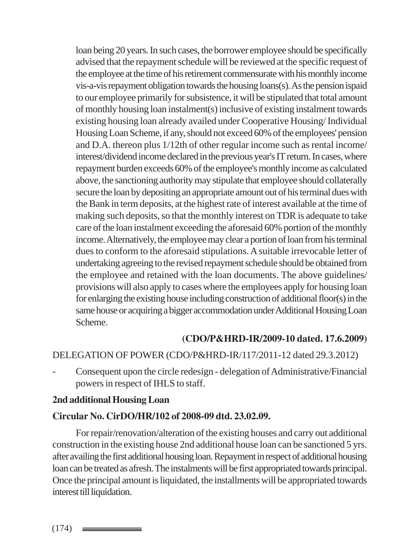loan being 20 years. In such cases, the borrower employee should be specifically advised that the repayment schedule will be reviewed at the specific request of the employee at the time of his retirement commensurate with his monthly income vis-a-vis repayment obligation towards the housing loans(s). As the pension ispaid to our employee primarily for subsistence, it will be stipulated that total amount of monthly housing loan instalment(s) inclusive of existing instalment towards existing housing loan already availed under Cooperative Housing/ Individual Housing Loan Scheme, if any, should not exceed 60% of the employees' pension and D.A. thereon plus 1/12th of other regular income such as rental income/ interest/dividend income declared in the previous year's IT return. In cases, where repayment burden exceeds 60% of the employee's monthly income as calculated above, the sanctioning authority may stipulate that employee should collaterally secure the loan by depositing an appropriate amount out of his terminal dues with the Bank in term deposits, at the highest rate of interest available at the time of making such deposits, so that the monthly interest on TDR is adequate to take care of the loan instalment exceeding the aforesaid 60% portion of the monthly income. Alternatively, the employee may clear a portion of loan from his terminal dues to conform to the aforesaid stipulations. A suitable irrevocable letter of undertaking agreeing to the revised repayment schedule should be obtained from the employee and retained with the loan documents. The above guidelines/ provisions will also apply to cases where the employees apply for housing loan for enlarging the existing house including construction of additional floor(s) in the same house or acquiring a bigger accommodation under Additional Housing Loan Scheme.

#### **(CDO/P&HRD-IR/2009-10 dated. 17.6.2009)**

#### DELEGATION OF POWER (CDO/P&HRD-IR/117/2011-12 dated 29.3.2012)

- Consequent upon the circle redesign - delegation of Administrative/Financial powers in respect of IHLS to staff.

#### **2nd additional Housing Loan**

#### **Circular No. CirDO/HR/102 of 2008-09 dtd. 23.02.09.**

For repair/renovation/alteration of the existing houses and carry out additional construction in the existing house 2nd additional house loan can be sanctioned 5 yrs. after availing the first additional housing loan. Repayment in respect of additional housing loan can be treated as afresh. The instalments will be first appropriated towards principal. Once the principal amount is liquidated, the installments will be appropriated towards interest till liquidation.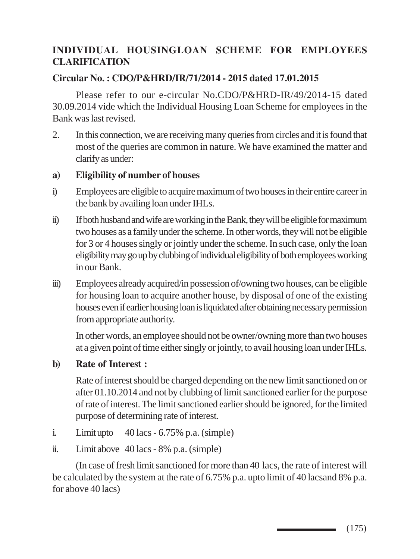# **INDIVIDUAL HOUSINGLOAN SCHEME FOR EMPLOYEES CLARIFICATION**

#### **Circular No. : CDO/P&HRD/IR/71/2014 - 2015 dated 17.01.2015**

Please refer to our e-circular No.CDO/P&HRD-IR/49/2014-15 dated 30.09.2014 vide which the Individual Housing Loan Scheme for employees in the Bank was last revised.

2. In this connection, we are receiving many queries from circles and it is found that most of the queries are common in nature. We have examined the matter and clarify as under:

#### **a) Eligibility of number of houses**

- i) Employees are eligible to acquire maximum of two houses in their entire career in the bank by availing loan under IHLs.
- ii) If both husband and wife are working in the Bank, they will be eligible for maximum two houses as a family under the scheme. In other words, they will not be eligible for 3 or 4 houses singly or jointly under the scheme. In such case, only the loan eligibility may go up by clubbing of individual eligibility of both employees working in our Bank.
- iii) Employees already acquired/in possession of/owning two houses, can be eligible for housing loan to acquire another house, by disposal of one of the existing houses even if earlier housing loan is liquidated after obtaining necessary permission from appropriate authority.

In other words, an employee should not be owner/owning more than two houses at a given point of time either singly or jointly, to avail housing loan under IHLs.

**b) Rate of Interest :**

Rate of interest should be charged depending on the new limit sanctioned on or after 01.10.2014 and not by clubbing of limit sanctioned earlier for the purpose of rate of interest. The limit sanctioned earlier should be ignored, for the limited purpose of determining rate of interest.

- i. Limit upto 40 lacs 6.75% p.a. (simple)
- ii. Limit above 40 lacs 8% p.a. (simple)

(In case of fresh limit sanctioned for more than 40 lacs, the rate of interest will be calculated by the system at the rate of 6.75% p.a. upto limit of 40 lacsand 8% p.a. for above 40 lacs)

 $\equiv$  (175)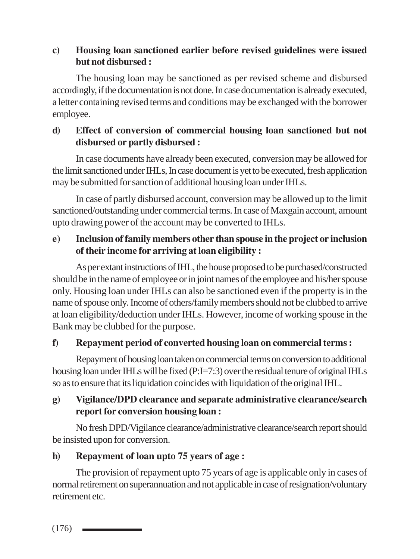#### **c) Housing loan sanctioned earlier before revised guidelines were issued but not disbursed :**

The housing loan may be sanctioned as per revised scheme and disbursed accordingly, if the documentation is not done. In case documentation is already executed, a letter containing revised terms and conditions may be exchanged with the borrower employee.

# **d) Effect of conversion of commercial housing loan sanctioned but not disbursed or partly disbursed :**

In case documents have already been executed, conversion may be allowed for the limit sanctioned under IHLs, In case document is yet to be executed, fresh application may be submitted for sanction of additional housing loan under IHLs.

In case of partly disbursed account, conversion may be allowed up to the limit sanctioned/outstanding under commercial terms. In case of Maxgain account, amount upto drawing power of the account may be converted to IHLs.

# **e) Inclusion of family members other than spouse in the project or inclusion of their income for arriving at loan eligibility :**

As per extant instructions of IHL, the house proposed to be purchased/constructed should be in the name of employee or in joint names of the employee and his/her spouse only. Housing loan under IHLs can also be sanctioned even if the property is in the name of spouse only. Income of others/family members should not be clubbed to arrive at loan eligibility/deduction under IHLs. However, income of working spouse in the Bank may be clubbed for the purpose.

# **f) Repayment period of converted housing loan on commercial terms :**

Repayment of housing loan taken on commercial terms on conversion to additional housing loan under IHLs will be fixed (P:I=7:3) over the residual tenure of original IHLs so as to ensure that its liquidation coincides with liquidation of the original IHL.

#### **g) Vigilance/DPD clearance and separate administrative clearance/search report for conversion housing loan :**

No fresh DPD/Vigilance clearance/administrative clearance/search report should be insisted upon for conversion.

# **h) Repayment of loan upto 75 years of age :**

The provision of repayment upto 75 years of age is applicable only in cases of normal retirement on superannuation and not applicable in case of resignation/voluntary retirement etc.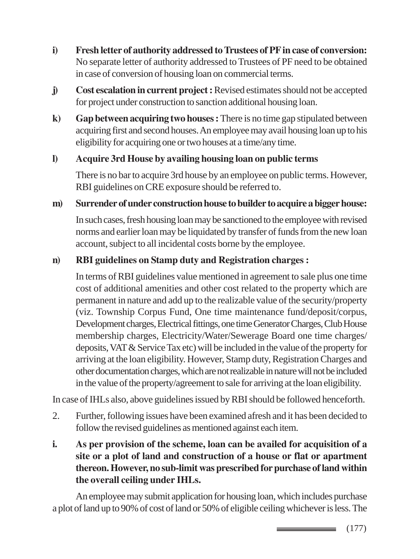- **i) Fresh letter of authority addressed to Trustees of PF in case of conversion:** No separate letter of authority addressed to Trustees of PF need to be obtained in case of conversion of housing loan on commercial terms.
- **j) Cost escalation in current project :** Revised estimates should not be accepted for project under construction to sanction additional housing loan.
- **k) Gap between acquiring two houses :** There is no time gap stipulated between acquiring first and second houses. An employee may avail housing loan up to his eligibility for acquiring one or two houses at a time/any time.

#### **l) Acquire 3rd House by availing housing loan on public terms**

There is no bar to acquire 3rd house by an employee on public terms. However, RBI guidelines on CRE exposure should be referred to.

#### **m) Surrender of under construction house to builder to acquire a bigger house:**

In such cases, fresh housing loan may be sanctioned to the employee with revised norms and earlier loan may be liquidated by transfer of funds from the new loan account, subject to all incidental costs borne by the employee.

#### **n) RBI guidelines on Stamp duty and Registration charges :**

In terms of RBI guidelines value mentioned in agreement to sale plus one time cost of additional amenities and other cost related to the property which are permanent in nature and add up to the realizable value of the security/property (viz. Township Corpus Fund, One time maintenance fund/deposit/corpus, Development charges, Electrical fittings, one time Generator Charges, Club House membership charges, Electricity/Water/Sewerage Board one time charges/ deposits, VAT & Service Tax etc) will be included in the value of the property for arriving at the loan eligibility. However, Stamp duty, Registration Charges and other documentation charges, which are not realizable in nature will not be included in the value of the property/agreement to sale for arriving at the loan eligibility.

In case of IHLs also, above guidelines issued by RBI should be followed henceforth.

- 2. Further, following issues have been examined afresh and it has been decided to follow the revised guidelines as mentioned against each item.
- **i. As per provision of the scheme, loan can be availed for acquisition of a site or a plot of land and construction of a house or flat or apartment thereon. However, no sub-limit was prescribed for purchase of land within the overall ceiling under IHLs.**

An employee may submit application for housing loan, which includes purchase a plot of land up to 90% of cost of land or 50% of eligible ceiling whichever is less. The

> (177) \_\_\_\_\_\_\_\_\_\_\_\_\_\_\_\_\_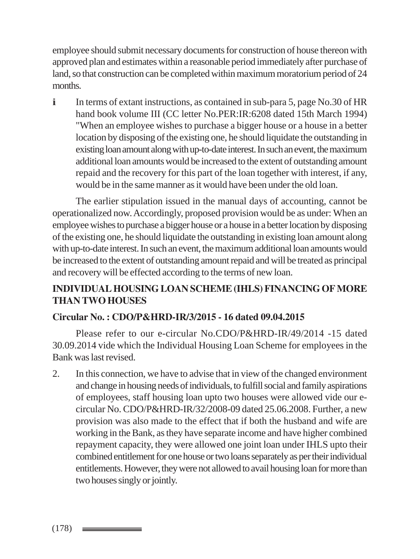employee should submit necessary documents for construction of house thereon with approved plan and estimates within a reasonable period immediately after purchase of land, so that construction can be completed within maximum moratorium period of 24 months.

i In terms of extant instructions, as contained in sub-para 5, page No.30 of HR hand book volume III (CC letter No.PER:IR:6208 dated 15th March 1994) "When an employee wishes to purchase a bigger house or a house in a better location by disposing of the existing one, he should liquidate the outstanding in existing loan amount along with up-to-date interest. In such an event, the maximum additional loan amounts would be increased to the extent of outstanding amount repaid and the recovery for this part of the loan together with interest, if any, would be in the same manner as it would have been under the old loan.

The earlier stipulation issued in the manual days of accounting, cannot be operationalized now. Accordingly, proposed provision would be as under: When an employee wishes to purchase a bigger house or a house in a better location by disposing of the existing one, he should liquidate the outstanding in existing loan amount along with up-to-date interest. In such an event, the maximum additional loan amounts would be increased to the extent of outstanding amount repaid and will be treated as principal and recovery will be effected according to the terms of new loan.

# **INDIVIDUAL HOUSING LOAN SCHEME (IHLS) FINANCING OF MORE THAN TWO HOUSES**

#### **Circular No. : CDO/P&HRD-IR/3/2015 - 16 dated 09.04.2015**

Please refer to our e-circular No.CDO/P&HRD-IR/49/2014 -15 dated 30.09.2014 vide which the Individual Housing Loan Scheme for employees in the Bank was last revised.

2. In this connection, we have to advise that in view of the changed environment and change in housing needs of individuals, to fulfill social and family aspirations of employees, staff housing loan upto two houses were allowed vide our ecircular No. CDO/P&HRD-IR/32/2008-09 dated 25.06.2008. Further, a new provision was also made to the effect that if both the husband and wife are working in the Bank, as they have separate income and have higher combined repayment capacity, they were allowed one joint loan under IHLS upto their combined entitlement for one house or two loans separately as per their individual entitlements. However, they were not allowed to avail housing loan for more than two houses singly or jointly.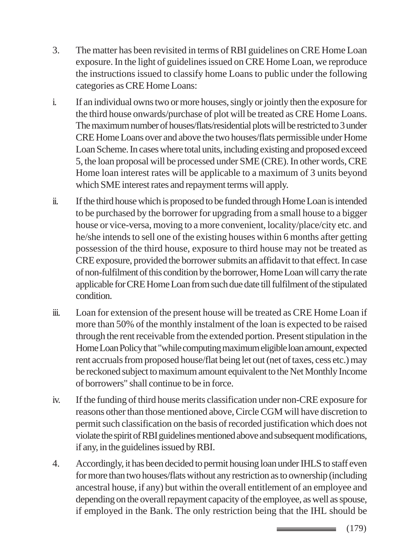- 3. The matter has been revisited in terms of RBI guidelines on CRE Home Loan exposure. In the light of guidelines issued on CRE Home Loan, we reproduce the instructions issued to classify home Loans to public under the following categories as CRE Home Loans:
- i. If an individual owns two or more houses, singly or jointly then the exposure for the third house onwards/purchase of plot will be treated as CRE Home Loans. The maximum number of houses/flats/residential plots will be restricted to 3 under CRE Home Loans over and above the two houses/flats permissible under Home Loan Scheme. In cases where total units, including existing and proposed exceed 5, the loan proposal will be processed under SME (CRE). In other words, CRE Home loan interest rates will be applicable to a maximum of 3 units beyond which SME interest rates and repayment terms will apply.
- ii. If the third house which is proposed to be funded through Home Loan is intended to be purchased by the borrower for upgrading from a small house to a bigger house or vice-versa, moving to a more convenient, locality/place/city etc. and he/she intends to sell one of the existing houses within 6 months after getting possession of the third house, exposure to third house may not be treated as CRE exposure, provided the borrower submits an affidavit to that effect. In case of non-fulfilment of this condition by the borrower, Home Loan will carry the rate applicable for CRE Home Loan from such due date till fulfilment of the stipulated condition.
- iii. Loan for extension of the present house will be treated as CRE Home Loan if more than 50% of the monthly instalment of the loan is expected to be raised through the rent receivable from the extended portion. Present stipulation in the Home Loan Policy that "while computing maximum eligible loan amount, expected rent accruals from proposed house/flat being let out (net of taxes, cess etc.) may be reckoned subject to maximum amount equivalent to the Net Monthly Income of borrowers" shall continue to be in force.
- iv. If the funding of third house merits classification under non-CRE exposure for reasons other than those mentioned above, Circle CGM will have discretion to permit such classification on the basis of recorded justification which does not violate the spirit of RBI guidelines mentioned above and subsequent modifications, if any, in the guidelines issued by RBI.
- 4. Accordingly, it has been decided to permit housing loan under IHLS to staff even for more than two houses/flats without any restriction as to ownership (including ancestral house, if any) but within the overall entitlement of an employee and depending on the overall repayment capacity of the employee, as well as spouse, if employed in the Bank. The only restriction being that the IHL should be

(179) \_\_\_\_\_\_\_\_\_\_\_\_\_\_\_\_\_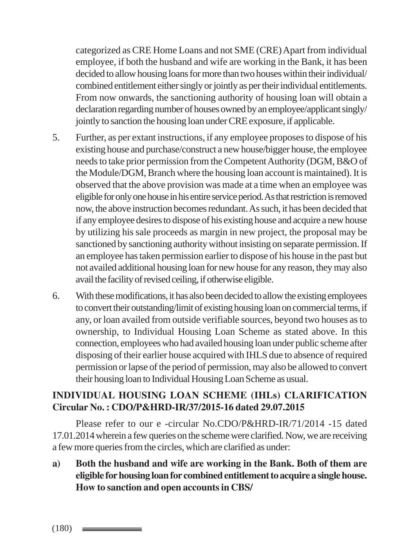categorized as CRE Home Loans and not SME (CRE) Apart from individual employee, if both the husband and wife are working in the Bank, it has been decided to allow housing loans for more than two houses within their individual/ combined entitlement either singly or jointly as per their individual entitlements. From now onwards, the sanctioning authority of housing loan will obtain a declaration regarding number of houses owned by an employee/applicant singly/ jointly to sanction the housing loan under CRE exposure, if applicable.

- 5. Further, as per extant instructions, if any employee proposes to dispose of his existing house and purchase/construct a new house/bigger house, the employee needs to take prior permission from the Competent Authority (DGM, B&O of the Module/DGM, Branch where the housing loan account is maintained). It is observed that the above provision was made at a time when an employee was eligible for only one house in his entire service period. As that restriction is removed now, the above instruction becomes redundant. As such, it has been decided that if any employee desires to dispose of his existing house and acquire a new house by utilizing his sale proceeds as margin in new project, the proposal may be sanctioned by sanctioning authority without insisting on separate permission. If an employee has taken permission earlier to dispose of his house in the past but not availed additional housing loan for new house for any reason, they may also avail the facility of revised ceiling, if otherwise eligible.
- 6. With these modifications, it has also been decided to allow the existing employees to convert their outstanding/limit of existing housing loan on commercial terms, if any, or loan availed from outside verifiable sources, beyond two houses as to ownership, to Individual Housing Loan Scheme as stated above. In this connection, employees who had availed housing loan under public scheme after disposing of their earlier house acquired with IHLS due to absence of required permission or lapse of the period of permission, may also be allowed to convert their housing loan to Individual Housing Loan Scheme as usual.

#### **INDIVIDUAL HOUSING LOAN SCHEME (IHLs) CLARIFICATION Circular No. : CDO/P&HRD-IR/37/2015-16 dated 29.07.2015**

Please refer to our e -circular No.CDO/P&HRD-IR/71/2014 -15 dated 17.01.2014 wherein a few queries on the scheme were clarified. Now, we are receiving a few more queries from the circles, which are clarified as under:

**a) Both the husband and wife are working in the Bank. Both of them are eligible for housing loan for combined entitlement to acquire a single house. How to sanction and open accounts in CBS/**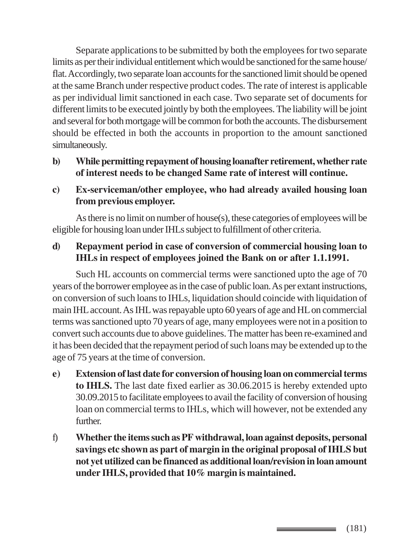Separate applications to be submitted by both the employees for two separate limits as per their individual entitlement which would be sanctioned for the same house/ flat. Accordingly, two separate loan accounts for the sanctioned limit should be opened at the same Branch under respective product codes. The rate of interest is applicable as per individual limit sanctioned in each case. Two separate set of documents for different limits to be executed jointly by both the employees. The liability will be joint and several for both mortgage will be common for both the accounts. The disbursement should be effected in both the accounts in proportion to the amount sanctioned simultaneously.

- **b) While permitting repayment of housing loanafter retirement, whether rate of interest needs to be changed Same rate of interest will continue.**
- **c) Ex-serviceman/other employee, who had already availed housing loan from previous employer.**

As there is no limit on number of house(s), these categories of employees will be eligible for housing loan under IHLs subject to fulfillment of other criteria.

#### **d) Repayment period in case of conversion of commercial housing loan to IHLs in respect of employees joined the Bank on or after 1.1.1991.**

Such HL accounts on commercial terms were sanctioned upto the age of 70 years of the borrower employee as in the case of public loan. As per extant instructions, on conversion of such loans to IHLs, liquidation should coincide with liquidation of main IHL account. As IHL was repayable upto 60 years of age and HL on commercial terms was sanctioned upto 70 years of age, many employees were not in a position to convert such accounts due to above guidelines. The matter has been re-examined and it has been decided that the repayment period of such loans may be extended up to the age of 75 years at the time of conversion.

- **e) Extension of last date for conversion of housing loan on commercial terms to IHLS.** The last date fixed earlier as 30.06.2015 is hereby extended upto 30.09.2015 to facilitate employees to avail the facility of conversion of housing loan on commercial terms to IHLs, which will however, not be extended any further.
- f) **Whether the items such as PF withdrawal, loan against deposits, personal savings etc shown as part of margin in the original proposal of IHLS but not yet utilized can be financed as additional loan/revision in loan amount under IHLS, provided that 10% margin is maintained.**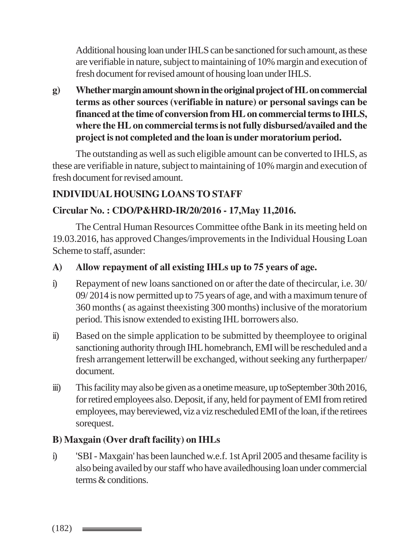Additional housing loan under IHLS can be sanctioned for such amount, as these are verifiable in nature, subject to maintaining of 10% margin and execution of fresh document for revised amount of housing loan under IHLS.

**g) Whether margin amount shown in the original project of HL on commercial terms as other sources (verifiable in nature) or personal savings can be financed at the time of conversion from HL on commercial terms to IHLS, where the HL on commercial terms is not fully disbursed/availed and the project is not completed and the loan is under moratorium period.**

The outstanding as well as such eligible amount can be converted to IHLS, as these are verifiable in nature, subject to maintaining of 10% margin and execution of fresh document for revised amount.

#### **INDIVIDUAL HOUSING LOANS TO STAFF**

#### **Circular No. : CDO/P&HRD-IR/20/2016 - 17,May 11,2016.**

The Central Human Resources Committee ofthe Bank in its meeting held on 19.03.2016, has approved Changes/improvements in the Individual Housing Loan Scheme to staff, asunder:

#### **A) Allow repayment of all existing IHLs up to 75 years of age.**

- i) Repayment of new loans sanctioned on or after the date of thecircular, i.e. 30/ 09/ 2014 is now permitted up to 75 years of age, and with a maximum tenure of 360 months ( as against theexisting 300 months) inclusive of the moratorium period. This isnow extended to existing IHL borrowers also.
- ii) Based on the simple application to be submitted by theemployee to original sanctioning authority through IHL homebranch, EMI will be rescheduled and a fresh arrangement letterwill be exchanged, without seeking any furtherpaper/ document.
- iii) This facility may also be given as a onetime measure, up toSeptember 30th 2016, for retired employees also. Deposit, if any, held for payment of EMI from retired employees, may bereviewed, viz a viz rescheduled EMI of the loan, if the retirees sorequest.

#### **B) Maxgain (Over draft facility) on IHLs**

i) 'SBI - Maxgain' has been launched w.e.f. 1st April 2005 and thesame facility is also being availed by our staff who have availedhousing loan under commercial terms & conditions.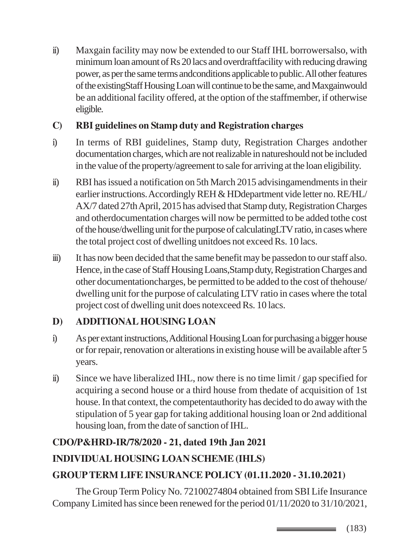ii) Maxgain facility may now be extended to our Staff IHL borrowersalso, with minimum loan amount of Rs 20 lacs and overdraftfacility with reducing drawing power, as per the same terms andconditions applicable to public. All other features of the existingStaff Housing Loan will continue to be the same, and Maxgainwould be an additional facility offered, at the option of the staffmember, if otherwise eligible.

# **C) RBI guidelines on Stamp duty and Registration charges**

- i) In terms of RBI guidelines, Stamp duty, Registration Charges andother documentation charges, which are not realizable in natureshould not be included in the value of the property/agreement to sale for arriving at the loan eligibility.
- ii) RBI has issued a notification on 5th March 2015 advisingamendments in their earlier instructions. Accordingly REH & HDdepartment vide letter no. RE/HL/ AX/7 dated 27th April, 2015 has advised that Stamp duty, Registration Charges and otherdocumentation charges will now be permitted to be added tothe cost of the house/dwelling unit for the purpose of calculatingLTV ratio, in cases where the total project cost of dwelling unitdoes not exceed Rs. 10 lacs.
- iii) It has now been decided that the same benefit may be passedon to our staff also. Hence, in the case of Staff Housing Loans,Stamp duty, Registration Charges and other documentationcharges, be permitted to be added to the cost of thehouse/ dwelling unit for the purpose of calculating LTV ratio in cases where the total project cost of dwelling unit does notexceed Rs. 10 lacs.

# **D) ADDITIONAL HOUSING LOAN**

- i) As per extant instructions, Additional Housing Loan for purchasing a bigger house or for repair, renovation or alterations in existing house will be available after 5 years.
- ii) Since we have liberalized IHL, now there is no time limit / gap specified for acquiring a second house or a third house from thedate of acquisition of 1st house. In that context, the competentauthority has decided to do away with the stipulation of 5 year gap for taking additional housing loan or 2nd additional housing loan, from the date of sanction of IHL.

# **CDO/P&HRD-IR/78/2020 - 21, dated 19th Jan 2021**

# **INDIVIDUAL HOUSING LOAN SCHEME (IHLS)**

# **GROUP TERM LIFE INSURANCE POLICY (01.11.2020 - 31.10.2021)**

The Group Term Policy No. 72100274804 obtained from SBI Life Insurance Company Limited has since been renewed for the period 01/11/2020 to 31/10/2021,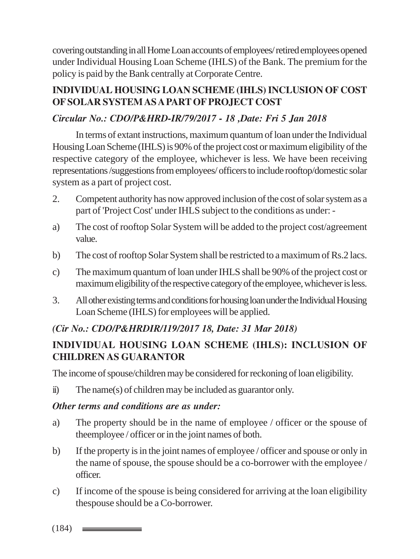covering outstanding in all Home Loan accounts of employees/ retired employees opened under Individual Housing Loan Scheme (IHLS) of the Bank. The premium for the policy is paid by the Bank centrally at Corporate Centre.

# **INDIVIDUAL HOUSING LOAN SCHEME (IHLS) INCLUSION OF COST OF SOLAR SYSTEM AS A PART OF PROJECT COST**

## *Circular No.: CDO/P&HRD-IR/79/2017 - 18 ,Date: Fri 5 Jan 2018*

In terms of extant instructions, maximum quantum of loan under the Individual Housing Loan Scheme (IHLS) is 90% of the project cost or maximum eligibility of the respective category of the employee, whichever is less. We have been receiving representations /suggestions from employees/ officers to include rooftop/domestic solar system as a part of project cost.

- 2. Competent authority has now approved inclusion of the cost of solar system as a part of 'Project Cost' under IHLS subject to the conditions as under: -
- a) The cost of rooftop Solar System will be added to the project cost/agreement value.
- b) The cost of rooftop Solar System shall be restricted to a maximum of Rs.2 lacs.
- c) The maximum quantum of loan under IHLS shall be 90% of the project cost or maximum eligibility of the respective category of the employee, whichever is less.
- 3. All other existing terms and conditions for housing loan under the Individual Housing Loan Scheme (IHLS) for employees will be applied.

# *(Cir No.: CDO/P&HRDIR/119/2017 18, Date: 31 Mar 2018)*

# **INDIVIDUAL HOUSING LOAN SCHEME (IHLS): INCLUSION OF CHILDREN AS GUARANTOR**

The income of spouse/children may be considered for reckoning of loan eligibility.

ii) The name(s) of children may be included as guarantor only.

#### *Other terms and conditions are as under:*

- a) The property should be in the name of employee / officer or the spouse of theemployee / officer or in the joint names of both.
- b) If the property is in the joint names of employee / officer and spouse or only in the name of spouse, the spouse should be a co-borrower with the employee / officer.
- c) If income of the spouse is being considered for arriving at the loan eligibility thespouse should be a Co-borrower.
- $(184)$   $\equiv$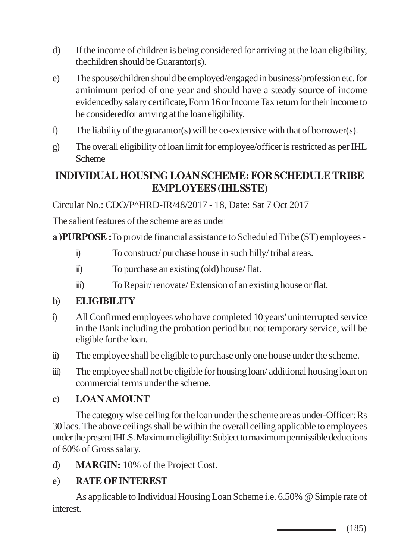- d) If the income of children is being considered for arriving at the loan eligibility, thechildren should be Guarantor(s).
- e) The spouse/children should be employed/engaged in business/profession etc. for aminimum period of one year and should have a steady source of income evidencedby salary certificate, Form 16 or Income Tax return for their income to be consideredfor arriving at the loan eligibility.
- f) The liability of the guarantor(s) will be co-extensive with that of borrower(s).
- g) The overall eligibility of loan limit for employee/officer is restricted as per IHL Scheme

# **INDIVIDUAL HOUSING LOAN SCHEME: FOR SCHEDULE TRIBE EMPLOYEES (IHLSSTE)**

Circular No.: CDO/P^HRD-IR/48/2017 - 18, Date: Sat 7 Oct 2017

The salient features of the scheme are as under

**a )PURPOSE :**To provide financial assistance to Scheduled Tribe (ST) employees -

- i) To construct/ purchase house in such hilly/ tribal areas.
- ii) To purchase an existing (old) house/ flat.
- iii) To Repair/ renovate/ Extension of an existing house or flat.

# **b) ELIGIBILITY**

- i) All Confirmed employees who have completed 10 years' uninterrupted service in the Bank including the probation period but not temporary service, will be eligible for the loan.
- ii) The employee shall be eligible to purchase only one house under the scheme.
- iii) The employee shall not be eligible for housing loan/ additional housing loan on commercial terms under the scheme.

#### **c) LOAN AMOUNT**

The category wise ceiling for the loan under the scheme are as under-Officer: Rs 30 lacs. The above ceilings shall be within the overall ceiling applicable to employees under the present IHLS. Maximum eligibility: Subject to maximum permissible deductions of 60% of Gross salary.

**d) MARGIN:** 10% of the Project Cost.

# **e) RATE OF INTEREST**

As applicable to Individual Housing Loan Scheme i.e. 6.50% @ Simple rate of interest.

> (185)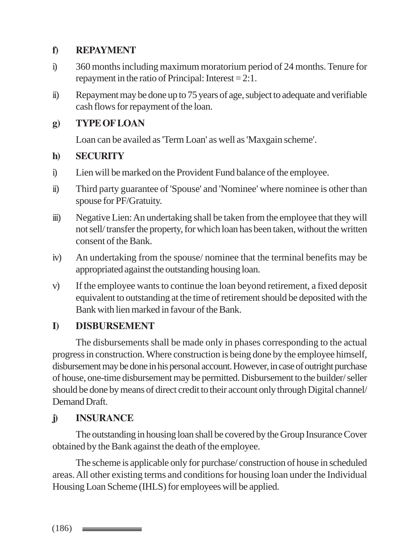#### **f) REPAYMENT**

- i) 360 months including maximum moratorium period of 24 months. Tenure for repayment in the ratio of Principal: Interest = 2:1.
- ii) Repayment may be done up to 75 years of age, subject to adequate and verifiable cash flows for repayment of the loan.

#### **g) TYPE OF LOAN**

Loan can be availed as 'Term Loan' as well as 'Maxgain scheme'.

#### **h) SECURITY**

- i) Lien will be marked on the Provident Fund balance of the employee.
- ii) Third party guarantee of 'Spouse' and 'Nominee' where nominee is other than spouse for PF/Gratuity.
- iii) Negative Lien: An undertaking shall be taken from the employee that they will not sell/ transfer the property, for which loan has been taken, without the written consent of the Bank.
- iv) An undertaking from the spouse/ nominee that the terminal benefits may be appropriated against the outstanding housing loan.
- v) If the employee wants to continue the loan beyond retirement, a fixed deposit equivalent to outstanding at the time of retirement should be deposited with the Bank with lien marked in favour of the Bank.

# **I) DISBURSEMENT**

The disbursements shall be made only in phases corresponding to the actual progress in construction. Where construction is being done by the employee himself, disbursement may be done in his personal account. However, in case of outright purchase of house, one-time disbursement may be permitted. Disbursement to the builder/ seller should be done by means of direct credit to their account only through Digital channel/ Demand Draft.

# **j) INSURANCE**

The outstanding in housing loan shall be covered by the Group Insurance Cover obtained by the Bank against the death of the employee.

The scheme is applicable only for purchase/ construction of house in scheduled areas. All other existing terms and conditions for housing loan under the Individual Housing Loan Scheme (IHLS) for employees will be applied.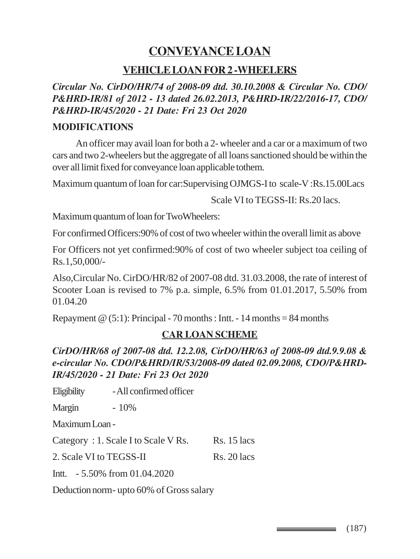# **CONVEYANCE LOAN**

#### **VEHICLE LOAN FOR 2 -WHEELERS**

*Circular No. CirDO/HR/74 of 2008-09 dtd. 30.10.2008 & Circular No. CDO/ P&HRD-IR/81 of 2012 - 13 dated 26.02.2013, P&HRD-IR/22/2016-17, CDO/ P&HRD-IR/45/2020 - 21 Date: Fri 23 Oct 2020*

#### **MODIFICATIONS**

An officer may avail loan for both a 2- wheeler and a car or a maximum of two cars and two 2-wheelers but the aggregate of all loans sanctioned should be within the over all limit fixed for conveyance loan applicable tothem.

Maximum quantum of loan for car:Supervising OJMGS-I to scale-V :Rs.15.00Lacs

Scale VI to TEGSS-II: Rs.20 lacs.

Maximum quantum of loan for TwoWheelers:

For confirmed Officers:90% of cost of two wheeler within the overall limit as above

For Officers not yet confirmed:90% of cost of two wheeler subject toa ceiling of Rs.1,50,000/-

Also,Circular No. CirDO/HR/82 of 2007-08 dtd. 31.03.2008, the rate of interest of Scooter Loan is revised to 7% p.a. simple, 6.5% from 01.01.2017, 5.50% from 01.04.20

Repayment  $\omega$  (5:1): Principal - 70 months : Intt. - 14 months = 84 months

#### **CAR LOAN SCHEME**

*CirDO/HR/68 of 2007-08 dtd. 12.2.08, CirDO/HR/63 of 2008-09 dtd.9.9.08 & e-circular No. CDO/P&HRD/IR/53/2008-09 dated 02.09.2008, CDO/P&HRD-IR/45/2020 - 21 Date: Fri 23 Oct 2020*

Eligibility - All confirmed officer

Margin - 10%

Maximum Loan -

Category :  $1$ . Scale I to Scale V Rs.  $\qquad$  Rs. 15 lacs

2. Scale VI to TEGSS-II Rs. 20 lacs

Intt. - 5.50% from 01.04.2020

Deduction norm- upto 60% of Gross salary

 $\equiv$  (187)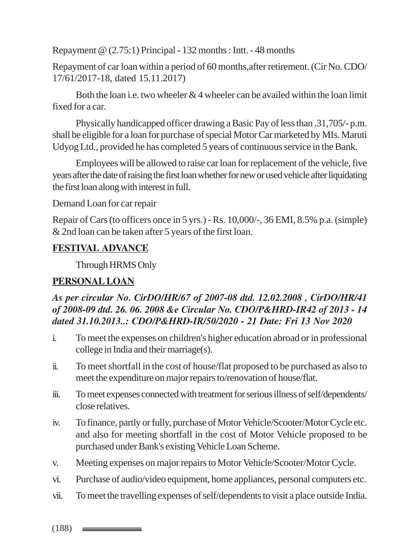Repayment @ (2.75:1) Principal - 132 months : Intt. - 48 months

Repayment of car loan within a period of 60 months,after retirement. (Cir No. CDO/ 17/61/2017-18, dated 15.11.2017)

Both the loan i.e. two wheeler  $& 4$  wheeler can be availed within the loan limit fixed for a car.

Physically handicapped officer drawing a Basic Pay of less than .31,705/- p.m. shall be eligible for a loan for purchase of special Motor Car marketed by MIs. Maruti Udyog Ltd., provided he has completed 5 years of continuous service in the Bank.

Employees will be allowed to raise car loan for replacement of the vehicle, five years after the date of raising the first loan whether for new or used vehicle after liquidating the first loan along with interest in full.

Demand Loan for car repair

Repair of Cars (to officers once in 5 yrs.) - Rs. 10,000/-, 36 EMI, 8.5% p.a. (simple) & 2nd loan can be taken after 5 years of the first loan.

# **FESTIVAL ADVANCE**

Through HRMS Only

# **PERSONAL LOAN**

# *As per circular No. CirDO/HR/67 of 2007-08 dtd. 12.02.2008 , CirDO/HR/41 of 2008-09 dtd. 26. 06. 2008 &e Circular No. CDO/P&HRD-IR42 of 2013 - 14 dated 31.10.2013..: CDO/P&HRD-IR/50/2020 - 21 Date: Fri 13 Nov 2020*

- i. To meet the expenses on children's higher education abroad or in professional college in India and their marriage(s).
- ii. To meet shortfall in the cost of house/flat proposed to be purchased as also to meet the expenditure on major repairs to/renovation of house/flat.
- iii. To meet expenses connected with treatment for serious illness of self/dependents/ close relatives.
- iv. To finance, partly or fully, purchase of Motor Vehicle/Scooter/Motor Cycle etc. and also for meeting shortfall in the cost of Motor Vehicle proposed to be purchased under Bank's existing Vehicle Loan Scheme.
- v. Meeting expenses on major repairs to Motor Vehicle/Scooter/Motor Cycle.
- vi. Purchase of audio/video equipment, home appliances, personal computers etc.
- vii. To meet the travelling expenses of self/dependents to visit a place outside India.

 $(188)$   $\longrightarrow$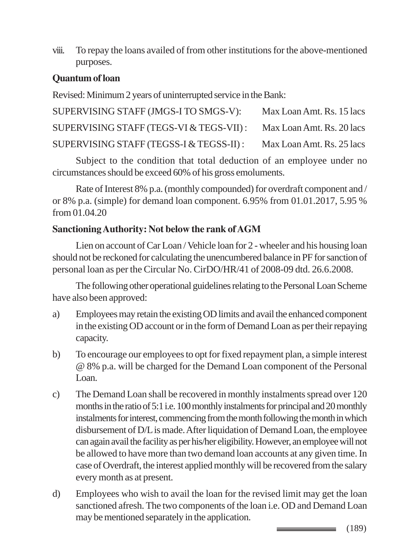viii. To repay the loans availed of from other institutions for the above-mentioned purposes.

## **Quantum of loan**

Revised: Minimum 2 years of uninterrupted service in the Bank:

| SUPERVISING STAFF (JMGS-I TO SMGS-V):   | Max Loan Amt. Rs. 15 lacs |
|-----------------------------------------|---------------------------|
| SUPERVISING STAFF (TEGS-VI & TEGS-VII): | Max Loan Amt. Rs. 20 lacs |
| SUPERVISING STAFF (TEGSS-I & TEGSS-II): | Max Loan Amt. Rs. 25 lacs |

Subject to the condition that total deduction of an employee under no circumstances should be exceed 60% of his gross emoluments.

Rate of Interest 8% p.a. (monthly compounded) for overdraft component and / or 8% p.a. (simple) for demand loan component. 6.95% from 01.01.2017, 5.95 % from 01.04.20

#### **Sanctioning Authority: Not below the rank of AGM**

Lien on account of Car Loan / Vehicle loan for 2 - wheeler and his housing loan should not be reckoned for calculating the unencumbered balance in PF for sanction of personal loan as per the Circular No. CirDO/HR/41 of 2008-09 dtd. 26.6.2008.

The following other operational guidelines relating to the Personal Loan Scheme have also been approved:

- a) Employees may retain the existing OD limits and avail the enhanced component in the existing OD account or in the form of Demand Loan as per their repaying capacity.
- b) To encourage our employees to opt for fixed repayment plan, a simple interest @ 8% p.a. will be charged for the Demand Loan component of the Personal Loan.
- c) The Demand Loan shall be recovered in monthly instalments spread over 120 months in the ratio of 5:1 i.e. 100 monthly instalments for principal and 20 monthly instalments for interest, commencing from the month following the month in which disbursement of D/L is made. After liquidation of Demand Loan, the employee can again avail the facility as per his/her eligibility. However, an employee will not be allowed to have more than two demand loan accounts at any given time. In case of Overdraft, the interest applied monthly will be recovered from the salary every month as at present.
- d) Employees who wish to avail the loan for the revised limit may get the loan sanctioned afresh. The two components of the loan i.e. OD and Demand Loan may be mentioned separately in the application.

(189)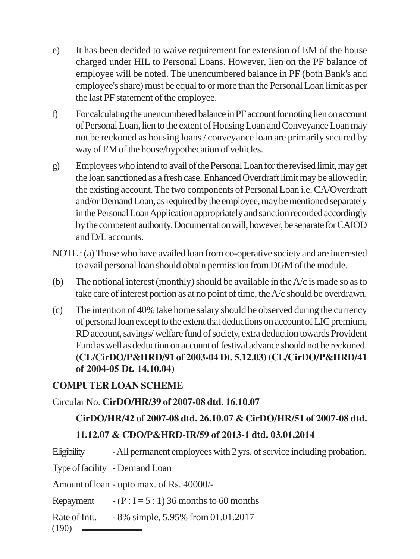- e) It has been decided to waive requirement for extension of EM of the house charged under HIL to Personal Loans. However, lien on the PF balance of employee will be noted. The unencumbered balance in PF (both Bank's and employee's share) must be equal to or more than the Personal Loan limit as per the last PF statement of the employee.
- f) For calculating the unencumbered balance in PF account for noting lien on account of Personal Loan, lien to the extent of Housing Loan and Conveyance Loan may not be reckoned as housing loans / conveyance loan are primarily secured by way of EM of the house/hypothecation of vehicles.
- g) Employees who intend to avail of the Personal Loan for the revised limit, may get the loan sanctioned as a fresh case. Enhanced Overdraft limit may be allowed in the existing account. The two components of Personal Loan i.e. CA/Overdraft and/or Demand Loan, as required by the employee, may be mentioned separately in the Personal Loan Application appropriately and sanction recorded accordingly by the competent authority. Documentation will, however, be separate for CAIOD and D/L accounts.
- NOTE : (a) Those who have availed loan from co-operative society and are interested to avail personal loan should obtain permission from DGM of the module.
- (b) The notional interest (monthly) should be available in the A/c is made so as to take care of interest portion as at no point of time, the A/c should be overdrawn.
- (c) The intention of 40% take home salary should be observed during the currency of personal loan except to the extent that deductions on account of LIC premium, RD account, savings/ welfare fund of society, extra deduction towards Provident Fund as well as deduction on account of festival advance should not be reckoned. **(CL/CirDO/P&HRD/91 of 2003-04 Dt. 5.12.03) (CL/CirDO/P&HRD/41 of 2004-05 Dt. 14.10.04)**

#### **COMPUTER LOAN SCHEME**

#### Circular No. **CirDO/HR/39 of 2007-08 dtd. 16.10.07**

# **CirDO/HR/42 of 2007-08 dtd. 26.10.07 & CirDO/HR/51 of 2007-08 dtd.**

# **11.12.07 & CDO/P&HRD-IR/59 of 2013-1 dtd. 03.01.2014**

Eligibility - All permanent employees with 2 yrs. of service including probation.

Type of facility - Demand Loan

Amount of loan - upto max. of Rs. 40000/-

Repayment  $-(P: I = 5: 1)$  36 months to 60 months

Rate of Intt. - 8% simple, 5.95% from 01.01.2017

 $(190)$   $\equiv$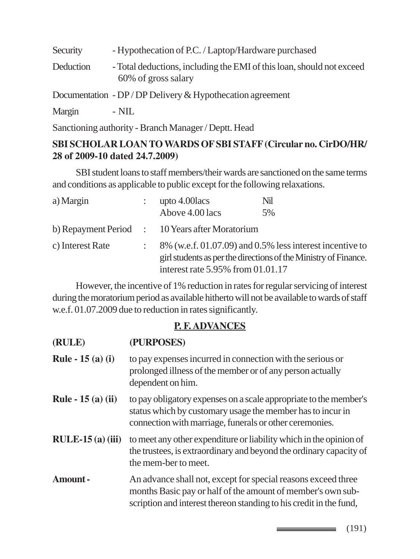Security - Hypothecation of P.C. / Laptop/Hardware purchased Deduction - Total deductions, including the EMI of this loan, should not exceed 60% of gross salary Documentation - DP / DP Delivery & Hypothecation agreement

Margin - NIL

Sanctioning authority - Branch Manager / Deptt. Head

#### **SBI SCHOLAR LOAN TO WARDS OF SBI STAFF (Circular no. CirDO/HR/ 28 of 2009-10 dated 24.7.2009)**

SBI student loans to staff members/their wards are sanctioned on the same terms and conditions as applicable to public except for the following relaxations.

| a) Margin        | upto 4.00 lacs                                                                                                                                                           | Nil |
|------------------|--------------------------------------------------------------------------------------------------------------------------------------------------------------------------|-----|
|                  | Above 4.00 lacs                                                                                                                                                          | 5%  |
|                  | b) Repayment Period : 10 Years after Moratorium                                                                                                                          |     |
| c) Interest Rate | $8\%$ (w.e.f. 01.07.09) and 0.5% less interest incentive to<br>girl students as per the directions of the Ministry of Finance.<br>interest rate $5.95\%$ from $01.01.17$ |     |

However, the incentive of 1% reduction in rates for regular servicing of interest during the moratorium period as available hitherto will not be available to wards of staff w.e.f. 01.07.2009 due to reduction in rates significantly.

# **P. F. ADVANCES**

| (RULE)                    | (PURPOSES)                                                                                                                                                                                         |
|---------------------------|----------------------------------------------------------------------------------------------------------------------------------------------------------------------------------------------------|
| <b>Rule - 15 (a) (i)</b>  | to pay expenses incurred in connection with the serious or<br>prolonged illness of the member or of any person actually<br>dependent on him.                                                       |
| <b>Rule - 15 (a) (ii)</b> | to pay obligatory expenses on a scale appropriate to the member's<br>status which by customary usage the member has to incur in<br>connection with marriage, funerals or other ceremonies.         |
| $RULE-15(a)(iii)$         | to meet any other expenditure or liability which in the opinion of<br>the trustees, is extraordinary and beyond the ordinary capacity of<br>the mem-ber to meet.                                   |
| Amount-                   | An advance shall not, except for special reasons exceed three<br>months Basic pay or half of the amount of member's own sub-<br>scription and interest thereon standing to his credit in the fund, |

 $\longrightarrow$  (191)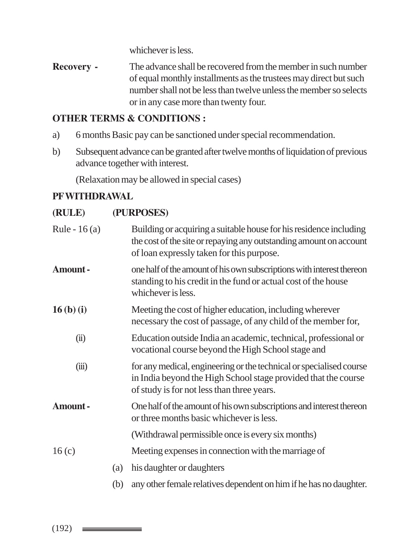whichever is less.

**Recovery -** The advance shall be recovered from the member in such number of equal monthly installments as the trustees may direct but such number shall not be less than twelve unless the member so selects or in any case more than twenty four.

#### **OTHER TERMS & CONDITIONS :**

- a) 6 months Basic pay can be sanctioned under special recommendation.
- b) Subsequent advance can be granted after twelve months of liquidation of previous advance together with interest.

(Relaxation may be allowed in special cases)

#### **PF WITHDRAWAL**

#### **(RULE) (PURPOSES)**

| Rule - $16(a)$ |     | Building or acquiring a suitable house for his residence including<br>the cost of the site or repaying any outstanding amount on account<br>of loan expressly taken for this purpose. |
|----------------|-----|---------------------------------------------------------------------------------------------------------------------------------------------------------------------------------------|
| Amount-        |     | one half of the amount of his own subscriptions with interest thereon<br>standing to his credit in the fund or actual cost of the house<br>whichever is less.                         |
| $16(b)$ (i)    |     | Meeting the cost of higher education, including wherever<br>necessary the cost of passage, of any child of the member for,                                                            |
| (ii)           |     | Education outside India an academic, technical, professional or<br>vocational course beyond the High School stage and                                                                 |
| (iii)          |     | for any medical, engineering or the technical or specialised course<br>in India beyond the High School stage provided that the course<br>of study is for not less than three years.   |
| Amount-        |     | One half of the amount of his own subscriptions and interest thereon<br>or three months basic whichever is less.                                                                      |
|                |     | (Withdrawal permissible once is every six months)                                                                                                                                     |
| 16(c)          |     | Meeting expenses in connection with the marriage of                                                                                                                                   |
|                | (a) | his daughter or daughters                                                                                                                                                             |
|                | (b) | any other female relatives dependent on him if he has no daughter.                                                                                                                    |

# $(192)$   $\equiv$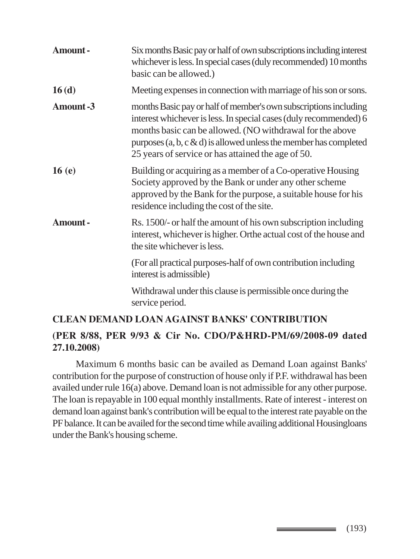| Amount-         | Six months Basic pay or half of own subscriptions including interest<br>whichever is less. In special cases (duly recommended) 10 months<br>basic can be allowed.)                                                                                                                                                               |
|-----------------|----------------------------------------------------------------------------------------------------------------------------------------------------------------------------------------------------------------------------------------------------------------------------------------------------------------------------------|
| 16(d)           | Meeting expenses in connection with marriage of his son or sons.                                                                                                                                                                                                                                                                 |
| <b>Amount-3</b> | months Basic pay or half of member's own subscriptions including<br>interest whichever is less. In special cases (duly recommended) 6<br>months basic can be allowed. (NO withdrawal for the above<br>purposes $(a, b, c \& d)$ is allowed unless the member has completed<br>25 years of service or has attained the age of 50. |
| 16(e)           | Building or acquiring as a member of a Co-operative Housing<br>Society approved by the Bank or under any other scheme<br>approved by the Bank for the purpose, a suitable house for his<br>residence including the cost of the site.                                                                                             |
| <b>Amount-</b>  | Rs. 1500/- or half the amount of his own subscription including<br>interest, whichever is higher. Orthe actual cost of the house and<br>the site whichever is less.                                                                                                                                                              |
|                 | (For all practical purposes-half of own contribution including<br>interest is admissible)                                                                                                                                                                                                                                        |
|                 | Withdrawal under this clause is permissible once during the<br>service period.                                                                                                                                                                                                                                                   |
|                 | <b>CLEAN DEMAND LOAN AGAINST BANKS' CONTRIBUTION</b>                                                                                                                                                                                                                                                                             |

# **(PER 8/88, PER 9/93 & Cir No. CDO/P&HRD-PM/69/2008-09 dated 27.10.2008)**

Maximum 6 months basic can be availed as Demand Loan against Banks' contribution for the purpose of construction of house only if P.F. withdrawal has been availed under rule 16(a) above. Demand loan is not admissible for any other purpose. The loan is repayable in 100 equal monthly installments. Rate of interest - interest on demand loan against bank's contribution will be equal to the interest rate payable on the PF balance. It can be availed for the second time while availing additional Housingloans under the Bank's housing scheme.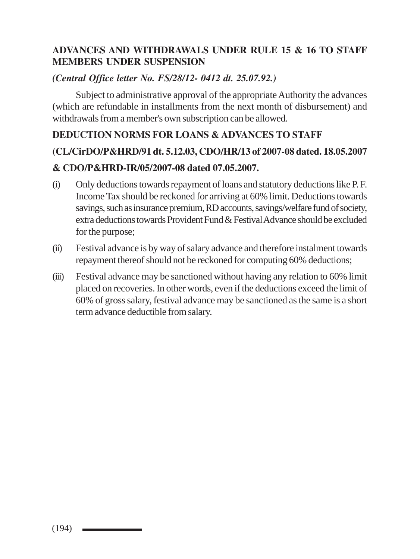#### **ADVANCES AND WITHDRAWALS UNDER RULE 15 & 16 TO STAFF MEMBERS UNDER SUSPENSION**

#### *(Central Office letter No. FS/28/12- 0412 dt. 25.07.92.)*

Subject to administrative approval of the appropriate Authority the advances (which are refundable in installments from the next month of disbursement) and withdrawals from a member's own subscription can be allowed.

#### **DEDUCTION NORMS FOR LOANS & ADVANCES TO STAFF**

# **(CL/CirDO/P&HRD/91 dt. 5.12.03, CDO/HR/13 of 2007-08 dated. 18.05.2007 & CDO/P&HRD-IR/05/2007-08 dated 07.05.2007.**

- (i) Only deductions towards repayment of loans and statutory deductions like P. F. Income Tax should be reckoned for arriving at 60% limit. Deductions towards savings, such as insurance premium, RD accounts, savings/welfare fund of society, extra deductions towards Provident Fund & Festival Advance should be excluded for the purpose;
- (ii) Festival advance is by way of salary advance and therefore instalment towards repayment thereof should not be reckoned for computing 60% deductions;
- (iii) Festival advance may be sanctioned without having any relation to 60% limit placed on recoveries. In other words, even if the deductions exceed the limit of 60% of gross salary, festival advance may be sanctioned as the same is a short term advance deductible from salary.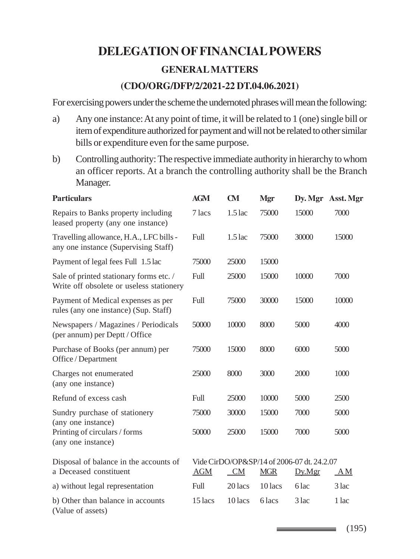# **DELEGATION OF FINANCIAL POWERS GENERAL MATTERS (CDO/ORG/DFP/2/2021-22 DT.04.06.2021)**

For exercising powers under the scheme the undernoted phrases will mean the following:

- a) Any one instance: At any point of time, it will be related to 1 (one) single bill or item of expenditure authorized for payment and will not be related to other similar bills or expenditure even for the same purpose.
- b) Controlling authority: The respective immediate authority in hierarchy to whom an officer reports. At a branch the controlling authority shall be the Branch Manager.

| <b>Particulars</b>                                                                  | <b>AGM</b>  | <b>CM</b> | Mgr        | Dy. Mgr Asst. Mgr                                    |       |
|-------------------------------------------------------------------------------------|-------------|-----------|------------|------------------------------------------------------|-------|
| Repairs to Banks property including<br>leased property (any one instance)           | 7 lacs      | $1.5$ lac | 75000      | 15000                                                | 7000  |
| Travelling allowance, H.A., LFC bills -<br>any one instance (Supervising Staff)     | Full        | $1.5$ lac | 75000      | 30000                                                | 15000 |
| Payment of legal fees Full 1.5 lac                                                  | 75000       | 25000     | 15000      |                                                      |       |
| Sale of printed stationary forms etc. /<br>Write off obsolete or useless stationery | Full        | 25000     | 15000      | 10000                                                | 7000  |
| Payment of Medical expenses as per<br>rules (any one instance) (Sup. Staff)         | <b>Full</b> | 75000     | 30000      | 15000                                                | 10000 |
| Newspapers / Magazines / Periodicals<br>(per annum) per Deptt / Office              | 50000       | 10000     | 8000       | 5000                                                 | 4000  |
| Purchase of Books (per annum) per<br>Office / Department                            | 75000       | 15000     | 8000       | 6000                                                 | 5000  |
| Charges not enumerated<br>(any one instance)                                        | 25000       | 8000      | 3000       | 2000                                                 | 1000  |
| Refund of excess cash                                                               | Full        | 25000     | 10000      | 5000                                                 | 2500  |
| Sundry purchase of stationery<br>(any one instance)                                 | 75000       | 30000     | 15000      | 7000                                                 | 5000  |
| Printing of circulars / forms<br>(any one instance)                                 | 50000       | 25000     | 15000      | 7000                                                 | 5000  |
| Disposal of balance in the accounts of<br>a Deceased constituent                    | <b>AGM</b>  | <b>CM</b> | <b>MGR</b> | Vide CirDO/OP&SP/14 of 2006-07 dt. 24.2.07<br>Dy.Mgr | ΑM    |
| a) without legal representation                                                     | Full        | 20 lacs   | 10 lacs    | 6 lac                                                | 3 lac |
| b) Other than balance in accounts<br>(Value of assets)                              | 15 lacs     | 10 lacs   | 6 lacs     | $3$ lac                                              | 1 lac |

 $\equiv$  (195)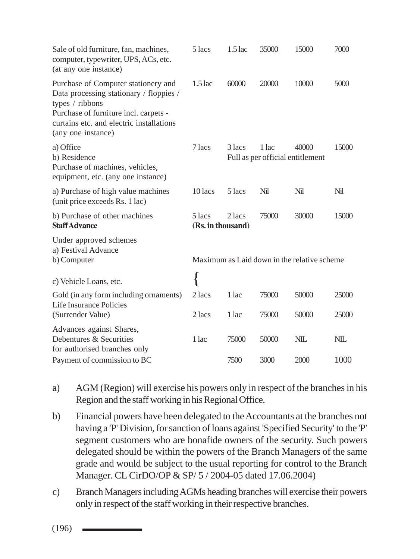| Sale of old furniture, fan, machines,<br>computer, typewriter, UPS, ACs, etc.<br>(at any one instance)                                                                                                       | 5 lacs                      | $1.5$ lac      | 35000                                     | 15000                                       | 7000           |
|--------------------------------------------------------------------------------------------------------------------------------------------------------------------------------------------------------------|-----------------------------|----------------|-------------------------------------------|---------------------------------------------|----------------|
| Purchase of Computer stationery and<br>Data processing stationary / floppies /<br>types / ribbons<br>Purchase of furniture incl. carpets -<br>curtains etc. and electric installations<br>(any one instance) | $1.5$ lac                   | 60000          | 20000                                     | 10000                                       | 5000           |
| a) Office<br>b) Residence<br>Purchase of machines, vehicles,<br>equipment, etc. (any one instance)                                                                                                           | 7 lacs                      | 3 lacs         | 1 lac<br>Full as per official entitlement | 40000                                       | 15000          |
| a) Purchase of high value machines<br>(unit price exceeds Rs. 1 lac)                                                                                                                                         | $10$ lacs                   | $5$ lacs       | Nil                                       | Nil                                         | Nil            |
| b) Purchase of other machines<br><b>StaffAdvance</b>                                                                                                                                                         | 5 lacs<br>(Rs. in thousand) | 2 lacs         | 75000                                     | 30000                                       | 15000          |
| Under approved schemes<br>a) Festival Advance<br>b) Computer                                                                                                                                                 |                             |                |                                           | Maximum as Laid down in the relative scheme |                |
| c) Vehicle Loans, etc.                                                                                                                                                                                       |                             |                |                                           |                                             |                |
| Gold (in any form including ornaments)<br>Life Insurance Policies<br>(Surrender Value)                                                                                                                       | 2 lacs<br>2 lacs            | 1 lac<br>1 lac | 75000<br>75000                            | 50000<br>50000                              | 25000<br>25000 |
| Advances against Shares,<br>Debentures & Securities<br>for authorised branches only                                                                                                                          | 1 lac                       | 75000          | 50000                                     | <b>NIL</b>                                  | <b>NIL</b>     |
| Payment of commission to BC                                                                                                                                                                                  |                             | 7500           | 3000                                      | 2000                                        | 1000           |

- a) AGM (Region) will exercise his powers only in respect of the branches in his Region and the staff working in his Regional Office.
- b) Financial powers have been delegated to the Accountants at the branches not having a 'P' Division, for sanction of loans against 'Specified Security' to the 'P' segment customers who are bonafide owners of the security. Such powers delegated should be within the powers of the Branch Managers of the same grade and would be subject to the usual reporting for control to the Branch Manager. CL CirDO/OP & SP/ 5 / 2004-05 dated 17.06.2004)
- c) Branch Managers including AGMs heading branches will exercise their powers only in respect of the staff working in their respective branches.

 $(196)$   $\longrightarrow$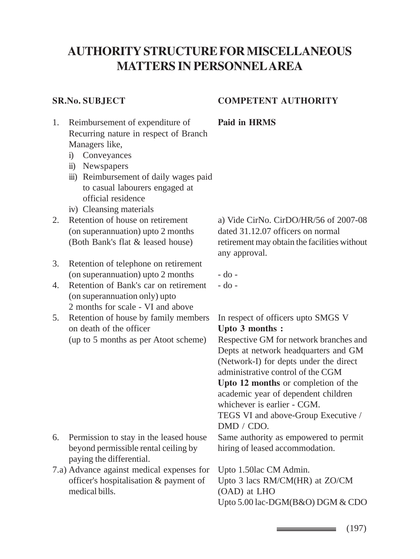# **AUTHORITY STRUCTURE FOR MISCELLANEOUS MATTERS IN PERSONNEL AREA**

#### **SR.No. SUBJECT COMPETENT AUTHORITY**

- 1. Reimbursement of expenditure of **Paid in HRMS** Recurring nature in respect of Branch Managers like,
	- i) Conveyances
	- ii) Newspapers
	- iii) Reimbursement of daily wages paid to casual labourers engaged at official residence
	- iv) Cleansing materials
- (on superannuation) upto 2 months dated 31.12.07 officers on normal
- 3. Retention of telephone on retirement (on superannuation) upto  $2$  months  $-$  do  $-$
- 4. Retention of Bank's car on retirement do -(on superannuation only) upto 2 months for scale - VI and above
- 5. Retention of house by family members In respect of officers upto SMGS V on death of the officer **Upto 3 months :**

- 6. Permission to stay in the leased house Same authority as empowered to permit beyond permissible rental ceiling by hiring of leased accommodation. paying the differential.
- 7.a) Advance against medical expenses for Upto 1.50lac CM Admin. officer's hospitalisation & payment of Upto 3 lacs RM/CM(HR) at ZO/CM medical bills. (OAD) at LHO

2. Retention of house on retirement a) Vide CirNo. CirDO/HR/56 of 2007-08 (Both Bank's flat & leased house) retirement may obtain the facilities without any approval.

(up to 5 months as per Atoot scheme) Respective GM for network branches and Depts at network headquarters and GM (Network-I) for depts under the direct administrative control of the CGM **Upto 12 months** or completion of the academic year of dependent children whichever is earlier - CGM. TEGS VI and above-Group Executive / DMD / CDO.

Upto 5.00 lac-DGM(B&O) DGM & CDO

 $\equiv$  (197)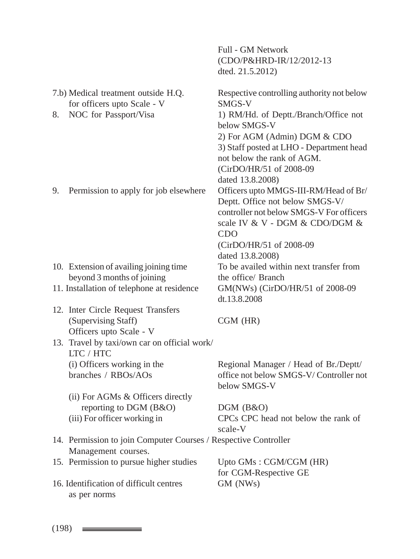|    |                                                                                        | (CDO/P&HRD-IR/12/2012-13)<br>dted. 21.5.2012)                                                                                                                                                   |
|----|----------------------------------------------------------------------------------------|-------------------------------------------------------------------------------------------------------------------------------------------------------------------------------------------------|
|    | 7.b) Medical treatment outside H.Q.<br>for officers upto Scale - V                     | Respective controlling authority not below<br>SMGS-V                                                                                                                                            |
| 8. | NOC for Passport/Visa                                                                  | 1) RM/Hd. of Deptt./Branch/Office not<br>below SMGS-V                                                                                                                                           |
|    |                                                                                        | 2) For AGM (Admin) DGM & CDO<br>3) Staff posted at LHO - Department head<br>not below the rank of AGM.<br>(CirDO/HR/51 of 2008-09                                                               |
|    |                                                                                        | dated 13.8.2008)                                                                                                                                                                                |
| 9. | Permission to apply for job elsewhere                                                  | Officers upto MMGS-III-RM/Head of Br/<br>Deptt. Office not below SMGS-V/<br>controller not below SMGS-V For officers<br>scale IV & V - DGM & CDO/DGM &<br><b>CDO</b><br>(CirDO/HR/51 of 2008-09 |
|    |                                                                                        | dated 13.8.2008)                                                                                                                                                                                |
|    | 10. Extension of availing joining time                                                 | To be availed within next transfer from                                                                                                                                                         |
|    | beyond 3 months of joining                                                             | the office/ Branch                                                                                                                                                                              |
|    | 11. Installation of telephone at residence                                             | GM(NWs) (CirDO/HR/51 of 2008-09<br>dt.13.8.2008                                                                                                                                                 |
|    | 12. Inter Circle Request Transfers                                                     |                                                                                                                                                                                                 |
|    | (Supervising Staff)<br>Officers upto Scale - V                                         | $CGM$ ( $HR$ )                                                                                                                                                                                  |
|    | 13. Travel by taxi/own car on official work/<br>LTC / HTC                              |                                                                                                                                                                                                 |
|    | (i) Officers working in the<br>branches / RBOs/AOs                                     | Regional Manager / Head of Br./Deptt/<br>office not below SMGS-V/Controller not<br>below SMGS-V                                                                                                 |
|    | (ii) For AGMs & Officers directly                                                      |                                                                                                                                                                                                 |
|    | reporting to DGM (B&O)                                                                 | DGM (B&O)                                                                                                                                                                                       |
|    | (iii) For officer working in                                                           | CPCs CPC head not below the rank of<br>scale-V                                                                                                                                                  |
|    | 14. Permission to join Computer Courses / Respective Controller<br>Management courses. |                                                                                                                                                                                                 |
|    | 15. Permission to pursue higher studies                                                | Upto GMs: CGM/CGM (HR)<br>for CGM-Respective GE                                                                                                                                                 |
|    | 16. Identification of difficult centres<br>as per norms                                | GM (NWs)                                                                                                                                                                                        |
|    |                                                                                        |                                                                                                                                                                                                 |

Full - GM Network

 $(198)$   $\equiv$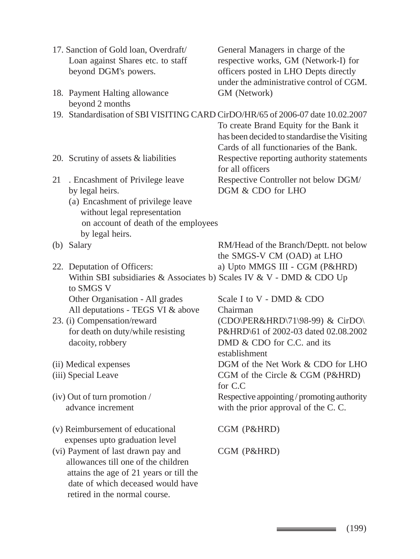|    | 17. Sanction of Gold loan, Overdraft/                                             | General Managers in charge of the                                                                                                 |
|----|-----------------------------------------------------------------------------------|-----------------------------------------------------------------------------------------------------------------------------------|
|    | Loan against Shares etc. to staff                                                 | respective works, GM (Network-I) for                                                                                              |
|    | beyond DGM's powers.                                                              | officers posted in LHO Depts directly<br>under the administrative control of CGM.                                                 |
|    | 18. Payment Halting allowance<br>beyond 2 months                                  | GM (Network)                                                                                                                      |
|    |                                                                                   | 19. Standardisation of SBI VISITING CARD CirDO/HR/65 of 2006-07 date 10.02.2007                                                   |
|    |                                                                                   | To create Brand Equity for the Bank it<br>has been decided to standardise the Visiting<br>Cards of all functionaries of the Bank. |
|    | 20. Scrutiny of assets & liabilities                                              | Respective reporting authority statements<br>for all officers                                                                     |
| 21 | . Encashment of Privilege leave                                                   | Respective Controller not below DGM/                                                                                              |
|    | by legal heirs.                                                                   | DGM & CDO for LHO                                                                                                                 |
|    | (a) Encashment of privilege leave<br>without legal representation                 |                                                                                                                                   |
|    | on account of death of the employees                                              |                                                                                                                                   |
|    | by legal heirs.                                                                   |                                                                                                                                   |
|    | (b) Salary                                                                        | RM/Head of the Branch/Deptt. not below                                                                                            |
|    |                                                                                   | the SMGS-V CM (OAD) at LHO                                                                                                        |
|    | 22. Deputation of Officers:                                                       | a) Upto MMGS III - CGM (P&HRD)                                                                                                    |
|    | Within SBI subsidiaries & Associates b) Scales IV & V - DMD & CDO Up<br>to SMGS V |                                                                                                                                   |
|    | Other Organisation - All grades                                                   | Scale I to V - DMD & CDO                                                                                                          |
|    | All deputations - TEGS VI & above                                                 | Chairman                                                                                                                          |
|    | 23. (i) Compensation/reward                                                       | (CDO\PER&HRD\71\98-99) & CirDO\                                                                                                   |
|    | for death on duty/while resisting                                                 | P&HRD\61 of 2002-03 dated 02.08.2002                                                                                              |
|    | dacoity, robbery                                                                  | DMD & CDO for C.C. and its<br>establishment                                                                                       |
|    | (ii) Medical expenses                                                             | DGM of the Net Work & CDO for LHO                                                                                                 |
|    | (iii) Special Leave                                                               | CGM of the Circle & CGM (P&HRD)<br>for C.C                                                                                        |
|    | (iv) Out of turn promotion /                                                      | Respective appointing / promoting authority                                                                                       |
|    | advance increment                                                                 | with the prior approval of the C.C.                                                                                               |
|    | (v) Reimbursement of educational                                                  | CGM (P&HRD)                                                                                                                       |
|    | expenses upto graduation level                                                    |                                                                                                                                   |
|    | (vi) Payment of last drawn pay and                                                | CGM (P&HRD)                                                                                                                       |
|    | allowances till one of the children                                               |                                                                                                                                   |
|    | attains the age of 21 years or till the                                           |                                                                                                                                   |
|    | date of which deceased would have                                                 |                                                                                                                                   |
|    | retired in the normal course.                                                     |                                                                                                                                   |

(199)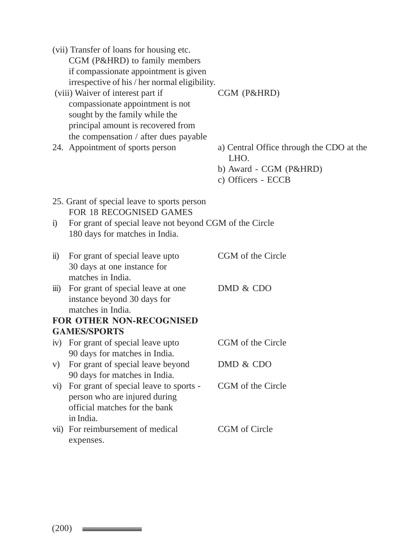|                  | (vii) Transfer of loans for housing etc.<br>CGM (P&HRD) to family members                                |                                                  |
|------------------|----------------------------------------------------------------------------------------------------------|--------------------------------------------------|
|                  | if compassionate appointment is given                                                                    |                                                  |
|                  | irrespective of his / her normal eligibility.                                                            |                                                  |
|                  | (viii) Waiver of interest part if                                                                        | CGM (P&HRD)                                      |
|                  | compassionate appointment is not<br>sought by the family while the<br>principal amount is recovered from |                                                  |
|                  | the compensation / after dues payable                                                                    |                                                  |
|                  | 24. Appointment of sports person                                                                         | a) Central Office through the CDO at the<br>LHO. |
|                  |                                                                                                          | b) Award - CGM (P&HRD)<br>c) Officers - ECCB     |
|                  | 25. Grant of special leave to sports person                                                              |                                                  |
|                  | FOR 18 RECOGNISED GAMES                                                                                  |                                                  |
| $\ddot{1}$       | For grant of special leave not beyond CGM of the Circle<br>180 days for matches in India.                |                                                  |
| $\overline{11}$  | For grant of special leave upto                                                                          | CGM of the Circle                                |
|                  | 30 days at one instance for                                                                              |                                                  |
|                  | matches in India.                                                                                        | DMD & CDO                                        |
| $\overline{iii}$ | For grant of special leave at one<br>instance beyond 30 days for<br>matches in India.                    |                                                  |
|                  | FOR OTHER NON-RECOGNISED                                                                                 |                                                  |
|                  | <b>GAMES/SPORTS</b>                                                                                      |                                                  |
|                  | iv) For grant of special leave upto                                                                      | CGM of the Circle                                |
|                  | 90 days for matches in India.                                                                            |                                                  |
| V)               | For grant of special leave beyond                                                                        | DMD & CDO                                        |
|                  | 90 days for matches in India.                                                                            |                                                  |
| $\rm{vi})$       | For grant of special leave to sports -                                                                   | CGM of the Circle                                |
|                  | person who are injured during                                                                            |                                                  |
|                  | official matches for the bank                                                                            |                                                  |
|                  | in India.                                                                                                |                                                  |
|                  | vii) For reimbursement of medical<br>expenses.                                                           | CGM of Circle                                    |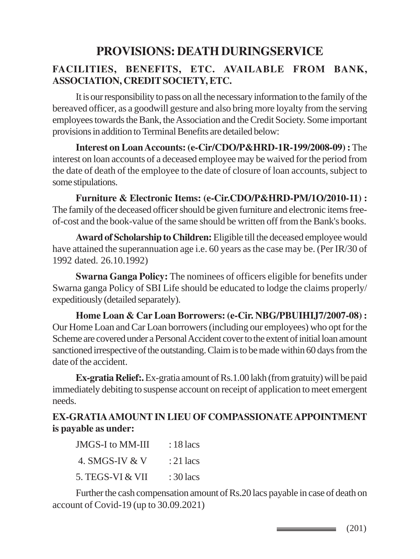# **PROVISIONS: DEATH DURINGSERVICE**

## **FACILITIES, BENEFITS, ETC. AVAILABLE FROM BANK, ASSOCIATION, CREDIT SOCIETY, ETC.**

It is our responsibility to pass on all the necessary information to the family of the bereaved officer, as a goodwill gesture and also bring more loyalty from the serving employees towards the Bank, the Association and the Credit Society. Some important provisions in addition to Terminal Benefits are detailed below:

**Interest on Loan Accounts: (e-Cir/CDO/P&HRD-1R-199/2008-09) :** The interest on loan accounts of a deceased employee may be waived for the period from the date of death of the employee to the date of closure of loan accounts, subject to some stipulations.

**Furniture & Electronic Items: (e-Cir.CDO/P&HRD-PM/1O/2010-11) :** The family of the deceased officer should be given furniture and electronic items freeof-cost and the book-value of the same should be written off from the Bank's books.

**Award of Scholarship to Children:** Eligible till the deceased employee would have attained the superannuation age i.e. 60 years as the case may be. (Per IR/30 of 1992 dated. 26.10.1992)

**Swarna Ganga Policy:** The nominees of officers eligible for benefits under Swarna ganga Policy of SBI Life should be educated to lodge the claims properly/ expeditiously (detailed separately).

**Home Loan & Car Loan Borrowers: (e-Cir. NBG/PBUIHIJ7/2007-08) :** Our Home Loan and Car Loan borrowers (including our employees) who opt for the Scheme are covered under a Personal Accident cover to the extent of initial loan amount sanctioned irrespective of the outstanding. Claim is to be made within 60 days from the date of the accident.

**Ex-gratia Relief:.** Ex-gratia amount of Rs.1.00 lakh (from gratuity) will be paid immediately debiting to suspense account on receipt of application to meet emergent needs.

#### **EX-GRATIA AMOUNT IN LIEU OF COMPASSIONATE APPOINTMENT is payable as under:**

| <b>JMGS-I</b> to MM-III | $: 18$ lacs |
|-------------------------|-------------|
| 4. SMGS-IV & V          | : 21 lacs   |
| 5. TEGS-VI & VII        | $:30$ lacs  |

Further the cash compensation amount of Rs.20 lacs payable in case of death on account of Covid-19 (up to 30.09.2021)

 $\longrightarrow$  (201)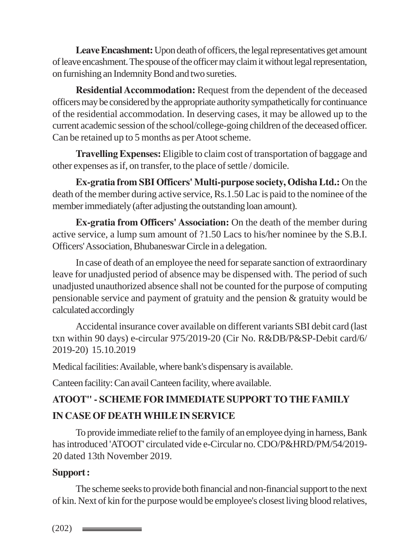Leave Encashment: Upon death of officers, the legal representatives get amount of leave encashment. The spouse of the officer may claim it without legal representation, on furnishing an Indemnity Bond and two sureties.

**Residential Accommodation:** Request from the dependent of the deceased officers may be considered by the appropriate authority sympathetically for continuance of the residential accommodation. In deserving cases, it may be allowed up to the current academic session of the school/college-going children of the deceased officer. Can be retained up to 5 months as per Atoot scheme.

**Travelling Expenses:** Eligible to claim cost of transportation of baggage and other expenses as if, on transfer, to the place of settle / domicile.

**Ex-gratia from SBI Officers' Multi-purpose society, Odisha Ltd.:** On the death of the member during active service, Rs.1.50 Lac is paid to the nominee of the member immediately (after adjusting the outstanding loan amount).

**Ex-gratia from Officers' Association:** On the death of the member during active service, a lump sum amount of ?1.50 Lacs to his/her nominee by the S.B.I. Officers' Association, Bhubaneswar Circle in a delegation.

In case of death of an employee the need for separate sanction of extraordinary leave for unadjusted period of absence may be dispensed with. The period of such unadjusted unauthorized absence shall not be counted for the purpose of computing pensionable service and payment of gratuity and the pension & gratuity would be calculated accordingly

Accidental insurance cover available on different variants SBI debit card (last txn within 90 days) e-circular 975/2019-20 (Cir No. R&DB/P&SP-Debit card/6/ 2019-20) 15.10.2019

Medical facilities: Available, where bank's dispensary is available.

Canteen facility: Can avail Canteen facility, where available.

# **ATOOT" - SCHEME FOR IMMEDIATE SUPPORT TO THE FAMILY IN CASE OF DEATH WHILE IN SERVICE**

To provide immediate relief to the family of an employee dying in harness, Bank has introduced 'ATOOT' circulated vide e-Circular no. CDO/P&HRD/PM/54/2019- 20 dated 13th November 2019.

# **Support :**

The scheme seeks to provide both financial and non-financial support to the next of kin. Next of kin for the purpose would be employee's closest living blood relatives,

 $(202)$   $\equiv$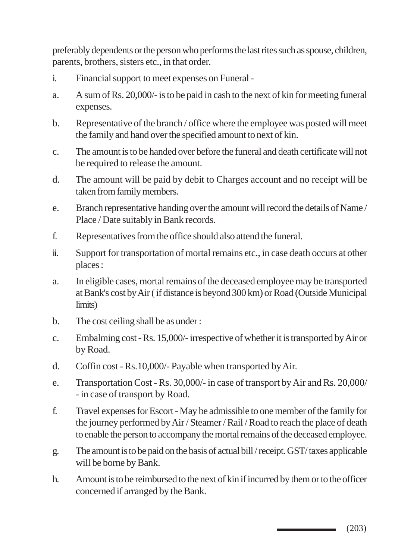preferably dependents or the person who performs the last rites such as spouse, children, parents, brothers, sisters etc., in that order.

- i. Financial support to meet expenses on Funeral -
- a. A sum of Rs. 20,000/- is to be paid in cash to the next of kin for meeting funeral expenses.
- b. Representative of the branch / office where the employee was posted will meet the family and hand over the specified amount to next of kin.
- c. The amount is to be handed over before the funeral and death certificate will not be required to release the amount.
- d. The amount will be paid by debit to Charges account and no receipt will be taken from family members.
- e. Branch representative handing over the amount will record the details of Name / Place / Date suitably in Bank records.
- f. Representatives from the office should also attend the funeral.
- ii. Support for transportation of mortal remains etc., in case death occurs at other places :
- a. In eligible cases, mortal remains of the deceased employee may be transported at Bank's cost by Air ( if distance is beyond 300 km) or Road (Outside Municipal limits)
- b. The cost ceiling shall be as under :
- c. Embalming cost Rs. 15,000/- irrespective of whether it is transported by Air or by Road.
- d. Coffin cost Rs.10,000/- Payable when transported by Air.
- e. Transportation Cost Rs. 30,000/- in case of transport by Air and Rs. 20,000/ - in case of transport by Road.
- f. Travel expenses for Escort May be admissible to one member of the family for the journey performed by Air / Steamer / Rail / Road to reach the place of death to enable the person to accompany the mortal remains of the deceased employee.
- g. The amount is to be paid on the basis of actual bill / receipt. GST/ taxes applicable will be borne by Bank.
- h. Amount is to be reimbursed to the next of kin if incurred by them or to the officer concerned if arranged by the Bank.

(203)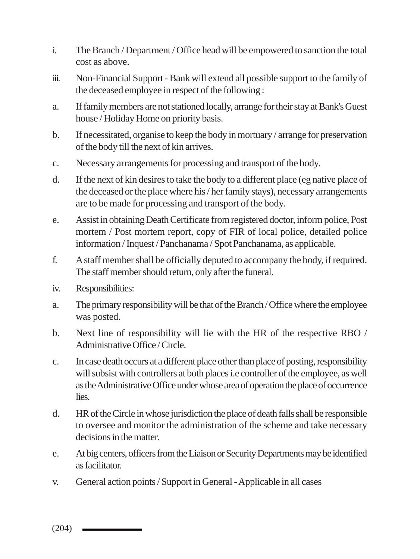- i. The Branch / Department / Office head will be empowered to sanction the total cost as above.
- iii. Non-Financial Support Bank will extend all possible support to the family of the deceased employee in respect of the following :
- a. If family members are not stationed locally, arrange for their stay at Bank's Guest house / Holiday Home on priority basis.
- b. If necessitated, organise to keep the body in mortuary / arrange for preservation of the body till the next of kin arrives.
- c. Necessary arrangements for processing and transport of the body.
- d. If the next of kin desires to take the body to a different place (eg native place of the deceased or the place where his / her family stays), necessary arrangements are to be made for processing and transport of the body.
- e. Assist in obtaining Death Certificate from registered doctor, inform police, Post mortem / Post mortem report, copy of FIR of local police, detailed police information / Inquest / Panchanama / Spot Panchanama, as applicable.
- f. A staff member shall be officially deputed to accompany the body, if required. The staff member should return, only after the funeral.
- iv. Responsibilities:
- a. The primary responsibility will be that of the Branch / Office where the employee was posted.
- b. Next line of responsibility will lie with the HR of the respective RBO / Administrative Office / Circle.
- c. In case death occurs at a different place other than place of posting, responsibility will subsist with controllers at both places i.e controller of the employee, as well as the Administrative Office under whose area of operation the place of occurrence lies.
- d. HR of the Circle in whose jurisdiction the place of death falls shall be responsible to oversee and monitor the administration of the scheme and take necessary decisions in the matter.
- e. At big centers, officers from the Liaison or Security Departments may be identified as facilitator.
- v. General action points / Support in General Applicable in all cases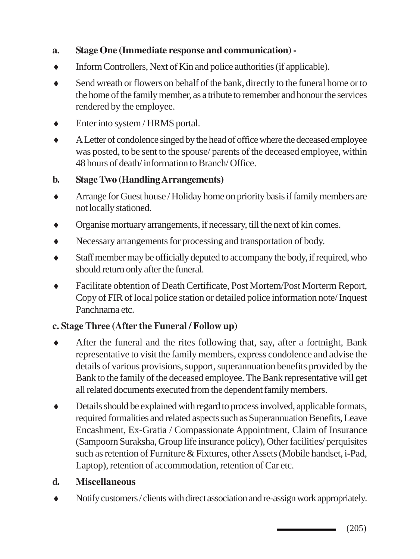#### **a. Stage One (Immediate response and communication) -**

- ♦ Inform Controllers, Next of Kin and police authorities (if applicable).
- ♦ Send wreath or flowers on behalf of the bank, directly to the funeral home or to the home of the family member, as a tribute to remember and honour the services rendered by the employee.
- ♦ Enter into system / HRMS portal.
- ♦ A Letter of condolence singed by the head of office where the deceased employee was posted, to be sent to the spouse/ parents of the deceased employee, within 48 hours of death/ information to Branch/ Office.

#### **b. Stage Two (Handling Arrangements)**

- Arrange for Guest house / Holiday home on priority basis if family members are not locally stationed.
- ♦ Organise mortuary arrangements, if necessary, till the next of kin comes.
- Necessary arrangements for processing and transportation of body.
- ♦ Staff member may be officially deputed to accompany the body, if required, who should return only after the funeral.
- Facilitate obtention of Death Certificate, Post Mortem/Post Morterm Report, Copy of FIR of local police station or detailed police information note/ Inquest Panchnama etc.

# **c. Stage Three (After the Funeral / Follow up)**

- ♦ After the funeral and the rites following that, say, after a fortnight, Bank representative to visit the family members, express condolence and advise the details of various provisions, support, superannuation benefits provided by the Bank to the family of the deceased employee. The Bank representative will get all related documents executed from the dependent family members.
- ♦ Details should be explained with regard to process involved, applicable formats, required formalities and related aspects such as Superannuation Benefits, Leave Encashment, Ex-Gratia / Compassionate Appointment, Claim of Insurance (Sampoorn Suraksha, Group life insurance policy), Other facilities/ perquisites such as retention of Furniture & Fixtures, other Assets (Mobile handset, i-Pad, Laptop), retention of accommodation, retention of Car etc.

#### **d. Miscellaneous**

♦ Notify customers / clients with direct association and re-assign work appropriately.

(205)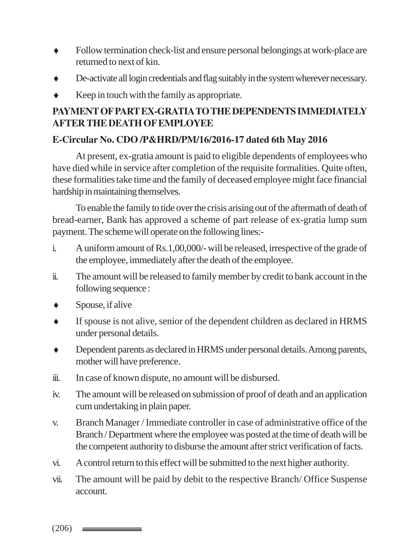- ♦ Follow termination check-list and ensure personal belongings at work-place are returned to next of kin.
- De-activate all login credentials and flag suitably in the system wherever necessary.
- $\bullet$  Keep in touch with the family as appropriate.

#### **PAYMENT OF PART EX-GRATIA TO THE DEPENDENTS IMMEDIATELY AFTER THE DEATH OF EMPLOYEE**

#### **E-Circular No. CDO /P&HRD/PM/16/2016-17 dated 6th May 2016**

At present, ex-gratia amount is paid to eligible dependents of employees who have died while in service after completion of the requisite formalities. Quite often, these formalities take time and the family of deceased employee might face financial hardship in maintaining themselves.

To enable the family to tide over the crisis arising out of the aftermath of death of bread-earner, Bank has approved a scheme of part release of ex-gratia lump sum payment. The scheme will operate on the following lines:-

- i. A uniform amount of Rs.1,00,000/- will be released, irrespective of the grade of the employee, immediately after the death of the employee.
- ii. The amount will be released to family member by credit to bank account in the following sequence :
- $\leftrightarrow$  Spouse, if alive
- If spouse is not alive, senior of the dependent children as declared in HRMS under personal details.
- ♦ Dependent parents as declared in HRMS under personal details. Among parents, mother will have preference.
- iii. In case of known dispute, no amount will be disbursed.
- iv. The amount will be released on submission of proof of death and an application cum undertaking in plain paper.
- v. Branch Manager / Immediate controller in case of administrative office of the Branch / Department where the employee was posted at the time of death will be the competent authority to disburse the amount after strict verification of facts.
- vi. A control return to this effect will be submitted to the next higher authority.
- vii. The amount will be paid by debit to the respective Branch/ Office Suspense account.

 $(206)$   $\longrightarrow$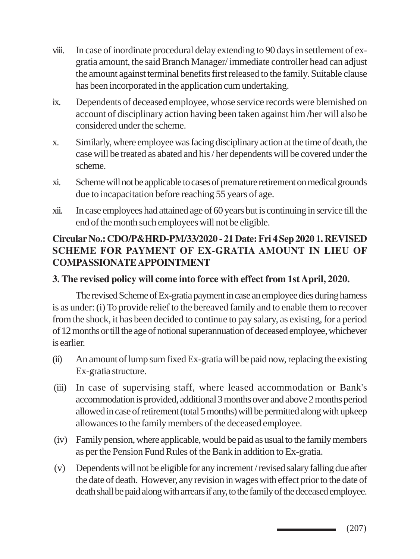- viii. In case of inordinate procedural delay extending to 90 days in settlement of exgratia amount, the said Branch Manager/ immediate controller head can adjust the amount against terminal benefits first released to the family. Suitable clause has been incorporated in the application cum undertaking.
- ix. Dependents of deceased employee, whose service records were blemished on account of disciplinary action having been taken against him /her will also be considered under the scheme.
- x. Similarly, where employee was facing disciplinary action at the time of death, the case will be treated as abated and his / her dependents will be covered under the scheme.
- xi. Scheme will not be applicable to cases of premature retirement on medical grounds due to incapacitation before reaching 55 years of age.
- xii. In case employees had attained age of 60 years but is continuing in service till the end of the month such employees will not be eligible.

# **Circular No.: CDO/P&HRD-PM/33/2020 - 21 Date: Fri 4 Sep 2020 1. REVISED SCHEME FOR PAYMENT OF EX-GRATIA AMOUNT IN LIEU OF COMPASSIONATE APPOINTMENT**

#### **3. The revised policy will come into force with effect from 1st April, 2020.**

The revised Scheme of Ex-gratia payment in case an employee dies during harness is as under: (i) To provide relief to the bereaved family and to enable them to recover from the shock, it has been decided to continue to pay salary, as existing, for a period of 12 months or till the age of notional superannuation of deceased employee, whichever is earlier.

- (ii) An amount of lump sum fixed Ex-gratia will be paid now, replacing the existing Ex-gratia structure.
- (iii) In case of supervising staff, where leased accommodation or Bank's accommodation is provided, additional 3 months over and above 2 months period allowed in case of retirement (total 5 months) will be permitted along with upkeep allowances to the family members of the deceased employee.
- (iv) Family pension, where applicable, would be paid as usual to the family members as per the Pension Fund Rules of the Bank in addition to Ex-gratia.
- (v) Dependents will not be eligible for any increment / revised salary falling due after the date of death. However, any revision in wages with effect prior to the date of death shall be paid along with arrears if any, to the family of the deceased employee.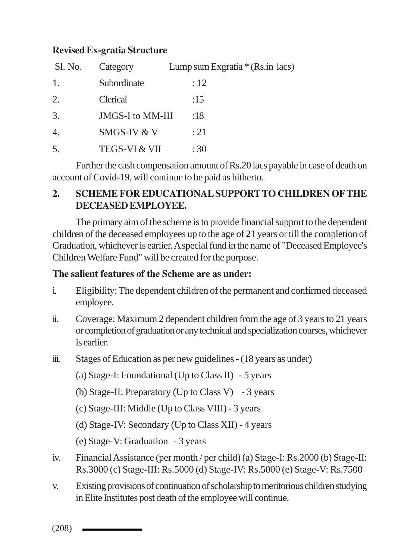#### **Revised Ex-gratia Structure**

| Sl. No.        | Category                 | Lump sum Exgratia $*(\text{Rs.in lacs})$ |
|----------------|--------------------------|------------------------------------------|
| 1.             | Subordinate              | :12                                      |
| 2.             | Clerical                 | :15                                      |
| 3.             | JMGS-I to MM-III         | :18                                      |
| 4.             | SMGS-IV & V              | : 21                                     |
| 5 <sub>1</sub> | <b>TEGS-VI &amp; VII</b> | :30                                      |

Further the cash compensation amount of Rs.20 lacs payable in case of death on account of Covid-19, will continue to be paid as hitherto.

#### **2. SCHEME FOR EDUCATIONAL SUPPORT TO CHILDREN OF THE DECEASED EMPLOYEE.**

The primary aim of the scheme is to provide financial support to the dependent children of the deceased employees up to the age of 21 years or till the completion of Graduation, whichever is earlier. A special fund in the name of "Deceased Employee's Children Welfare Fund" will be created for the purpose.

#### **The salient features of the Scheme are as under:**

- i. Eligibility: The dependent children of the permanent and confirmed deceased employee.
- ii. Coverage: Maximum 2 dependent children from the age of 3 years to 21 years or completion of graduation or any technical and specialization courses, whichever is earlier.
- iii. Stages of Education as per new guidelines (18 years as under)
	- (a) Stage-I: Foundational (Up to Class II) 5 years
	- (b) Stage-II: Preparatory (Up to Class V) 3 years
	- (c) Stage-III: Middle (Up to Class VIII) 3 years
	- (d) Stage-IV: Secondary (Up to Class XII) 4 years
	- (e) Stage-V: Graduation 3 years
- iv. Financial Assistance (per month / per child) (a) Stage-I: Rs.2000 (b) Stage-II: Rs.3000 (c) Stage-III: Rs.5000 (d) Stage-IV: Rs.5000 (e) Stage-V: Rs.7500
- v. Existing provisions of continuation of scholarship to meritorious children studying in Elite Institutes post death of the employee will continue.

 $(208)$   $\longrightarrow$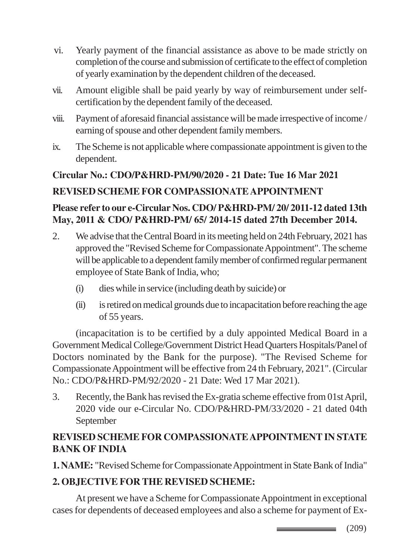- vi. Yearly payment of the financial assistance as above to be made strictly on completion of the course and submission of certificate to the effect of completion of yearly examination by the dependent children of the deceased.
- vii. Amount eligible shall be paid yearly by way of reimbursement under selfcertification by the dependent family of the deceased.
- viii. Payment of aforesaid financial assistance will be made irrespective of income / earning of spouse and other dependent family members.
- ix. The Scheme is not applicable where compassionate appointment is given to the dependent.

#### **Circular No.: CDO/P&HRD-PM/90/2020 - 21 Date: Tue 16 Mar 2021**

#### **REVISED SCHEME FOR COMPASSIONATE APPOINTMENT**

#### **Please refer to our e-Circular Nos. CDO/ P&HRD-PM/ 20/ 2011-12 dated 13th May, 2011 & CDO/ P&HRD-PM/ 65/ 2014-15 dated 27th December 2014.**

- 2. We advise that the Central Board in its meeting held on 24th February, 2021 has approved the "Revised Scheme for Compassionate Appointment". The scheme will be applicable to a dependent family member of confirmed regular permanent employee of State Bank of India, who;
	- (i) dies while in service (including death by suicide) or
	- (ii) is retired on medical grounds due to incapacitation before reaching the age of 55 years.

(incapacitation is to be certified by a duly appointed Medical Board in a Government Medical College/Government District Head Quarters Hospitals/Panel of Doctors nominated by the Bank for the purpose). "The Revised Scheme for Compassionate Appointment will be effective from 24 th February, 2021". (Circular No.: CDO/P&HRD-PM/92/2020 - 21 Date: Wed 17 Mar 2021).

3. Recently, the Bank has revised the Ex-gratia scheme effective from 01st April, 2020 vide our e-Circular No. CDO/P&HRD-PM/33/2020 - 21 dated 04th September

# **REVISED SCHEME FOR COMPASSIONATE APPOINTMENT IN STATE BANK OF INDIA**

**1. NAME:** "Revised Scheme for Compassionate Appointment in State Bank of India"

# **2. OBJECTIVE FOR THE REVISED SCHEME:**

At present we have a Scheme for Compassionate Appointment in exceptional cases for dependents of deceased employees and also a scheme for payment of Ex-

> (209)  $\equiv$   $\equiv$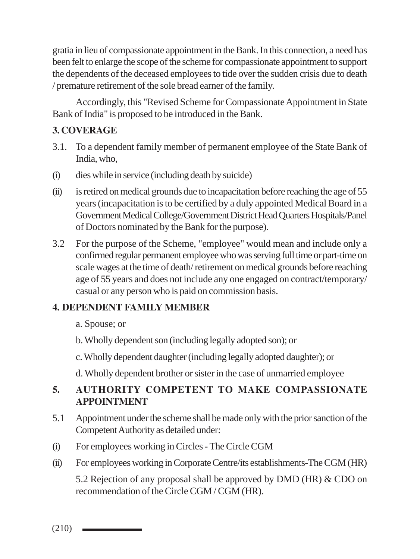gratia in lieu of compassionate appointment in the Bank. In this connection, a need has been felt to enlarge the scope of the scheme for compassionate appointment to support the dependents of the deceased employees to tide over the sudden crisis due to death / premature retirement of the sole bread earner of the family.

Accordingly, this "Revised Scheme for Compassionate Appointment in State Bank of India" is proposed to be introduced in the Bank.

## **3. COVERAGE**

- 3.1. To a dependent family member of permanent employee of the State Bank of India, who,
- (i) dies while in service (including death by suicide)
- (ii) is retired on medical grounds due to incapacitation before reaching the age of 55 years (incapacitation is to be certified by a duly appointed Medical Board in a Government Medical College/Government District Head Quarters Hospitals/Panel of Doctors nominated by the Bank for the purpose).
- 3.2 For the purpose of the Scheme, "employee" would mean and include only a confirmed regular permanent employee who was serving full time or part-time on scale wages at the time of death/ retirement on medical grounds before reaching age of 55 years and does not include any one engaged on contract/temporary/ casual or any person who is paid on commission basis.

#### **4. DEPENDENT FAMILY MEMBER**

- a. Spouse; or
- b. Wholly dependent son (including legally adopted son); or
- c. Wholly dependent daughter (including legally adopted daughter); or
- d. Wholly dependent brother or sister in the case of unmarried employee

# **5. AUTHORITY COMPETENT TO MAKE COMPASSIONATE APPOINTMENT**

- 5.1 Appointment under the scheme shall be made only with the prior sanction of the Competent Authority as detailed under:
- (i) For employees working in Circles The Circle CGM
- (ii) For employees working in Corporate Centre/its establishments-The CGM (HR)

5.2 Rejection of any proposal shall be approved by DMD (HR) & CDO on recommendation of the Circle CGM / CGM (HR).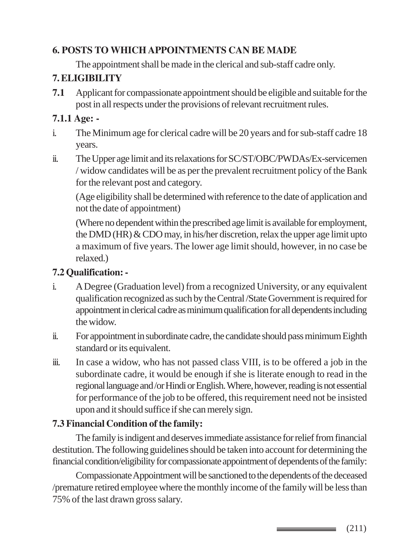# **6. POSTS TO WHICH APPOINTMENTS CAN BE MADE**

The appointment shall be made in the clerical and sub-staff cadre only.

# **7. ELIGIBILITY**

**7.1** Applicant for compassionate appointment should be eligible and suitable for the post in all respects under the provisions of relevant recruitment rules.

# **7.1.1 Age: -**

- i. The Minimum age for clerical cadre will be 20 years and for sub-staff cadre 18 years.
- ii. The Upper age limit and its relaxations for SC/ST/OBC/PWDAs/Ex-servicemen / widow candidates will be as per the prevalent recruitment policy of the Bank for the relevant post and category.

(Age eligibility shall be determined with reference to the date of application and not the date of appointment)

(Where no dependent within the prescribed age limit is available for employment, the DMD (HR)  $&$  CDO may, in his/her discretion, relax the upper age limit upto a maximum of five years. The lower age limit should, however, in no case be relaxed.)

# **7.2 Qualification: -**

- i. A Degree (Graduation level) from a recognized University, or any equivalent qualification recognized as such by the Central /State Government is required for appointment in clerical cadre as minimum qualification for all dependents including the widow.
- ii. For appointment in subordinate cadre, the candidate should pass minimum Eighth standard or its equivalent.
- iii. In case a widow, who has not passed class VIII, is to be offered a job in the subordinate cadre, it would be enough if she is literate enough to read in the regional language and /or Hindi or English. Where, however, reading is not essential for performance of the job to be offered, this requirement need not be insisted upon and it should suffice if she can merely sign.

# **7.3 Financial Condition of the family:**

The family is indigent and deserves immediate assistance for relief from financial destitution. The following guidelines should be taken into account for determining the financial condition/eligibility for compassionate appointment of dependents of the family:

Compassionate Appointment will be sanctioned to the dependents of the deceased /premature retired employee where the monthly income of the family will be less than 75% of the last drawn gross salary.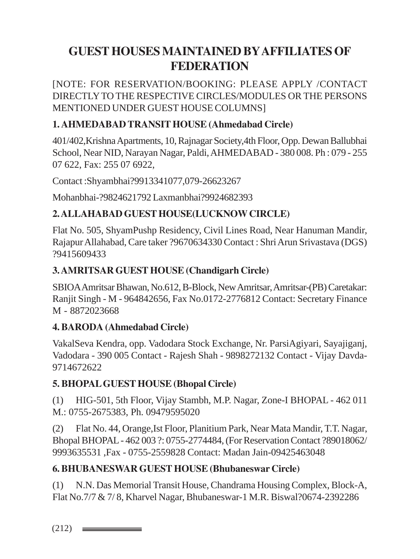# **GUEST HOUSES MAINTAINED BY AFFILIATES OF FEDERATION**

[NOTE: FOR RESERVATION/BOOKING: PLEASE APPLY /CONTACT DIRECTLY TO THE RESPECTIVE CIRCLES/MODULES OR THE PERSONS MENTIONED UNDER GUEST HOUSE COLUMNS]

# **1. AHMEDABAD TRANSIT HOUSE (Ahmedabad Circle)**

401/402,Krishna Apartments, 10, Rajnagar Society,4th Floor, Opp. Dewan Ballubhai School, Near NID, Narayan Nagar, Paldi, AHMEDABAD - 380 008. Ph : 079 - 255 07 622, Fax: 255 07 6922,

Contact :Shyambhai?9913341077,079-26623267

Mohanbhai-?9824621792 Laxmanbhai?9924682393

# **2. ALLAHABAD GUEST HOUSE(LUCKNOW CIRCLE)**

Flat No. 505, ShyamPushp Residency, Civil Lines Road, Near Hanuman Mandir, Rajapur Allahabad, Care taker ?9670634330 Contact : Shri Arun Srivastava (DGS) ?9415609433

# **3. AMRITSAR GUEST HOUSE (Chandigarh Circle)**

SBIOA Amritsar Bhawan, No.612, B-Block, New Amritsar, Amritsar-(PB) Caretakar: Ranjit Singh - M - 964842656, Fax No.0172-2776812 Contact: Secretary Finance M - 8872023668

# **4. BARODA (Ahmedabad Circle)**

VakalSeva Kendra, opp. Vadodara Stock Exchange, Nr. ParsiAgiyari, Sayajiganj, Vadodara - 390 005 Contact - Rajesh Shah - 9898272132 Contact - Vijay Davda-9714672622

# **5. BHOPAL GUEST HOUSE (Bhopal Circle)**

(1) HIG-501, 5th Floor, Vijay Stambh, M.P. Nagar, Zone-I BHOPAL - 462 011 M.: 0755-2675383, Ph. 09479595020

(2) Flat No. 44, Orange,Ist Floor, Planitium Park, Near Mata Mandir, T.T. Nagar, Bhopal BHOPAL - 462 003 ?: 0755-2774484, (For Reservation Contact ?89018062/ 9993635531 ,Fax - 0755-2559828 Contact: Madan Jain-09425463048

# **6. BHUBANESWAR GUEST HOUSE (Bhubaneswar Circle)**

(1) N.N. Das Memorial Transit House, Chandrama Housing Complex, Block-A, Flat No.7/7 & 7/ 8, Kharvel Nagar, Bhubaneswar-1 M.R. Biswal?0674-2392286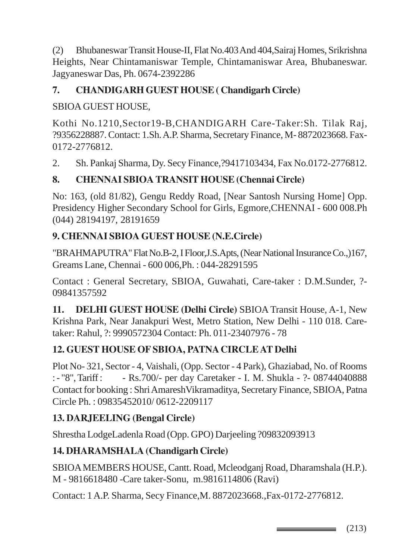(2) Bhubaneswar Transit House-II, Flat No.403 And 404,Sairaj Homes, Srikrishna Heights, Near Chintamaniswar Temple, Chintamaniswar Area, Bhubaneswar. Jagyaneswar Das, Ph. 0674-2392286

# **7. CHANDIGARH GUEST HOUSE ( Chandigarh Circle)**

# SBIOA GUEST HOUSE,

Kothi No.1210,Sector19-B,CHANDIGARH Care-Taker:Sh. Tilak Raj, ?9356228887. Contact: 1.Sh. A.P. Sharma, Secretary Finance, M- 8872023668. Fax-0172-2776812.

2. Sh. Pankaj Sharma, Dy. Secy Finance,?9417103434, Fax No.0172-2776812.

# **8. CHENNAI SBIOA TRANSIT HOUSE (Chennai Circle)**

No: 163, (old 81/82), Gengu Reddy Road, [Near Santosh Nursing Home] Opp. Presidency Higher Secondary School for Girls, Egmore,CHENNAI - 600 008.Ph (044) 28194197, 28191659

# **9. CHENNAI SBIOA GUEST HOUSE (N.E.Circle)**

"BRAHMAPUTRA" Flat No.B-2, I Floor,J.S.Apts, (Near National Insurance Co.,)167, Greams Lane, Chennai - 600 006,Ph. : 044-28291595

Contact : General Secretary, SBIOA, Guwahati, Care-taker : D.M.Sunder, ?- 09841357592

**11. DELHI GUEST HOUSE (Delhi Circle)** SBIOA Transit House, A-1, New Krishna Park, Near Janakpuri West, Metro Station, New Delhi - 110 018. Caretaker: Rahul, ?: 9990572304 Contact: Ph. 011-23407976 - 78

# **12. GUEST HOUSE OF SBIOA, PATNA CIRCLE AT Delhi**

Plot No- 321, Sector - 4, Vaishali, (Opp. Sector - 4 Park), Ghaziabad, No. of Rooms : - "8", Tariff : - Rs. 700/- per day Caretaker - I. M. Shukla - ? - 08744040888 Contact for booking : Shri AmareshVikramaditya, Secretary Finance, SBIOA, Patna Circle Ph. : 09835452010/ 0612-2209117

# **13. DARJEELING (Bengal Circle)**

Shrestha LodgeLadenla Road (Opp. GPO) Darjeeling ?09832093913

# **14. DHARAMSHALA (Chandigarh Circle)**

SBIOA MEMBERS HOUSE, Cantt. Road, Mcleodganj Road, Dharamshala (H.P.). M - 9816618480 -Care taker-Sonu, m.9816114806 (Ravi)

Contact: 1 A.P. Sharma, Secy Finance,M. 8872023668.,Fax-0172-2776812.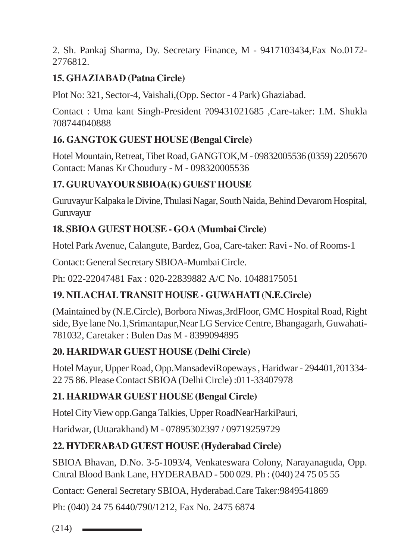2. Sh. Pankaj Sharma, Dy. Secretary Finance, M - 9417103434,Fax No.0172- 2776812.

# **15. GHAZIABAD (Patna Circle)**

Plot No: 321, Sector-4, Vaishali,(Opp. Sector - 4 Park) Ghaziabad.

Contact : Uma kant Singh-President ?09431021685 ,Care-taker: I.M. Shukla ?08744040888

# **16. GANGTOK GUEST HOUSE (Bengal Circle)**

Hotel Mountain, Retreat, Tibet Road, GANGTOK,M - 09832005536 (0359) 2205670 Contact: Manas Kr Choudury - M - 098320005536

# **17. GURUVAYOUR SBIOA(K) GUEST HOUSE**

Guruvayur Kalpaka le Divine, Thulasi Nagar, South Naida, Behind Devarom Hospital, Guruvayur

# **18. SBIOA GUEST HOUSE - GOA (Mumbai Circle)**

Hotel Park Avenue, Calangute, Bardez, Goa, Care-taker: Ravi - No. of Rooms-1

Contact: General Secretary SBIOA-Mumbai Circle.

Ph: 022-22047481 Fax : 020-22839882 A/C No. 10488175051

# **19. NILACHAL TRANSIT HOUSE - GUWAHATI (N.E.Circle)**

(Maintained by (N.E.Circle), Borbora Niwas,3rdFloor, GMC Hospital Road, Right side, Bye lane No.1,Srimantapur,Near LG Service Centre, Bhangagarh, Guwahati-781032, Caretaker : Bulen Das M - 8399094895

# **20. HARIDWAR GUEST HOUSE (Delhi Circle)**

Hotel Mayur, Upper Road, Opp.MansadeviRopeways , Haridwar - 294401,?01334- 22 75 86. Please Contact SBIOA (Delhi Circle) :011-33407978

# **21. HARIDWAR GUEST HOUSE (Bengal Circle)**

Hotel City View opp.Ganga Talkies, Upper RoadNearHarkiPauri,

Haridwar, (Uttarakhand) M - 07895302397 / 09719259729

# **22. HYDERABAD GUEST HOUSE (Hyderabad Circle)**

SBIOA Bhavan, D.No. 3-5-1093/4, Venkateswara Colony, Narayanaguda, Opp. Cntral Blood Bank Lane, HYDERABAD - 500 029. Ph : (040) 24 75 05 55

Contact: General Secretary SBIOA, Hyderabad.Care Taker:9849541869

Ph: (040) 24 75 6440/790/1212, Fax No. 2475 6874

 $(214)$   $\equiv$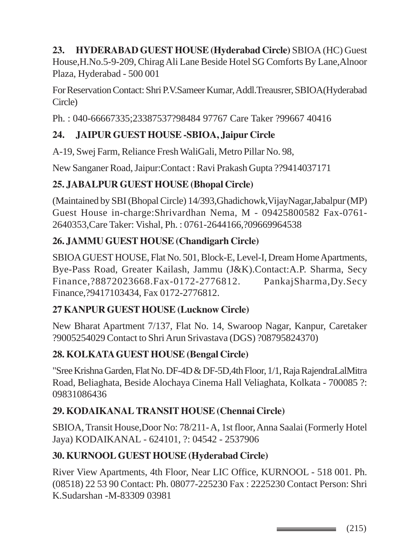# **23. HYDERABAD GUEST HOUSE (Hyderabad Circle)** SBIOA (HC) Guest

House,H.No.5-9-209, Chirag Ali Lane Beside Hotel SG Comforts By Lane,Alnoor Plaza, Hyderabad - 500 001

For Reservation Contact: Shri P.V.Sameer Kumar, Addl.Treausrer, SBIOA(Hyderabad Circle)

Ph. : 040-66667335;23387537?98484 97767 Care Taker ?99667 40416

# **24. JAIPUR GUEST HOUSE -SBIOA, Jaipur Circle**

A-19, Swej Farm, Reliance Fresh WaliGali, Metro Pillar No. 98,

New Sanganer Road, Jaipur:Contact : Ravi Prakash Gupta ??9414037171

# **25. JABALPUR GUEST HOUSE (Bhopal Circle)**

(Maintained by SBI (Bhopal Circle) 14/393,Ghadichowk,VijayNagar,Jabalpur (MP) Guest House in-charge:Shrivardhan Nema, M - 09425800582 Fax-0761- 2640353,Care Taker: Vishal, Ph. : 0761-2644166,?09669964538

# **26. JAMMU GUEST HOUSE (Chandigarh Circle)**

SBIOA GUEST HOUSE, Flat No. 501, Block-E, Level-I, Dream Home Apartments, Bye-Pass Road, Greater Kailash, Jammu (J&K).Contact:A.P. Sharma, Secy Finance,?8872023668.Fax-0172-2776812. PankajSharma,Dy.Secy Finance,?9417103434, Fax 0172-2776812.

# **27 KANPUR GUEST HOUSE (Lucknow Circle)**

New Bharat Apartment 7/137, Flat No. 14, Swaroop Nagar, Kanpur, Caretaker ?9005254029 Contact to Shri Arun Srivastava (DGS) ?08795824370)

# **28. KOLKATA GUEST HOUSE (Bengal Circle)**

"Sree Krishna Garden, Flat No. DF-4D & DF-5D,4th Floor, 1/1, Raja RajendraLalMitra Road, Beliaghata, Beside Alochaya Cinema Hall Veliaghata, Kolkata - 700085 ?: 09831086436

# **29. KODAIKANAL TRANSIT HOUSE (Chennai Circle)**

SBIOA, Transit House,Door No: 78/211- A, 1st floor, Anna Saalai (Formerly Hotel Jaya) KODAIKANAL - 624101, ?: 04542 - 2537906

# **30. KURNOOL GUEST HOUSE (Hyderabad Circle)**

River View Apartments, 4th Floor, Near LIC Office, KURNOOL - 518 001. Ph. (08518) 22 53 90 Contact: Ph. 08077-225230 Fax : 2225230 Contact Person: Shri K.Sudarshan -M-83309 03981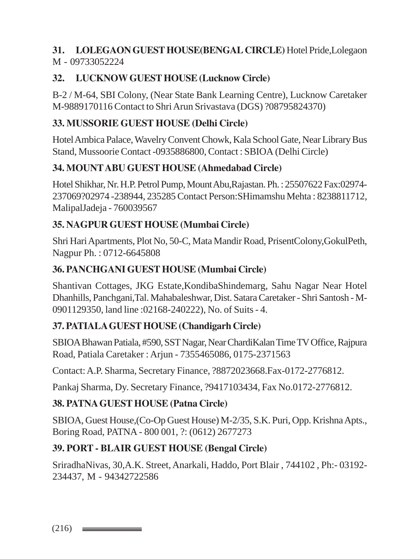#### **31. LOLEGAON GUEST HOUSE(BENGAL CIRCLE)** Hotel Pride,Lolegaon M - 09733052224

# **32. LUCKNOW GUEST HOUSE (Lucknow Circle)**

B-2 / M-64, SBI Colony, (Near State Bank Learning Centre), Lucknow Caretaker M-9889170116 Contact to Shri Arun Srivastava (DGS) ?08795824370)

## **33. MUSSORIE GUEST HOUSE (Delhi Circle)**

Hotel Ambica Palace, Wavelry Convent Chowk, Kala School Gate, Near Library Bus Stand, Mussoorie Contact -0935886800, Contact : SBIOA (Delhi Circle)

#### **34. MOUNT ABU GUEST HOUSE (Ahmedabad Circle)**

Hotel Shikhar, Nr. H.P. Petrol Pump, Mount Abu,Rajastan. Ph. : 25507622 Fax:02974- 237069?02974 -238944, 235285 Contact Person:SHimamshu Mehta : 8238811712, MalipalJadeja - 760039567

#### **35. NAGPUR GUEST HOUSE (Mumbai Circle)**

Shri Hari Apartments, Plot No, 50-C, Mata Mandir Road, PrisentColony,GokulPeth, Nagpur Ph. : 0712-6645808

#### **36. PANCHGANI GUEST HOUSE (Mumbai Circle)**

Shantivan Cottages, JKG Estate,KondibaShindemarg, Sahu Nagar Near Hotel Dhanhills, Panchgani,Tal. Mahabaleshwar, Dist. Satara Caretaker - Shri Santosh - M-0901129350, land line :02168-240222), No. of Suits - 4.

# **37. PATIALA GUEST HOUSE (Chandigarh Circle)**

SBIOA Bhawan Patiala, #590, SST Nagar, Near ChardiKalan Time TV Office, Rajpura Road, Patiala Caretaker : Arjun - 7355465086, 0175-2371563

Contact: A.P. Sharma, Secretary Finance, ?8872023668.Fax-0172-2776812.

Pankaj Sharma, Dy. Secretary Finance, ?9417103434, Fax No.0172-2776812.

#### **38. PATNA GUEST HOUSE (Patna Circle)**

SBIOA, Guest House,(Co-Op Guest House) M-2/35, S.K. Puri, Opp. Krishna Apts., Boring Road, PATNA - 800 001, ?: (0612) 2677273

# **39. PORT - BLAIR GUEST HOUSE (Bengal Circle)**

SriradhaNivas, 30,A.K. Street, Anarkali, Haddo, Port Blair , 744102 , Ph:- 03192- 234437, M - 94342722586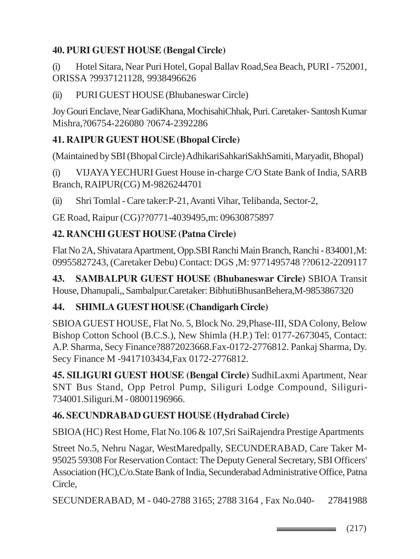# **40. PURI GUEST HOUSE (Bengal Circle)**

(i) Hotel Sitara, Near Puri Hotel, Gopal Ballav Road,Sea Beach, PURI - 752001, ORISSA ?9937121128, 9938496626

(ii) PURI GUEST HOUSE (Bhubaneswar Circle)

Joy Gouri Enclave, Near GadiKhana, MochisahiChhak, Puri. Caretaker- Santosh Kumar Mishra,?06754-226080 ?0674-2392286

## **41. RAIPUR GUEST HOUSE (Bhopal Circle)**

(Maintained by SBI (Bhopal Circle) AdhikariSahkariSakhSamiti, Maryadit, Bhopal)

(i) VIJAYA YECHURI Guest House in-charge C/O State Bank of India, SARB Branch, RAIPUR(CG) M-9826244701

(ii) Shri Tomlal - Care taker:P-21, Avanti Vihar, Telibanda, Sector-2,

GE Road, Raipur (CG)??0771-4039495,m: 09630875897

## **42. RANCHI GUEST HOUSE (Patna Circle)**

Flat No 2A, Shivatara Apartment, Opp.SBI Ranchi Main Branch, Ranchi - 834001,M: 09955827243, (Caretaker Debu) Contact: DGS ,M: 9771495748 ??0612-2209117

**43. SAMBALPUR GUEST HOUSE (Bhubaneswar Circle)** SBIOA Transit House, Dhanupali,, Sambalpur.Caretaker: BibhutiBhusanBehera,M-9853867320

### **44. SHIMLA GUEST HOUSE (Chandigarh Circle)**

SBIOA GUEST HOUSE, Flat No. 5, Block No. 29,Phase-III, SDA Colony, Below Bishop Cotton School (B.C.S.), New Shimla (H.P.) Tel: 0177-2673045, Contact: A.P. Sharma, Secy Finance?8872023668.Fax-0172-2776812. Pankaj Sharma, Dy. Secy Finance M -9417103434,Fax 0172-2776812.

**45. SILIGURI GUEST HOUSE (Bengal Circle)** SudhiLaxmi Apartment, Near SNT Bus Stand, Opp Petrol Pump, Siliguri Lodge Compound, Siliguri-734001.Siliguri.M - 08001196966.

## **46. SECUNDRABAD GUEST HOUSE (Hydrabad Circle)**

SBIOA (HC) Rest Home, Flat No.106 & 107,Sri SaiRajendra Prestige Apartments

Street No.5, Nehru Nagar, WestMaredpally, SECUNDERABAD, Care Taker M-95025 59308 For Reservation Contact: The Deputy General Secretary, SBI Officers' Association (HC),C/o.State Bank of India, Secunderabad Administrative Office, Patna Circle,

SECUNDERABAD, M - 040-2788 3165; 2788 3164 , Fax No.040- 27841988

(217) \_\_\_\_\_\_\_\_\_\_\_\_\_\_\_\_\_\_\_\_\_\_\_\_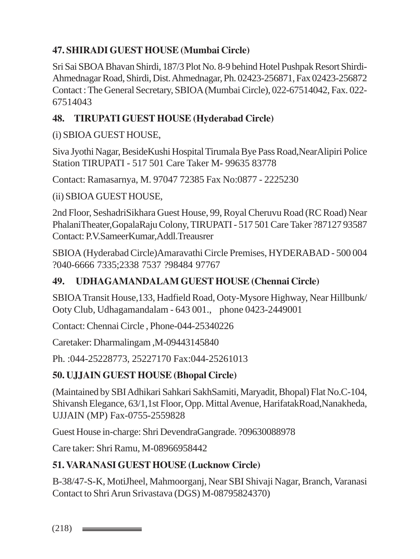# **47. SHIRADI GUEST HOUSE (Mumbai Circle)**

Sri Sai SBOA Bhavan Shirdi, 187/3 Plot No. 8-9 behind Hotel Pushpak Resort Shirdi-Ahmednagar Road, Shirdi, Dist. Ahmednagar, Ph. 02423-256871, Fax 02423-256872 Contact : The General Secretary, SBIOA (Mumbai Circle), 022-67514042, Fax. 022- 67514043

### **48. TIRUPATI GUEST HOUSE (Hyderabad Circle)**

### (i) SBIOA GUEST HOUSE,

Siva Jyothi Nagar, BesideKushi Hospital Tirumala Bye Pass Road,NearAlipiri Police Station TIRUPATI - 517 501 Care Taker M- 99635 83778

Contact: Ramasarnya, M. 97047 72385 Fax No:0877 - 2225230

#### (ii) SBIOA GUEST HOUSE,

2nd Floor, SeshadriSikhara Guest House, 99, Royal Cheruvu Road (RC Road) Near PhalaniTheater,GopalaRaju Colony, TIRUPATI - 517 501 Care Taker ?87127 93587 Contact: P.V.SameerKumar,Addl.Treausrer

SBIOA (Hyderabad Circle)Amaravathi Circle Premises, HYDERABAD - 500 004 ?040-6666 7335;2338 7537 ?98484 97767

#### **49. UDHAGAMANDALAM GUEST HOUSE (Chennai Circle)**

SBIOA Transit House,133, Hadfield Road, Ooty-Mysore Highway, Near Hillbunk/ Ooty Club, Udhagamandalam - 643 001., phone 0423-2449001

Contact: Chennai Circle , Phone-044-25340226

Caretaker: Dharmalingam ,M-09443145840

Ph. :044-25228773, 25227170 Fax:044-25261013

#### **50. UJJAIN GUEST HOUSE (Bhopal Circle)**

(Maintained by SBI Adhikari Sahkari SakhSamiti, Maryadit, Bhopal) Flat No.C-104, Shivansh Elegance, 63/1,1st Floor, Opp. Mittal Avenue, HarifatakRoad,Nanakheda, UJJAIN (MP) Fax-0755-2559828

Guest House in-charge: Shri DevendraGangrade. ?09630088978

Care taker: Shri Ramu, M-08966958442

### **51. VARANASI GUEST HOUSE (Lucknow Circle)**

B-38/47-S-K, MotiJheel, Mahmoorganj, Near SBI Shivaji Nagar, Branch, Varanasi Contact to Shri Arun Srivastava (DGS) M-08795824370)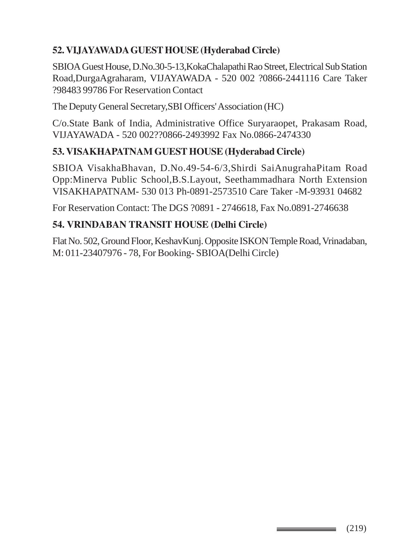## **52. VIJAYAWADA GUEST HOUSE (Hyderabad Circle)**

SBIOA Guest House, D.No.30-5-13,KokaChalapathi Rao Street, Electrical Sub Station Road,DurgaAgraharam, VIJAYAWADA - 520 002 ?0866-2441116 Care Taker ?98483 99786 For Reservation Contact

The Deputy General Secretary,SBI Officers' Association (HC)

C/o.State Bank of India, Administrative Office Suryaraopet, Prakasam Road, VIJAYAWADA - 520 002??0866-2493992 Fax No.0866-2474330

### **53. VISAKHAPATNAM GUEST HOUSE (Hyderabad Circle)**

SBIOA VisakhaBhavan, D.No.49-54-6/3,Shirdi SaiAnugrahaPitam Road Opp:Minerva Public School,B.S.Layout, Seethammadhara North Extension VISAKHAPATNAM- 530 013 Ph-0891-2573510 Care Taker -M-93931 04682

For Reservation Contact: The DGS ?0891 - 2746618, Fax No.0891-2746638

### **54. VRINDABAN TRANSIT HOUSE (Delhi Circle)**

Flat No. 502, Ground Floor, KeshavKunj. Opposite ISKON Temple Road, Vrinadaban, M: 011-23407976 - 78, For Booking- SBIOA(Delhi Circle)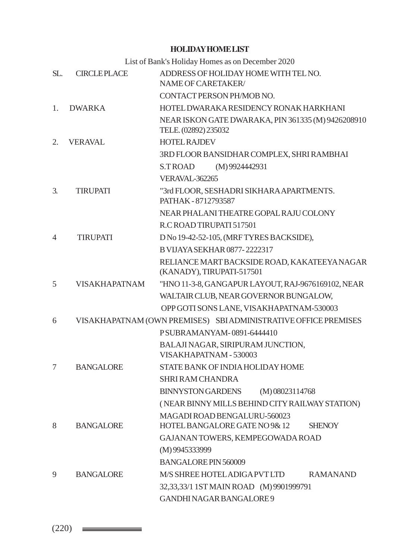#### **HOLIDAY HOME LIST**

List of Bank's Holiday Homes as on December 2020

| SL.            | <b>CIRCLEPLACE</b>   | ADDRESS OF HOLIDAY HOME WITH TEL NO.<br>NAME OF CARETAKER/                 |  |  |  |  |
|----------------|----------------------|----------------------------------------------------------------------------|--|--|--|--|
|                |                      | CONTACT PERSON PH/MOB NO.                                                  |  |  |  |  |
| 1.             | <b>DWARKA</b>        | HOTEL DWARAKA RESIDENCY RONAK HARKHANI                                     |  |  |  |  |
|                |                      | NEAR ISKON GATE DWARAKA, PIN 361335 (M) 9426208910<br>TELE. (02892) 235032 |  |  |  |  |
| 2.             | <b>VERAVAL</b>       | <b>HOTEL RAJDEV</b>                                                        |  |  |  |  |
|                |                      | 3RD FLOOR BANSIDHAR COMPLEX, SHRI RAMBHAI                                  |  |  |  |  |
|                |                      | (M) 9924442931<br><b>S.TROAD</b>                                           |  |  |  |  |
|                |                      | VERAVAL-362265                                                             |  |  |  |  |
| 3.             | <b>TIRUPATI</b>      | "3rd FLOOR, SESHADRI SIKHARA APARTMENTS.<br>PATHAK - 8712793587            |  |  |  |  |
|                |                      | NEAR PHALANI THEATRE GOPAL RAJU COLONY                                     |  |  |  |  |
|                |                      | R.C ROAD TIRUPATI 517501                                                   |  |  |  |  |
| $\overline{4}$ | <b>TIRUPATI</b>      | D No 19-42-52-105, (MRF TYRES BACKSIDE),                                   |  |  |  |  |
|                |                      | B VIJAYA SEKHAR 0877-2222317                                               |  |  |  |  |
|                |                      | RELIANCE MART BACKSIDE ROAD, KAKATEEYA NAGAR<br>(KANADY), TIRUPATI-517501  |  |  |  |  |
| 5              | <b>VISAKHAPATNAM</b> | "HNO 11-3-8, GANGAPUR LAYOUT, RAJ-9676169102, NEAR                         |  |  |  |  |
|                |                      | WALTAIR CLUB, NEAR GOVERNOR BUNGALOW,                                      |  |  |  |  |
|                |                      | OPP GOTI SONS LANE, VISAKHAPATNAM-530003                                   |  |  |  |  |
| 6              |                      | VISAKHAPATNAM (OWN PREMISES) SBIADMINISTRATIVE OFFICE PREMISES             |  |  |  |  |
|                |                      | PSUBRAMANYAM-0891-6444410                                                  |  |  |  |  |
|                |                      | BALAJI NAGAR, SIRIPURAM JUNCTION,<br>VISAKHAPATNAM - 530003                |  |  |  |  |
| 7              | <b>BANGALORE</b>     | STATE BANK OF INDIA HOLIDAY HOME                                           |  |  |  |  |
|                |                      | <b>SHRI RAM CHANDRA</b>                                                    |  |  |  |  |
|                |                      | <b>BINNYSTON GARDENS</b><br>$(M)$ 08023114768                              |  |  |  |  |
|                |                      | (NEAR BINNY MILLS BEHIND CITY RAILWAY STATION)                             |  |  |  |  |
|                |                      | MAGADI ROAD BENGALURU-560023                                               |  |  |  |  |
| 8              | <b>BANGALORE</b>     | HOTEL BANGALORE GATE NO 9& 12<br><b>SHENOY</b>                             |  |  |  |  |
|                |                      | GAJANAN TOWERS, KEMPEGOWADA ROAD                                           |  |  |  |  |
|                |                      | (M) 9945333999                                                             |  |  |  |  |
|                |                      | BANGALORE PIN 560009                                                       |  |  |  |  |
| 9              | <b>BANGALORE</b>     | M/S SHREE HOTEL ADIGA PVT LTD<br><b>RAMANAND</b>                           |  |  |  |  |
|                |                      | 32,33,33/1 1ST MAIN ROAD (M) 9901999791                                    |  |  |  |  |
|                |                      | GANDHI NAGAR BANGALORE 9                                                   |  |  |  |  |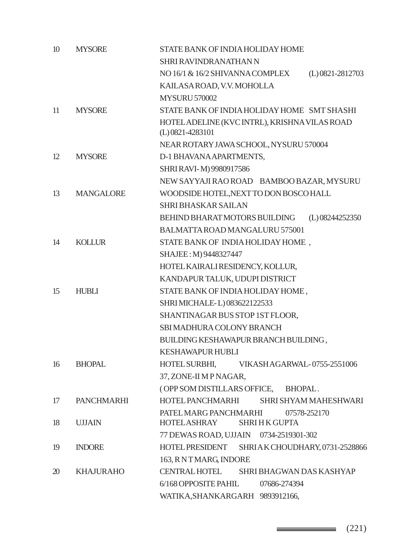| 10 | <b>MYSORE</b>     | STATE BANK OF INDIA HOLIDAY HOME                                    |
|----|-------------------|---------------------------------------------------------------------|
|    |                   | SHRI RAVINDRANATHAN N                                               |
|    |                   | NO 16/1 & 16/2 SHIVANNA COMPLEX<br>$(L)$ 0821-2812703               |
|    |                   | KAILASAROAD, V.V. MOHOLLA                                           |
|    |                   | <b>MYSURU 570002</b>                                                |
| 11 | <b>MYSORE</b>     | STATE BANK OF INDIA HOLIDAY HOME SMT SHASHI                         |
|    |                   | HOTEL ADELINE (KVC INTRL), KRISHNA VILAS ROAD<br>$(L)$ 0821-4283101 |
|    |                   | NEAR ROTARY JAWA SCHOOL, NYSURU 570004                              |
| 12 | <b>MYSORE</b>     | D-1 BHAVANA APARTMENTS,                                             |
|    |                   | SHRI RAVI-M) 9980917586                                             |
|    |                   | NEW SAYYAJI RAO ROAD BAMBOO BAZAR, MYSURU                           |
| 13 | <b>MANGALORE</b>  | WOODSIDE HOTEL, NEXT TO DON BOSCO HALL                              |
|    |                   | <b>SHRI BHASKAR SAILAN</b>                                          |
|    |                   | BEHIND BHARAT MOTORS BUILDING<br>(L) 08244252350                    |
|    |                   | BALMATTA ROAD MANGALURU 575001                                      |
| 14 | <b>KOLLUR</b>     | STATE BANK OF INDIA HOLIDAY HOME,                                   |
|    |                   | SHAJEE: M) 9448327447                                               |
|    |                   | HOTEL KAIRALI RESIDENCY, KOLLUR,                                    |
|    |                   | KANDAPUR TALUK, UDUPI DISTRICT                                      |
| 15 | <b>HUBLI</b>      | STATE BANK OF INDIA HOLIDAY HOME,                                   |
|    |                   | SHRI MICHALE-L) 083622122533                                        |
|    |                   | SHANTINAGAR BUS STOP 1ST FLOOR,                                     |
|    |                   | SBI MADHURA COLONY BRANCH                                           |
|    |                   | BUILDING KESHAWAPUR BRANCH BUILDING,                                |
|    |                   | <b>KESHAWAPUR HUBLI</b>                                             |
| 16 | <b>BHOPAL</b>     | <b>HOTEL SURBHI,</b><br>VIKASHAGARWAL-0755-2551006                  |
|    |                   | 37, ZONE-II M P NAGAR,                                              |
|    |                   | (OPP SOM DISTILLARS OFFICE, BHOPAL.                                 |
| 17 | <b>PANCHMARHI</b> | HOTEL PANCHMARHI<br>SHRI SHYAM MAHESHWARI                           |
|    |                   | PATEL MARG PANCHMARHI 07578-252170                                  |
| 18 | <b>UJJAIN</b>     | HOTELASHRAY<br><b>SHRI H K GUPTA</b>                                |
|    |                   | 77 DEWAS ROAD, UJJAIN 0734-2519301-302                              |
| 19 | <b>INDORE</b>     | HOTEL PRESIDENT SHRIAK CHOUDHARY, 0731-2528866                      |
|    |                   | 163, RNTMARG, INDORE                                                |
| 20 | <b>KHAJURAHO</b>  | <b>CENTRAL HOTEL</b><br>SHRI BHAGWAN DAS KASHYAP                    |
|    |                   | 6/168 OPPOSITE PAHIL<br>07686-274394                                |
|    |                   | WATIKA, SHANKARGARH 9893912166,                                     |

 $\longrightarrow$  (221)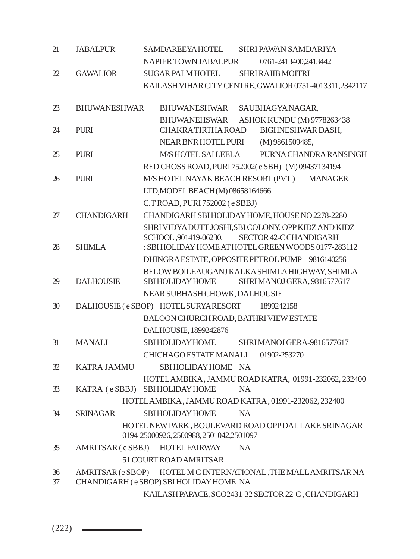| 21 | <b>JABALPUR</b>     | <b>SAMDAREEYAHOTEL</b><br>SHRI PAWAN SAMDARIYA                                                    |
|----|---------------------|---------------------------------------------------------------------------------------------------|
|    |                     | NAPIER TOWN JABALPUR<br>0761-2413400,2413442                                                      |
| 22 | <b>GAWALIOR</b>     | SUGAR PALM HOTEL<br><b>SHRI RAJIB MOITRI</b>                                                      |
|    |                     | KAILASH VIHAR CITY CENTRE, GWALIOR 0751-4013311,2342117                                           |
|    | <b>BHUWANESHWAR</b> |                                                                                                   |
| 23 |                     | BHUWANESHWAR<br>SAUBHAGYANAGAR,                                                                   |
| 24 | <b>PURI</b>         | ASHOK KUNDU (M) 9778263438<br><b>BHUWANEHSWAR</b><br><b>CHAKRATIRTHAROAD</b><br>BIGHNESHWAR DASH, |
|    |                     | NEAR BNR HOTEL PURI<br>(M) 9861509485,                                                            |
| 25 | <b>PURI</b>         | M/S HOTEL SAILEELA<br>PURNA CHANDRA RANSINGH                                                      |
|    |                     | RED CROSS ROAD, PURI 752002(e SBH) (M) 09437134194                                                |
| 26 | <b>PURI</b>         | M/S HOTEL NAYAK BEACH RESORT (PVT) MANAGER                                                        |
|    |                     | LTD, MODEL BEACH (M) 08658164666                                                                  |
|    |                     | C.T ROAD, PURI 752002 (e SBBJ)                                                                    |
| 27 | <b>CHANDIGARH</b>   | CHANDIGARH SBI HOLIDAY HOME, HOUSE NO 2278-2280                                                   |
|    |                     | SHRI VIDYA DUTT JOSHI, SBI COLONY, OPP KIDZ AND KIDZ                                              |
|    |                     | SCHOOL, 901419-06230,<br>SECTOR 42-CCHANDIGARH                                                    |
| 28 | <b>SHIMLA</b>       | : SBI HOLIDAY HOME AT HOTEL GREEN WOODS 0177-283112                                               |
|    |                     | DHINGRA ESTATE, OPPOSITE PETROL PUMP 9816140256                                                   |
|    |                     | BELOW BOILEAUGANJ KALKA SHIMLA HIGHWAY, SHIMLA                                                    |
| 29 | <b>DALHOUSIE</b>    | <b>SBI HOLIDAY HOME</b><br>SHRI MANOJ GERA, 9816577617                                            |
|    |                     | NEAR SUBHASH CHOWK, DALHOUSIE                                                                     |
| 30 |                     | DALHOUSIE (e SBOP) HOTEL SURYARESORT<br>1899242158                                                |
|    |                     | BALOON CHURCH ROAD, BATHRI VIEW ESTATE                                                            |
|    |                     | DALHOUSIE, 1899242876                                                                             |
| 31 | <b>MANALI</b>       | <b>SBI HOLIDAY HOME</b><br>SHRI MANOJ GERA-9816577617                                             |
|    |                     | CHICHAGO ESTATE MANALI<br>01902-253270                                                            |
| 32 | <b>KATRA JAMMU</b>  | SBI HOLIDAY HOME NA                                                                               |
|    |                     | HOTEL AMBIKA, JAMMU ROAD KATRA, 01991-232062, 232400                                              |
| 33 |                     | KATRA (e SBBJ) SBI HOLIDAY HOME<br><b>NA</b>                                                      |
|    |                     | HOTEL AMBIKA, JAMMU ROAD KATRA, 01991-232062, 232400                                              |
| 34 |                     | SRINAGAR SBI HOLIDAY HOME NA                                                                      |
|    |                     | HOTEL NEW PARK, BOULEVARD ROAD OPP DAL LAKE SRINAGAR                                              |
|    |                     | 0194-25000926, 2500988, 2501042, 2501097                                                          |
| 35 |                     | AMRITSAR (e SBBJ) HOTEL FAIRWAY<br><b>NA</b>                                                      |
|    |                     | 51 COURT ROAD AMRITSAR                                                                            |
| 36 |                     | AMRITSAR (e SBOP) HOTEL M C INTERNATIONAL, THE MALL AMRITSAR NA                                   |
| 37 |                     | CHANDIGARH (e SBOP) SBI HOLIDAY HOME NA                                                           |
|    |                     | KAILASH PAPACE, SCO2431-32 SECTOR 22-C, CHANDIGARH                                                |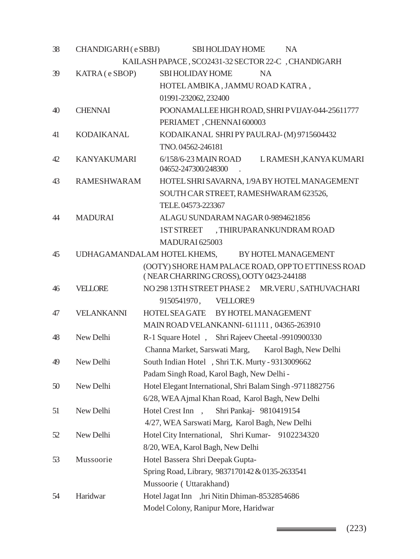| 38 | CHANDIGARH (eSBBJ)                                      | <b>SBI HOLIDAY HOME</b><br>NA.                                       |  |  |
|----|---------------------------------------------------------|----------------------------------------------------------------------|--|--|
|    |                                                         | KAILASH PAPACE, SCO2431-32 SECTOR 22-C, CHANDIGARH                   |  |  |
| 39 | KATRA (e SBOP)                                          | <b>SBI HOLIDAY HOME</b><br><b>NA</b>                                 |  |  |
|    |                                                         | HOTEL AMBIKA, JAMMU ROAD KATRA,                                      |  |  |
|    |                                                         | 01991-232062, 232400                                                 |  |  |
| 40 | <b>CHENNAI</b>                                          | POONAMALLEE HIGH ROAD, SHRIP VIJAY-044-25611777                      |  |  |
|    |                                                         | PERIAMET, CHENNAI 600003                                             |  |  |
| 41 | <b>KODAIKANAL</b>                                       | KODAIKANAL SHRIPYPAULRAJ-(M) 9715604432                              |  |  |
|    |                                                         | TNO.04562-246181                                                     |  |  |
| 42 | <b>KANYAKUMARI</b>                                      | 6/158/6-23 MAIN ROAD<br>LRAMESH, KANYA KUMARI<br>04652-247300/248300 |  |  |
| 43 | <b>RAMESHWARAM</b>                                      | HOTEL SHRI SAVARNA, 1/9A BY HOTEL MANAGEMENT                         |  |  |
|    |                                                         | SOUTH CAR STREET, RAMESHWARAM 623526,                                |  |  |
|    |                                                         | TELE. 04573-223367                                                   |  |  |
| 44 | <b>MADURAI</b>                                          | ALAGU SUNDARAM NAGAR 0-9894621856                                    |  |  |
|    |                                                         | , THIRUPARANKUNDRAM ROAD<br>1ST STREET                               |  |  |
|    |                                                         | MADURAI 625003                                                       |  |  |
| 45 |                                                         | UDHAGAMANDALAM HOTEL KHEMS,<br>BY HOTEL MANAGEMENT                   |  |  |
|    |                                                         | (OOTY) SHORE HAM PALACE ROAD, OPP TO ETTINESS ROAD                   |  |  |
|    |                                                         | (NEAR CHARRING CROSS), OOTY 0423-244188                              |  |  |
| 46 | <b>VELLORE</b>                                          | NO 298 13TH STREET PHASE 2 MR. VERU, SATHUVACHARI                    |  |  |
|    |                                                         | 9150541970, VELLORE9                                                 |  |  |
| 47 | <b>VELANKANNI</b><br>HOTEL SEA GATE BY HOTEL MANAGEMENT |                                                                      |  |  |
|    |                                                         | MAIN ROAD VELANKANNI-611111, 04365-263910                            |  |  |
| 48 | New Delhi                                               | R-1 Square Hotel, Shri Rajeev Cheetal -9910900330                    |  |  |
|    |                                                         | Channa Market, Sarswati Marg,<br>Karol Bagh, New Delhi               |  |  |
| 49 | New Delhi                                               | South Indian Hotel , Shri T.K. Murty - 9313009662                    |  |  |
|    |                                                         | Padam Singh Road, Karol Bagh, New Delhi -                            |  |  |
| 50 | New Delhi                                               | Hotel Elegant International, Shri Balam Singh -9711882756            |  |  |
|    |                                                         | 6/28, WEA Ajmal Khan Road, Karol Bagh, New Delhi                     |  |  |
| 51 | New Delhi                                               | Hotel Crest Inn, Shri Pankaj- 9810419154                             |  |  |
|    |                                                         | 4/27, WEA Sarswati Marg, Karol Bagh, New Delhi                       |  |  |
| 52 | New Delhi                                               | Hotel City International, Shri Kumar-<br>9102234320                  |  |  |
|    |                                                         | 8/20, WEA, Karol Bagh, New Delhi                                     |  |  |
| 53 | Mussoorie                                               | Hotel Bassera Shri Deepak Gupta-                                     |  |  |
|    |                                                         | Spring Road, Library, 9837170142 & 0135-2633541                      |  |  |
|    |                                                         | Mussoorie (Uttarakhand)                                              |  |  |
| 54 | Haridwar                                                | Hotel Jagat Inn ,hri Nitin Dhiman-8532854686                         |  |  |
|    |                                                         | Model Colony, Ranipur More, Haridwar                                 |  |  |

 $\longrightarrow$  (223)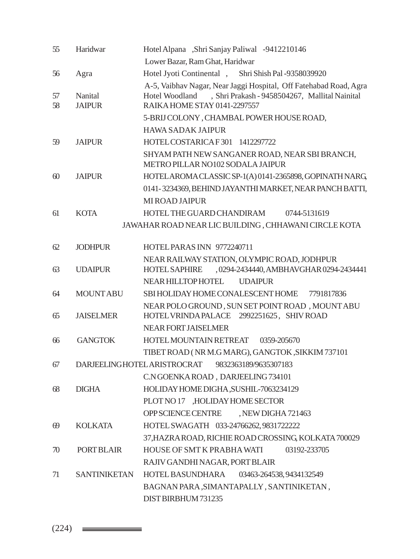| 55                                                                        | Haridwar                           | Hotel Alpana "Shri Sanjay Paliwal -9412210146                                                                                                                         |  |  |  |
|---------------------------------------------------------------------------|------------------------------------|-----------------------------------------------------------------------------------------------------------------------------------------------------------------------|--|--|--|
|                                                                           |                                    | Lower Bazar, Ram Ghat, Haridwar                                                                                                                                       |  |  |  |
| 56                                                                        | Agra                               | Hotel Jyoti Continental , Shri Shish Pal -9358039920                                                                                                                  |  |  |  |
| 57<br>58                                                                  | Nanital<br><b>JAIPUR</b>           | A-5, Vaibhav Nagar, Near Jaggi Hospital, Off Fatehabad Road, Agra<br>, Shri Prakash - 9458504267, Mallital Nainital<br>Hotel Woodland<br>RAIKA HOME STAY 0141-2297557 |  |  |  |
|                                                                           |                                    | 5-BRIJ COLONY, CHAMBAL POWER HOUSE ROAD,                                                                                                                              |  |  |  |
|                                                                           |                                    | <b>HAWA SADAK JAIPUR</b>                                                                                                                                              |  |  |  |
| 59                                                                        | <b>JAIPUR</b>                      | HOTEL COSTARICA F301 1412297722                                                                                                                                       |  |  |  |
|                                                                           |                                    | SHYAM PATH NEW SANGANER ROAD, NEAR SBI BRANCH,<br>METRO PILLAR NO102 SODALA JAIPUR                                                                                    |  |  |  |
| 60                                                                        | <b>JAIPUR</b>                      | HOTELAROMACLASSICSP-1(A)0141-2365898, GOPINATH NARG                                                                                                                   |  |  |  |
|                                                                           |                                    | 0141-3234369, BEHIND JAYANTHI MARKET, NEAR PANCH BATTI,                                                                                                               |  |  |  |
|                                                                           |                                    | <b>MIROAD JAIPUR</b>                                                                                                                                                  |  |  |  |
| 61                                                                        | <b>KOTA</b>                        | HOTEL THE GUARD CHANDIRAM<br>0744-5131619                                                                                                                             |  |  |  |
|                                                                           |                                    | JAWAHAR ROAD NEAR LIC BUILDING, CHHAWANI CIRCLE KOTA                                                                                                                  |  |  |  |
|                                                                           |                                    |                                                                                                                                                                       |  |  |  |
| 62                                                                        | <b>JODHPUR</b>                     | HOTEL PARAS INN 9772240711                                                                                                                                            |  |  |  |
| 63                                                                        | <b>UDAIPUR</b>                     | NEAR RAILWAY STATION, OLYMPIC ROAD, JODHPUR<br>,0294-2434440, AMBHAVGHAR 0294-2434441<br><b>HOTEL SAPHIRE</b>                                                         |  |  |  |
|                                                                           |                                    | NEAR HILLTOP HOTEL<br><b>UDAIPUR</b>                                                                                                                                  |  |  |  |
| 64                                                                        | <b>MOUNT ABU</b>                   | SBIHOLIDAY HOME CONALESCENT HOME 7791817836                                                                                                                           |  |  |  |
| 65                                                                        | <b>JAISELMER</b>                   | NEAR POLO GROUND, SUN SET POINT ROAD, MOUNT ABU<br>HOTEL VRINDA PALACE 2992251625, SHIV ROAD                                                                          |  |  |  |
|                                                                           |                                    | <b>NEAR FORT JAISELMER</b>                                                                                                                                            |  |  |  |
| 66                                                                        | <b>GANGTOK</b>                     | HOTEL MOUNTAIN RETREAT 0359-205670                                                                                                                                    |  |  |  |
|                                                                           |                                    | TIBET ROAD (NR M.G MARG), GANGTOK, SIKKIM 737101                                                                                                                      |  |  |  |
| 67                                                                        | <b>DARJEELINGHOTEL ARISTROCRAT</b> | 9832363189/9635307183                                                                                                                                                 |  |  |  |
|                                                                           |                                    | C.N GOENKA ROAD, DARJEELING 734101                                                                                                                                    |  |  |  |
| 68                                                                        | <b>DIGHA</b>                       | HOLIDAY HOME DIGHA, SUSHIL-7063234129                                                                                                                                 |  |  |  |
|                                                                           |                                    | PLOT NO 17 , HOLIDAY HOME SECTOR                                                                                                                                      |  |  |  |
|                                                                           |                                    | OPP SCIENCE CENTRE , NEW DIGHA 721463                                                                                                                                 |  |  |  |
| 69                                                                        | <b>KOLKATA</b>                     | HOTEL SWAGATH 033-24766262, 9831722222                                                                                                                                |  |  |  |
|                                                                           |                                    | 37, HAZRA ROAD, RICHIE ROAD CROSSING, KOLKATA 700029                                                                                                                  |  |  |  |
| 70                                                                        | PORT BLAIR                         | HOUSE OF SMT K PRABHA WATI<br>03192-233705                                                                                                                            |  |  |  |
|                                                                           |                                    | RAJIV GANDHI NAGAR, PORT BLAIR                                                                                                                                        |  |  |  |
| HOTEL BASUNDHARA<br><b>SANTINIKETAN</b><br>03463-264538, 9434132549<br>71 |                                    |                                                                                                                                                                       |  |  |  |
|                                                                           |                                    | BAGNAN PARA, SIMANTAPALLY, SANTINIKETAN,                                                                                                                              |  |  |  |
|                                                                           |                                    | DIST BIRBHUM 731235                                                                                                                                                   |  |  |  |

 $(224)$   $\equiv$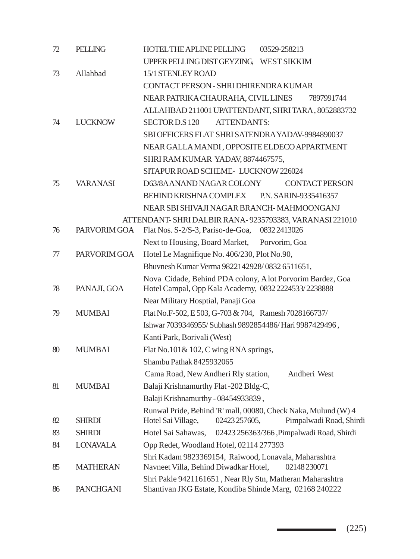| 72 | <b>PELLING</b>   | HOTEL THE APLINE PELLING<br>03529-258213                                                                                         |  |  |
|----|------------------|----------------------------------------------------------------------------------------------------------------------------------|--|--|
|    |                  | UPPER PELLING DIST GEYZING,<br><b>WEST SIKKIM</b>                                                                                |  |  |
| 73 | Allahbad         | 15/1 STENLEY ROAD                                                                                                                |  |  |
|    |                  | CONTACT PERSON - SHRI DHIRENDRA KUMAR                                                                                            |  |  |
|    |                  | NEAR PATRIKA CHAURAHA, CIVIL LINES<br>7897991744                                                                                 |  |  |
|    |                  | ALLAHBAD 211001 UPATTENDANT, SHRITARA, 8052883732                                                                                |  |  |
| 74 | <b>LUCKNOW</b>   | <b>ATTENDANTS:</b><br><b>SECTOR D.S 120</b>                                                                                      |  |  |
|    |                  | SBI OFFICERS FLAT SHRI SATENDRA YADAV-9984890037                                                                                 |  |  |
|    |                  | NEAR GALLA MANDI, OPPOSITE ELDECO APPARTMENT                                                                                     |  |  |
|    |                  | SHRI RAM KUMAR YADAV, 8874467575,                                                                                                |  |  |
|    |                  | SITAPUR ROAD SCHEME- LUCKNOW 226024                                                                                              |  |  |
| 75 | <b>VARANASI</b>  | D63/8AANAND NAGAR COLONY<br><b>CONTACT PERSON</b>                                                                                |  |  |
|    |                  | BEHIND KRISHNA COMPLEX<br>P.N. SARIN-9335416357                                                                                  |  |  |
|    |                  | NEAR SBI SHIVAJI NAGAR BRANCH-MAHMOONGANJ                                                                                        |  |  |
|    |                  | ATTENDANT-SHRI DALBIR RANA-9235793383, VARANASI 221010                                                                           |  |  |
| 76 | PARVORIM GOA     | Flat Nos. S-2/S-3, Pariso-de-Goa,<br>08322413026                                                                                 |  |  |
|    |                  | Next to Housing, Board Market,<br>Porvorim, Goa                                                                                  |  |  |
| 77 | PARVORIM GOA     | Hotel Le Magnifique No. 406/230, Plot No.90,                                                                                     |  |  |
|    |                  | Bhuvnesh Kumar Verma 9822142928/0832 6511651,                                                                                    |  |  |
| 78 | PANAJI, GOA      | Nova Cidade, Behind PDA colony, A lot Porvorim Bardez, Goa<br>Hotel Campal, Opp Kala Academy, 0832 2224533/2238888               |  |  |
|    |                  | Near Military Hosptial, Panaji Goa                                                                                               |  |  |
| 79 | <b>MUMBAI</b>    | Flat No.F-502, E 503, G-703 & 704, Ramesh 7028166737/                                                                            |  |  |
|    |                  | Ishwar 7039346955/Subhash 9892854486/Hari 9987429496,                                                                            |  |  |
|    |                  | Kanti Park, Borivali (West)                                                                                                      |  |  |
| 80 | <b>MUMBAI</b>    | Flat No.101& 102, C wing RNA springs,                                                                                            |  |  |
|    |                  | Shambu Pathak 8425932065                                                                                                         |  |  |
|    |                  | Cama Road, New Andheri Rly station,<br>Andheri West                                                                              |  |  |
| 81 | <b>MUMBAI</b>    | Balaji Krishnamurthy Flat-202 Bldg-C,                                                                                            |  |  |
|    |                  | Balaji Krishnamurthy - 08454933839,                                                                                              |  |  |
| 82 | <b>SHIRDI</b>    | Runwal Pride, Behind 'R' mall, 00080, Check Naka, Mulund (W) 4<br>02423 257605,<br>Pimpalwadi Road, Shirdi<br>Hotel Sai Village, |  |  |
| 83 | <b>SHIRDI</b>    | Hotel Sai Sahawas,<br>02423 256363/366, Pimpalwadi Road, Shirdi                                                                  |  |  |
| 84 | <b>LONAVALA</b>  | Opp Redet, Woodland Hotel, 02114 277393                                                                                          |  |  |
| 85 | <b>MATHERAN</b>  | Shri Kadam 9823369154, Raiwood, Lonavala, Maharashtra<br>Navneet Villa, Behind Diwadkar Hotel,<br>02148230071                    |  |  |
| 86 | <b>PANCHGANI</b> | Shri Pakle 9421161651, Near Rly Stn, Matheran Maharashtra<br>Shantivan JKG Estate, Kondiba Shinde Marg, 02168 240222             |  |  |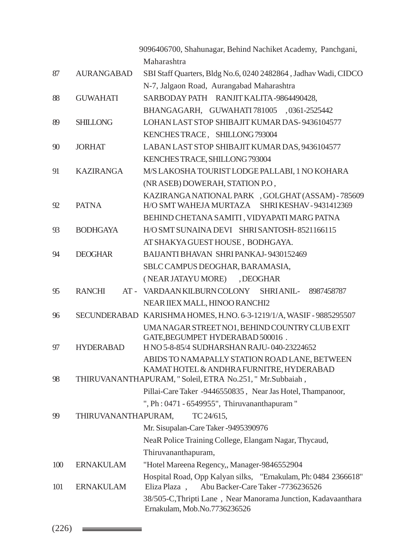|     |                     | 9096406700, Shahunagar, Behind Nachiket Academy, Panchgani,                    |  |
|-----|---------------------|--------------------------------------------------------------------------------|--|
|     |                     | Maharashtra                                                                    |  |
| 87  | <b>AURANGABAD</b>   | SBI Staff Quarters, Bldg No.6, 0240 2482864, Jadhav Wadi, CIDCO                |  |
|     |                     | N-7, Jalgaon Road, Aurangabad Maharashtra                                      |  |
| 88  | <b>GUWAHATI</b>     | SARBODAY PATH RANJIT KALITA-9864490428,                                        |  |
|     |                     | BHANGAGARH, GUWAHATI 781005 ,0361-2525442                                      |  |
| 89  | <b>SHILLONG</b>     | LOHAN LAST STOP SHIBAJIT KUMAR DAS-9436104577                                  |  |
|     |                     | KENCHES TRACE, SHILLONG 793004                                                 |  |
| 90  | <b>JORHAT</b>       | LABAN LAST STOP SHIBAJIT KUMAR DAS, 9436104577                                 |  |
|     |                     | KENCHES TRACE, SHILLONG 793004                                                 |  |
| 91  | <b>KAZIRANGA</b>    | M/S LAKOSHA TOURIST LODGE PALLABI, 1 NO KOHARA                                 |  |
|     |                     | (NR ASEB) DOWERAH, STATION P.O.                                                |  |
|     |                     | KAZIRANGA NATIONAL PARK , GOLGHAT (ASSAM) - 785609                             |  |
| 92  | <b>PATNA</b>        | H/O SMT WAHEJA MURTAZA<br>SHRIKESHAV - 9431412369                              |  |
|     |                     | BEHIND CHETANA SAMITI, VIDYAPATI MARG PATNA                                    |  |
| 93  | <b>BODHGAYA</b>     | H/O SMT SUNAINA DEVI SHRI SANTOSH-8521166115                                   |  |
|     |                     | AT SHAKYA GUEST HOUSE, BODHGAYA.                                               |  |
| 94  | <b>DEOGHAR</b>      | BAIJANTI BHAVAN SHRI PANKAJ-9430152469                                         |  |
|     |                     | SBLC CAMPUS DEOGHAR, BARAMASIA,                                                |  |
|     |                     | (NEAR JATAYU MORE) , DEOGHAR                                                   |  |
| 95  | <b>RANCHI</b>       | AT - VARDAAN KILBURN COLONY SHRI ANIL- 8987458787                              |  |
|     |                     | NEAR IIEX MALL, HINOO RANCHI2                                                  |  |
| 96  |                     | SECUNDERABAD KARISHMA HOMES, H.NO. 6-3-1219/1/A, WASIF - 9885295507            |  |
|     |                     | UMANAGAR STREET NO1, BEHIND COUNTRY CLUB EXIT                                  |  |
| 97  | <b>HYDERABAD</b>    | GATE, BEGUMPET HYDERABAD 500016.<br>H NO 5-8-85/4 SUDHARSHAN RAJU-040-23224652 |  |
|     |                     | ABIDS TO NAMAPALLY STATION ROAD LANE, BETWEEN                                  |  |
|     |                     | KAMAT HOTEL & ANDHRA FURNITRE, HYDERABAD                                       |  |
| 98  |                     | THIRUVANANTHAPURAM, "Soleil, ETRA No.251, " Mr.Subbaiah,                       |  |
|     |                     | Pillai-Care Taker -9446550835, Near Jas Hotel, Thampanoor,                     |  |
|     |                     | ", Ph: 0471 - 6549955", Thiruvananthapuram"                                    |  |
| 99  | THIRUVANANTHAPURAM, | TC 24/615,                                                                     |  |
|     |                     | Mr. Sisupalan-Care Taker -9495390976                                           |  |
|     |                     | NeaR Police Training College, Elangam Nagar, Thycaud,                          |  |
|     |                     | Thiruvananthapuram,                                                            |  |
| 100 | <b>ERNAKULAM</b>    | "Hotel Mareena Regency,, Manager-9846552904                                    |  |
|     |                     | Hospital Road, Opp Kalyan silks, "Ernakulam, Ph: 0484 2366618"                 |  |
| 101 | <b>ERNAKULAM</b>    | Abu Backer-Care Taker - 7736236526<br>Eliza Plaza,                             |  |
|     |                     | 38/505-C, Thripti Lane, Near Manorama Junction, Kadavaanthara                  |  |
|     |                     | Ernakulam, Mob.No.7736236526                                                   |  |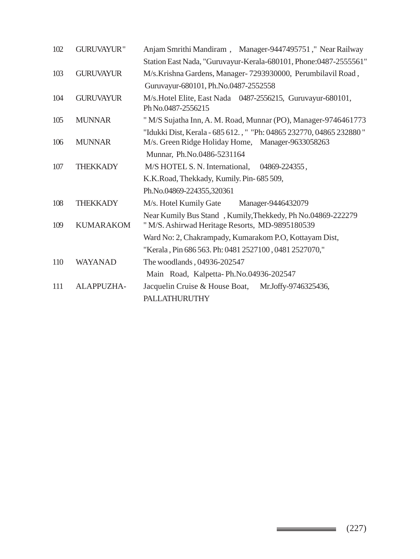| 102 | <b>GURUVAYUR"</b> | Anjam Smrithi Mandiram, Manager-9447495751," Near Railway                                                      |  |  |  |
|-----|-------------------|----------------------------------------------------------------------------------------------------------------|--|--|--|
|     |                   | Station East Nada, "Guruvayur-Kerala-680101, Phone:0487-2555561"                                               |  |  |  |
| 103 | <b>GURUVAYUR</b>  | M/s.Krishna Gardens, Manager-7293930000, Perumbilavil Road,                                                    |  |  |  |
|     |                   | Guruvayur-680101, Ph.No.0487-2552558                                                                           |  |  |  |
| 104 | <b>GURUVAYUR</b>  | M/s. Hotel Elite, East Nada 0487-2556215, Guruvayur-680101,<br>Ph No.0487-2556215                              |  |  |  |
| 105 | <b>MUNNAR</b>     | "M/S Sujatha Inn, A. M. Road, Munnar (PO), Manager-9746461773                                                  |  |  |  |
|     |                   | "Idukki Dist, Kerala - 685 612., " "Ph: 04865 232770, 04865 232880"                                            |  |  |  |
| 106 | <b>MUNNAR</b>     | M/s. Green Ridge Holiday Home, Manager-9633058263                                                              |  |  |  |
|     |                   | Munnar, Ph.No.0486-5231164                                                                                     |  |  |  |
| 107 | <b>THEKKADY</b>   | M/S HOTEL S. N. International, 04869-224355,                                                                   |  |  |  |
|     |                   | K.K.Road, Thekkady, Kumily. Pin- 685 509,                                                                      |  |  |  |
|     |                   | Ph.No.04869-224355,320361                                                                                      |  |  |  |
| 108 | <b>THEKKADY</b>   | M/s. Hotel Kumily Gate<br>Manager-9446432079                                                                   |  |  |  |
| 109 | <b>KUMARAKOM</b>  | Near Kumily Bus Stand , Kumily, Thekkedy, Ph No.04869-222279<br>"M/S. Ashirwad Heritage Resorts, MD-9895180539 |  |  |  |
|     |                   | Ward No: 2, Chakrampady, Kumarakom P.O, Kottayam Dist,                                                         |  |  |  |
|     |                   | "Kerala, Pin 686 563. Ph: 0481 2527100, 0481 2527070,"                                                         |  |  |  |
| 110 | <b>WAYANAD</b>    | The woodlands, 04936-202547                                                                                    |  |  |  |
|     |                   | Main Road, Kalpetta-Ph.No.04936-202547                                                                         |  |  |  |
| 111 | ALAPPUZHA-        | Jacquelin Cruise & House Boat,<br>Mr.Joffy-9746325436,                                                         |  |  |  |
|     |                   | <b>PALLATHURUTHY</b>                                                                                           |  |  |  |